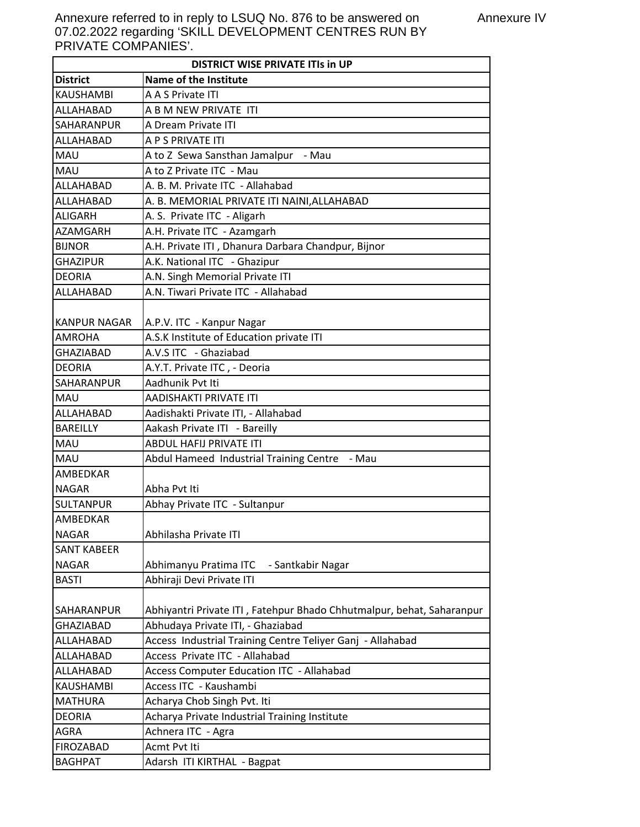Annexure referred to in reply to LSUQ No. 876 to be answered on 07.02.2022 regarding 'SKILL DEVELOPMENT CENTRES RUN BY PRIVATE COMPANIES'.

| <b>DISTRICT WISE PRIVATE ITIS In UP</b> |                                                                       |
|-----------------------------------------|-----------------------------------------------------------------------|
| <b>District</b>                         | Name of the Institute                                                 |
| <b>KAUSHAMBI</b>                        | A A S Private ITI                                                     |
| ALLAHABAD                               | A B M NEW PRIVATE ITI                                                 |
| SAHARANPUR                              | A Dream Private ITI                                                   |
| ALLAHABAD                               | A P S PRIVATE ITI                                                     |
| <b>MAU</b>                              | A to Z Sewa Sansthan Jamalpur - Mau                                   |
| MAU                                     | A to Z Private ITC - Mau                                              |
| ALLAHABAD                               | A. B. M. Private ITC - Allahabad                                      |
| ALLAHABAD                               | A. B. MEMORIAL PRIVATE ITI NAINI, ALLAHABAD                           |
| <b>ALIGARH</b>                          | A. S. Private ITC - Aligarh                                           |
| AZAMGARH                                | A.H. Private ITC - Azamgarh                                           |
| <b>BIJNOR</b>                           | A.H. Private ITI, Dhanura Darbara Chandpur, Bijnor                    |
| <b>GHAZIPUR</b>                         | A.K. National ITC - Ghazipur                                          |
| <b>DEORIA</b>                           | A.N. Singh Memorial Private ITI                                       |
| ALLAHABAD                               | A.N. Tiwari Private ITC - Allahabad                                   |
|                                         |                                                                       |
| <b>KANPUR NAGAR</b>                     | A.P.V. ITC - Kanpur Nagar                                             |
| <b>AMROHA</b>                           | A.S.K Institute of Education private ITI                              |
| <b>GHAZIABAD</b>                        | A.V.S ITC - Ghaziabad                                                 |
| <b>DEORIA</b>                           | A.Y.T. Private ITC, - Deoria                                          |
| SAHARANPUR                              | Aadhunik Pvt Iti                                                      |
| <b>MAU</b>                              | AADISHAKTI PRIVATE ITI                                                |
| ALLAHABAD                               | Aadishakti Private ITI, - Allahabad                                   |
| <b>BAREILLY</b>                         | Aakash Private ITI - Bareilly                                         |
| MAU                                     | <b>ABDUL HAFIJ PRIVATE ITI</b>                                        |
| MAU                                     | Abdul Hameed Industrial Training Centre - Mau                         |
| AMBEDKAR                                |                                                                       |
| <b>NAGAR</b>                            | Abha Pvt Iti                                                          |
| <b>SULTANPUR</b>                        | Abhay Private ITC - Sultanpur                                         |
| AMBEDKAR                                |                                                                       |
| <b>NAGAR</b>                            | Abhilasha Private ITI                                                 |
| <b>SANT KABEER</b>                      |                                                                       |
| <b>NAGAR</b>                            | Abhimanyu Pratima ITC<br>- Santkabir Nagar                            |
| <b>BASTI</b>                            | Abhiraji Devi Private ITI                                             |
|                                         |                                                                       |
| SAHARANPUR                              | Abhiyantri Private ITI, Fatehpur Bhado Chhutmalpur, behat, Saharanpur |
| <b>GHAZIABAD</b>                        | Abhudaya Private ITI, - Ghaziabad                                     |
| ALLAHABAD                               | Access Industrial Training Centre Teliyer Ganj - Allahabad            |
| ALLAHABAD                               | Access Private ITC - Allahabad                                        |
| ALLAHABAD                               | Access Computer Education ITC - Allahabad                             |
| <b>KAUSHAMBI</b>                        | Access ITC - Kaushambi                                                |
| <b>MATHURA</b>                          | Acharya Chob Singh Pvt. Iti                                           |
| <b>DEORIA</b>                           | Acharya Private Industrial Training Institute                         |
| <b>AGRA</b>                             | Achnera ITC - Agra                                                    |
| <b>FIROZABAD</b>                        | Acmt Pvt Iti                                                          |
| <b>BAGHPAT</b>                          | Adarsh ITI KIRTHAL - Bagpat                                           |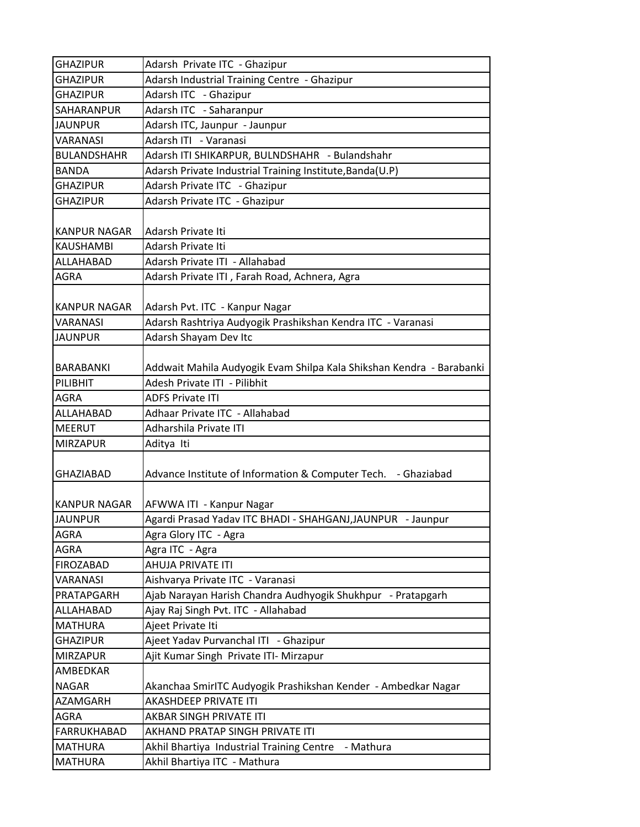| <b>GHAZIPUR</b>     | Adarsh Private ITC - Ghazipur                                        |
|---------------------|----------------------------------------------------------------------|
| <b>GHAZIPUR</b>     | Adarsh Industrial Training Centre - Ghazipur                         |
| <b>GHAZIPUR</b>     | Adarsh ITC - Ghazipur                                                |
| SAHARANPUR          | Adarsh ITC - Saharanpur                                              |
| <b>JAUNPUR</b>      | Adarsh ITC, Jaunpur - Jaunpur                                        |
| <b>VARANASI</b>     | Adarsh ITI - Varanasi                                                |
| <b>BULANDSHAHR</b>  | Adarsh ITI SHIKARPUR, BULNDSHAHR - Bulandshahr                       |
| <b>BANDA</b>        | Adarsh Private Industrial Training Institute, Banda(U.P)             |
| <b>GHAZIPUR</b>     | Adarsh Private ITC - Ghazipur                                        |
| <b>GHAZIPUR</b>     | Adarsh Private ITC - Ghazipur                                        |
| <b>KANPUR NAGAR</b> | Adarsh Private Iti                                                   |
| <b>KAUSHAMBI</b>    | Adarsh Private Iti                                                   |
| ALLAHABAD           | Adarsh Private ITI - Allahabad                                       |
| <b>AGRA</b>         | Adarsh Private ITI, Farah Road, Achnera, Agra                        |
|                     |                                                                      |
| <b>KANPUR NAGAR</b> | Adarsh Pvt. ITC - Kanpur Nagar                                       |
| VARANASI            | Adarsh Rashtriya Audyogik Prashikshan Kendra ITC - Varanasi          |
| <b>JAUNPUR</b>      | Adarsh Shayam Dev Itc                                                |
|                     |                                                                      |
| <b>BARABANKI</b>    | Addwait Mahila Audyogik Evam Shilpa Kala Shikshan Kendra - Barabanki |
| PILIBHIT            | Adesh Private ITI - Pilibhit                                         |
| <b>AGRA</b>         | <b>ADFS Private ITI</b>                                              |
| ALLAHABAD           | Adhaar Private ITC - Allahabad                                       |
| <b>MEERUT</b>       | Adharshila Private ITI                                               |
| <b>MIRZAPUR</b>     | Aditya Iti                                                           |
| <b>GHAZIABAD</b>    | Advance Institute of Information & Computer Tech. - Ghaziabad        |
| <b>KANPUR NAGAR</b> | AFWWA ITI - Kanpur Nagar                                             |
| <b>JAUNPUR</b>      | Agardi Prasad Yadav ITC BHADI - SHAHGANJ, JAUNPUR - Jaunpur          |
| AGRA                | Agra Glory ITC - Agra                                                |
| AGRA                | Agra ITC - Agra                                                      |
| <b>FIROZABAD</b>    | AHUJA PRIVATE ITI                                                    |
| VARANASI            | Aishvarya Private ITC - Varanasi                                     |
| PRATAPGARH          | Ajab Narayan Harish Chandra Audhyogik Shukhpur - Pratapgarh          |
| ALLAHABAD           | Ajay Raj Singh Pvt. ITC - Allahabad                                  |
| <b>MATHURA</b>      | Ajeet Private Iti                                                    |
| <b>GHAZIPUR</b>     | Ajeet Yadav Purvanchal ITI - Ghazipur                                |
| <b>MIRZAPUR</b>     | Ajit Kumar Singh Private ITI- Mirzapur                               |
| AMBEDKAR            |                                                                      |
| <b>NAGAR</b>        | Akanchaa SmirITC Audyogik Prashikshan Kender - Ambedkar Nagar        |
| AZAMGARH            | <b>AKASHDEEP PRIVATE ITI</b>                                         |
| <b>AGRA</b>         | AKBAR SINGH PRIVATE ITI                                              |
| FARRUKHABAD         | AKHAND PRATAP SINGH PRIVATE ITI                                      |
| <b>MATHURA</b>      | Akhil Bhartiya Industrial Training Centre<br>- Mathura               |
| <b>MATHURA</b>      | Akhil Bhartiya ITC - Mathura                                         |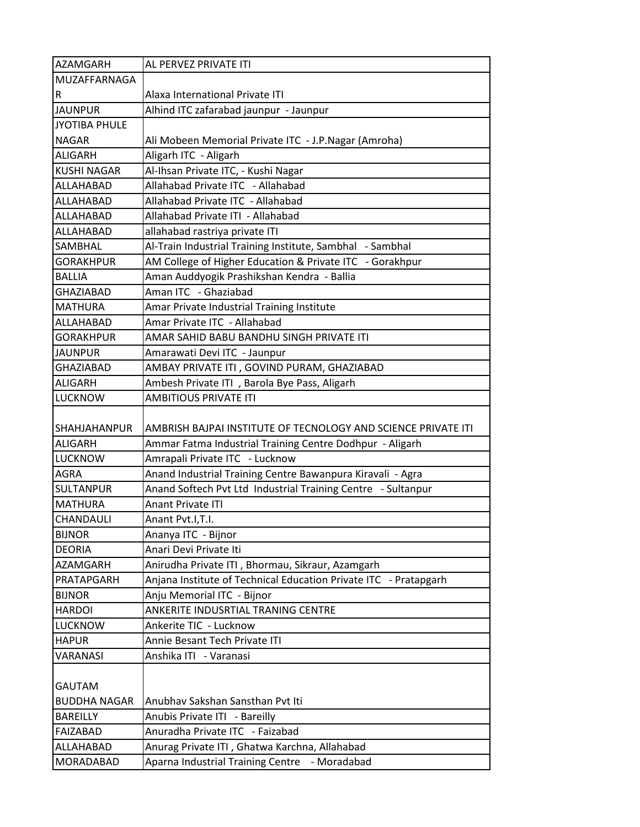| <b>AZAMGARH</b>                       | AL PERVEZ PRIVATE ITI                                                                                                     |
|---------------------------------------|---------------------------------------------------------------------------------------------------------------------------|
| MUZAFFARNAGA                          |                                                                                                                           |
| $\mathsf R$                           | Alaxa International Private ITI                                                                                           |
| <b>JAUNPUR</b>                        | Alhind ITC zafarabad jaunpur - Jaunpur                                                                                    |
| <b>JYOTIBA PHULE</b>                  |                                                                                                                           |
| <b>NAGAR</b>                          | Ali Mobeen Memorial Private ITC - J.P. Nagar (Amroha)                                                                     |
| <b>ALIGARH</b>                        | Aligarh ITC - Aligarh                                                                                                     |
| <b>KUSHI NAGAR</b>                    | Al-Ihsan Private ITC, - Kushi Nagar                                                                                       |
| ALLAHABAD                             | Allahabad Private ITC - Allahabad                                                                                         |
| ALLAHABAD                             | Allahabad Private ITC - Allahabad                                                                                         |
| ALLAHABAD                             | Allahabad Private ITI - Allahabad                                                                                         |
| ALLAHABAD                             | allahabad rastriya private ITI                                                                                            |
| <b>SAMBHAL</b>                        | Al-Train Industrial Training Institute, Sambhal - Sambhal                                                                 |
| <b>GORAKHPUR</b>                      | AM College of Higher Education & Private ITC - Gorakhpur                                                                  |
| <b>BALLIA</b>                         | Aman Auddyogik Prashikshan Kendra - Ballia                                                                                |
| <b>GHAZIABAD</b>                      | Aman ITC - Ghaziabad                                                                                                      |
| <b>MATHURA</b>                        | Amar Private Industrial Training Institute                                                                                |
| ALLAHABAD                             | Amar Private ITC - Allahabad                                                                                              |
| <b>GORAKHPUR</b>                      | AMAR SAHID BABU BANDHU SINGH PRIVATE ITI                                                                                  |
| IJAUNPUR                              | Amarawati Devi ITC - Jaunpur                                                                                              |
| <b>GHAZIABAD</b>                      | AMBAY PRIVATE ITI, GOVIND PURAM, GHAZIABAD                                                                                |
| <b>ALIGARH</b>                        | Ambesh Private ITI, Barola Bye Pass, Aligarh                                                                              |
| <b>LUCKNOW</b>                        | <b>AMBITIOUS PRIVATE ITI</b>                                                                                              |
| <b>SHAHJAHANPUR</b><br><b>ALIGARH</b> | AMBRISH BAJPAI INSTITUTE OF TECNOLOGY AND SCIENCE PRIVATE ITI<br>Ammar Fatma Industrial Training Centre Dodhpur - Aligarh |
| <b>LUCKNOW</b>                        | Amrapali Private ITC - Lucknow                                                                                            |
| <b>AGRA</b>                           | Anand Industrial Training Centre Bawanpura Kiravali - Agra                                                                |
| <b>SULTANPUR</b>                      | Anand Softech Pvt Ltd Industrial Training Centre - Sultanpur                                                              |
| <b>MATHURA</b>                        | <b>Anant Private ITI</b>                                                                                                  |
| <b>CHANDAULI</b>                      | Anant Pvt.I,T.I.                                                                                                          |
| <b>BIJNOR</b>                         | Ananya ITC - Bijnor                                                                                                       |
| <b>DEORIA</b>                         | Anari Devi Private Iti                                                                                                    |
| AZAMGARH                              | Anirudha Private ITI, Bhormau, Sikraur, Azamgarh                                                                          |
| PRATAPGARH                            | Anjana Institute of Technical Education Private ITC - Pratapgarh                                                          |
| <b>BIJNOR</b>                         | Anju Memorial ITC - Bijnor                                                                                                |
| <b>HARDOI</b>                         | ANKERITE INDUSRTIAL TRANING CENTRE                                                                                        |
| <b>LUCKNOW</b>                        | Ankerite TIC - Lucknow                                                                                                    |
| <b>HAPUR</b>                          | Annie Besant Tech Private ITI                                                                                             |
| <b>VARANASI</b>                       | Anshika ITI - Varanasi                                                                                                    |
|                                       |                                                                                                                           |
| <b>GAUTAM</b>                         |                                                                                                                           |
| <b>BUDDHA NAGAR</b>                   | Anubhav Sakshan Sansthan Pvt Iti                                                                                          |
| <b>BAREILLY</b>                       | Anubis Private ITI - Bareilly                                                                                             |
| <b>FAIZABAD</b>                       | Anuradha Private ITC - Faizabad                                                                                           |
| ALLAHABAD                             | Anurag Private ITI, Ghatwa Karchna, Allahabad                                                                             |
| <b>MORADABAD</b>                      | Aparna Industrial Training Centre - Moradabad                                                                             |
|                                       |                                                                                                                           |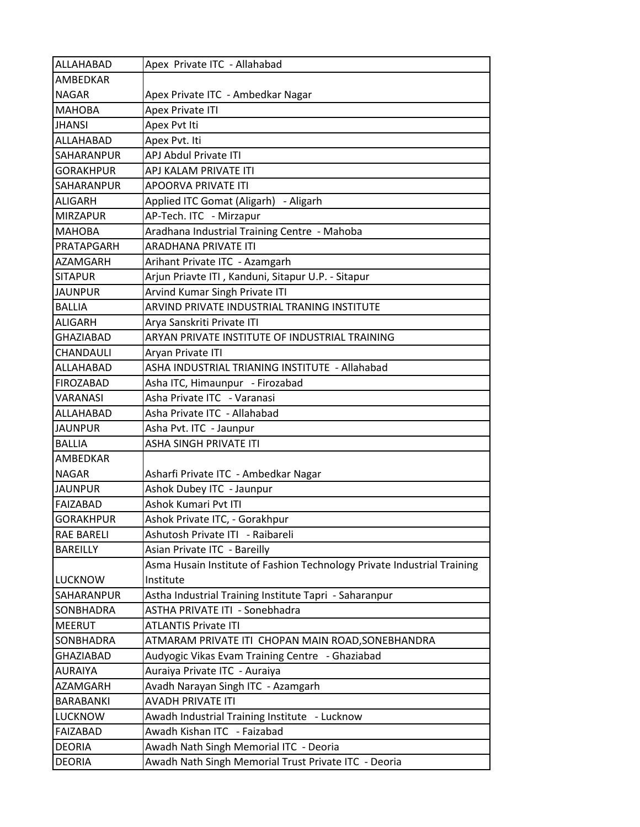| ALLAHABAD         | Apex Private ITC - Allahabad                                            |
|-------------------|-------------------------------------------------------------------------|
| <b>AMBEDKAR</b>   |                                                                         |
| <b>NAGAR</b>      | Apex Private ITC - Ambedkar Nagar                                       |
| <b>MAHOBA</b>     | <b>Apex Private ITI</b>                                                 |
| <b>JHANSI</b>     | Apex Pvt Iti                                                            |
| ALLAHABAD         | Apex Pvt. Iti                                                           |
| <b>SAHARANPUR</b> | <b>APJ Abdul Private ITI</b>                                            |
| <b>GORAKHPUR</b>  | APJ KALAM PRIVATE ITI                                                   |
| SAHARANPUR        | APOORVA PRIVATE ITI                                                     |
| <b>ALIGARH</b>    | Applied ITC Gomat (Aligarh) - Aligarh                                   |
| <b>MIRZAPUR</b>   | AP-Tech. ITC - Mirzapur                                                 |
| <b>MAHOBA</b>     | Aradhana Industrial Training Centre - Mahoba                            |
| PRATAPGARH        | <b>ARADHANA PRIVATE ITI</b>                                             |
| <b>AZAMGARH</b>   | Arihant Private ITC - Azamgarh                                          |
| <b>SITAPUR</b>    | Arjun Priavte ITI, Kanduni, Sitapur U.P. - Sitapur                      |
| <b>JAUNPUR</b>    | Arvind Kumar Singh Private ITI                                          |
| <b>BALLIA</b>     | ARVIND PRIVATE INDUSTRIAL TRANING INSTITUTE                             |
| <b>ALIGARH</b>    | Arya Sanskriti Private ITI                                              |
| <b>GHAZIABAD</b>  | ARYAN PRIVATE INSTITUTE OF INDUSTRIAL TRAINING                          |
| <b>CHANDAULI</b>  | Aryan Private ITI                                                       |
| ALLAHABAD         | ASHA INDUSTRIAL TRIANING INSTITUTE - Allahabad                          |
| <b>FIROZABAD</b>  | Asha ITC, Himaunpur - Firozabad                                         |
| <b>VARANASI</b>   | Asha Private ITC - Varanasi                                             |
| ALLAHABAD         | Asha Private ITC - Allahabad                                            |
| <b>JAUNPUR</b>    | Asha Pvt. ITC - Jaunpur                                                 |
| <b>BALLIA</b>     | ASHA SINGH PRIVATE ITI                                                  |
| <b>AMBEDKAR</b>   |                                                                         |
| <b>NAGAR</b>      | Asharfi Private ITC - Ambedkar Nagar                                    |
| <b>JAUNPUR</b>    | Ashok Dubey ITC - Jaunpur                                               |
| FAIZABAD          | <b>Ashok Kumari Pyt ITI</b>                                             |
| <b>GORAKHPUR</b>  | Ashok Private ITC, - Gorakhpur                                          |
| <b>RAE BARELI</b> | Ashutosh Private ITI - Raibareli                                        |
| <b>BAREILLY</b>   | Asian Private ITC - Bareilly                                            |
|                   | Asma Husain Institute of Fashion Technology Private Industrial Training |
| <b>LUCKNOW</b>    | Institute                                                               |
| <b>SAHARANPUR</b> | Astha Industrial Training Institute Tapri - Saharanpur                  |
| SONBHADRA         | ASTHA PRIVATE ITI - Sonebhadra                                          |
| <b>MEERUT</b>     | <b>ATLANTIS Private ITI</b>                                             |
| SONBHADRA         | ATMARAM PRIVATE ITI CHOPAN MAIN ROAD,SONEBHANDRA                        |
| <b>GHAZIABAD</b>  | Audyogic Vikas Evam Training Centre - Ghaziabad                         |
| <b>AURAIYA</b>    | Auraiya Private ITC - Auraiya                                           |
| AZAMGARH          | Avadh Narayan Singh ITC - Azamgarh                                      |
| <b>BARABANKI</b>  | <b>AVADH PRIVATE ITI</b>                                                |
| <b>LUCKNOW</b>    | Awadh Industrial Training Institute - Lucknow                           |
| FAIZABAD          | Awadh Kishan ITC - Faizabad                                             |
| <b>DEORIA</b>     | Awadh Nath Singh Memorial ITC - Deoria                                  |
| <b>DEORIA</b>     | Awadh Nath Singh Memorial Trust Private ITC - Deoria                    |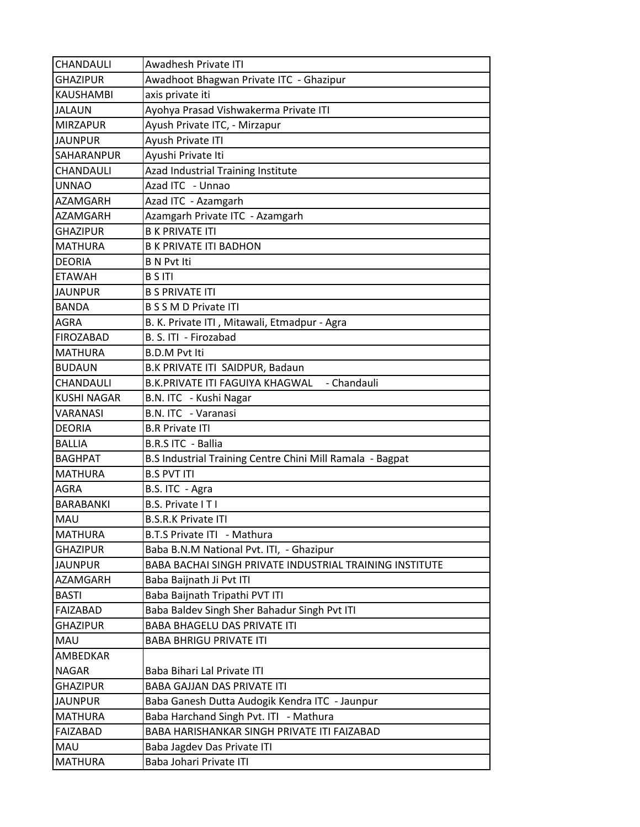| CHANDAULI          | <b>Awadhesh Private ITI</b>                               |
|--------------------|-----------------------------------------------------------|
| <b>GHAZIPUR</b>    | Awadhoot Bhagwan Private ITC - Ghazipur                   |
| <b>KAUSHAMBI</b>   | axis private iti                                          |
| <b>JALAUN</b>      | Ayohya Prasad Vishwakerma Private ITI                     |
| <b>MIRZAPUR</b>    | Ayush Private ITC, - Mirzapur                             |
| <b>JAUNPUR</b>     | Ayush Private ITI                                         |
| SAHARANPUR         | Ayushi Private Iti                                        |
| CHANDAULI          | Azad Industrial Training Institute                        |
| <b>UNNAO</b>       | Azad ITC - Unnao                                          |
| AZAMGARH           | Azad ITC - Azamgarh                                       |
| AZAMGARH           | Azamgarh Private ITC - Azamgarh                           |
| <b>GHAZIPUR</b>    | <b>B K PRIVATE ITI</b>                                    |
| <b>MATHURA</b>     | <b>B K PRIVATE ITI BADHON</b>                             |
| <b>DEORIA</b>      | <b>B N Pvt Iti</b>                                        |
| <b>ETAWAH</b>      | <b>B S ITI</b>                                            |
| <b>JAUNPUR</b>     | <b>B S PRIVATE ITI</b>                                    |
| <b>BANDA</b>       | <b>B S S M D Private ITI</b>                              |
| <b>AGRA</b>        | B. K. Private ITI, Mitawali, Etmadpur - Agra              |
| <b>FIROZABAD</b>   | B. S. ITI - Firozabad                                     |
| <b>MATHURA</b>     | <b>B.D.M Pvt Iti</b>                                      |
| <b>BUDAUN</b>      | B.K PRIVATE ITI SAIDPUR, Badaun                           |
| CHANDAULI          | - Chandauli<br>B.K.PRIVATE ITI FAGUIYA KHAGWAL            |
| <b>KUSHI NAGAR</b> | B.N. ITC - Kushi Nagar                                    |
| VARANASI           | B.N. ITC - Varanasi                                       |
| <b>DEORIA</b>      | <b>B.R Private ITI</b>                                    |
| <b>BALLIA</b>      | B.R.S ITC - Ballia                                        |
| <b>BAGHPAT</b>     | B.S Industrial Training Centre Chini Mill Ramala - Bagpat |
| <b>MATHURA</b>     | <b>B.S PVT ITI</b>                                        |
| AGRA               | B.S. ITC - Agra                                           |
| <b>BARABANKI</b>   | B.S. Private ITI                                          |
| <b>MAU</b>         | <b>B.S.R.K Private ITI</b>                                |
| <b>MATHURA</b>     | B.T.S Private ITI - Mathura                               |
| <b>GHAZIPUR</b>    | Baba B.N.M National Pvt. ITI, - Ghazipur                  |
| <b>JAUNPUR</b>     | BABA BACHAI SINGH PRIVATE INDUSTRIAL TRAINING INSTITUTE   |
| AZAMGARH           | Baba Baijnath Ji Pvt ITI                                  |
| <b>BASTI</b>       | Baba Baijnath Tripathi PVT ITI                            |
| <b>FAIZABAD</b>    | Baba Baldev Singh Sher Bahadur Singh Pvt ITI              |
| <b>GHAZIPUR</b>    | BABA BHAGELU DAS PRIVATE ITI                              |
| MAU                | <b>BABA BHRIGU PRIVATE ITI</b>                            |
| AMBEDKAR           |                                                           |
| <b>NAGAR</b>       | Baba Bihari Lal Private ITI                               |
| <b>GHAZIPUR</b>    | <b>BABA GAJJAN DAS PRIVATE ITI</b>                        |
| <b>JAUNPUR</b>     | Baba Ganesh Dutta Audogik Kendra ITC - Jaunpur            |
| <b>MATHURA</b>     | Baba Harchand Singh Pvt. ITI - Mathura                    |
| <b>FAIZABAD</b>    | BABA HARISHANKAR SINGH PRIVATE ITI FAIZABAD               |
| MAU                | Baba Jagdev Das Private ITI                               |
| <b>MATHURA</b>     | Baba Johari Private ITI                                   |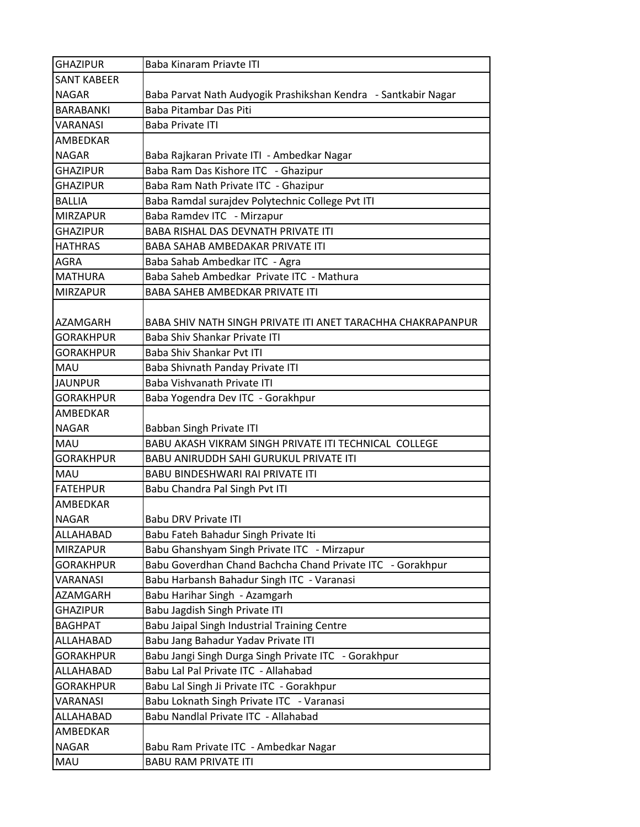| <b>GHAZIPUR</b>    | Baba Kinaram Priavte ITI                                       |
|--------------------|----------------------------------------------------------------|
| <b>SANT KABEER</b> |                                                                |
| <b>NAGAR</b>       | Baba Parvat Nath Audyogik Prashikshan Kendra - Santkabir Nagar |
| <b>BARABANKI</b>   | Baba Pitambar Das Piti                                         |
| <b>VARANASI</b>    | <b>Baba Private ITI</b>                                        |
| AMBEDKAR           |                                                                |
| <b>NAGAR</b>       | Baba Rajkaran Private ITI - Ambedkar Nagar                     |
| GHAZIPUR           | Baba Ram Das Kishore ITC - Ghazipur                            |
| <b>GHAZIPUR</b>    | Baba Ram Nath Private ITC - Ghazipur                           |
| <b>BALLIA</b>      | Baba Ramdal surajdev Polytechnic College Pvt ITI               |
| <b>MIRZAPUR</b>    | Baba Ramdev ITC - Mirzapur                                     |
| <b>GHAZIPUR</b>    | <b>BABA RISHAL DAS DEVNATH PRIVATE ITI</b>                     |
| <b>HATHRAS</b>     | BABA SAHAB AMBEDAKAR PRIVATE ITI                               |
| <b>AGRA</b>        | Baba Sahab Ambedkar ITC - Agra                                 |
| <b>MATHURA</b>     | Baba Saheb Ambedkar Private ITC - Mathura                      |
| <b>MIRZAPUR</b>    | BABA SAHEB AMBEDKAR PRIVATE ITI                                |
| <b>AZAMGARH</b>    | BABA SHIV NATH SINGH PRIVATE ITI ANET TARACHHA CHAKRAPANPUR    |
| <b>GORAKHPUR</b>   | Baba Shiv Shankar Private ITI                                  |
| <b>GORAKHPUR</b>   | Baba Shiv Shankar Pvt ITI                                      |
| MAU                | Baba Shivnath Panday Private ITI                               |
| <b>JAUNPUR</b>     | <b>Baba Vishvanath Private ITI</b>                             |
| <b>GORAKHPUR</b>   | Baba Yogendra Dev ITC - Gorakhpur                              |
| AMBEDKAR           |                                                                |
| <b>NAGAR</b>       | Babban Singh Private ITI                                       |
| MAU                | BABU AKASH VIKRAM SINGH PRIVATE ITI TECHNICAL COLLEGE          |
| <b>GORAKHPUR</b>   | <b>BABU ANIRUDDH SAHI GURUKUL PRIVATE ITI</b>                  |
| <b>MAU</b>         | BABU BINDESHWARI RAI PRIVATE ITI                               |
| <b>FATEHPUR</b>    | Babu Chandra Pal Singh Pvt ITI                                 |
| AMBEDKAR           |                                                                |
| <b>NAGAR</b>       | Babu DRV Private ITI                                           |
| ALLAHABAD          | Babu Fateh Bahadur Singh Private Iti                           |
| <b>MIRZAPUR</b>    | Babu Ghanshyam Singh Private ITC - Mirzapur                    |
| <b>GORAKHPUR</b>   | Babu Goverdhan Chand Bachcha Chand Private ITC - Gorakhpur     |
| VARANASI           | Babu Harbansh Bahadur Singh ITC - Varanasi                     |
| AZAMGARH           | Babu Harihar Singh - Azamgarh                                  |
| <b>GHAZIPUR</b>    | Babu Jagdish Singh Private ITI                                 |
| <b>BAGHPAT</b>     | Babu Jaipal Singh Industrial Training Centre                   |
| ALLAHABAD          | Babu Jang Bahadur Yadav Private ITI                            |
| <b>GORAKHPUR</b>   | Babu Jangi Singh Durga Singh Private ITC - Gorakhpur           |
| ALLAHABAD          | Babu Lal Pal Private ITC - Allahabad                           |
| <b>GORAKHPUR</b>   | Babu Lal Singh Ji Private ITC - Gorakhpur                      |
| VARANASI           | Babu Loknath Singh Private ITC - Varanasi                      |
| ALLAHABAD          | Babu Nandlal Private ITC - Allahabad                           |
| AMBEDKAR           |                                                                |
| <b>NAGAR</b>       | Babu Ram Private ITC - Ambedkar Nagar                          |
| MAU                | <b>BABU RAM PRIVATE ITI</b>                                    |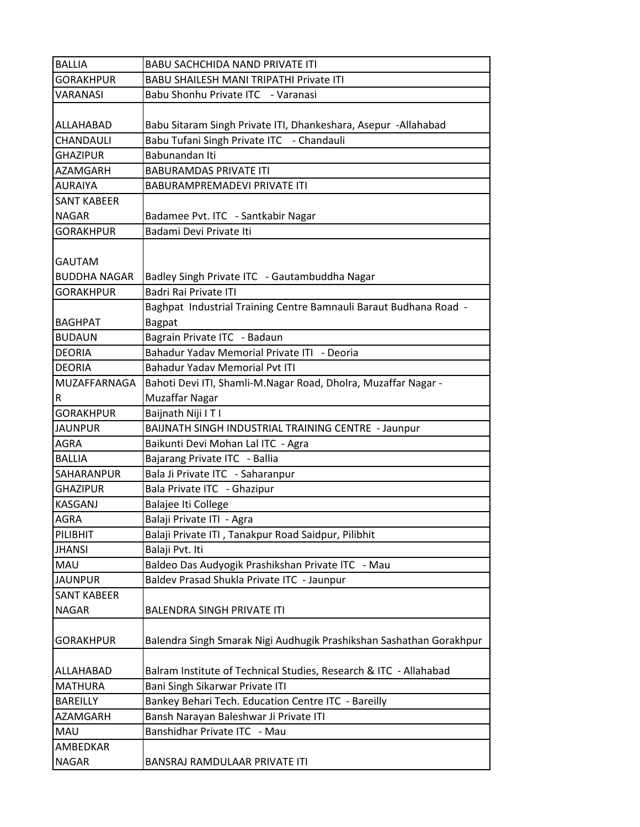| <b>BALLIA</b>       | <b>BABU SACHCHIDA NAND PRIVATE ITI</b>                              |
|---------------------|---------------------------------------------------------------------|
| <b>GORAKHPUR</b>    | <b>BABU SHAILESH MANI TRIPATHI Private ITI</b>                      |
| <b>VARANASI</b>     | Babu Shonhu Private ITC - Varanasi                                  |
|                     |                                                                     |
| ALLAHABAD           | Babu Sitaram Singh Private ITI, Dhankeshara, Asepur -Allahabad      |
| CHANDAULI           | Babu Tufani Singh Private ITC - Chandauli                           |
| <b>GHAZIPUR</b>     | Babunandan Iti                                                      |
| <b>AZAMGARH</b>     | <b>BABURAMDAS PRIVATE ITI</b>                                       |
| <b>AURAIYA</b>      | <b>BABURAMPREMADEVI PRIVATE ITI</b>                                 |
| <b>SANT KABEER</b>  |                                                                     |
| <b>NAGAR</b>        | Badamee Pvt. ITC - Santkabir Nagar                                  |
| <b>GORAKHPUR</b>    | Badami Devi Private Iti                                             |
|                     |                                                                     |
| <b>GAUTAM</b>       |                                                                     |
| <b>BUDDHA NAGAR</b> | Badley Singh Private ITC - Gautambuddha Nagar                       |
| <b>GORAKHPUR</b>    | Badri Rai Private ITI                                               |
|                     | Baghpat Industrial Training Centre Bamnauli Baraut Budhana Road -   |
| <b>BAGHPAT</b>      | <b>Bagpat</b>                                                       |
| <b>BUDAUN</b>       | Bagrain Private ITC - Badaun                                        |
| <b>DEORIA</b>       | Bahadur Yadav Memorial Private ITI - Deoria                         |
| <b>DEORIA</b>       | <b>Bahadur Yadav Memorial Pvt ITI</b>                               |
| MUZAFFARNAGA        | Bahoti Devi ITI, Shamli-M.Nagar Road, Dholra, Muzaffar Nagar -      |
| R                   | <b>Muzaffar Nagar</b>                                               |
| <b>GORAKHPUR</b>    | Baijnath Niji I T I                                                 |
| <b>JAUNPUR</b>      | BAIJNATH SINGH INDUSTRIAL TRAINING CENTRE - Jaunpur                 |
| <b>AGRA</b>         | Baikunti Devi Mohan Lal ITC - Agra                                  |
| <b>BALLIA</b>       | Bajarang Private ITC - Ballia                                       |
| SAHARANPUR          | Bala Ji Private ITC - Saharanpur                                    |
| <b>GHAZIPUR</b>     | Bala Private ITC - Ghazipur                                         |
| <b>KASGANJ</b>      | Balajee Iti College                                                 |
| <b>AGRA</b>         | Balaji Private ITI - Agra                                           |
| PILIBHIT            | Balaji Private ITI, Tanakpur Road Saidpur, Pilibhit                 |
| <b>JHANSI</b>       | Balaji Pvt. Iti                                                     |
| MAU                 | Baldeo Das Audyogik Prashikshan Private ITC - Mau                   |
| <b>JAUNPUR</b>      | Baldev Prasad Shukla Private ITC - Jaunpur                          |
| <b>SANT KABEER</b>  |                                                                     |
| <b>NAGAR</b>        | <b>BALENDRA SINGH PRIVATE ITI</b>                                   |
|                     |                                                                     |
| <b>GORAKHPUR</b>    | Balendra Singh Smarak Nigi Audhugik Prashikshan Sashathan Gorakhpur |
|                     |                                                                     |
| ALLAHABAD           | Balram Institute of Technical Studies, Research & ITC - Allahabad   |
| <b>MATHURA</b>      | Bani Singh Sikarwar Private ITI                                     |
| <b>BAREILLY</b>     | Bankey Behari Tech. Education Centre ITC - Bareilly                 |
| <b>AZAMGARH</b>     | Bansh Narayan Baleshwar Ji Private ITI                              |
| <b>MAU</b>          | Banshidhar Private ITC - Mau                                        |
| AMBEDKAR            |                                                                     |
| <b>NAGAR</b>        | BANSRAJ RAMDULAAR PRIVATE ITI                                       |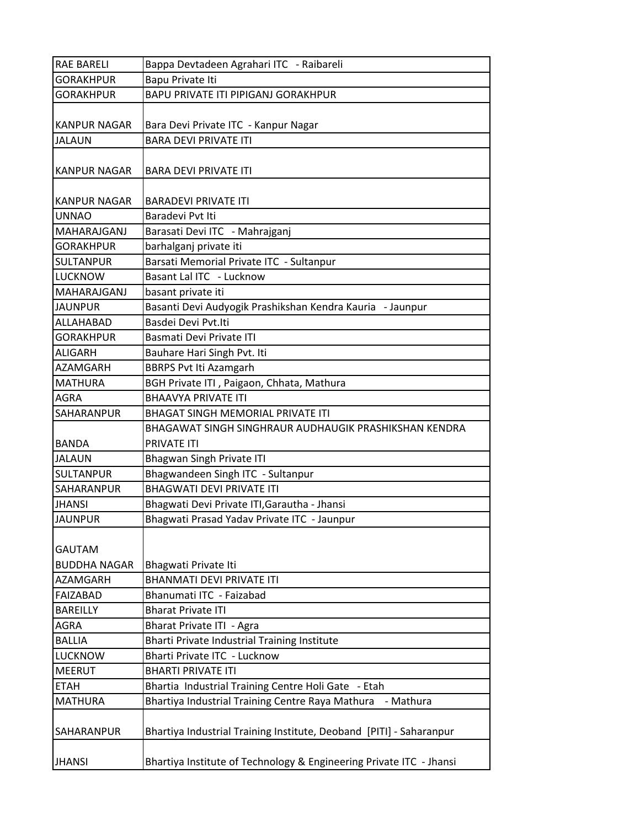| <b>RAE BARELI</b>   | Bappa Devtadeen Agrahari ITC - Raibareli                            |
|---------------------|---------------------------------------------------------------------|
| <b>GORAKHPUR</b>    | Bapu Private Iti                                                    |
| <b>GORAKHPUR</b>    | <b>BAPU PRIVATE ITI PIPIGANJ GORAKHPUR</b>                          |
|                     |                                                                     |
| KANPUR NAGAR        | Bara Devi Private ITC - Kanpur Nagar                                |
| <b>JALAUN</b>       | <b>BARA DEVI PRIVATE ITI</b>                                        |
| <b>KANPUR NAGAR</b> | <b>BARA DEVI PRIVATE ITI</b>                                        |
|                     |                                                                     |
| KANPUR NAGAR        | <b>BARADEVI PRIVATE ITI</b>                                         |
| <b>UNNAO</b>        | Baradevi Pvt Iti                                                    |
| MAHARAJGANJ         | Barasati Devi ITC - Mahrajganj                                      |
| <b>GORAKHPUR</b>    | barhalganj private iti                                              |
| <b>SULTANPUR</b>    | Barsati Memorial Private ITC - Sultanpur                            |
| <b>LUCKNOW</b>      | Basant Lal ITC - Lucknow                                            |
| MAHARAJGANJ         | basant private iti                                                  |
| <b>JAUNPUR</b>      | Basanti Devi Audyogik Prashikshan Kendra Kauria - Jaunpur           |
| ALLAHABAD           | Basdei Devi Pvt.Iti                                                 |
| <b>GORAKHPUR</b>    | Basmati Devi Private ITI                                            |
| IALIGARH            | Bauhare Hari Singh Pvt. Iti                                         |
| <b>AZAMGARH</b>     | <b>BBRPS Pvt Iti Azamgarh</b>                                       |
| <b>MATHURA</b>      | BGH Private ITI, Paigaon, Chhata, Mathura                           |
| <b>AGRA</b>         | <b>BHAAVYA PRIVATE ITI</b>                                          |
| <b>SAHARANPUR</b>   | <b>BHAGAT SINGH MEMORIAL PRIVATE ITI</b>                            |
|                     | BHAGAWAT SINGH SINGHRAUR AUDHAUGIK PRASHIKSHAN KENDRA               |
| <b>BANDA</b>        | <b>PRIVATE ITI</b>                                                  |
| <b>JALAUN</b>       | <b>Bhagwan Singh Private ITI</b>                                    |
| <b>SULTANPUR</b>    | Bhagwandeen Singh ITC - Sultanpur                                   |
| <b>SAHARANPUR</b>   | <b>BHAGWATI DEVI PRIVATE ITI</b>                                    |
| <b>JHANSI</b>       | Bhagwati Devi Private ITI, Garautha - Jhansi                        |
| <b>JAUNPUR</b>      | Bhagwati Prasad Yadav Private ITC - Jaunpur                         |
|                     |                                                                     |
| <b>GAUTAM</b>       |                                                                     |
| <b>BUDDHA NAGAR</b> | Bhagwati Private Iti                                                |
| AZAMGARH            | <b>BHANMATI DEVI PRIVATE ITI</b>                                    |
| <b>FAIZABAD</b>     | Bhanumati ITC - Faizabad                                            |
| <b>BAREILLY</b>     | <b>Bharat Private ITI</b>                                           |
| <b>AGRA</b>         | Bharat Private ITI - Agra                                           |
| <b>BALLIA</b>       | Bharti Private Industrial Training Institute                        |
| <b>LUCKNOW</b>      | Bharti Private ITC - Lucknow                                        |
| <b>MEERUT</b>       | <b>BHARTI PRIVATE ITI</b>                                           |
| <b>ETAH</b>         | Bhartia Industrial Training Centre Holi Gate - Etah                 |
| <b>MATHURA</b>      | Bhartiya Industrial Training Centre Raya Mathura<br>- Mathura       |
|                     |                                                                     |
| <b>SAHARANPUR</b>   | Bhartiya Industrial Training Institute, Deoband [PITI] - Saharanpur |
|                     |                                                                     |
| <b>JHANSI</b>       | Bhartiya Institute of Technology & Engineering Private ITC - Jhansi |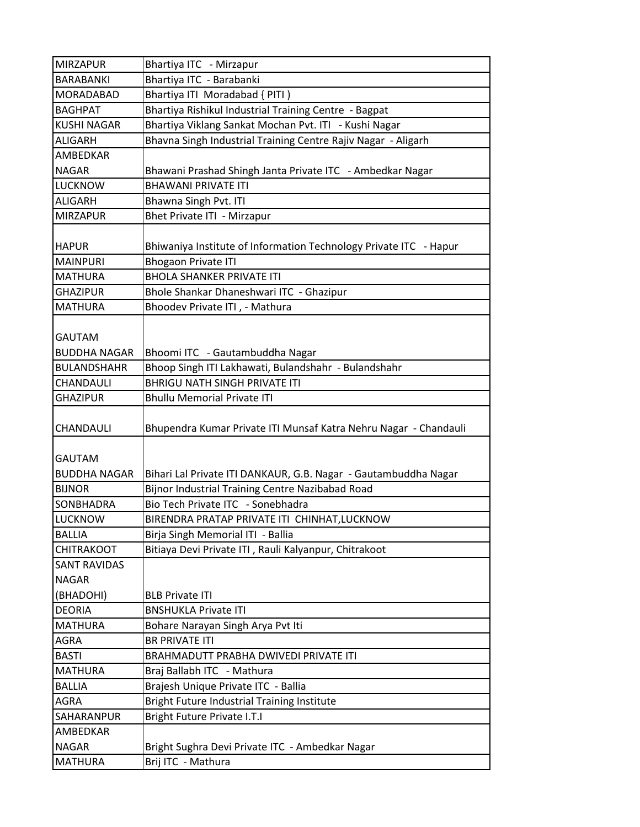| <b>MIRZAPUR</b>                    | Bhartiya ITC - Mirzapur                                               |
|------------------------------------|-----------------------------------------------------------------------|
| BARABANKI                          | Bhartiya ITC - Barabanki                                              |
| MORADABAD                          | Bhartiya ITI Moradabad { PITI )                                       |
| <b>BAGHPAT</b>                     | Bhartiya Rishikul Industrial Training Centre - Bagpat                 |
| <b>KUSHI NAGAR</b>                 | Bhartiya Viklang Sankat Mochan Pvt. ITI - Kushi Nagar                 |
| <b>ALIGARH</b>                     | Bhavna Singh Industrial Training Centre Rajiv Nagar - Aligarh         |
| AMBEDKAR                           |                                                                       |
| <b>NAGAR</b>                       | Bhawani Prashad Shingh Janta Private ITC - Ambedkar Nagar             |
| <b>LUCKNOW</b>                     | <b>BHAWANI PRIVATE ITI</b>                                            |
| <b>ALIGARH</b>                     | Bhawna Singh Pvt. ITI                                                 |
| <b>MIRZAPUR</b>                    | Bhet Private ITI - Mirzapur                                           |
|                                    |                                                                       |
| <b>HAPUR</b>                       | Bhiwaniya Institute of Information Technology Private ITC - Hapur     |
| <b>MAINPURI</b>                    | <b>Bhogaon Private ITI</b>                                            |
| <b>MATHURA</b>                     | <b>BHOLA SHANKER PRIVATE ITI</b>                                      |
| <b>GHAZIPUR</b>                    | Bhole Shankar Dhaneshwari ITC - Ghazipur                              |
| <b>MATHURA</b>                     | Bhoodev Private ITI, - Mathura                                        |
|                                    |                                                                       |
| <b>GAUTAM</b>                      |                                                                       |
| <b>BUDDHA NAGAR</b>                | Bhoomi ITC - Gautambuddha Nagar                                       |
| <b>BULANDSHAHR</b>                 | Bhoop Singh ITI Lakhawati, Bulandshahr - Bulandshahr                  |
| CHANDAULI                          | <b>BHRIGU NATH SINGH PRIVATE ITI</b>                                  |
| <b>GHAZIPUR</b>                    | <b>Bhullu Memorial Private ITI</b>                                    |
|                                    |                                                                       |
| CHANDAULI                          | Bhupendra Kumar Private ITI Munsaf Katra Nehru Nagar - Chandauli      |
|                                    |                                                                       |
| <b>GAUTAM</b>                      |                                                                       |
| <b>BUDDHA NAGAR</b>                | Bihari Lal Private ITI DANKAUR, G.B. Nagar - Gautambuddha Nagar       |
| <b>BIJNOR</b>                      | Bijnor Industrial Training Centre Nazibabad Road                      |
| <b>SONBHADRA</b>                   | Bio Tech Private ITC - Sonebhadra                                     |
| <b>LUCKNOW</b>                     | BIRENDRA PRATAP PRIVATE ITI CHINHAT, LUCKNOW                          |
| <b>BALLIA</b><br><b>CHITRAKOOT</b> | Birja Singh Memorial ITI - Ballia                                     |
|                                    | Bitiaya Devi Private ITI, Rauli Kalyanpur, Chitrakoot                 |
| <b>SANT RAVIDAS</b>                |                                                                       |
| <b>NAGAR</b>                       | <b>BLB Private ITI</b>                                                |
| (BHADOHI)                          | <b>BNSHUKLA Private ITI</b>                                           |
| <b>DEORIA</b><br><b>MATHURA</b>    |                                                                       |
| AGRA                               | Bohare Narayan Singh Arya Pvt Iti                                     |
| <b>BASTI</b>                       | <b>BR PRIVATE ITI</b><br>BRAHMADUTT PRABHA DWIVEDI PRIVATE ITI        |
| MATHURA                            | Braj Ballabh ITC - Mathura                                            |
| <b>BALLIA</b>                      |                                                                       |
|                                    | Brajesh Unique Private ITC - Ballia                                   |
| AGRA                               | Bright Future Industrial Training Institute                           |
| SAHARANPUR                         | Bright Future Private I.T.I                                           |
| AMBEDKAR                           |                                                                       |
| <b>NAGAR</b><br><b>MATHURA</b>     | Bright Sughra Devi Private ITC - Ambedkar Nagar<br>Brij ITC - Mathura |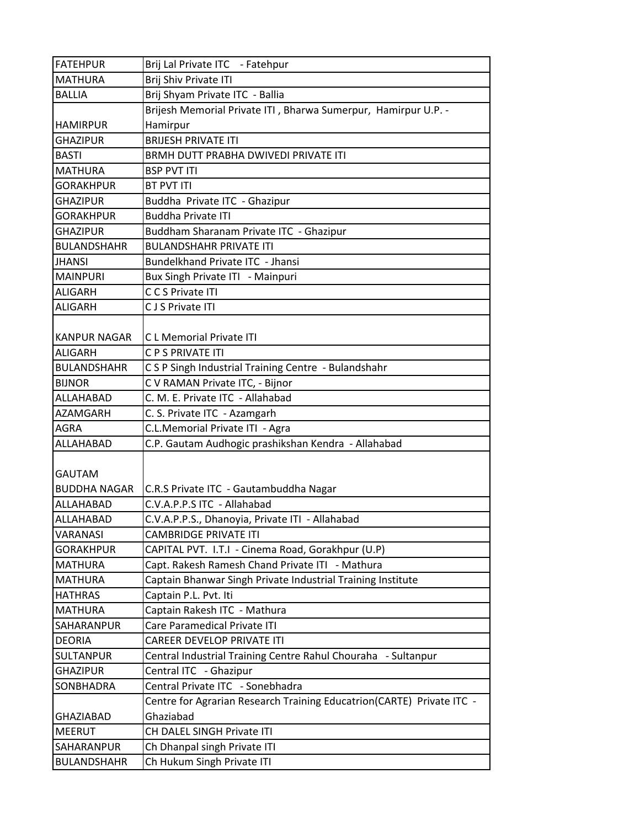| <b>FATEHPUR</b>     | Brij Lal Private ITC - Fatehpur                                       |
|---------------------|-----------------------------------------------------------------------|
| <b>MATHURA</b>      | Brij Shiv Private ITI                                                 |
| <b>BALLIA</b>       | Brij Shyam Private ITC - Ballia                                       |
|                     | Brijesh Memorial Private ITI, Bharwa Sumerpur, Hamirpur U.P. -        |
| <b>HAMIRPUR</b>     | Hamirpur                                                              |
| <b>GHAZIPUR</b>     | <b>BRIJESH PRIVATE ITI</b>                                            |
| <b>BASTI</b>        | BRMH DUTT PRABHA DWIVEDI PRIVATE ITI                                  |
| <b>MATHURA</b>      | <b>BSP PVT ITI</b>                                                    |
| <b>GORAKHPUR</b>    | <b>BT PVT ITI</b>                                                     |
| <b>GHAZIPUR</b>     | Buddha Private ITC - Ghazipur                                         |
| <b>GORAKHPUR</b>    | <b>Buddha Private ITI</b>                                             |
| <b>GHAZIPUR</b>     | Buddham Sharanam Private ITC - Ghazipur                               |
| <b>BULANDSHAHR</b>  | <b>BULANDSHAHR PRIVATE ITI</b>                                        |
| <b>JHANSI</b>       | Bundelkhand Private ITC - Jhansi                                      |
| <b>MAINPURI</b>     | Bux Singh Private ITI - Mainpuri                                      |
| <b>ALIGARH</b>      | C C S Private ITI                                                     |
| <b>ALIGARH</b>      | CJS Private ITI                                                       |
|                     |                                                                       |
| <b>KANPUR NAGAR</b> | <b>CL Memorial Private ITI</b>                                        |
| <b>ALIGARH</b>      | C P S PRIVATE ITI                                                     |
| <b>BULANDSHAHR</b>  | CSP Singh Industrial Training Centre - Bulandshahr                    |
| <b>BIJNOR</b>       | C V RAMAN Private ITC, - Bijnor                                       |
| ALLAHABAD           | C. M. E. Private ITC - Allahabad                                      |
| <b>AZAMGARH</b>     | C. S. Private ITC - Azamgarh                                          |
| <b>AGRA</b>         | C.L.Memorial Private ITI - Agra                                       |
| ALLAHABAD           | C.P. Gautam Audhogic prashikshan Kendra - Allahabad                   |
|                     |                                                                       |
| <b>GAUTAM</b>       |                                                                       |
| <b>BUDDHA NAGAR</b> | C.R.S Private ITC - Gautambuddha Nagar                                |
| ALLAHABAD           | C.V.A.P.P.S ITC - Allahabad                                           |
| <b>ALLAHABAD</b>    | C.V.A.P.P.S., Dhanoyia, Private ITI - Allahabad                       |
| <b>VARANASI</b>     | <b>CAMBRIDGE PRIVATE ITI</b>                                          |
| <b>GORAKHPUR</b>    | CAPITAL PVT. I.T.I - Cinema Road, Gorakhpur (U.P)                     |
| <b>MATHURA</b>      | Capt. Rakesh Ramesh Chand Private ITI - Mathura                       |
| <b>MATHURA</b>      | Captain Bhanwar Singh Private Industrial Training Institute           |
| <b>HATHRAS</b>      | Captain P.L. Pvt. Iti                                                 |
| <b>MATHURA</b>      | Captain Rakesh ITC - Mathura                                          |
| SAHARANPUR          | Care Paramedical Private ITI                                          |
| <b>DEORIA</b>       | CAREER DEVELOP PRIVATE ITI                                            |
| <b>SULTANPUR</b>    | Central Industrial Training Centre Rahul Chouraha - Sultanpur         |
| <b>GHAZIPUR</b>     | Central ITC - Ghazipur                                                |
| <b>SONBHADRA</b>    | Central Private ITC - Sonebhadra                                      |
|                     | Centre for Agrarian Research Training Educatrion(CARTE) Private ITC - |
| <b>GHAZIABAD</b>    | Ghaziabad                                                             |
| <b>MEERUT</b>       | CH DALEL SINGH Private ITI                                            |
| <b>SAHARANPUR</b>   | Ch Dhanpal singh Private ITI                                          |
| <b>BULANDSHAHR</b>  | Ch Hukum Singh Private ITI                                            |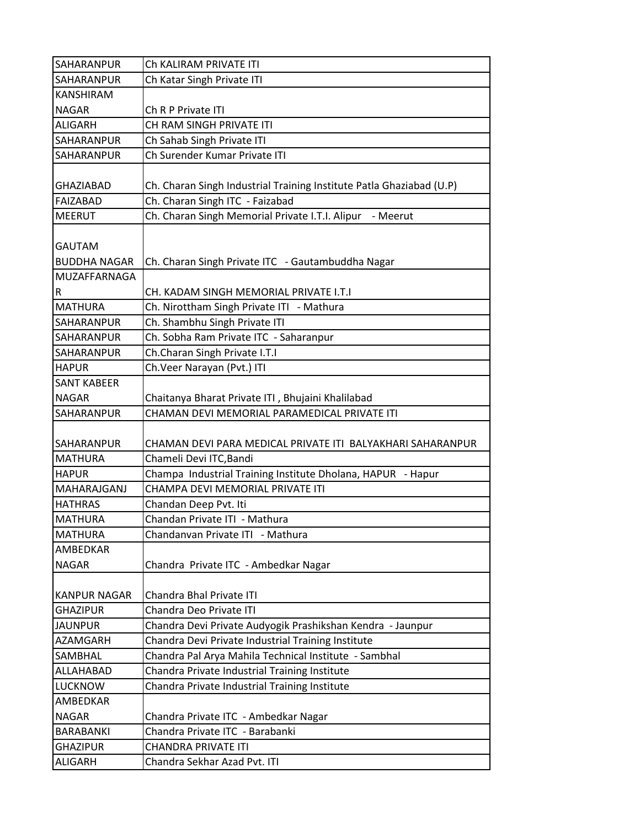| SAHARANPUR          | Ch KALIRAM PRIVATE ITI                                               |
|---------------------|----------------------------------------------------------------------|
| SAHARANPUR          | Ch Katar Singh Private ITI                                           |
| <b>KANSHIRAM</b>    |                                                                      |
| <b>NAGAR</b>        | Ch R P Private ITI                                                   |
| ALIGARH             | CH RAM SINGH PRIVATE ITI                                             |
| SAHARANPUR          | Ch Sahab Singh Private ITI                                           |
| SAHARANPUR          | Ch Surender Kumar Private ITI                                        |
|                     |                                                                      |
| <b>GHAZIABAD</b>    | Ch. Charan Singh Industrial Training Institute Patla Ghaziabad (U.P) |
| <b>FAIZABAD</b>     | Ch. Charan Singh ITC - Faizabad                                      |
| <b>MEERUT</b>       | Ch. Charan Singh Memorial Private I.T.I. Alipur - Meerut             |
|                     |                                                                      |
| <b>GAUTAM</b>       |                                                                      |
| <b>BUDDHA NAGAR</b> | Ch. Charan Singh Private ITC - Gautambuddha Nagar                    |
| MUZAFFARNAGA        |                                                                      |
| R                   | CH. KADAM SINGH MEMORIAL PRIVATE I.T.I                               |
| <b>MATHURA</b>      | Ch. Nirottham Singh Private ITI - Mathura                            |
| SAHARANPUR          | Ch. Shambhu Singh Private ITI                                        |
| SAHARANPUR          | Ch. Sobha Ram Private ITC - Saharanpur                               |
| SAHARANPUR          | Ch.Charan Singh Private I.T.I                                        |
| <b>HAPUR</b>        | Ch.Veer Narayan (Pvt.) ITI                                           |
| <b>SANT KABEER</b>  |                                                                      |
| <b>NAGAR</b>        | Chaitanya Bharat Private ITI, Bhujaini Khalilabad                    |
| SAHARANPUR          | CHAMAN DEVI MEMORIAL PARAMEDICAL PRIVATE ITI                         |
| SAHARANPUR          | CHAMAN DEVI PARA MEDICAL PRIVATE ITI BALYAKHARI SAHARANPUR           |
| <b>MATHURA</b>      | Chameli Devi ITC, Bandi                                              |
| <b>HAPUR</b>        | Champa Industrial Training Institute Dholana, HAPUR - Hapur          |
| MAHARAJGANJ         | CHAMPA DEVI MEMORIAL PRIVATE ITI                                     |
| <b>HATHRAS</b>      | Chandan Deep Pvt. Iti                                                |
| <b>MATHURA</b>      | Chandan Private ITI - Mathura                                        |
| <b>MATHURA</b>      | Chandanvan Private ITI - Mathura                                     |
| AMBEDKAR            |                                                                      |
| <b>NAGAR</b>        | Chandra Private ITC - Ambedkar Nagar                                 |
|                     |                                                                      |
| <b>KANPUR NAGAR</b> | Chandra Bhal Private ITI                                             |
| <b>GHAZIPUR</b>     | Chandra Deo Private ITI                                              |
| <b>JAUNPUR</b>      | Chandra Devi Private Audyogik Prashikshan Kendra - Jaunpur           |
| AZAMGARH            | Chandra Devi Private Industrial Training Institute                   |
| SAMBHAL             | Chandra Pal Arya Mahila Technical Institute - Sambhal                |
| ALLAHABAD           | Chandra Private Industrial Training Institute                        |
| <b>LUCKNOW</b>      | Chandra Private Industrial Training Institute                        |
| AMBEDKAR            |                                                                      |
| <b>NAGAR</b>        | Chandra Private ITC - Ambedkar Nagar                                 |
| <b>BARABANKI</b>    | Chandra Private ITC - Barabanki                                      |
| <b>GHAZIPUR</b>     | CHANDRA PRIVATE ITI                                                  |
| <b>ALIGARH</b>      | Chandra Sekhar Azad Pvt. ITI                                         |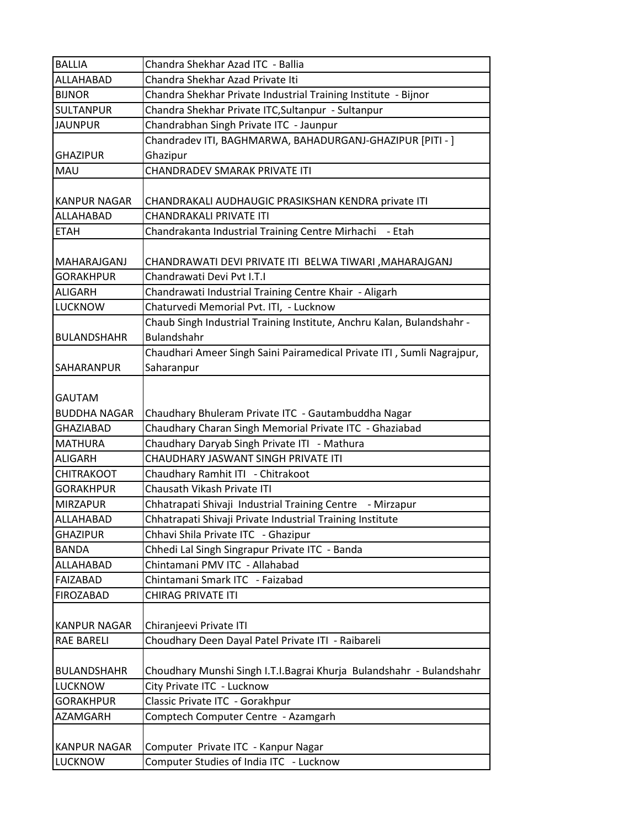| <b>BALLIA</b>       | Chandra Shekhar Azad ITC - Ballia                                      |
|---------------------|------------------------------------------------------------------------|
| ALLAHABAD           | Chandra Shekhar Azad Private Iti                                       |
| <b>BIJNOR</b>       | Chandra Shekhar Private Industrial Training Institute - Bijnor         |
| <b>SULTANPUR</b>    | Chandra Shekhar Private ITC, Sultanpur - Sultanpur                     |
| <b>JAUNPUR</b>      | Chandrabhan Singh Private ITC - Jaunpur                                |
|                     | Chandradev ITI, BAGHMARWA, BAHADURGANJ-GHAZIPUR [PITI - ]              |
| <b>GHAZIPUR</b>     | Ghazipur                                                               |
| <b>MAU</b>          | CHANDRADEV SMARAK PRIVATE ITI                                          |
|                     |                                                                        |
| <b>KANPUR NAGAR</b> | CHANDRAKALI AUDHAUGIC PRASIKSHAN KENDRA private ITI                    |
| ALLAHABAD           | CHANDRAKALI PRIVATE ITI                                                |
| <b>ETAH</b>         | Chandrakanta Industrial Training Centre Mirhachi - Etah                |
|                     |                                                                        |
| MAHARAJGANJ         | CHANDRAWATI DEVI PRIVATE ITI BELWA TIWARI ,MAHARAJGANJ                 |
| <b>GORAKHPUR</b>    | Chandrawati Devi Pvt I.T.I                                             |
| <b>ALIGARH</b>      | Chandrawati Industrial Training Centre Khair - Aligarh                 |
| <b>LUCKNOW</b>      | Chaturvedi Memorial Pvt. ITI, - Lucknow                                |
|                     | Chaub Singh Industrial Training Institute, Anchru Kalan, Bulandshahr - |
| BULANDSHAHR         | Bulandshahr                                                            |
|                     | Chaudhari Ameer Singh Saini Pairamedical Private ITI, Sumli Nagrajpur, |
| <b>SAHARANPUR</b>   | Saharanpur                                                             |
|                     |                                                                        |
| <b>GAUTAM</b>       |                                                                        |
| <b>BUDDHA NAGAR</b> | Chaudhary Bhuleram Private ITC - Gautambuddha Nagar                    |
| <b>GHAZIABAD</b>    | Chaudhary Charan Singh Memorial Private ITC - Ghaziabad                |
| <b>MATHURA</b>      | Chaudhary Daryab Singh Private ITI - Mathura                           |
| <b>ALIGARH</b>      | CHAUDHARY JASWANT SINGH PRIVATE ITI                                    |
| <b>CHITRAKOOT</b>   | Chaudhary Ramhit ITI - Chitrakoot                                      |
| <b>GORAKHPUR</b>    | Chausath Vikash Private ITI                                            |
| <b>MIRZAPUR</b>     | Chhatrapati Shivaji Industrial Training Centre - Mirzapur              |
| <b>ALLAHABAD</b>    | Chhatrapati Shivaji Private Industrial Training Institute              |
| <b>GHAZIPUR</b>     | Chhavi Shila Private ITC - Ghazipur                                    |
| <b>BANDA</b>        | Chhedi Lal Singh Singrapur Private ITC - Banda                         |
| ALLAHABAD           | Chintamani PMV ITC - Allahabad                                         |
| <b>FAIZABAD</b>     | Chintamani Smark ITC - Faizabad                                        |
| <b>FIROZABAD</b>    | CHIRAG PRIVATE ITI                                                     |
|                     |                                                                        |
| <b>KANPUR NAGAR</b> | Chiranjeevi Private ITI                                                |
| <b>RAE BARELI</b>   | Choudhary Deen Dayal Patel Private ITI - Raibareli                     |
|                     |                                                                        |
| <b>BULANDSHAHR</b>  | Choudhary Munshi Singh I.T.I.Bagrai Khurja Bulandshahr - Bulandshahr   |
| <b>LUCKNOW</b>      | City Private ITC - Lucknow                                             |
| <b>GORAKHPUR</b>    | Classic Private ITC - Gorakhpur                                        |
| AZAMGARH            | Comptech Computer Centre - Azamgarh                                    |
|                     |                                                                        |
| <b>KANPUR NAGAR</b> | Computer Private ITC - Kanpur Nagar                                    |
| <b>LUCKNOW</b>      | Computer Studies of India ITC - Lucknow                                |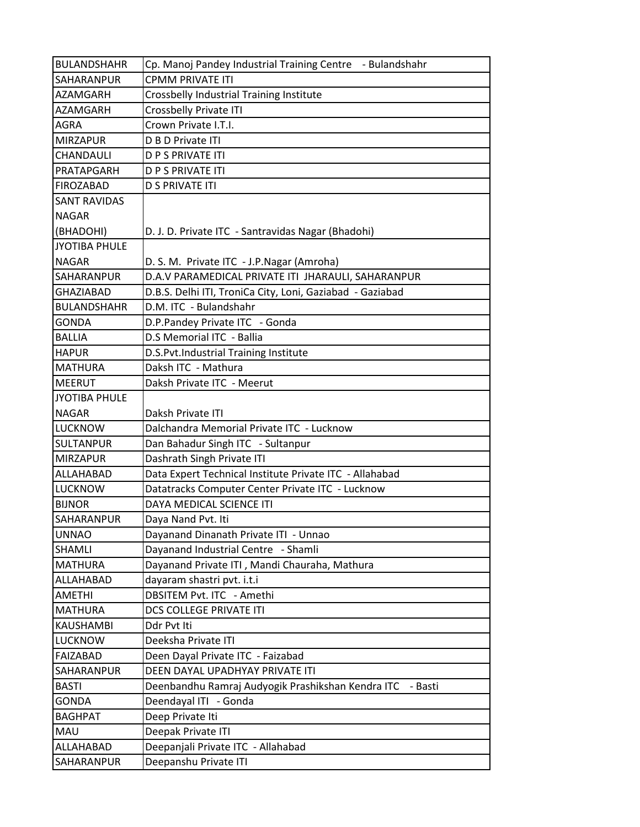| <b>BULANDSHAHR</b>   | Cp. Manoj Pandey Industrial Training Centre - Bulandshahr    |
|----------------------|--------------------------------------------------------------|
| SAHARANPUR           | <b>CPMM PRIVATE ITI</b>                                      |
| <b>AZAMGARH</b>      | Crossbelly Industrial Training Institute                     |
| <b>AZAMGARH</b>      | Crossbelly Private ITI                                       |
| <b>AGRA</b>          | Crown Private I.T.I.                                         |
| <b>MIRZAPUR</b>      | D B D Private ITI                                            |
| CHANDAULI            | <b>D P S PRIVATE ITI</b>                                     |
| PRATAPGARH           | <b>D P S PRIVATE ITI</b>                                     |
| <b>FIROZABAD</b>     | <b>D S PRIVATE ITI</b>                                       |
| <b>SANT RAVIDAS</b>  |                                                              |
| <b>NAGAR</b>         |                                                              |
| (BHADOHI)            | D. J. D. Private ITC - Santravidas Nagar (Bhadohi)           |
| <b>JYOTIBA PHULE</b> |                                                              |
| <b>NAGAR</b>         | D. S. M. Private ITC - J.P.Nagar (Amroha)                    |
| SAHARANPUR           | D.A.V PARAMEDICAL PRIVATE ITI JHARAULI, SAHARANPUR           |
| <b>GHAZIABAD</b>     | D.B.S. Delhi ITI, TroniCa City, Loni, Gaziabad - Gaziabad    |
| <b>BULANDSHAHR</b>   | D.M. ITC - Bulandshahr                                       |
| <b>GONDA</b>         | D.P.Pandey Private ITC - Gonda                               |
| <b>BALLIA</b>        | D.S Memorial ITC - Ballia                                    |
| <b>HAPUR</b>         | D.S.Pvt.Industrial Training Institute                        |
| <b>MATHURA</b>       | Daksh ITC - Mathura                                          |
| <b>MEERUT</b>        | Daksh Private ITC - Meerut                                   |
| <b>JYOTIBA PHULE</b> |                                                              |
| <b>NAGAR</b>         | Daksh Private ITI                                            |
| <b>LUCKNOW</b>       | Dalchandra Memorial Private ITC - Lucknow                    |
| <b>SULTANPUR</b>     | Dan Bahadur Singh ITC - Sultanpur                            |
| <b>MIRZAPUR</b>      | Dashrath Singh Private ITI                                   |
| ALLAHABAD            | Data Expert Technical Institute Private ITC - Allahabad      |
| <b>LUCKNOW</b>       | Datatracks Computer Center Private ITC - Lucknow             |
| <b>BIJNOR</b>        | DAYA MEDICAL SCIENCE ITI                                     |
| SAHARANPUR           | Daya Nand Pvt. Iti                                           |
| <b>UNNAO</b>         | Dayanand Dinanath Private ITI - Unnao                        |
| <b>SHAMLI</b>        | Dayanand Industrial Centre - Shamli                          |
| <b>MATHURA</b>       | Dayanand Private ITI, Mandi Chauraha, Mathura                |
| ALLAHABAD            | dayaram shastri pvt. i.t.i                                   |
| <b>AMETHI</b>        | DBSITEM Pvt. ITC - Amethi                                    |
| <b>MATHURA</b>       | DCS COLLEGE PRIVATE ITI                                      |
| <b>KAUSHAMBI</b>     | Ddr Pvt Iti                                                  |
| <b>LUCKNOW</b>       | Deeksha Private ITI                                          |
| <b>FAIZABAD</b>      | Deen Dayal Private ITC - Faizabad                            |
| SAHARANPUR           | DEEN DAYAL UPADHYAY PRIVATE ITI                              |
| <b>BASTI</b>         | Deenbandhu Ramraj Audyogik Prashikshan Kendra ITC<br>- Basti |
| <b>GONDA</b>         | Deendayal ITI - Gonda                                        |
| <b>BAGHPAT</b>       | Deep Private Iti                                             |
| MAU                  | Deepak Private ITI                                           |
| ALLAHABAD            | Deepanjali Private ITC - Allahabad                           |
| SAHARANPUR           | Deepanshu Private ITI                                        |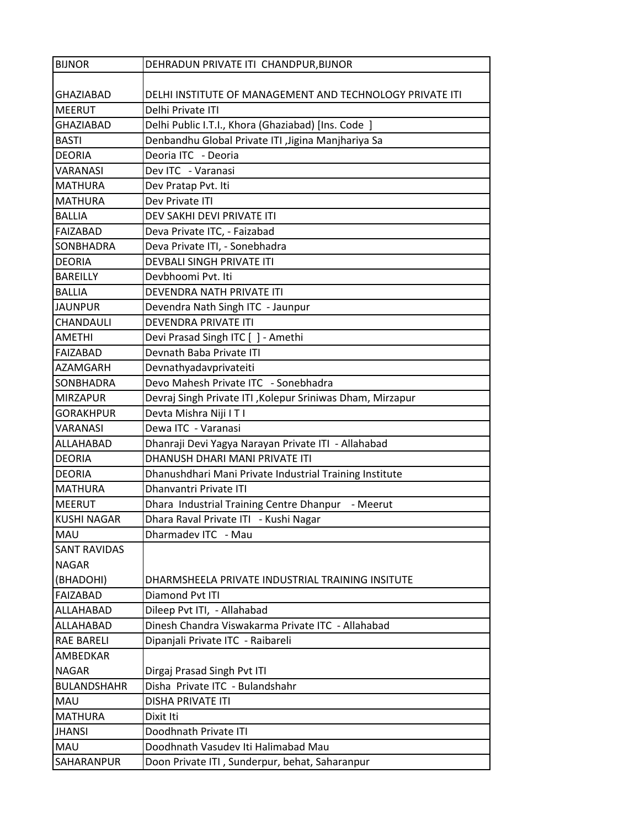| <b>BIJNOR</b>       | DEHRADUN PRIVATE ITI CHANDPUR, BIJNOR                     |
|---------------------|-----------------------------------------------------------|
|                     |                                                           |
| <b>GHAZIABAD</b>    | DELHI INSTITUTE OF MANAGEMENT AND TECHNOLOGY PRIVATE ITI  |
| <b>MEERUT</b>       | Delhi Private ITI                                         |
| <b>GHAZIABAD</b>    | Delhi Public I.T.I., Khora (Ghaziabad) [Ins. Code ]       |
| <b>BASTI</b>        | Denbandhu Global Private ITI , Jigina Manjhariya Sa       |
| <b>DEORIA</b>       | Deoria ITC - Deoria                                       |
| <b>VARANASI</b>     | Dev ITC - Varanasi                                        |
| <b>MATHURA</b>      | Dev Pratap Pvt. Iti                                       |
| <b>MATHURA</b>      | Dev Private ITI                                           |
| <b>BALLIA</b>       | DEV SAKHI DEVI PRIVATE ITI                                |
| FAIZABAD            | Deva Private ITC, - Faizabad                              |
| SONBHADRA           | Deva Private ITI, - Sonebhadra                            |
| <b>DEORIA</b>       | DEVBALI SINGH PRIVATE ITI                                 |
| <b>BAREILLY</b>     | Devbhoomi Pvt. Iti                                        |
| <b>BALLIA</b>       | DEVENDRA NATH PRIVATE ITI                                 |
| <b>JAUNPUR</b>      | Devendra Nath Singh ITC - Jaunpur                         |
| CHANDAULI           | DEVENDRA PRIVATE ITI                                      |
| <b>AMETHI</b>       | Devi Prasad Singh ITC [] - Amethi                         |
| <b>FAIZABAD</b>     | Devnath Baba Private ITI                                  |
| <b>AZAMGARH</b>     | Devnathyadavprivateiti                                    |
| SONBHADRA           | Devo Mahesh Private ITC - Sonebhadra                      |
| <b>MIRZAPUR</b>     | Devraj Singh Private ITI, Kolepur Sriniwas Dham, Mirzapur |
| <b>GORAKHPUR</b>    | Devta Mishra Niji I T I                                   |
| <b>VARANASI</b>     | Dewa ITC - Varanasi                                       |
| ALLAHABAD           | Dhanraji Devi Yagya Narayan Private ITI - Allahabad       |
| <b>DEORIA</b>       | DHANUSH DHARI MANI PRIVATE ITI                            |
| <b>DEORIA</b>       | Dhanushdhari Mani Private Industrial Training Institute   |
| <b>MATHURA</b>      | Dhanvantri Private ITI                                    |
| <b>MEERUT</b>       | Dhara Industrial Training Centre Dhanpur - Meerut         |
| <b>KUSHI NAGAR</b>  | Dhara Raval Private ITI - Kushi Nagar                     |
| <b>MAU</b>          | Dharmadev ITC - Mau                                       |
| <b>SANT RAVIDAS</b> |                                                           |
| <b>NAGAR</b>        |                                                           |
| (BHADOHI)           | DHARMSHEELA PRIVATE INDUSTRIAL TRAINING INSITUTE          |
| <b>FAIZABAD</b>     | Diamond Pvt ITI                                           |
| ALLAHABAD           | Dileep Pvt ITI, - Allahabad                               |
| ALLAHABAD           | Dinesh Chandra Viswakarma Private ITC - Allahabad         |
| <b>RAE BARELI</b>   | Dipanjali Private ITC - Raibareli                         |
| AMBEDKAR            |                                                           |
| <b>NAGAR</b>        | Dirgaj Prasad Singh Pvt ITI                               |
| <b>BULANDSHAHR</b>  | Disha Private ITC - Bulandshahr                           |
| <b>MAU</b>          | <b>DISHA PRIVATE ITI</b>                                  |
| <b>MATHURA</b>      | Dixit Iti                                                 |
| <b>JHANSI</b>       | Doodhnath Private ITI                                     |
| MAU                 | Doodhnath Vasudev Iti Halimabad Mau                       |
| SAHARANPUR          | Doon Private ITI, Sunderpur, behat, Saharanpur            |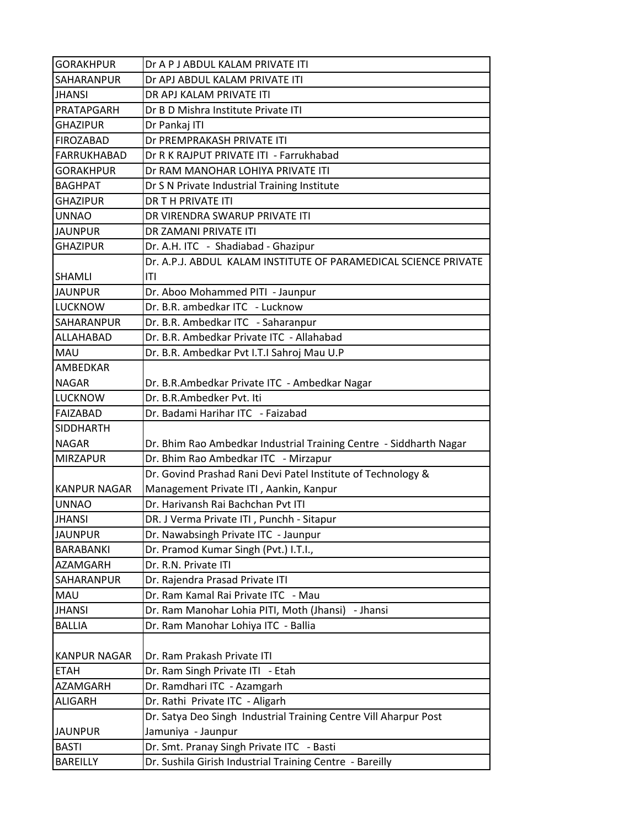| <b>GORAKHPUR</b>    | Dr A P J ABDUL KALAM PRIVATE ITI                                   |
|---------------------|--------------------------------------------------------------------|
| SAHARANPUR          | Dr APJ ABDUL KALAM PRIVATE ITI                                     |
| <b>JHANSI</b>       | DR APJ KALAM PRIVATE ITI                                           |
| PRATAPGARH          | Dr B D Mishra Institute Private ITI                                |
| <b>GHAZIPUR</b>     | Dr Pankaj ITI                                                      |
| FIROZABAD           | Dr PREMPRAKASH PRIVATE ITI                                         |
| <b>FARRUKHABAD</b>  | Dr R K RAJPUT PRIVATE ITI - Farrukhabad                            |
| <b>GORAKHPUR</b>    | Dr RAM MANOHAR LOHIYA PRIVATE ITI                                  |
| <b>BAGHPAT</b>      | Dr S N Private Industrial Training Institute                       |
| <b>GHAZIPUR</b>     | <b>DR TH PRIVATE ITI</b>                                           |
| <b>UNNAO</b>        | DR VIRENDRA SWARUP PRIVATE ITI                                     |
| <b>JAUNPUR</b>      | DR ZAMANI PRIVATE ITI                                              |
| <b>GHAZIPUR</b>     | Dr. A.H. ITC - Shadiabad - Ghazipur                                |
|                     | Dr. A.P.J. ABDUL KALAM INSTITUTE OF PARAMEDICAL SCIENCE PRIVATE    |
| <b>SHAMLI</b>       | ITI                                                                |
| <b>JAUNPUR</b>      | Dr. Aboo Mohammed PITI - Jaunpur                                   |
| <b>LUCKNOW</b>      | Dr. B.R. ambedkar ITC - Lucknow                                    |
| SAHARANPUR          | Dr. B.R. Ambedkar ITC - Saharanpur                                 |
| ALLAHABAD           | Dr. B.R. Ambedkar Private ITC - Allahabad                          |
| <b>MAU</b>          | Dr. B.R. Ambedkar Pvt I.T.I Sahroj Mau U.P                         |
| AMBEDKAR            |                                                                    |
| <b>NAGAR</b>        | Dr. B.R.Ambedkar Private ITC - Ambedkar Nagar                      |
| <b>LUCKNOW</b>      | Dr. B.R.Ambedker Pvt. Iti                                          |
| <b>FAIZABAD</b>     | Dr. Badami Harihar ITC - Faizabad                                  |
| <b>SIDDHARTH</b>    |                                                                    |
| <b>NAGAR</b>        | Dr. Bhim Rao Ambedkar Industrial Training Centre - Siddharth Nagar |
| <b>MIRZAPUR</b>     | Dr. Bhim Rao Ambedkar ITC - Mirzapur                               |
|                     | Dr. Govind Prashad Rani Devi Patel Institute of Technology &       |
| KANPUR NAGAR        | Management Private ITI, Aankin, Kanpur                             |
| <b>UNNAO</b>        | Dr. Harivansh Rai Bachchan Pvt ITI                                 |
| <b>JHANSI</b>       | DR. J Verma Private ITI, Punchh - Sitapur                          |
| <b>JAUNPUR</b>      | Dr. Nawabsingh Private ITC - Jaunpur                               |
| <b>BARABANKI</b>    | Dr. Pramod Kumar Singh (Pvt.) I.T.I.,                              |
| AZAMGARH            | Dr. R.N. Private ITI                                               |
| SAHARANPUR          | Dr. Rajendra Prasad Private ITI                                    |
| MAU                 | Dr. Ram Kamal Rai Private ITC - Mau                                |
| <b>JHANSI</b>       | - Jhansi<br>Dr. Ram Manohar Lohia PITI, Moth (Jhansi)              |
| <b>BALLIA</b>       | Dr. Ram Manohar Lohiya ITC - Ballia                                |
|                     |                                                                    |
| <b>KANPUR NAGAR</b> | Dr. Ram Prakash Private ITI                                        |
| <b>ETAH</b>         | Dr. Ram Singh Private ITI - Etah                                   |
| AZAMGARH            | Dr. Ramdhari ITC - Azamgarh                                        |
| <b>ALIGARH</b>      | Dr. Rathi Private ITC - Aligarh                                    |
|                     | Dr. Satya Deo Singh Industrial Training Centre Vill Aharpur Post   |
| <b>JAUNPUR</b>      | Jamuniya - Jaunpur                                                 |
| <b>BASTI</b>        | Dr. Smt. Pranay Singh Private ITC - Basti                          |
| <b>BAREILLY</b>     | Dr. Sushila Girish Industrial Training Centre - Bareilly           |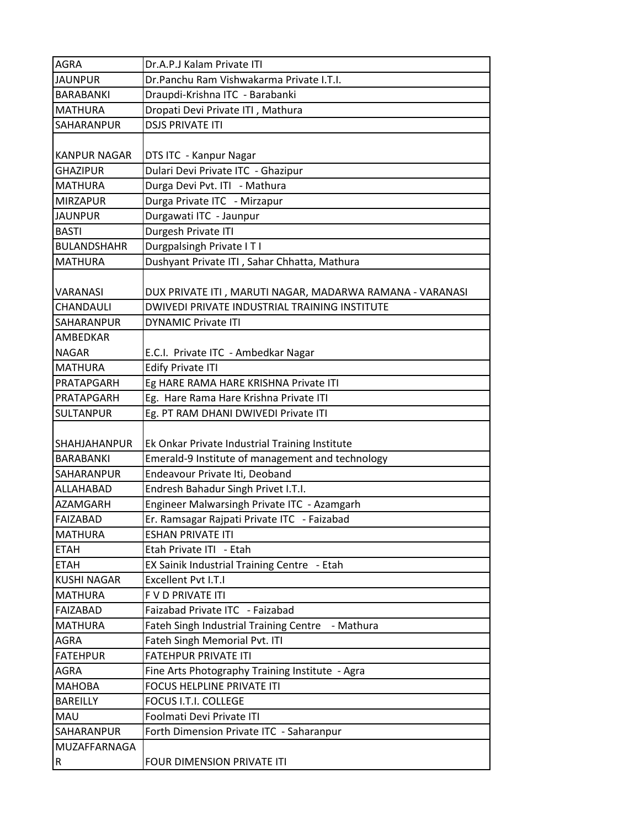| <b>AGRA</b>             | Dr.A.P.J Kalam Private ITI                               |
|-------------------------|----------------------------------------------------------|
| <b>JAUNPUR</b>          | Dr.Panchu Ram Vishwakarma Private I.T.I.                 |
| <b>BARABANKI</b>        | Draupdi-Krishna ITC - Barabanki                          |
| <b>MATHURA</b>          | Dropati Devi Private ITI, Mathura                        |
| <b>SAHARANPUR</b>       | <b>DSJS PRIVATE ITI</b>                                  |
|                         |                                                          |
| <b>KANPUR NAGAR</b>     | DTS ITC - Kanpur Nagar                                   |
| <b>GHAZIPUR</b>         | Dulari Devi Private ITC - Ghazipur                       |
| <b>MATHURA</b>          | Durga Devi Pvt. ITI - Mathura                            |
| <b>IMIRZAPUR</b>        | Durga Private ITC - Mirzapur                             |
| <b>JAUNPUR</b>          | Durgawati ITC - Jaunpur                                  |
| <b>BASTI</b>            | Durgesh Private ITI                                      |
| <b>BULANDSHAHR</b>      | Durgpalsingh Private ITI                                 |
| <b>MATHURA</b>          | Dushyant Private ITI, Sahar Chhatta, Mathura             |
| <b>VARANASI</b>         | DUX PRIVATE ITI, MARUTI NAGAR, MADARWA RAMANA - VARANASI |
| <b>CHANDAULI</b>        | DWIVEDI PRIVATE INDUSTRIAL TRAINING INSTITUTE            |
| <b>SAHARANPUR</b>       | <b>DYNAMIC Private ITI</b>                               |
| AMBEDKAR                |                                                          |
| <b>NAGAR</b>            | E.C.I. Private ITC - Ambedkar Nagar                      |
| <b>MATHURA</b>          | <b>Edify Private ITI</b>                                 |
| PRATAPGARH              | Eg HARE RAMA HARE KRISHNA Private ITI                    |
| PRATAPGARH              | Eg. Hare Rama Hare Krishna Private ITI                   |
| <b>SULTANPUR</b>        | Eg. PT RAM DHANI DWIVEDI Private ITI                     |
| SHAHJAHANPUR            | Ek Onkar Private Industrial Training Institute           |
| <b>BARABANKI</b>        | Emerald-9 Institute of management and technology         |
| <b>SAHARANPUR</b>       | Endeavour Private Iti, Deoband                           |
| <b>ALLAHABAD</b>        | Endresh Bahadur Singh Privet I.T.I.                      |
| <b>AZAMGARH</b>         | Engineer Malwarsingh Private ITC - Azamgarh              |
| <b>FAIZABAD</b>         | Er. Ramsagar Rajpati Private ITC - Faizabad              |
| <b>MATHURA</b>          | <b>ESHAN PRIVATE ITI</b>                                 |
| <b>ETAH</b>             | Etah Private ITI - Etah                                  |
| <b>ETAH</b>             | EX Sainik Industrial Training Centre - Etah              |
| <b>KUSHI NAGAR</b>      | Excellent Pvt I.T.I                                      |
| <b>MATHURA</b>          | F V D PRIVATE ITI                                        |
| FAIZABAD                | Faizabad Private ITC - Faizabad                          |
| <b>MATHURA</b>          | Fateh Singh Industrial Training Centre<br>- Mathura      |
| AGRA                    | Fateh Singh Memorial Pvt. ITI                            |
| <b>FATEHPUR</b>         | <b>FATEHPUR PRIVATE ITI</b>                              |
| AGRA                    | Fine Arts Photography Training Institute - Agra          |
| <b>MAHOBA</b>           | FOCUS HELPLINE PRIVATE ITI                               |
| <b>BAREILLY</b>         | FOCUS I.T.I. COLLEGE                                     |
| <b>MAU</b>              | Foolmati Devi Private ITI                                |
| SAHARANPUR              | Forth Dimension Private ITC - Saharanpur                 |
| MUZAFFARNAGA            |                                                          |
| $\overline{\mathsf{R}}$ | FOUR DIMENSION PRIVATE ITI                               |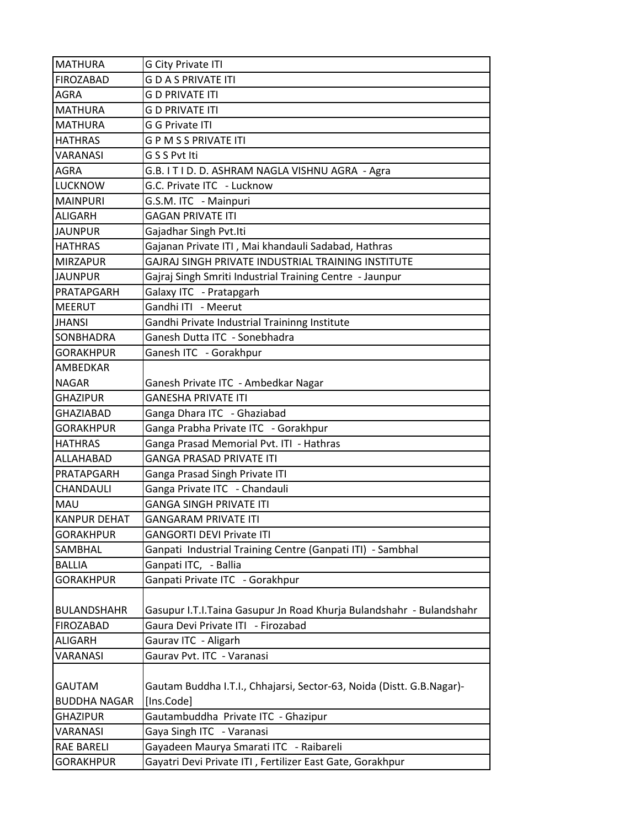| <b>MATHURA</b>      | <b>G City Private ITI</b>                                             |
|---------------------|-----------------------------------------------------------------------|
| <b>FIROZABAD</b>    | <b>GDASPRIVATE ITI</b>                                                |
| AGRA                | <b>G D PRIVATE ITI</b>                                                |
| <b>MATHURA</b>      | <b>G D PRIVATE ITI</b>                                                |
| <b>MATHURA</b>      | <b>G G Private ITI</b>                                                |
| <b>HATHRAS</b>      | <b>GPMSSPRIVATE ITI</b>                                               |
| VARANASI            | G S S Pvt Iti                                                         |
| AGRA                | G.B. I T I D. D. ASHRAM NAGLA VISHNU AGRA - Agra                      |
| <b>LUCKNOW</b>      | G.C. Private ITC - Lucknow                                            |
| <b>MAINPURI</b>     | G.S.M. ITC - Mainpuri                                                 |
| <b>ALIGARH</b>      | <b>GAGAN PRIVATE ITI</b>                                              |
| <b>JAUNPUR</b>      | Gajadhar Singh Pvt.Iti                                                |
| <b>HATHRAS</b>      | Gajanan Private ITI, Mai khandauli Sadabad, Hathras                   |
| <b>MIRZAPUR</b>     | GAJRAJ SINGH PRIVATE INDUSTRIAL TRAINING INSTITUTE                    |
| <b>JAUNPUR</b>      | Gajraj Singh Smriti Industrial Training Centre - Jaunpur              |
| PRATAPGARH          | Galaxy ITC - Pratapgarh                                               |
| <b>MEERUT</b>       | Gandhi ITI - Meerut                                                   |
| <b>JHANSI</b>       | Gandhi Private Industrial Traininng Institute                         |
| <b>SONBHADRA</b>    | Ganesh Dutta ITC - Sonebhadra                                         |
| <b>GORAKHPUR</b>    | Ganesh ITC - Gorakhpur                                                |
| AMBEDKAR            |                                                                       |
| <b>NAGAR</b>        | Ganesh Private ITC - Ambedkar Nagar                                   |
| <b>GHAZIPUR</b>     | <b>GANESHA PRIVATE ITI</b>                                            |
| <b>GHAZIABAD</b>    | Ganga Dhara ITC - Ghaziabad                                           |
| <b>GORAKHPUR</b>    | Ganga Prabha Private ITC - Gorakhpur                                  |
| <b>HATHRAS</b>      | Ganga Prasad Memorial Pvt. ITI - Hathras                              |
| ALLAHABAD           | <b>GANGA PRASAD PRIVATE ITI</b>                                       |
| PRATAPGARH          | Ganga Prasad Singh Private ITI                                        |
| CHANDAULI           | Ganga Private ITC - Chandauli                                         |
| <b>MAU</b>          | <b>GANGA SINGH PRIVATE ITI</b>                                        |
| <b>KANPUR DEHAT</b> | <b>GANGARAM PRIVATE ITI</b>                                           |
| <b>GORAKHPUR</b>    | <b>GANGORTI DEVI Private ITI</b>                                      |
| SAMBHAL             | Ganpati Industrial Training Centre (Ganpati ITI) - Sambhal            |
| <b>BALLIA</b>       | Ganpati ITC, - Ballia                                                 |
| <b>GORAKHPUR</b>    | Ganpati Private ITC - Gorakhpur                                       |
|                     |                                                                       |
| <b>BULANDSHAHR</b>  | Gasupur I.T.I.Taina Gasupur Jn Road Khurja Bulandshahr - Bulandshahr  |
| <b>FIROZABAD</b>    | Gaura Devi Private ITI - Firozabad                                    |
| ALIGARH             | Gaurav ITC - Aligarh                                                  |
| <b>VARANASI</b>     | Gaurav Pvt. ITC - Varanasi                                            |
|                     |                                                                       |
| <b>GAUTAM</b>       | Gautam Buddha I.T.I., Chhajarsi, Sector-63, Noida (Distt. G.B.Nagar)- |
| <b>BUDDHA NAGAR</b> | [Ins.Code]                                                            |
| <b>GHAZIPUR</b>     | Gautambuddha Private ITC - Ghazipur                                   |
| VARANASI            | Gaya Singh ITC - Varanasi                                             |
| <b>RAE BARELI</b>   | Gayadeen Maurya Smarati ITC - Raibareli                               |
| <b>GORAKHPUR</b>    | Gayatri Devi Private ITI, Fertilizer East Gate, Gorakhpur             |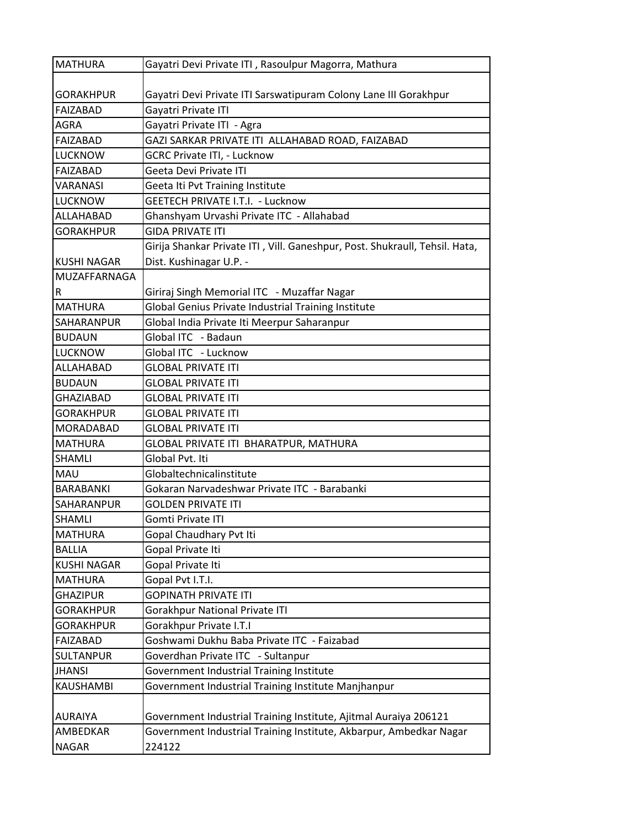| <b>MATHURA</b>     | Gayatri Devi Private ITI, Rasoulpur Magorra, Mathura                        |
|--------------------|-----------------------------------------------------------------------------|
|                    |                                                                             |
| <b>GORAKHPUR</b>   | Gayatri Devi Private ITI Sarswatipuram Colony Lane III Gorakhpur            |
| <b>FAIZABAD</b>    | Gayatri Private ITI                                                         |
| <b>AGRA</b>        | Gayatri Private ITI - Agra                                                  |
| <b>FAIZABAD</b>    | GAZI SARKAR PRIVATE ITI ALLAHABAD ROAD, FAIZABAD                            |
| <b>LUCKNOW</b>     | <b>GCRC Private ITI, - Lucknow</b>                                          |
| <b>FAIZABAD</b>    | Geeta Devi Private ITI                                                      |
| <b>VARANASI</b>    | Geeta Iti Pvt Training Institute                                            |
| <b>LUCKNOW</b>     | GEETECH PRIVATE I.T.I. - Lucknow                                            |
| ALLAHABAD          | Ghanshyam Urvashi Private ITC - Allahabad                                   |
| <b>GORAKHPUR</b>   | <b>GIDA PRIVATE ITI</b>                                                     |
|                    | Girija Shankar Private ITI, Vill. Ganeshpur, Post. Shukraull, Tehsil. Hata, |
| <b>KUSHI NAGAR</b> | Dist. Kushinagar U.P. -                                                     |
| MUZAFFARNAGA       |                                                                             |
| R                  | Giriraj Singh Memorial ITC - Muzaffar Nagar                                 |
| <b>MATHURA</b>     | Global Genius Private Industrial Training Institute                         |
| SAHARANPUR         | Global India Private Iti Meerpur Saharanpur                                 |
| <b>BUDAUN</b>      | Global ITC - Badaun                                                         |
| <b>LUCKNOW</b>     | Global ITC - Lucknow                                                        |
| ALLAHABAD          | <b>GLOBAL PRIVATE ITI</b>                                                   |
| <b>BUDAUN</b>      | <b>GLOBAL PRIVATE ITI</b>                                                   |
| <b>GHAZIABAD</b>   | <b>GLOBAL PRIVATE ITI</b>                                                   |
| <b>GORAKHPUR</b>   | <b>GLOBAL PRIVATE ITI</b>                                                   |
| MORADABAD          | <b>GLOBAL PRIVATE ITI</b>                                                   |
| <b>MATHURA</b>     | GLOBAL PRIVATE ITI BHARATPUR, MATHURA                                       |
| SHAMLI             | Global Pvt. Iti                                                             |
| MAU                | Globaltechnicalinstitute                                                    |
| <b>BARABANKI</b>   | Gokaran Narvadeshwar Private ITC - Barabanki                                |
| <b>SAHARANPUR</b>  | <b>GOLDEN PRIVATE ITI</b>                                                   |
| <b>SHAMLI</b>      | Gomti Private ITI                                                           |
| <b>MATHURA</b>     | Gopal Chaudhary Pvt Iti                                                     |
| <b>BALLIA</b>      | Gopal Private Iti                                                           |
| <b>KUSHI NAGAR</b> | Gopal Private Iti                                                           |
| <b>MATHURA</b>     | Gopal Pvt I.T.I.                                                            |
| <b>GHAZIPUR</b>    | <b>GOPINATH PRIVATE ITI</b>                                                 |
| <b>GORAKHPUR</b>   | Gorakhpur National Private ITI                                              |
| <b>GORAKHPUR</b>   | Gorakhpur Private I.T.I                                                     |
| <b>FAIZABAD</b>    | Goshwami Dukhu Baba Private ITC - Faizabad                                  |
| <b>SULTANPUR</b>   | Goverdhan Private ITC - Sultanpur                                           |
| <b>JHANSI</b>      | Government Industrial Training Institute                                    |
| KAUSHAMBI          | Government Industrial Training Institute Manjhanpur                         |
|                    |                                                                             |
| <b>AURAIYA</b>     | Government Industrial Training Institute, Ajitmal Auraiya 206121            |
| AMBEDKAR           | Government Industrial Training Institute, Akbarpur, Ambedkar Nagar          |
| <b>NAGAR</b>       | 224122                                                                      |
|                    |                                                                             |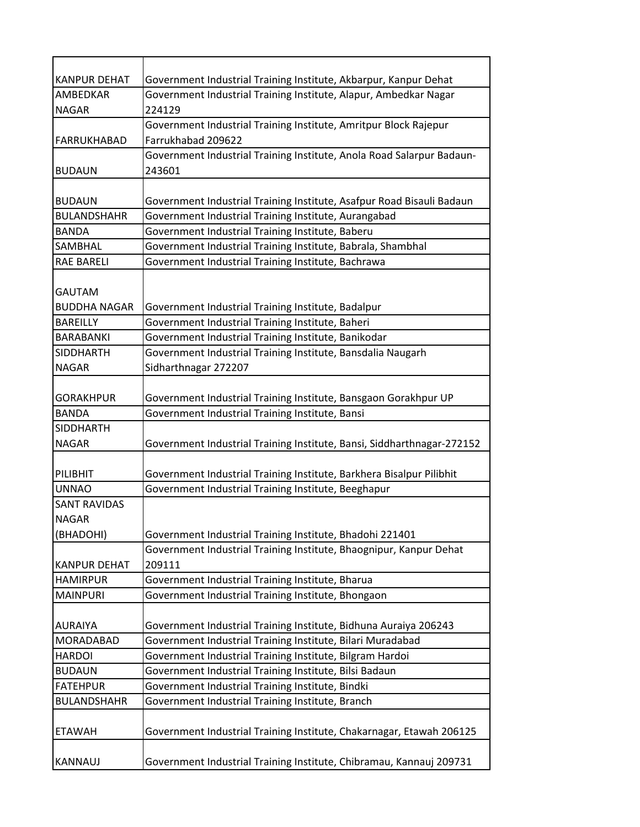| <b>KANPUR DEHAT</b> | Government Industrial Training Institute, Akbarpur, Kanpur Dehat       |
|---------------------|------------------------------------------------------------------------|
| AMBEDKAR            | Government Industrial Training Institute, Alapur, Ambedkar Nagar       |
| <b>NAGAR</b>        | 224129                                                                 |
|                     | Government Industrial Training Institute, Amritpur Block Rajepur       |
| FARRUKHABAD         | Farrukhabad 209622                                                     |
|                     | Government Industrial Training Institute, Anola Road Salarpur Badaun-  |
| <b>BUDAUN</b>       | 243601                                                                 |
|                     |                                                                        |
| <b>BUDAUN</b>       | Government Industrial Training Institute, Asafpur Road Bisauli Badaun  |
| <b>BULANDSHAHR</b>  | Government Industrial Training Institute, Aurangabad                   |
| <b>BANDA</b>        | Government Industrial Training Institute, Baberu                       |
| SAMBHAL             | Government Industrial Training Institute, Babrala, Shambhal            |
| <b>RAE BARELI</b>   | Government Industrial Training Institute, Bachrawa                     |
|                     |                                                                        |
| <b>GAUTAM</b>       |                                                                        |
| <b>BUDDHA NAGAR</b> | Government Industrial Training Institute, Badalpur                     |
| <b>BAREILLY</b>     | Government Industrial Training Institute, Baheri                       |
| <b>BARABANKI</b>    | Government Industrial Training Institute, Banikodar                    |
| <b>SIDDHARTH</b>    | Government Industrial Training Institute, Bansdalia Naugarh            |
| <b>NAGAR</b>        | Sidharthnagar 272207                                                   |
|                     |                                                                        |
| <b>GORAKHPUR</b>    | Government Industrial Training Institute, Bansgaon Gorakhpur UP        |
| <b>BANDA</b>        | Government Industrial Training Institute, Bansi                        |
| <b>SIDDHARTH</b>    |                                                                        |
| <b>NAGAR</b>        | Government Industrial Training Institute, Bansi, Siddharthnagar-272152 |
|                     |                                                                        |
| PILIBHIT            | Government Industrial Training Institute, Barkhera Bisalpur Pilibhit   |
| <b>UNNAO</b>        | Government Industrial Training Institute, Beeghapur                    |
| <b>SANT RAVIDAS</b> |                                                                        |
| <b>NAGAR</b>        |                                                                        |
| (BHADOHI)           | Government Industrial Training Institute, Bhadohi 221401               |
|                     | Government Industrial Training Institute, Bhaognipur, Kanpur Dehat     |
| <b>KANPUR DEHAT</b> | 209111                                                                 |
| <b>HAMIRPUR</b>     | Government Industrial Training Institute, Bharua                       |
| <b>MAINPURI</b>     | Government Industrial Training Institute, Bhongaon                     |
|                     |                                                                        |
| <b>AURAIYA</b>      | Government Industrial Training Institute, Bidhuna Auraiya 206243       |
| MORADABAD           | Government Industrial Training Institute, Bilari Muradabad             |
| <b>HARDOI</b>       | Government Industrial Training Institute, Bilgram Hardoi               |
| <b>BUDAUN</b>       | Government Industrial Training Institute, Bilsi Badaun                 |
| <b>FATEHPUR</b>     | Government Industrial Training Institute, Bindki                       |
| <b>BULANDSHAHR</b>  | Government Industrial Training Institute, Branch                       |
|                     |                                                                        |
| <b>ETAWAH</b>       | Government Industrial Training Institute, Chakarnagar, Etawah 206125   |
|                     |                                                                        |
| <b>KANNAUJ</b>      | Government Industrial Training Institute, Chibramau, Kannauj 209731    |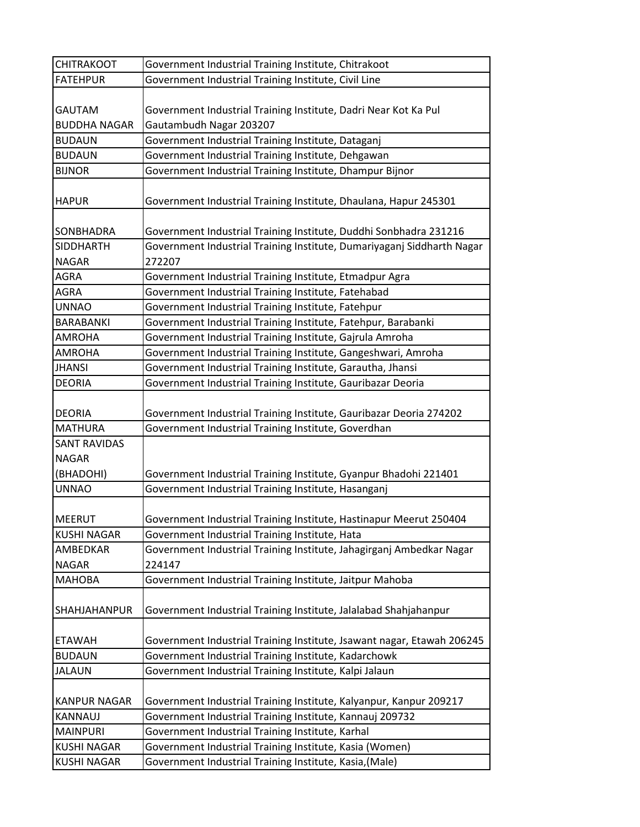| <b>CHITRAKOOT</b>                    | Government Industrial Training Institute, Chitrakoot                                       |
|--------------------------------------|--------------------------------------------------------------------------------------------|
| <b>FATEHPUR</b>                      | Government Industrial Training Institute, Civil Line                                       |
| <b>GAUTAM</b><br><b>BUDDHA NAGAR</b> | Government Industrial Training Institute, Dadri Near Kot Ka Pul<br>Gautambudh Nagar 203207 |
| <b>BUDAUN</b>                        | Government Industrial Training Institute, Dataganj                                         |
| <b>BUDAUN</b>                        | Government Industrial Training Institute, Dehgawan                                         |
| <b>BIJNOR</b>                        | Government Industrial Training Institute, Dhampur Bijnor                                   |
| <b>HAPUR</b>                         | Government Industrial Training Institute, Dhaulana, Hapur 245301                           |
| SONBHADRA                            | Government Industrial Training Institute, Duddhi Sonbhadra 231216                          |
| <b>SIDDHARTH</b>                     | Government Industrial Training Institute, Dumariyaganj Siddharth Nagar                     |
| <b>NAGAR</b>                         | 272207                                                                                     |
| <b>AGRA</b>                          | Government Industrial Training Institute, Etmadpur Agra                                    |
| AGRA                                 | Government Industrial Training Institute, Fatehabad                                        |
| <b>UNNAO</b>                         | Government Industrial Training Institute, Fatehpur                                         |
| <b>BARABANKI</b>                     | Government Industrial Training Institute, Fatehpur, Barabanki                              |
| <b>AMROHA</b>                        | Government Industrial Training Institute, Gajrula Amroha                                   |
| <b>AMROHA</b>                        | Government Industrial Training Institute, Gangeshwari, Amroha                              |
| <b>JHANSI</b>                        | Government Industrial Training Institute, Garautha, Jhansi                                 |
| <b>DEORIA</b>                        | Government Industrial Training Institute, Gauribazar Deoria                                |
| <b>DEORIA</b>                        | Government Industrial Training Institute, Gauribazar Deoria 274202                         |
| <b>MATHURA</b>                       | Government Industrial Training Institute, Goverdhan                                        |
| <b>SANT RAVIDAS</b>                  |                                                                                            |
| <b>NAGAR</b>                         |                                                                                            |
| (BHADOHI)                            | Government Industrial Training Institute, Gyanpur Bhadohi 221401                           |
| <b>UNNAO</b>                         | Government Industrial Training Institute, Hasanganj                                        |
| <b>MEERUT</b>                        | Government Industrial Training Institute, Hastinapur Meerut 250404                         |
| <b>KUSHI NAGAR</b>                   | Government Industrial Training Institute, Hata                                             |
| AMBEDKAR                             | Government Industrial Training Institute, Jahagirganj Ambedkar Nagar                       |
| <b>NAGAR</b>                         | 224147                                                                                     |
| <b>MAHOBA</b>                        | Government Industrial Training Institute, Jaitpur Mahoba                                   |
| <b>SHAHJAHANPUR</b>                  | Government Industrial Training Institute, Jalalabad Shahjahanpur                           |
| <b>ETAWAH</b>                        | Government Industrial Training Institute, Jsawant nagar, Etawah 206245                     |
| <b>BUDAUN</b>                        | Government Industrial Training Institute, Kadarchowk                                       |
| <b>JALAUN</b>                        | Government Industrial Training Institute, Kalpi Jalaun                                     |
| <b>KANPUR NAGAR</b>                  | Government Industrial Training Institute, Kalyanpur, Kanpur 209217                         |
| <b>KANNAUJ</b>                       | Government Industrial Training Institute, Kannauj 209732                                   |
| <b>MAINPURI</b>                      | Government Industrial Training Institute, Karhal                                           |
| <b>KUSHI NAGAR</b>                   | Government Industrial Training Institute, Kasia (Women)                                    |
| <b>KUSHI NAGAR</b>                   | Government Industrial Training Institute, Kasia, (Male)                                    |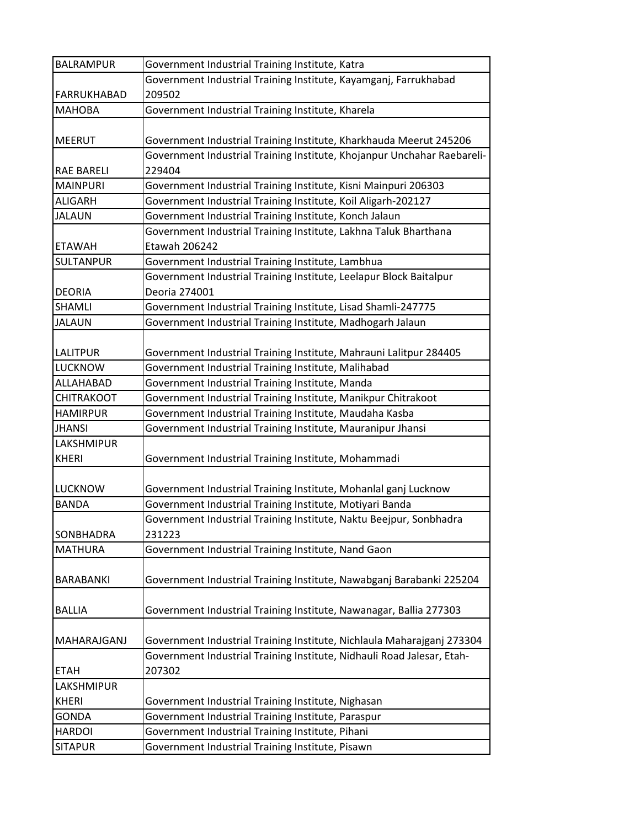| Government Industrial Training Institute, Kayamganj, Farrukhabad<br><b>FARRUKHABAD</b><br>209502<br>Government Industrial Training Institute, Kharela<br><b>MAHOBA</b><br>Government Industrial Training Institute, Kharkhauda Meerut 245206<br><b>MEERUT</b><br>Government Industrial Training Institute, Khojanpur Unchahar Raebareli-<br>229404<br><b>RAE BARELI</b><br><b>MAINPURI</b><br>Government Industrial Training Institute, Kisni Mainpuri 206303<br>Government Industrial Training Institute, Koil Aligarh-202127<br><b>ALIGARH</b><br>Government Industrial Training Institute, Konch Jalaun<br><b>JALAUN</b><br>Government Industrial Training Institute, Lakhna Taluk Bharthana<br>Etawah 206242<br><b>ETAWAH</b><br><b>SULTANPUR</b><br>Government Industrial Training Institute, Lambhua<br>Government Industrial Training Institute, Leelapur Block Baitalpur<br>Deoria 274001<br><b>DEORIA</b><br>Government Industrial Training Institute, Lisad Shamli-247775<br><b>SHAMLI</b><br>Government Industrial Training Institute, Madhogarh Jalaun<br><b>JALAUN</b><br>Government Industrial Training Institute, Mahrauni Lalitpur 284405<br><b>LALITPUR</b><br>Government Industrial Training Institute, Malihabad<br><b>LUCKNOW</b><br>ALLAHABAD<br>Government Industrial Training Institute, Manda<br>Government Industrial Training Institute, Manikpur Chitrakoot<br><b>CHITRAKOOT</b><br>Government Industrial Training Institute, Maudaha Kasba<br><b>HAMIRPUR</b><br>Government Industrial Training Institute, Mauranipur Jhansi<br><b>JHANSI</b> |
|---------------------------------------------------------------------------------------------------------------------------------------------------------------------------------------------------------------------------------------------------------------------------------------------------------------------------------------------------------------------------------------------------------------------------------------------------------------------------------------------------------------------------------------------------------------------------------------------------------------------------------------------------------------------------------------------------------------------------------------------------------------------------------------------------------------------------------------------------------------------------------------------------------------------------------------------------------------------------------------------------------------------------------------------------------------------------------------------------------------------------------------------------------------------------------------------------------------------------------------------------------------------------------------------------------------------------------------------------------------------------------------------------------------------------------------------------------------------------------------------------------------------------------------------------------------------------|
|                                                                                                                                                                                                                                                                                                                                                                                                                                                                                                                                                                                                                                                                                                                                                                                                                                                                                                                                                                                                                                                                                                                                                                                                                                                                                                                                                                                                                                                                                                                                                                           |
|                                                                                                                                                                                                                                                                                                                                                                                                                                                                                                                                                                                                                                                                                                                                                                                                                                                                                                                                                                                                                                                                                                                                                                                                                                                                                                                                                                                                                                                                                                                                                                           |
|                                                                                                                                                                                                                                                                                                                                                                                                                                                                                                                                                                                                                                                                                                                                                                                                                                                                                                                                                                                                                                                                                                                                                                                                                                                                                                                                                                                                                                                                                                                                                                           |
|                                                                                                                                                                                                                                                                                                                                                                                                                                                                                                                                                                                                                                                                                                                                                                                                                                                                                                                                                                                                                                                                                                                                                                                                                                                                                                                                                                                                                                                                                                                                                                           |
|                                                                                                                                                                                                                                                                                                                                                                                                                                                                                                                                                                                                                                                                                                                                                                                                                                                                                                                                                                                                                                                                                                                                                                                                                                                                                                                                                                                                                                                                                                                                                                           |
|                                                                                                                                                                                                                                                                                                                                                                                                                                                                                                                                                                                                                                                                                                                                                                                                                                                                                                                                                                                                                                                                                                                                                                                                                                                                                                                                                                                                                                                                                                                                                                           |
|                                                                                                                                                                                                                                                                                                                                                                                                                                                                                                                                                                                                                                                                                                                                                                                                                                                                                                                                                                                                                                                                                                                                                                                                                                                                                                                                                                                                                                                                                                                                                                           |
|                                                                                                                                                                                                                                                                                                                                                                                                                                                                                                                                                                                                                                                                                                                                                                                                                                                                                                                                                                                                                                                                                                                                                                                                                                                                                                                                                                                                                                                                                                                                                                           |
|                                                                                                                                                                                                                                                                                                                                                                                                                                                                                                                                                                                                                                                                                                                                                                                                                                                                                                                                                                                                                                                                                                                                                                                                                                                                                                                                                                                                                                                                                                                                                                           |
|                                                                                                                                                                                                                                                                                                                                                                                                                                                                                                                                                                                                                                                                                                                                                                                                                                                                                                                                                                                                                                                                                                                                                                                                                                                                                                                                                                                                                                                                                                                                                                           |
|                                                                                                                                                                                                                                                                                                                                                                                                                                                                                                                                                                                                                                                                                                                                                                                                                                                                                                                                                                                                                                                                                                                                                                                                                                                                                                                                                                                                                                                                                                                                                                           |
|                                                                                                                                                                                                                                                                                                                                                                                                                                                                                                                                                                                                                                                                                                                                                                                                                                                                                                                                                                                                                                                                                                                                                                                                                                                                                                                                                                                                                                                                                                                                                                           |
|                                                                                                                                                                                                                                                                                                                                                                                                                                                                                                                                                                                                                                                                                                                                                                                                                                                                                                                                                                                                                                                                                                                                                                                                                                                                                                                                                                                                                                                                                                                                                                           |
|                                                                                                                                                                                                                                                                                                                                                                                                                                                                                                                                                                                                                                                                                                                                                                                                                                                                                                                                                                                                                                                                                                                                                                                                                                                                                                                                                                                                                                                                                                                                                                           |
|                                                                                                                                                                                                                                                                                                                                                                                                                                                                                                                                                                                                                                                                                                                                                                                                                                                                                                                                                                                                                                                                                                                                                                                                                                                                                                                                                                                                                                                                                                                                                                           |
|                                                                                                                                                                                                                                                                                                                                                                                                                                                                                                                                                                                                                                                                                                                                                                                                                                                                                                                                                                                                                                                                                                                                                                                                                                                                                                                                                                                                                                                                                                                                                                           |
|                                                                                                                                                                                                                                                                                                                                                                                                                                                                                                                                                                                                                                                                                                                                                                                                                                                                                                                                                                                                                                                                                                                                                                                                                                                                                                                                                                                                                                                                                                                                                                           |
|                                                                                                                                                                                                                                                                                                                                                                                                                                                                                                                                                                                                                                                                                                                                                                                                                                                                                                                                                                                                                                                                                                                                                                                                                                                                                                                                                                                                                                                                                                                                                                           |
|                                                                                                                                                                                                                                                                                                                                                                                                                                                                                                                                                                                                                                                                                                                                                                                                                                                                                                                                                                                                                                                                                                                                                                                                                                                                                                                                                                                                                                                                                                                                                                           |
|                                                                                                                                                                                                                                                                                                                                                                                                                                                                                                                                                                                                                                                                                                                                                                                                                                                                                                                                                                                                                                                                                                                                                                                                                                                                                                                                                                                                                                                                                                                                                                           |
|                                                                                                                                                                                                                                                                                                                                                                                                                                                                                                                                                                                                                                                                                                                                                                                                                                                                                                                                                                                                                                                                                                                                                                                                                                                                                                                                                                                                                                                                                                                                                                           |
|                                                                                                                                                                                                                                                                                                                                                                                                                                                                                                                                                                                                                                                                                                                                                                                                                                                                                                                                                                                                                                                                                                                                                                                                                                                                                                                                                                                                                                                                                                                                                                           |
|                                                                                                                                                                                                                                                                                                                                                                                                                                                                                                                                                                                                                                                                                                                                                                                                                                                                                                                                                                                                                                                                                                                                                                                                                                                                                                                                                                                                                                                                                                                                                                           |
|                                                                                                                                                                                                                                                                                                                                                                                                                                                                                                                                                                                                                                                                                                                                                                                                                                                                                                                                                                                                                                                                                                                                                                                                                                                                                                                                                                                                                                                                                                                                                                           |
| <b>LAKSHMIPUR</b>                                                                                                                                                                                                                                                                                                                                                                                                                                                                                                                                                                                                                                                                                                                                                                                                                                                                                                                                                                                                                                                                                                                                                                                                                                                                                                                                                                                                                                                                                                                                                         |
| Government Industrial Training Institute, Mohammadi<br><b>KHERI</b>                                                                                                                                                                                                                                                                                                                                                                                                                                                                                                                                                                                                                                                                                                                                                                                                                                                                                                                                                                                                                                                                                                                                                                                                                                                                                                                                                                                                                                                                                                       |
|                                                                                                                                                                                                                                                                                                                                                                                                                                                                                                                                                                                                                                                                                                                                                                                                                                                                                                                                                                                                                                                                                                                                                                                                                                                                                                                                                                                                                                                                                                                                                                           |
| Government Industrial Training Institute, Mohanlal ganj Lucknow<br><b>LUCKNOW</b>                                                                                                                                                                                                                                                                                                                                                                                                                                                                                                                                                                                                                                                                                                                                                                                                                                                                                                                                                                                                                                                                                                                                                                                                                                                                                                                                                                                                                                                                                         |
| Government Industrial Training Institute, Motiyari Banda<br><b>BANDA</b>                                                                                                                                                                                                                                                                                                                                                                                                                                                                                                                                                                                                                                                                                                                                                                                                                                                                                                                                                                                                                                                                                                                                                                                                                                                                                                                                                                                                                                                                                                  |
| Government Industrial Training Institute, Naktu Beejpur, Sonbhadra                                                                                                                                                                                                                                                                                                                                                                                                                                                                                                                                                                                                                                                                                                                                                                                                                                                                                                                                                                                                                                                                                                                                                                                                                                                                                                                                                                                                                                                                                                        |
| 231223<br>SONBHADRA                                                                                                                                                                                                                                                                                                                                                                                                                                                                                                                                                                                                                                                                                                                                                                                                                                                                                                                                                                                                                                                                                                                                                                                                                                                                                                                                                                                                                                                                                                                                                       |
| <b>MATHURA</b><br>Government Industrial Training Institute, Nand Gaon                                                                                                                                                                                                                                                                                                                                                                                                                                                                                                                                                                                                                                                                                                                                                                                                                                                                                                                                                                                                                                                                                                                                                                                                                                                                                                                                                                                                                                                                                                     |
|                                                                                                                                                                                                                                                                                                                                                                                                                                                                                                                                                                                                                                                                                                                                                                                                                                                                                                                                                                                                                                                                                                                                                                                                                                                                                                                                                                                                                                                                                                                                                                           |
| <b>BARABANKI</b><br>Government Industrial Training Institute, Nawabganj Barabanki 225204                                                                                                                                                                                                                                                                                                                                                                                                                                                                                                                                                                                                                                                                                                                                                                                                                                                                                                                                                                                                                                                                                                                                                                                                                                                                                                                                                                                                                                                                                  |
|                                                                                                                                                                                                                                                                                                                                                                                                                                                                                                                                                                                                                                                                                                                                                                                                                                                                                                                                                                                                                                                                                                                                                                                                                                                                                                                                                                                                                                                                                                                                                                           |
| Government Industrial Training Institute, Nawanagar, Ballia 277303<br><b>BALLIA</b>                                                                                                                                                                                                                                                                                                                                                                                                                                                                                                                                                                                                                                                                                                                                                                                                                                                                                                                                                                                                                                                                                                                                                                                                                                                                                                                                                                                                                                                                                       |
|                                                                                                                                                                                                                                                                                                                                                                                                                                                                                                                                                                                                                                                                                                                                                                                                                                                                                                                                                                                                                                                                                                                                                                                                                                                                                                                                                                                                                                                                                                                                                                           |
| MAHARAJGANJ<br>Government Industrial Training Institute, Nichlaula Maharajganj 273304                                                                                                                                                                                                                                                                                                                                                                                                                                                                                                                                                                                                                                                                                                                                                                                                                                                                                                                                                                                                                                                                                                                                                                                                                                                                                                                                                                                                                                                                                     |
| Government Industrial Training Institute, Nidhauli Road Jalesar, Etah-                                                                                                                                                                                                                                                                                                                                                                                                                                                                                                                                                                                                                                                                                                                                                                                                                                                                                                                                                                                                                                                                                                                                                                                                                                                                                                                                                                                                                                                                                                    |
| 207302<br><b>ETAH</b>                                                                                                                                                                                                                                                                                                                                                                                                                                                                                                                                                                                                                                                                                                                                                                                                                                                                                                                                                                                                                                                                                                                                                                                                                                                                                                                                                                                                                                                                                                                                                     |
| LAKSHMIPUR                                                                                                                                                                                                                                                                                                                                                                                                                                                                                                                                                                                                                                                                                                                                                                                                                                                                                                                                                                                                                                                                                                                                                                                                                                                                                                                                                                                                                                                                                                                                                                |
| <b>KHERI</b><br>Government Industrial Training Institute, Nighasan                                                                                                                                                                                                                                                                                                                                                                                                                                                                                                                                                                                                                                                                                                                                                                                                                                                                                                                                                                                                                                                                                                                                                                                                                                                                                                                                                                                                                                                                                                        |
| Government Industrial Training Institute, Paraspur<br><b>GONDA</b>                                                                                                                                                                                                                                                                                                                                                                                                                                                                                                                                                                                                                                                                                                                                                                                                                                                                                                                                                                                                                                                                                                                                                                                                                                                                                                                                                                                                                                                                                                        |
| Government Industrial Training Institute, Pihani<br><b>HARDOI</b>                                                                                                                                                                                                                                                                                                                                                                                                                                                                                                                                                                                                                                                                                                                                                                                                                                                                                                                                                                                                                                                                                                                                                                                                                                                                                                                                                                                                                                                                                                         |
| Government Industrial Training Institute, Pisawn<br><b>SITAPUR</b>                                                                                                                                                                                                                                                                                                                                                                                                                                                                                                                                                                                                                                                                                                                                                                                                                                                                                                                                                                                                                                                                                                                                                                                                                                                                                                                                                                                                                                                                                                        |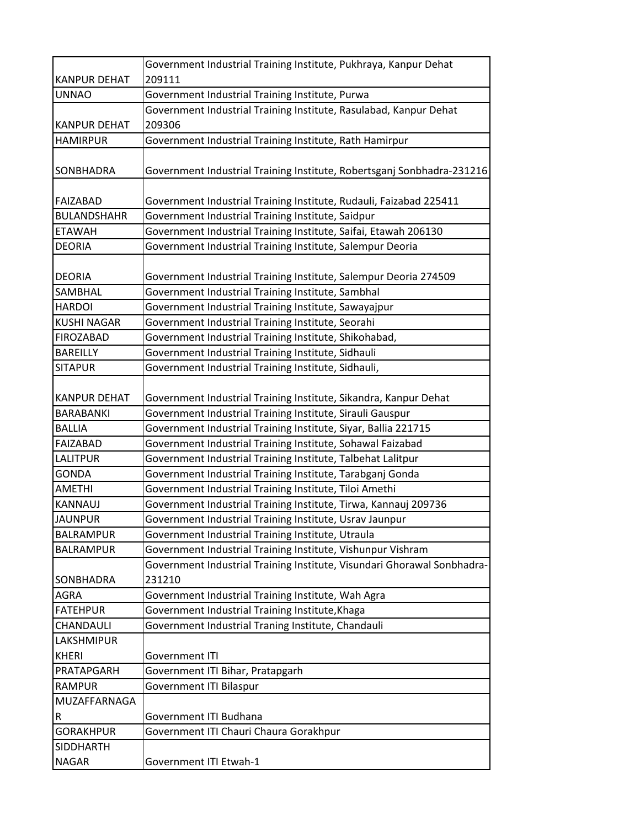|                     | Government Industrial Training Institute, Pukhraya, Kanpur Dehat                  |
|---------------------|-----------------------------------------------------------------------------------|
| <b>KANPUR DEHAT</b> | 209111                                                                            |
| <b>UNNAO</b>        | Government Industrial Training Institute, Purwa                                   |
|                     | Government Industrial Training Institute, Rasulabad, Kanpur Dehat                 |
| <b>KANPUR DEHAT</b> | 209306                                                                            |
| <b>HAMIRPUR</b>     | Government Industrial Training Institute, Rath Hamirpur                           |
| SONBHADRA           | Government Industrial Training Institute, Robertsganj Sonbhadra-231216            |
| <b>FAIZABAD</b>     | Government Industrial Training Institute, Rudauli, Faizabad 225411                |
| <b>BULANDSHAHR</b>  | Government Industrial Training Institute, Saidpur                                 |
| <b>ETAWAH</b>       | Government Industrial Training Institute, Saifai, Etawah 206130                   |
| <b>DEORIA</b>       | Government Industrial Training Institute, Salempur Deoria                         |
| <b>DEORIA</b>       | Government Industrial Training Institute, Salempur Deoria 274509                  |
| SAMBHAL             | Government Industrial Training Institute, Sambhal                                 |
| <b>HARDOI</b>       | Government Industrial Training Institute, Sawayajpur                              |
| <b>KUSHI NAGAR</b>  | Government Industrial Training Institute, Seorahi                                 |
| <b>FIROZABAD</b>    | Government Industrial Training Institute, Shikohabad,                             |
| <b>BAREILLY</b>     | Government Industrial Training Institute, Sidhauli                                |
| <b>SITAPUR</b>      | Government Industrial Training Institute, Sidhauli,                               |
| <b>KANPUR DEHAT</b> | Government Industrial Training Institute, Sikandra, Kanpur Dehat                  |
| BARABANKI           | Government Industrial Training Institute, Sirauli Gauspur                         |
| <b>BALLIA</b>       | Government Industrial Training Institute, Siyar, Ballia 221715                    |
| <b>FAIZABAD</b>     | Government Industrial Training Institute, Sohawal Faizabad                        |
| <b>LALITPUR</b>     | Government Industrial Training Institute, Talbehat Lalitpur                       |
| <b>GONDA</b>        | Government Industrial Training Institute, Tarabganj Gonda                         |
| <b>AMETHI</b>       | Government Industrial Training Institute, Tiloi Amethi                            |
| <b>KANNAUJ</b>      | Government Industrial Training Institute, Tirwa, Kannauj 209736                   |
| <b>JAUNPUR</b>      | Government Industrial Training Institute, Usrav Jaunpur                           |
| <b>BALRAMPUR</b>    | Government Industrial Training Institute, Utraula                                 |
| <b>BALRAMPUR</b>    | Government Industrial Training Institute, Vishunpur Vishram                       |
| SONBHADRA           | Government Industrial Training Institute, Visundari Ghorawal Sonbhadra-<br>231210 |
| <b>AGRA</b>         | Government Industrial Training Institute, Wah Agra                                |
| <b>FATEHPUR</b>     | Government Industrial Training Institute, Khaga                                   |
| CHANDAULI           | Government Industrial Traning Institute, Chandauli                                |
| LAKSHMIPUR          |                                                                                   |
| <b>KHERI</b>        | Government ITI                                                                    |
| PRATAPGARH          | Government ITI Bihar, Pratapgarh                                                  |
| <b>RAMPUR</b>       | Government ITI Bilaspur                                                           |
| MUZAFFARNAGA        |                                                                                   |
| R                   | Government ITI Budhana                                                            |
| <b>GORAKHPUR</b>    | Government ITI Chauri Chaura Gorakhpur                                            |
| <b>SIDDHARTH</b>    |                                                                                   |
| <b>NAGAR</b>        | Government ITI Etwah-1                                                            |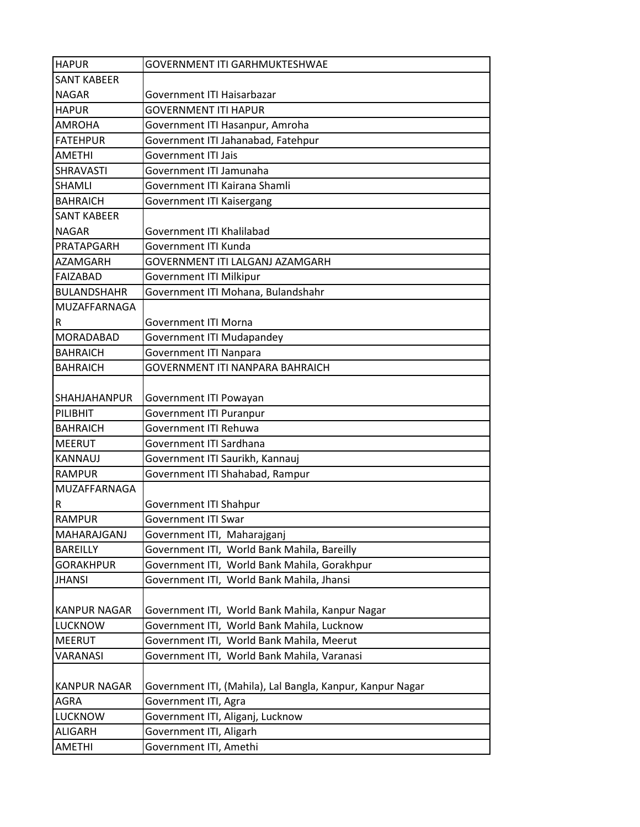| <b>HAPUR</b>            | <b>GOVERNMENT ITI GARHMUKTESHWAE</b>                       |
|-------------------------|------------------------------------------------------------|
| <b>SANT KABEER</b>      |                                                            |
| <b>NAGAR</b>            | Government ITI Haisarbazar                                 |
| <b>HAPUR</b>            | <b>GOVERNMENT ITI HAPUR</b>                                |
| <b>AMROHA</b>           | Government ITI Hasanpur, Amroha                            |
| <b>FATEHPUR</b>         | Government ITI Jahanabad, Fatehpur                         |
| <b>AMETHI</b>           | <b>Government ITI Jais</b>                                 |
| <b>SHRAVASTI</b>        | Government ITI Jamunaha                                    |
| <b>SHAMLI</b>           | Government ITI Kairana Shamli                              |
| <b>BAHRAICH</b>         | Government ITI Kaisergang                                  |
| <b>SANT KABEER</b>      |                                                            |
| <b>NAGAR</b>            | Government ITI Khalilabad                                  |
| PRATAPGARH              | Government ITI Kunda                                       |
| <b>AZAMGARH</b>         | GOVERNMENT ITI LALGANJ AZAMGARH                            |
| <b>FAIZABAD</b>         | <b>Government ITI Milkipur</b>                             |
| <b>BULANDSHAHR</b>      | Government ITI Mohana, Bulandshahr                         |
| <b>MUZAFFARNAGA</b>     |                                                            |
| $\overline{\mathsf{R}}$ | <b>Government ITI Morna</b>                                |
| <b>MORADABAD</b>        | <b>Government ITI Mudapandey</b>                           |
| <b>BAHRAICH</b>         | <b>Government ITI Nanpara</b>                              |
| <b>BAHRAICH</b>         | <b>GOVERNMENT ITI NANPARA BAHRAICH</b>                     |
|                         |                                                            |
| <b>SHAHJAHANPUR</b>     | Government ITI Powayan                                     |
| PILIBHIT                | <b>Government ITI Puranpur</b>                             |
| <b>BAHRAICH</b>         | <b>Government ITI Rehuwa</b>                               |
| <b>MEERUT</b>           | Government ITI Sardhana                                    |
| <b>KANNAUJ</b>          | Government ITI Saurikh, Kannauj                            |
| <b>RAMPUR</b>           | Government ITI Shahabad, Rampur                            |
| MUZAFFARNAGA            |                                                            |
| $\overline{\mathsf{R}}$ | Government ITI Shahpur                                     |
| <b>RAMPUR</b>           | Government ITI Swar                                        |
| MAHARAJGANJ             | Government ITI, Maharajganj                                |
| <b>BAREILLY</b>         | Government ITI, World Bank Mahila, Bareilly                |
| <b>GORAKHPUR</b>        | Government ITI, World Bank Mahila, Gorakhpur               |
| <b>JHANSI</b>           | Government ITI, World Bank Mahila, Jhansi                  |
|                         |                                                            |
| <b>KANPUR NAGAR</b>     | Government ITI, World Bank Mahila, Kanpur Nagar            |
| <b>LUCKNOW</b>          | Government ITI, World Bank Mahila, Lucknow                 |
| <b>MEERUT</b>           | Government ITI, World Bank Mahila, Meerut                  |
| <b>VARANASI</b>         | Government ITI, World Bank Mahila, Varanasi                |
|                         |                                                            |
| <b>KANPUR NAGAR</b>     | Government ITI, (Mahila), Lal Bangla, Kanpur, Kanpur Nagar |
| AGRA                    | Government ITI, Agra                                       |
| <b>LUCKNOW</b>          | Government ITI, Aliganj, Lucknow                           |
| <b>ALIGARH</b>          | Government ITI, Aligarh                                    |
| <b>AMETHI</b>           | Government ITI, Amethi                                     |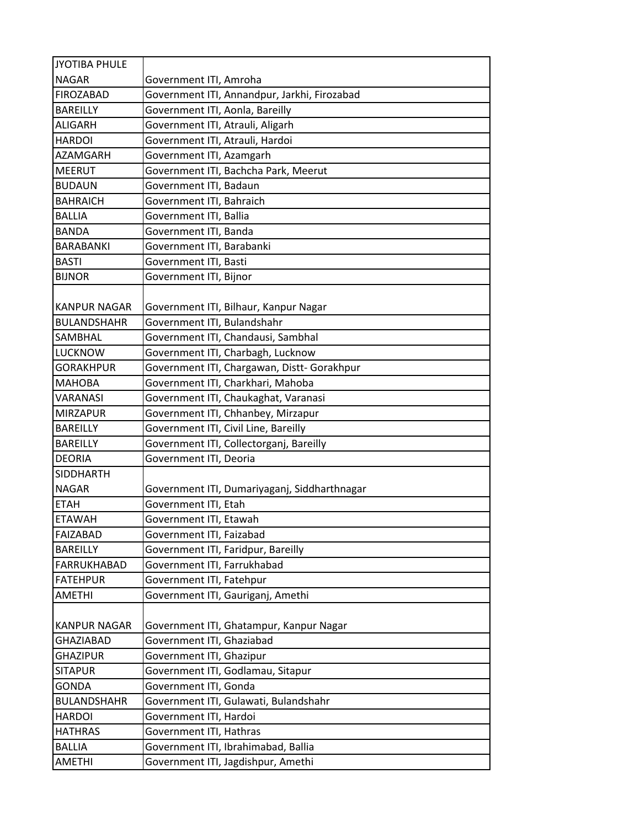| JYOTIBA PHULE       |                                              |
|---------------------|----------------------------------------------|
| <b>NAGAR</b>        | Government ITI, Amroha                       |
| <b>FIROZABAD</b>    | Government ITI, Annandpur, Jarkhi, Firozabad |
| <b>BAREILLY</b>     | Government ITI, Aonla, Bareilly              |
| <b>ALIGARH</b>      | Government ITI, Atrauli, Aligarh             |
| <b>HARDOI</b>       | Government ITI, Atrauli, Hardoi              |
| AZAMGARH            | Government ITI, Azamgarh                     |
| <b>MEERUT</b>       | Government ITI, Bachcha Park, Meerut         |
| <b>BUDAUN</b>       | Government ITI, Badaun                       |
| <b>BAHRAICH</b>     | Government ITI, Bahraich                     |
| <b>BALLIA</b>       | Government ITI, Ballia                       |
| <b>BANDA</b>        | Government ITI, Banda                        |
| <b>BARABANKI</b>    | Government ITI, Barabanki                    |
| <b>BASTI</b>        | Government ITI, Basti                        |
| <b>BIJNOR</b>       | Government ITI, Bijnor                       |
|                     |                                              |
| <b>KANPUR NAGAR</b> | Government ITI, Bilhaur, Kanpur Nagar        |
| <b>BULANDSHAHR</b>  | Government ITI, Bulandshahr                  |
| <b>SAMBHAL</b>      | Government ITI, Chandausi, Sambhal           |
| <b>LUCKNOW</b>      | Government ITI, Charbagh, Lucknow            |
| <b>GORAKHPUR</b>    | Government ITI, Chargawan, Distt- Gorakhpur  |
| <b>MAHOBA</b>       | Government ITI, Charkhari, Mahoba            |
| <b>VARANASI</b>     | Government ITI, Chaukaghat, Varanasi         |
| <b>MIRZAPUR</b>     | Government ITI, Chhanbey, Mirzapur           |
| <b>BAREILLY</b>     | Government ITI, Civil Line, Bareilly         |
| <b>BAREILLY</b>     | Government ITI, Collectorganj, Bareilly      |
| <b>DEORIA</b>       | Government ITI, Deoria                       |
| <b>SIDDHARTH</b>    |                                              |
| <b>NAGAR</b>        | Government ITI, Dumariyaganj, Siddharthnagar |
| <b>ETAH</b>         | Government ITI, Etah                         |
| <b>FTAWAH</b>       | Government ITI, Etawah                       |
| FAIZABAD            | Government ITI, Faizabad                     |
| <b>BAREILLY</b>     | Government ITI, Faridpur, Bareilly           |
| <b>FARRUKHABAD</b>  | Government ITI, Farrukhabad                  |
| <b>FATEHPUR</b>     | Government ITI, Fatehpur                     |
| <b>AMETHI</b>       | Government ITI, Gauriganj, Amethi            |
|                     |                                              |
| <b>KANPUR NAGAR</b> | Government ITI, Ghatampur, Kanpur Nagar      |
| <b>GHAZIABAD</b>    | Government ITI, Ghaziabad                    |
| <b>GHAZIPUR</b>     | Government ITI, Ghazipur                     |
| <b>SITAPUR</b>      | Government ITI, Godlamau, Sitapur            |
| <b>GONDA</b>        | Government ITI, Gonda                        |
| <b>BULANDSHAHR</b>  | Government ITI, Gulawati, Bulandshahr        |
| <b>HARDOI</b>       | Government ITI, Hardoi                       |
| <b>HATHRAS</b>      | Government ITI, Hathras                      |
| BALLIA              | Government ITI, Ibrahimabad, Ballia          |
| <b>AMETHI</b>       | Government ITI, Jagdishpur, Amethi           |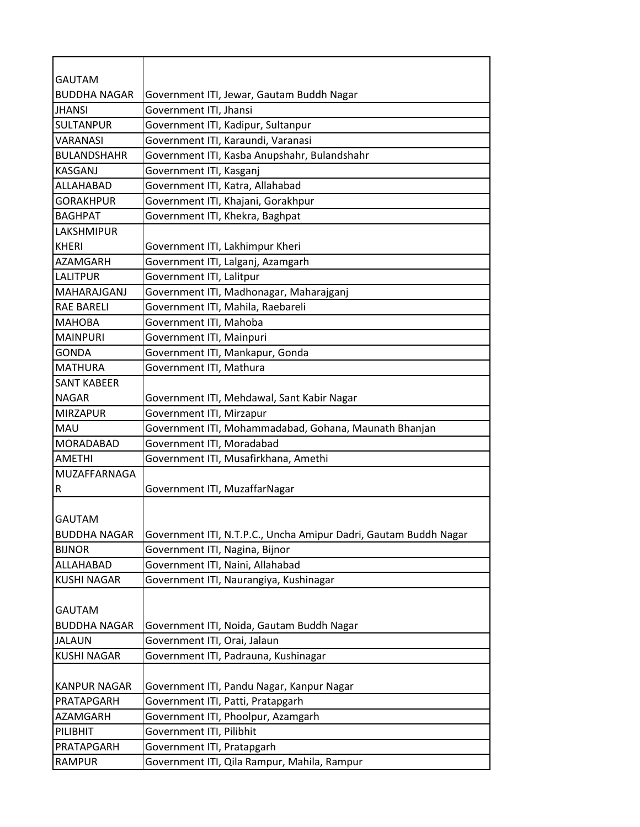| <b>GAUTAM</b>       |                                                                  |
|---------------------|------------------------------------------------------------------|
| <b>BUDDHA NAGAR</b> | Government ITI, Jewar, Gautam Buddh Nagar                        |
| <b>JHANSI</b>       | Government ITI, Jhansi                                           |
| <b>SULTANPUR</b>    | Government ITI, Kadipur, Sultanpur                               |
| <b>VARANASI</b>     | Government ITI, Karaundi, Varanasi                               |
| <b>BULANDSHAHR</b>  | Government ITI, Kasba Anupshahr, Bulandshahr                     |
| <b>KASGANJ</b>      | Government ITI, Kasganj                                          |
| ALLAHABAD           | Government ITI, Katra, Allahabad                                 |
| <b>GORAKHPUR</b>    | Government ITI, Khajani, Gorakhpur                               |
| <b>BAGHPAT</b>      | Government ITI, Khekra, Baghpat                                  |
| <b>LAKSHMIPUR</b>   |                                                                  |
| <b>KHERI</b>        | Government ITI, Lakhimpur Kheri                                  |
| AZAMGARH            | Government ITI, Lalganj, Azamgarh                                |
| <b>LALITPUR</b>     | Government ITI, Lalitpur                                         |
| MAHARAJGANJ         | Government ITI, Madhonagar, Maharajganj                          |
| <b>RAE BARELI</b>   | Government ITI, Mahila, Raebareli                                |
| <b>MAHOBA</b>       | Government ITI, Mahoba                                           |
| <b>MAINPURI</b>     | Government ITI, Mainpuri                                         |
| <b>GONDA</b>        | Government ITI, Mankapur, Gonda                                  |
| <b>MATHURA</b>      | Government ITI, Mathura                                          |
| <b>SANT KABEER</b>  |                                                                  |
| <b>NAGAR</b>        | Government ITI, Mehdawal, Sant Kabir Nagar                       |
| <b>MIRZAPUR</b>     | Government ITI, Mirzapur                                         |
| <b>MAU</b>          | Government ITI, Mohammadabad, Gohana, Maunath Bhanjan            |
| <b>MORADABAD</b>    | Government ITI, Moradabad                                        |
| <b>AMETHI</b>       | Government ITI, Musafirkhana, Amethi                             |
| MUZAFFARNAGA        |                                                                  |
| R                   | Government ITI, MuzaffarNagar                                    |
|                     |                                                                  |
| <b>GAUTAM</b>       |                                                                  |
| <b>BUDDHA NAGAR</b> | Government ITI, N.T.P.C., Uncha Amipur Dadri, Gautam Buddh Nagar |
| <b>BIJNOR</b>       | Government ITI, Nagina, Bijnor                                   |
| ALLAHABAD           | Government ITI, Naini, Allahabad                                 |
| <b>KUSHI NAGAR</b>  | Government ITI, Naurangiya, Kushinagar                           |
|                     |                                                                  |
| <b>GAUTAM</b>       |                                                                  |
| <b>BUDDHA NAGAR</b> | Government ITI, Noida, Gautam Buddh Nagar                        |
| <b>JALAUN</b>       | Government ITI, Orai, Jalaun                                     |
| <b>KUSHI NAGAR</b>  | Government ITI, Padrauna, Kushinagar                             |
|                     |                                                                  |
| <b>KANPUR NAGAR</b> | Government ITI, Pandu Nagar, Kanpur Nagar                        |
| PRATAPGARH          | Government ITI, Patti, Pratapgarh                                |
| AZAMGARH            | Government ITI, Phoolpur, Azamgarh                               |
| PILIBHIT            | Government ITI, Pilibhit                                         |
| PRATAPGARH          | Government ITI, Pratapgarh                                       |
| <b>RAMPUR</b>       | Government ITI, Qila Rampur, Mahila, Rampur                      |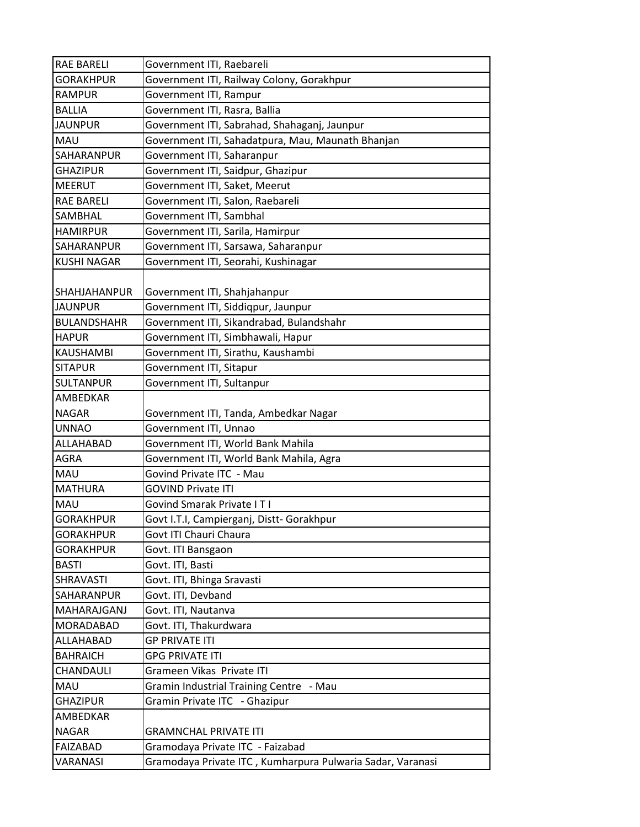| <b>RAE BARELI</b>   | Government ITI, Raebareli                                  |
|---------------------|------------------------------------------------------------|
| <b>GORAKHPUR</b>    | Government ITI, Railway Colony, Gorakhpur                  |
| <b>RAMPUR</b>       | Government ITI, Rampur                                     |
| <b>BALLIA</b>       | Government ITI, Rasra, Ballia                              |
| <b>JAUNPUR</b>      | Government ITI, Sabrahad, Shahaganj, Jaunpur               |
| <b>MAU</b>          | Government ITI, Sahadatpura, Mau, Maunath Bhanjan          |
| SAHARANPUR          | Government ITI, Saharanpur                                 |
| <b>GHAZIPUR</b>     | Government ITI, Saidpur, Ghazipur                          |
| <b>MEERUT</b>       | Government ITI, Saket, Meerut                              |
| <b>RAE BARELI</b>   | Government ITI, Salon, Raebareli                           |
| <b>SAMBHAL</b>      | Government ITI, Sambhal                                    |
| <b>HAMIRPUR</b>     | Government ITI, Sarila, Hamirpur                           |
| SAHARANPUR          | Government ITI, Sarsawa, Saharanpur                        |
| <b>KUSHI NAGAR</b>  | Government ITI, Seorahi, Kushinagar                        |
| <b>SHAHJAHANPUR</b> | Government ITI, Shahjahanpur                               |
| <b>JAUNPUR</b>      | Government ITI, Siddiqpur, Jaunpur                         |
| <b>BULANDSHAHR</b>  | Government ITI, Sikandrabad, Bulandshahr                   |
| <b>HAPUR</b>        | Government ITI, Simbhawali, Hapur                          |
| <b>KAUSHAMBI</b>    | Government ITI, Sirathu, Kaushambi                         |
| <b>SITAPUR</b>      | Government ITI, Sitapur                                    |
| <b>SULTANPUR</b>    | Government ITI, Sultanpur                                  |
| AMBEDKAR            |                                                            |
| <b>NAGAR</b>        | Government ITI, Tanda, Ambedkar Nagar                      |
| <b>UNNAO</b>        | Government ITI, Unnao                                      |
| ALLAHABAD           | Government ITI, World Bank Mahila                          |
| AGRA                | Government ITI, World Bank Mahila, Agra                    |
| MAU                 | Govind Private ITC - Mau                                   |
| <b>MATHURA</b>      | <b>GOVIND Private ITI</b>                                  |
| MAU                 | <b>Govind Smarak Private IT I</b>                          |
| <b>GORAKHPUR</b>    | Govt I.T.I, Campierganj, Distt- Gorakhpur                  |
| <b>GORAKHPUR</b>    | Govt ITI Chauri Chaura                                     |
| <b>GORAKHPUR</b>    | Govt. ITI Bansgaon                                         |
| <b>BASTI</b>        | Govt. ITI, Basti                                           |
| SHRAVASTI           | Govt. ITI, Bhinga Sravasti                                 |
| SAHARANPUR          | Govt. ITI, Devband                                         |
| MAHARAJGANJ         | Govt. ITI, Nautanva                                        |
| MORADABAD           | Govt. ITI, Thakurdwara                                     |
| ALLAHABAD           | <b>GP PRIVATE ITI</b>                                      |
| <b>BAHRAICH</b>     | <b>GPG PRIVATE ITI</b>                                     |
| CHANDAULI           | Grameen Vikas Private ITI                                  |
| MAU                 | Gramin Industrial Training Centre - Mau                    |
| <b>GHAZIPUR</b>     | Gramin Private ITC - Ghazipur                              |
| AMBEDKAR            |                                                            |
| <b>NAGAR</b>        | <b>GRAMNCHAL PRIVATE ITI</b>                               |
| FAIZABAD            | Gramodaya Private ITC - Faizabad                           |
| <b>VARANASI</b>     | Gramodaya Private ITC, Kumharpura Pulwaria Sadar, Varanasi |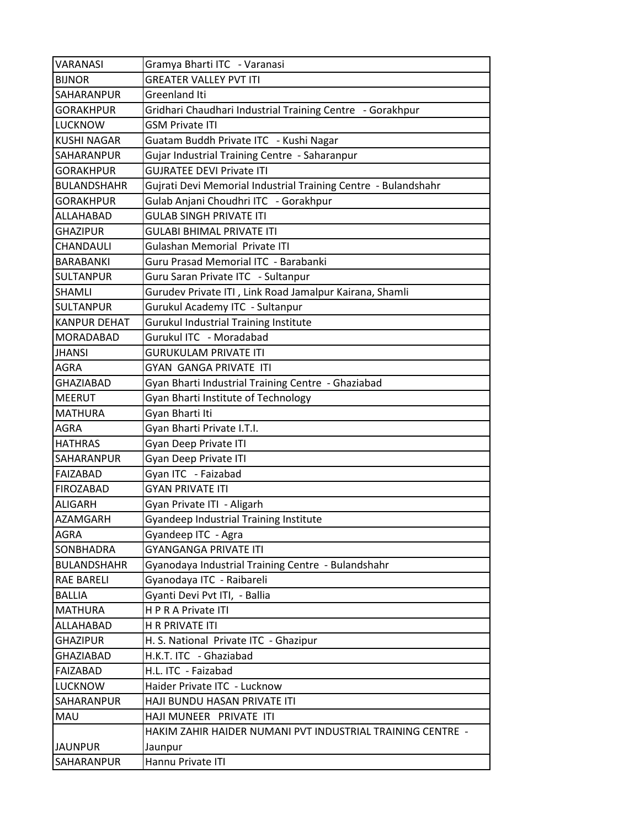| <b>VARANASI</b>     | Gramya Bharti ITC - Varanasi                                   |
|---------------------|----------------------------------------------------------------|
| <b>BIJNOR</b>       | <b>GREATER VALLEY PVT ITI</b>                                  |
| SAHARANPUR          | Greenland Iti                                                  |
| <b>GORAKHPUR</b>    | Gridhari Chaudhari Industrial Training Centre - Gorakhpur      |
| <b>LUCKNOW</b>      | <b>GSM Private ITI</b>                                         |
| KUSHI NAGAR         | Guatam Buddh Private ITC - Kushi Nagar                         |
| SAHARANPUR          | Gujar Industrial Training Centre - Saharanpur                  |
| <b>GORAKHPUR</b>    | <b>GUJRATEE DEVI Private ITI</b>                               |
| <b>BULANDSHAHR</b>  | Gujrati Devi Memorial Industrial Training Centre - Bulandshahr |
| <b>GORAKHPUR</b>    | Gulab Anjani Choudhri ITC - Gorakhpur                          |
| ALLAHABAD           | <b>GULAB SINGH PRIVATE ITI</b>                                 |
| <b>GHAZIPUR</b>     | <b>GULABI BHIMAL PRIVATE ITI</b>                               |
| CHANDAULI           | Gulashan Memorial Private ITI                                  |
| <b>BARABANKI</b>    | Guru Prasad Memorial ITC - Barabanki                           |
| <b>SULTANPUR</b>    | Guru Saran Private ITC - Sultanpur                             |
| <b>SHAMLI</b>       | Gurudev Private ITI, Link Road Jamalpur Kairana, Shamli        |
| <b>SULTANPUR</b>    | Gurukul Academy ITC - Sultanpur                                |
| <b>KANPUR DEHAT</b> | <b>Gurukul Industrial Training Institute</b>                   |
| MORADABAD           | Gurukul ITC - Moradabad                                        |
| <b>JHANSI</b>       | GURUKULAM PRIVATE ITI                                          |
| <b>AGRA</b>         | <b>GYAN GANGA PRIVATE ITI</b>                                  |
| <b>GHAZIABAD</b>    | Gyan Bharti Industrial Training Centre - Ghaziabad             |
| <b>MEERUT</b>       | Gyan Bharti Institute of Technology                            |
| <b>MATHURA</b>      | Gyan Bharti Iti                                                |
| AGRA                | Gyan Bharti Private I.T.I.                                     |
| <b>HATHRAS</b>      | Gyan Deep Private ITI                                          |
| SAHARANPUR          | Gyan Deep Private ITI                                          |
| FAIZABAD            | Gyan ITC - Faizabad                                            |
| <b>FIROZABAD</b>    | <b>GYAN PRIVATE ITI</b>                                        |
| <b>ALIGARH</b>      | Gyan Private ITI - Aligarh                                     |
| AZAMGARH            | <b>Gyandeep Industrial Training Institute</b>                  |
| <b>AGRA</b>         | Gyandeep ITC - Agra                                            |
| SONBHADRA           | <b>GYANGANGA PRIVATE ITI</b>                                   |
| <b>BULANDSHAHR</b>  | Gyanodaya Industrial Training Centre - Bulandshahr             |
| <b>RAE BARELI</b>   | Gyanodaya ITC - Raibareli                                      |
| <b>BALLIA</b>       | Gyanti Devi Pvt ITI, - Ballia                                  |
| <b>MATHURA</b>      | HPRA Private ITI                                               |
| ALLAHABAD           | <b>H R PRIVATE ITI</b>                                         |
| <b>GHAZIPUR</b>     | H. S. National Private ITC - Ghazipur                          |
| GHAZIABAD           | H.K.T. ITC - Ghaziabad                                         |
| <b>FAIZABAD</b>     | H.L. ITC - Faizabad                                            |
| <b>LUCKNOW</b>      | Haider Private ITC - Lucknow                                   |
| SAHARANPUR          | HAJI BUNDU HASAN PRIVATE ITI                                   |
| MAU                 | HAJI MUNEER PRIVATE ITI                                        |
|                     | HAKIM ZAHIR HAIDER NUMANI PVT INDUSTRIAL TRAINING CENTRE -     |
| <b>JAUNPUR</b>      | Jaunpur                                                        |
| SAHARANPUR          | Hannu Private ITI                                              |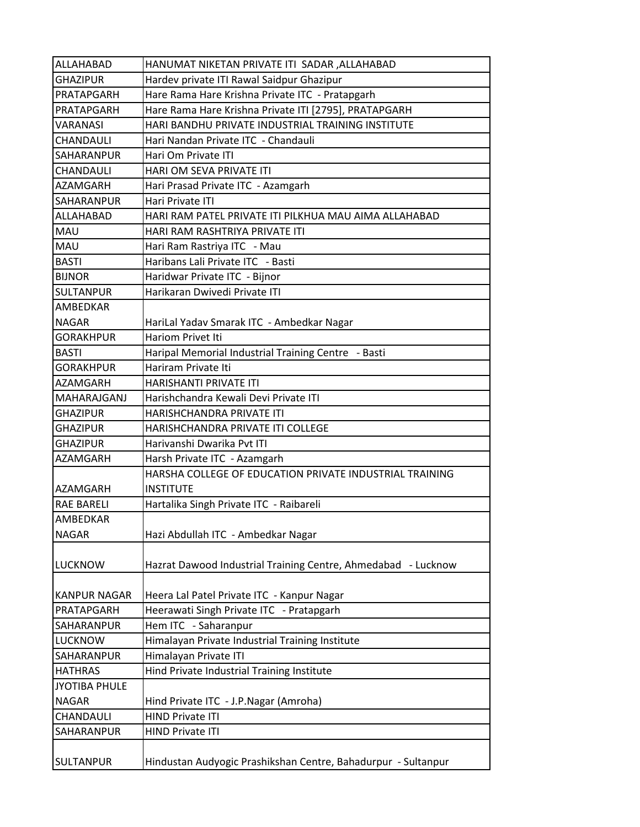| ALLAHABAD            | HANUMAT NIKETAN PRIVATE ITI SADAR, ALLAHABAD                  |
|----------------------|---------------------------------------------------------------|
| <b>GHAZIPUR</b>      | Hardev private ITI Rawal Saidpur Ghazipur                     |
| PRATAPGARH           | Hare Rama Hare Krishna Private ITC - Pratapgarh               |
| PRATAPGARH           | Hare Rama Hare Krishna Private ITI [2795], PRATAPGARH         |
| VARANASI             | HARI BANDHU PRIVATE INDUSTRIAL TRAINING INSTITUTE             |
| CHANDAULI            | Hari Nandan Private ITC - Chandauli                           |
| SAHARANPUR           | Hari Om Private ITI                                           |
| CHANDAULI            | HARI OM SEVA PRIVATE ITI                                      |
| <b>AZAMGARH</b>      | Hari Prasad Private ITC - Azamgarh                            |
| SAHARANPUR           | Hari Private ITI                                              |
| ALLAHABAD            | HARI RAM PATEL PRIVATE ITI PILKHUA MAU AIMA ALLAHABAD         |
| MAU                  | HARI RAM RASHTRIYA PRIVATE ITI                                |
| MAU                  | Hari Ram Rastriya ITC - Mau                                   |
| <b>BASTI</b>         | Haribans Lali Private ITC - Basti                             |
| <b>BIJNOR</b>        | Haridwar Private ITC - Bijnor                                 |
| <b>SULTANPUR</b>     | Harikaran Dwivedi Private ITI                                 |
| AMBEDKAR             |                                                               |
| <b>NAGAR</b>         | HariLal Yadav Smarak ITC - Ambedkar Nagar                     |
| <b>GORAKHPUR</b>     | Hariom Privet Iti                                             |
| <b>BASTI</b>         | Haripal Memorial Industrial Training Centre - Basti           |
| <b>GORAKHPUR</b>     | Hariram Private Iti                                           |
| AZAMGARH             | HARISHANTI PRIVATE ITI                                        |
| MAHARAJGANJ          | Harishchandra Kewali Devi Private ITI                         |
| <b>GHAZIPUR</b>      | HARISHCHANDRA PRIVATE ITI                                     |
| <b>GHAZIPUR</b>      | HARISHCHANDRA PRIVATE ITI COLLEGE                             |
| <b>GHAZIPUR</b>      | Harivanshi Dwarika Pvt ITI                                    |
| AZAMGARH             | Harsh Private ITC - Azamgarh                                  |
|                      | HARSHA COLLEGE OF EDUCATION PRIVATE INDUSTRIAL TRAINING       |
| <b>AZAMGARH</b>      | <b>INSTITUTE</b>                                              |
| <b>RAE BARELI</b>    | Hartalika Singh Private ITC - Raibareli                       |
| AMBEDKAR             |                                                               |
| <b>NAGAR</b>         | Hazi Abdullah ITC - Ambedkar Nagar                            |
|                      |                                                               |
| <b>LUCKNOW</b>       | Hazrat Dawood Industrial Training Centre, Ahmedabad - Lucknow |
|                      |                                                               |
| <b>KANPUR NAGAR</b>  | Heera Lal Patel Private ITC - Kanpur Nagar                    |
| PRATAPGARH           | Heerawati Singh Private ITC - Pratapgarh                      |
| SAHARANPUR           | Hem ITC - Saharanpur                                          |
| LUCKNOW              | Himalayan Private Industrial Training Institute               |
| SAHARANPUR           | Himalayan Private ITI                                         |
| <b>HATHRAS</b>       | Hind Private Industrial Training Institute                    |
| <b>JYOTIBA PHULE</b> |                                                               |
| <b>NAGAR</b>         | Hind Private ITC - J.P.Nagar (Amroha)                         |
| CHANDAULI            | <b>HIND Private ITI</b>                                       |
| SAHARANPUR           | <b>HIND Private ITI</b>                                       |
|                      |                                                               |
| <b>SULTANPUR</b>     | Hindustan Audyogic Prashikshan Centre, Bahadurpur - Sultanpur |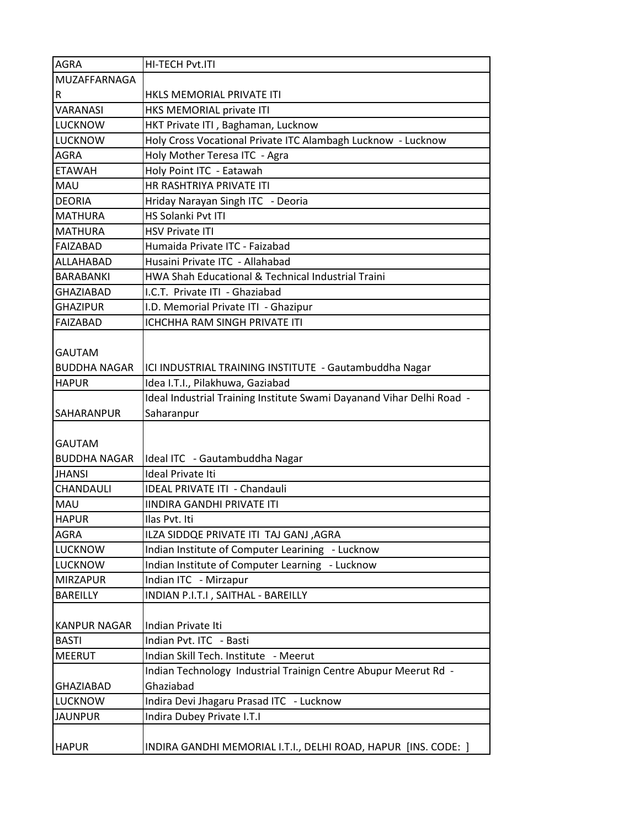| <b>AGRA</b>         | HI-TECH Pvt.ITI                                                       |
|---------------------|-----------------------------------------------------------------------|
| MUZAFFARNAGA        |                                                                       |
| R                   | HKLS MEMORIAL PRIVATE ITI                                             |
| <b>VARANASI</b>     | HKS MEMORIAL private ITI                                              |
| <b>LUCKNOW</b>      | HKT Private ITI, Baghaman, Lucknow                                    |
| <b>LUCKNOW</b>      | Holy Cross Vocational Private ITC Alambagh Lucknow - Lucknow          |
| <b>AGRA</b>         | Holy Mother Teresa ITC - Agra                                         |
| <b>FTAWAH</b>       | Holy Point ITC - Eatawah                                              |
| <b>MAU</b>          | HR RASHTRIYA PRIVATE ITI                                              |
| <b>DEORIA</b>       | Hriday Narayan Singh ITC - Deoria                                     |
| <b>MATHURA</b>      | HS Solanki Pvt ITI                                                    |
| <b>MATHURA</b>      | <b>HSV Private ITI</b>                                                |
| <b>FAIZABAD</b>     | Humaida Private ITC - Faizabad                                        |
| ALLAHABAD           | Husaini Private ITC - Allahabad                                       |
| <b>BARABANKI</b>    | HWA Shah Educational & Technical Industrial Traini                    |
| <b>GHAZIABAD</b>    | I.C.T. Private ITI - Ghaziabad                                        |
| <b>GHAZIPUR</b>     | I.D. Memorial Private ITI - Ghazipur                                  |
| <b>FAIZABAD</b>     | ICHCHHA RAM SINGH PRIVATE ITI                                         |
|                     |                                                                       |
| <b>GAUTAM</b>       |                                                                       |
| <b>BUDDHA NAGAR</b> | ICI INDUSTRIAL TRAINING INSTITUTE - Gautambuddha Nagar                |
| <b>HAPUR</b>        | Idea I.T.I., Pilakhuwa, Gaziabad                                      |
|                     | Ideal Industrial Training Institute Swami Dayanand Vihar Delhi Road - |
| <b>SAHARANPUR</b>   | Saharanpur                                                            |
|                     |                                                                       |
| <b>GAUTAM</b>       |                                                                       |
| <b>BUDDHA NAGAR</b> | Ideal ITC - Gautambuddha Nagar                                        |
| <b>JHANSI</b>       | <b>Ideal Private Iti</b>                                              |
| CHANDAULI           | <b>IDEAL PRIVATE ITI - Chandauli</b>                                  |
| MAU                 | <b>IINDIRA GANDHI PRIVATE ITI</b>                                     |
| <b>HAPUR</b>        | Ilas Pyt. Iti                                                         |
| <b>AGRA</b>         | ILZA SIDDQE PRIVATE ITI TAJ GANJ ,AGRA                                |
| LUCKNOW             | Indian Institute of Computer Learining - Lucknow                      |
| <b>LUCKNOW</b>      | Indian Institute of Computer Learning - Lucknow                       |
| <b>MIRZAPUR</b>     | Indian ITC - Mirzapur                                                 |
| <b>BAREILLY</b>     | INDIAN P.I.T.I, SAITHAL - BAREILLY                                    |
|                     |                                                                       |
| <b>KANPUR NAGAR</b> | Indian Private Iti                                                    |
| <b>BASTI</b>        | Indian Pvt. ITC - Basti                                               |
| <b>MEERUT</b>       | Indian Skill Tech. Institute - Meerut                                 |
|                     | Indian Technology Industrial Trainign Centre Abupur Meerut Rd -       |
| GHAZIABAD           | Ghaziabad                                                             |
| <b>LUCKNOW</b>      | Indira Devi Jhagaru Prasad ITC - Lucknow                              |
| <b>JAUNPUR</b>      | Indira Dubey Private I.T.I                                            |
|                     |                                                                       |
| <b>HAPUR</b>        | INDIRA GANDHI MEMORIAL I.T.I., DELHI ROAD, HAPUR [INS. CODE: ]        |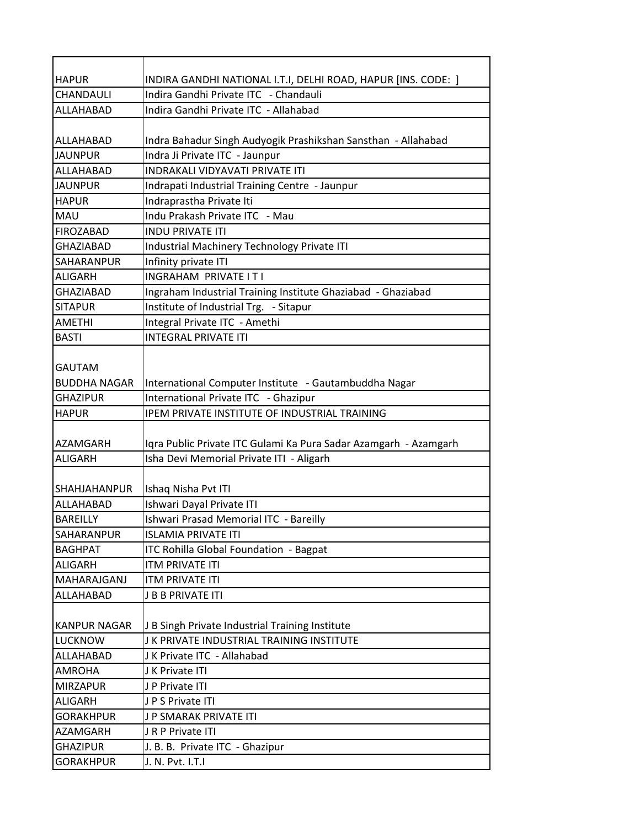| <b>HAPUR</b>        | INDIRA GANDHI NATIONAL I.T.I, DELHI ROAD, HAPUR [INS. CODE: ]    |
|---------------------|------------------------------------------------------------------|
| CHANDAULI           | Indira Gandhi Private ITC - Chandauli                            |
| ALLAHABAD           | Indira Gandhi Private ITC - Allahabad                            |
|                     |                                                                  |
| ALLAHABAD           | Indra Bahadur Singh Audyogik Prashikshan Sansthan - Allahabad    |
| <b>JAUNPUR</b>      | Indra Ji Private ITC - Jaunpur                                   |
| ALLAHABAD           | <b>INDRAKALI VIDYAVATI PRIVATE ITI</b>                           |
| <b>JAUNPUR</b>      | Indrapati Industrial Training Centre - Jaunpur                   |
| <b>HAPUR</b>        | Indraprastha Private Iti                                         |
| <b>MAU</b>          | Indu Prakash Private ITC - Mau                                   |
| <b>FIROZABAD</b>    | <b>INDU PRIVATE ITI</b>                                          |
| <b>GHAZIABAD</b>    | Industrial Machinery Technology Private ITI                      |
| SAHARANPUR          | Infinity private ITI                                             |
| <b>ALIGARH</b>      | INGRAHAM PRIVATE IT I                                            |
| <b>GHAZIABAD</b>    | Ingraham Industrial Training Institute Ghaziabad - Ghaziabad     |
| <b>SITAPUR</b>      | Institute of Industrial Trg. - Sitapur                           |
| <b>AMETHI</b>       | Integral Private ITC - Amethi                                    |
| <b>BASTI</b>        | <b>INTEGRAL PRIVATE ITI</b>                                      |
|                     |                                                                  |
| <b>GAUTAM</b>       |                                                                  |
| <b>BUDDHA NAGAR</b> | International Computer Institute - Gautambuddha Nagar            |
| <b>GHAZIPUR</b>     | International Private ITC - Ghazipur                             |
| <b>HAPUR</b>        | IPEM PRIVATE INSTITUTE OF INDUSTRIAL TRAINING                    |
|                     |                                                                  |
| AZAMGARH            | Iqra Public Private ITC Gulami Ka Pura Sadar Azamgarh - Azamgarh |
| <b>ALIGARH</b>      | Isha Devi Memorial Private ITI - Aligarh                         |
|                     |                                                                  |
| <b>SHAHJAHANPUR</b> | Ishaq Nisha Pvt ITI                                              |
| ALLAHABAD           | Ishwari Dayal Private ITI                                        |
| <b>BAREILLY</b>     | Ishwari Prasad Memorial ITC - Bareilly                           |
| <b>SAHARANPUR</b>   | <b>ISLAMIA PRIVATE ITI</b>                                       |
| <b>BAGHPAT</b>      | <b>ITC Rohilla Global Foundation - Bagpat</b>                    |
| <b>ALIGARH</b>      | <b>ITM PRIVATE ITI</b>                                           |
| MAHARAJGANJ         | <b>ITM PRIVATE ITI</b>                                           |
| ALLAHABAD           | <b>J B B PRIVATE ITI</b>                                         |
|                     |                                                                  |
| <b>KANPUR NAGAR</b> | J B Singh Private Industrial Training Institute                  |
| <b>LUCKNOW</b>      | J K PRIVATE INDUSTRIAL TRAINING INSTITUTE                        |
| ALLAHABAD           | J K Private ITC - Allahabad                                      |
| <b>AMROHA</b>       | J K Private ITI                                                  |
| <b>MIRZAPUR</b>     | J P Private ITI                                                  |
| <b>ALIGARH</b>      | JPS Private ITI                                                  |
| <b>GORAKHPUR</b>    | J P SMARAK PRIVATE ITI                                           |
| <b>AZAMGARH</b>     | JRP Private ITI                                                  |
| <b>GHAZIPUR</b>     | J. B. B. Private ITC - Ghazipur                                  |
| <b>GORAKHPUR</b>    | J. N. Pvt. I.T.I                                                 |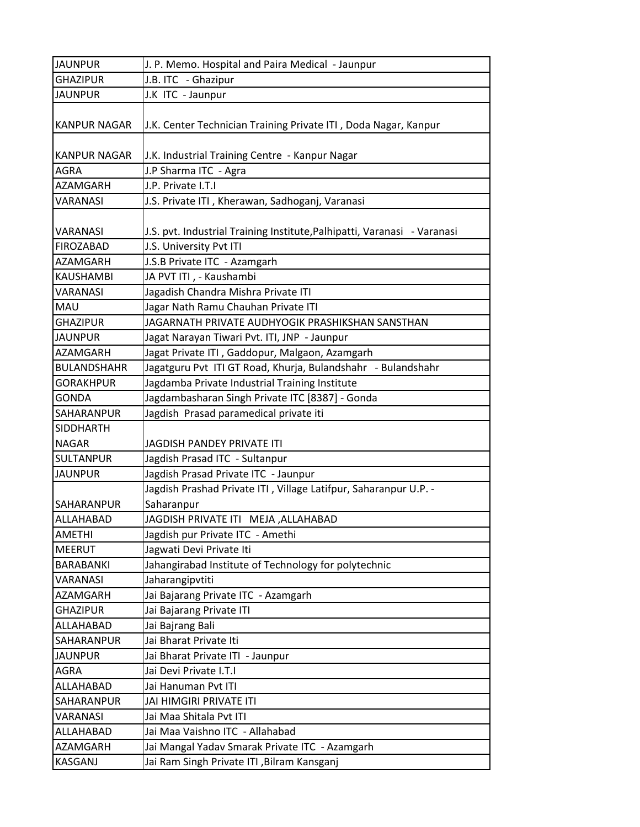| <b>JAUNPUR</b>      | J. P. Memo. Hospital and Paira Medical - Jaunpur                         |
|---------------------|--------------------------------------------------------------------------|
| <b>GHAZIPUR</b>     | J.B. ITC - Ghazipur                                                      |
| <b>JAUNPUR</b>      | J.K ITC - Jaunpur                                                        |
|                     |                                                                          |
| <b>KANPUR NAGAR</b> | J.K. Center Technician Training Private ITI, Doda Nagar, Kanpur          |
|                     |                                                                          |
| <b>KANPUR NAGAR</b> | J.K. Industrial Training Centre - Kanpur Nagar                           |
| <b>AGRA</b>         | J.P Sharma ITC - Agra                                                    |
| <b>AZAMGARH</b>     | J.P. Private I.T.I                                                       |
| VARANASI            | J.S. Private ITI, Kherawan, Sadhoganj, Varanasi                          |
| VARANASI            | J.S. pvt. Industrial Training Institute, Palhipatti, Varanasi - Varanasi |
| <b>FIROZABAD</b>    | J.S. University Pvt ITI                                                  |
| <b>AZAMGARH</b>     | J.S.B Private ITC - Azamgarh                                             |
| <b>KAUSHAMBI</b>    | JA PVT ITI, - Kaushambi                                                  |
| VARANASI            | Jagadish Chandra Mishra Private ITI                                      |
| MAU                 | Jagar Nath Ramu Chauhan Private ITI                                      |
| <b>GHAZIPUR</b>     | JAGARNATH PRIVATE AUDHYOGIK PRASHIKSHAN SANSTHAN                         |
| <b>JAUNPUR</b>      | Jagat Narayan Tiwari Pvt. ITI, JNP - Jaunpur                             |
| <b>AZAMGARH</b>     | Jagat Private ITI, Gaddopur, Malgaon, Azamgarh                           |
| <b>BULANDSHAHR</b>  | Jagatguru Pvt ITI GT Road, Khurja, Bulandshahr - Bulandshahr             |
| <b>GORAKHPUR</b>    | Jagdamba Private Industrial Training Institute                           |
| <b>GONDA</b>        | Jagdambasharan Singh Private ITC [8387] - Gonda                          |
| SAHARANPUR          | Jagdish Prasad paramedical private iti                                   |
| <b>SIDDHARTH</b>    |                                                                          |
| <b>NAGAR</b>        | JAGDISH PANDEY PRIVATE ITI                                               |
| <b>SULTANPUR</b>    | Jagdish Prasad ITC - Sultanpur                                           |
| <b>JAUNPUR</b>      | Jagdish Prasad Private ITC - Jaunpur                                     |
|                     | Jagdish Prashad Private ITI, Village Latifpur, Saharanpur U.P. -         |
| SAHARANPUR          | Saharanpur                                                               |
| ALLAHABAD           | JAGDISH PRIVATE ITI MEJA, ALLAHABAD                                      |
| <b>AMETHI</b>       | Jagdish pur Private ITC - Amethi                                         |
| <b>MEERUT</b>       | Jagwati Devi Private Iti                                                 |
| BARABANKI           | Jahangirabad Institute of Technology for polytechnic                     |
| VARANASI            | Jaharangipvtiti                                                          |
| AZAMGARH            | Jai Bajarang Private ITC - Azamgarh                                      |
| <b>GHAZIPUR</b>     | Jai Bajarang Private ITI                                                 |
| ALLAHABAD           | Jai Bajrang Bali                                                         |
| SAHARANPUR          | Jai Bharat Private Iti                                                   |
| <b>JAUNPUR</b>      | Jai Bharat Private ITI - Jaunpur                                         |
| <b>AGRA</b>         | Jai Devi Private I.T.I                                                   |
| ALLAHABAD           | Jai Hanuman Pvt ITI                                                      |
| SAHARANPUR          | JAI HIMGIRI PRIVATE ITI                                                  |
| VARANASI            | Jai Maa Shitala Pvt ITI                                                  |
| ALLAHABAD           | Jai Maa Vaishno ITC - Allahabad                                          |
| <b>AZAMGARH</b>     | Jai Mangal Yadav Smarak Private ITC - Azamgarh                           |
| <b>KASGANJ</b>      | Jai Ram Singh Private ITI , Bilram Kansganj                              |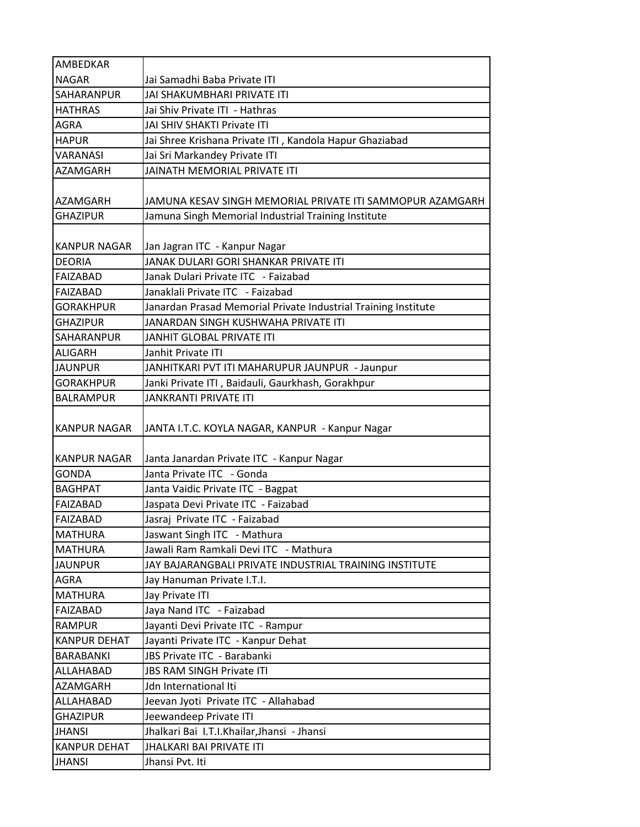| AMBEDKAR            |                                                                |
|---------------------|----------------------------------------------------------------|
| <b>NAGAR</b>        | Jai Samadhi Baba Private ITI                                   |
| <b>SAHARANPUR</b>   | JAI SHAKUMBHARI PRIVATE ITI                                    |
| <b>HATHRAS</b>      | Jai Shiv Private ITI - Hathras                                 |
| <b>AGRA</b>         | JAI SHIV SHAKTI Private ITI                                    |
| <b>HAPUR</b>        | Jai Shree Krishana Private ITI, Kandola Hapur Ghaziabad        |
| <b>VARANASI</b>     | Jai Sri Markandey Private ITI                                  |
| <b>AZAMGARH</b>     | JAINATH MEMORIAL PRIVATE ITI                                   |
| <b>AZAMGARH</b>     | JAMUNA KESAV SINGH MEMORIAL PRIVATE ITI SAMMOPUR AZAMGARH      |
| <b>GHAZIPUR</b>     | Jamuna Singh Memorial Industrial Training Institute            |
| <b>KANPUR NAGAR</b> | Jan Jagran ITC - Kanpur Nagar                                  |
| <b>DEORIA</b>       | JANAK DULARI GORI SHANKAR PRIVATE ITI                          |
| FAIZABAD            | Janak Dulari Private ITC - Faizabad                            |
| <b>FAIZABAD</b>     | Janaklali Private ITC - Faizabad                               |
| <b>GORAKHPUR</b>    | Janardan Prasad Memorial Private Industrial Training Institute |
| <b>GHAZIPUR</b>     | JANARDAN SINGH KUSHWAHA PRIVATE ITI                            |
| <b>SAHARANPUR</b>   | JANHIT GLOBAL PRIVATE ITI                                      |
| <b>ALIGARH</b>      | Janhit Private ITI                                             |
| <b>JAUNPUR</b>      | JANHITKARI PVT ITI MAHARUPUR JAUNPUR - Jaunpur                 |
| <b>GORAKHPUR</b>    | Janki Private ITI, Baidauli, Gaurkhash, Gorakhpur              |
| <b>BALRAMPUR</b>    | <b>JANKRANTI PRIVATE ITI</b>                                   |
| KANPUR NAGAR        | JANTA I.T.C. KOYLA NAGAR, KANPUR - Kanpur Nagar                |
| <b>KANPUR NAGAR</b> | Janta Janardan Private ITC - Kanpur Nagar                      |
| <b>GONDA</b>        | Janta Private ITC - Gonda                                      |
| BAGHPAT             | Janta Vaidic Private ITC - Bagpat                              |
| FAIZABAD            | Jaspata Devi Private ITC - Faizabad                            |
| <b>FAIZABAD</b>     | Jasraj Private ITC - Faizabad                                  |
| MATHURA             | Jaswant Singh ITC - Mathura                                    |
| <b>MATHURA</b>      | Jawali Ram Ramkali Devi ITC - Mathura                          |
| <b>JAUNPUR</b>      | JAY BAJARANGBALI PRIVATE INDUSTRIAL TRAINING INSTITUTE         |
| <b>AGRA</b>         | Jay Hanuman Private I.T.I.                                     |
| <b>MATHURA</b>      | Jay Private ITI                                                |
| FAIZABAD            | Jaya Nand ITC - Faizabad                                       |
| <b>RAMPUR</b>       | Jayanti Devi Private ITC - Rampur                              |
| <b>KANPUR DEHAT</b> | Jayanti Private ITC - Kanpur Dehat                             |
| <b>BARABANKI</b>    | JBS Private ITC - Barabanki                                    |
| ALLAHABAD           | JBS RAM SINGH Private ITI                                      |
| <b>AZAMGARH</b>     | Jdn International Iti                                          |
| ALLAHABAD           | Jeevan Jyoti Private ITC - Allahabad                           |
| <b>GHAZIPUR</b>     | Jeewandeep Private ITI                                         |
| <b>JHANSI</b>       | Jhalkari Bai I.T.I.Khailar,Jhansi - Jhansi                     |
| <b>KANPUR DEHAT</b> | JHALKARI BAI PRIVATE ITI                                       |
| <b>JHANSI</b>       | Jhansi Pvt. Iti                                                |
|                     |                                                                |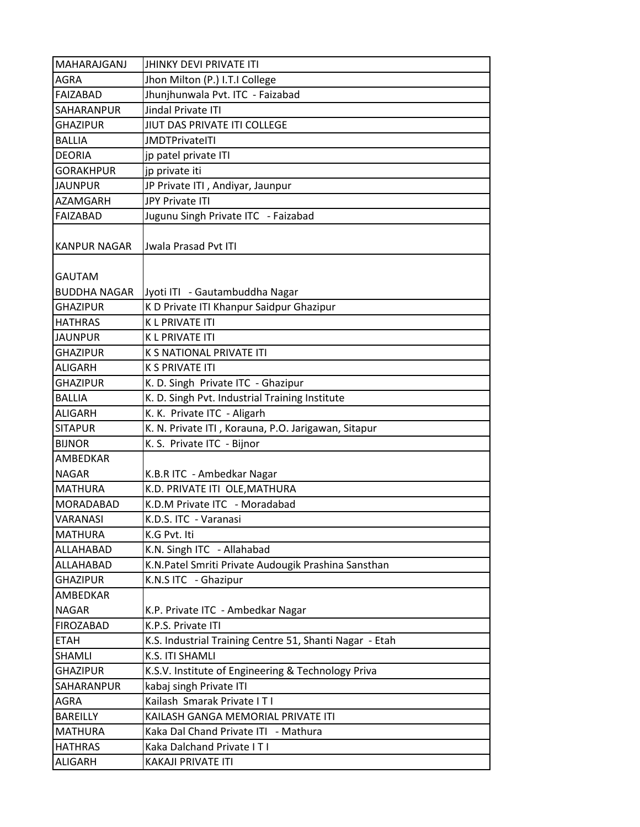| MAHARAJGANJ         | <b>JHINKY DEVI PRIVATE ITI</b>                          |
|---------------------|---------------------------------------------------------|
| <b>AGRA</b>         | Jhon Milton (P.) I.T.I College                          |
| FAIZABAD            | Jhunjhunwala Pvt. ITC - Faizabad                        |
| <b>SAHARANPUR</b>   | Jindal Private ITI                                      |
| <b>GHAZIPUR</b>     | JIUT DAS PRIVATE ITI COLLEGE                            |
| <b>BALLIA</b>       | <b>JMDTPrivateITI</b>                                   |
| <b>DEORIA</b>       | jp patel private ITI                                    |
| <b>GORAKHPUR</b>    | jp private iti                                          |
| <b>JAUNPUR</b>      | JP Private ITI, Andiyar, Jaunpur                        |
| AZAMGARH            | JPY Private ITI                                         |
| FAIZABAD            | Jugunu Singh Private ITC - Faizabad                     |
| <b>KANPUR NAGAR</b> | <b>Jwala Prasad Pvt ITI</b>                             |
| <b>GAUTAM</b>       |                                                         |
| <b>BUDDHA NAGAR</b> | Jyoti ITI - Gautambuddha Nagar                          |
| <b>GHAZIPUR</b>     | K D Private ITI Khanpur Saidpur Ghazipur                |
| <b>HATHRAS</b>      | <b>KLPRIVATE ITI</b>                                    |
| <b>JAUNPUR</b>      | <b>KLPRIVATE ITI</b>                                    |
| <b>GHAZIPUR</b>     | K S NATIONAL PRIVATE ITI                                |
| <b>ALIGARH</b>      | <b>K S PRIVATE ITI</b>                                  |
| <b>GHAZIPUR</b>     | K. D. Singh Private ITC - Ghazipur                      |
| <b>BALLIA</b>       | K. D. Singh Pvt. Industrial Training Institute          |
| <b>ALIGARH</b>      | K. K. Private ITC - Aligarh                             |
| <b>SITAPUR</b>      | K. N. Private ITI, Korauna, P.O. Jarigawan, Sitapur     |
| <b>BIJNOR</b>       | K. S. Private ITC - Bijnor                              |
| <b>AMBEDKAR</b>     |                                                         |
| <b>NAGAR</b>        | K.B.R ITC - Ambedkar Nagar                              |
| <b>MATHURA</b>      | K.D. PRIVATE ITI OLE, MATHURA                           |
| <b>MORADABAD</b>    | K.D.M Private ITC - Moradabad                           |
| <b>VARANASI</b>     | K.D.S. ITC - Varanasi                                   |
| <b>MATHURA</b>      | K.G Pvt. Iti                                            |
| ALLAHABAD           | K.N. Singh ITC - Allahabad                              |
| ALLAHABAD           | K.N.Patel Smriti Private Audougik Prashina Sansthan     |
| <b>GHAZIPUR</b>     | K.N.S ITC - Ghazipur                                    |
| AMBEDKAR            |                                                         |
| <b>NAGAR</b>        | K.P. Private ITC - Ambedkar Nagar                       |
| <b>FIROZABAD</b>    | K.P.S. Private ITI                                      |
| <b>ETAH</b>         | K.S. Industrial Training Centre 51, Shanti Nagar - Etah |
| SHAMLI              | K.S. ITI SHAMLI                                         |
| <b>GHAZIPUR</b>     | K.S.V. Institute of Engineering & Technology Priva      |
| SAHARANPUR          | kabaj singh Private ITI                                 |
| AGRA                | Kailash Smarak Private IT I                             |
| BAREILLY            | KAILASH GANGA MEMORIAL PRIVATE ITI                      |
| <b>MATHURA</b>      | Kaka Dal Chand Private ITI - Mathura                    |
| <b>HATHRAS</b>      | Kaka Dalchand Private IT I                              |
| <b>ALIGARH</b>      | KAKAJI PRIVATE ITI                                      |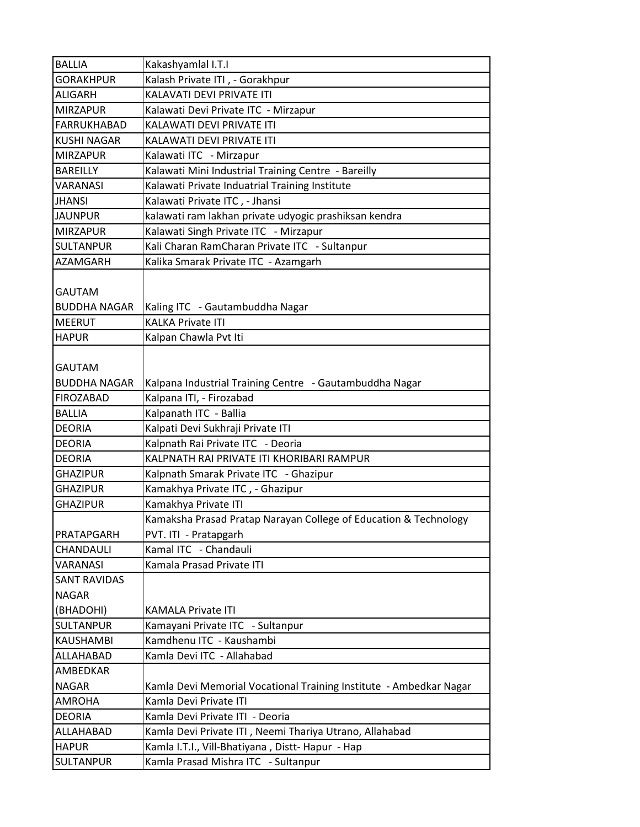| <b>BALLIA</b>       | Kakashyamlal I.T.I                                                 |
|---------------------|--------------------------------------------------------------------|
| <b>GORAKHPUR</b>    | Kalash Private ITI, - Gorakhpur                                    |
| ALIGARH             | KALAVATI DEVI PRIVATE ITI                                          |
| <b>MIRZAPUR</b>     | Kalawati Devi Private ITC - Mirzapur                               |
| <b>FARRUKHABAD</b>  | KALAWATI DEVI PRIVATE ITI                                          |
| <b>KUSHI NAGAR</b>  | KALAWATI DEVI PRIVATE ITI                                          |
| <b>MIRZAPUR</b>     | Kalawati ITC - Mirzapur                                            |
| <b>BAREILLY</b>     | Kalawati Mini Industrial Training Centre - Bareilly                |
| <b>VARANASI</b>     | Kalawati Private Induatrial Training Institute                     |
| <b>JHANSI</b>       | Kalawati Private ITC, - Jhansi                                     |
| <b>JAUNPUR</b>      | kalawati ram lakhan private udyogic prashiksan kendra              |
| <b>MIRZAPUR</b>     | Kalawati Singh Private ITC - Mirzapur                              |
| <b>SULTANPUR</b>    | Kali Charan RamCharan Private ITC - Sultanpur                      |
| AZAMGARH            | Kalika Smarak Private ITC - Azamgarh                               |
| <b>GAUTAM</b>       |                                                                    |
| <b>BUDDHA NAGAR</b> | Kaling ITC - Gautambuddha Nagar                                    |
| <b>MEERUT</b>       | <b>KALKA Private ITI</b>                                           |
| <b>HAPUR</b>        | Kalpan Chawla Pvt Iti                                              |
|                     |                                                                    |
| <b>GAUTAM</b>       |                                                                    |
| <b>BUDDHA NAGAR</b> | Kalpana Industrial Training Centre - Gautambuddha Nagar            |
| <b>FIROZABAD</b>    | Kalpana ITI, - Firozabad                                           |
| <b>BALLIA</b>       | Kalpanath ITC - Ballia                                             |
| <b>DEORIA</b>       | Kalpati Devi Sukhraji Private ITI                                  |
| <b>DEORIA</b>       | Kalpnath Rai Private ITC - Deoria                                  |
| <b>DEORIA</b>       | KALPNATH RAI PRIVATE ITI KHORIBARI RAMPUR                          |
| <b>GHAZIPUR</b>     | Kalpnath Smarak Private ITC - Ghazipur                             |
| <b>GHAZIPUR</b>     | Kamakhya Private ITC, - Ghazipur                                   |
| <b>GHAZIPUR</b>     | Kamakhya Private ITI                                               |
|                     | Kamaksha Prasad Pratap Narayan College of Education & Technology   |
| PRATAPGARH          | PVT. ITI - Pratapgarh                                              |
| CHANDAULI           | Kamal ITC - Chandauli                                              |
| VARANASI            | Kamala Prasad Private ITI                                          |
| <b>SANT RAVIDAS</b> |                                                                    |
| <b>NAGAR</b>        |                                                                    |
| (BHADOHI)           | <b>KAMALA Private ITI</b>                                          |
| <b>SULTANPUR</b>    | Kamayani Private ITC - Sultanpur                                   |
| <b>KAUSHAMBI</b>    | Kamdhenu ITC - Kaushambi                                           |
| ALLAHABAD           | Kamla Devi ITC - Allahabad                                         |
| AMBEDKAR            |                                                                    |
| <b>NAGAR</b>        | Kamla Devi Memorial Vocational Training Institute - Ambedkar Nagar |
| <b>AMROHA</b>       | Kamla Devi Private ITI                                             |
| <b>DEORIA</b>       | Kamla Devi Private ITI - Deoria                                    |
| ALLAHABAD           | Kamla Devi Private ITI, Neemi Thariya Utrano, Allahabad            |
| <b>HAPUR</b>        | Kamla I.T.I., Vill-Bhatiyana, Distt-Hapur - Hap                    |
| <b>SULTANPUR</b>    | Kamla Prasad Mishra ITC - Sultanpur                                |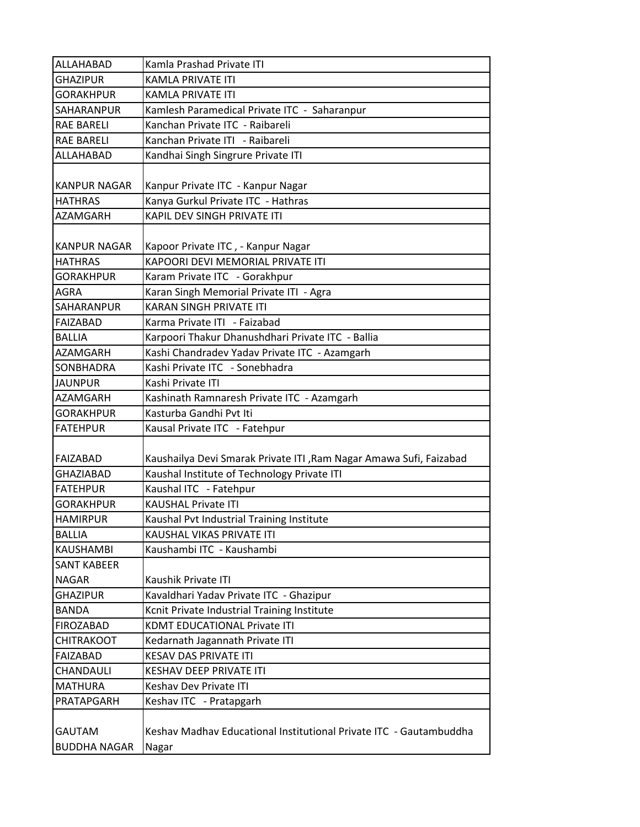| ALLAHABAD                            | Kamla Prashad Private ITI                                                   |
|--------------------------------------|-----------------------------------------------------------------------------|
| <b>GHAZIPUR</b>                      | <b>KAMLA PRIVATE ITI</b>                                                    |
| <b>GORAKHPUR</b>                     | <b>KAMLA PRIVATE ITI</b>                                                    |
| SAHARANPUR                           | Kamlesh Paramedical Private ITC - Saharanpur                                |
| <b>RAE BARELI</b>                    | Kanchan Private ITC - Raibareli                                             |
| <b>RAE BARELI</b>                    | Kanchan Private ITI - Raibareli                                             |
| ALLAHABAD                            | Kandhai Singh Singrure Private ITI                                          |
| <b>KANPUR NAGAR</b>                  | Kanpur Private ITC - Kanpur Nagar                                           |
| <b>HATHRAS</b>                       | Kanya Gurkul Private ITC - Hathras                                          |
| AZAMGARH                             | KAPIL DEV SINGH PRIVATE ITI                                                 |
|                                      |                                                                             |
| <b>KANPUR NAGAR</b>                  | Kapoor Private ITC, - Kanpur Nagar                                          |
| <b>HATHRAS</b>                       | KAPOORI DEVI MEMORIAL PRIVATE ITI                                           |
| <b>GORAKHPUR</b>                     | Karam Private ITC - Gorakhpur                                               |
| <b>AGRA</b>                          | Karan Singh Memorial Private ITI - Agra                                     |
| SAHARANPUR                           | <b>KARAN SINGH PRIVATE ITI</b>                                              |
| <b>FAIZABAD</b>                      | Karma Private ITI - Faizabad                                                |
| <b>BALLIA</b>                        | Karpoori Thakur Dhanushdhari Private ITC - Ballia                           |
| AZAMGARH                             | Kashi Chandradev Yadav Private ITC - Azamgarh                               |
| SONBHADRA                            | Kashi Private ITC - Sonebhadra                                              |
| <b>JAUNPUR</b>                       | Kashi Private ITI                                                           |
| <b>AZAMGARH</b>                      | Kashinath Ramnaresh Private ITC - Azamgarh                                  |
| <b>GORAKHPUR</b>                     | Kasturba Gandhi Pvt Iti                                                     |
| <b>FATEHPUR</b>                      | Kausal Private ITC - Fatehpur                                               |
|                                      |                                                                             |
| <b>FAIZABAD</b>                      | Kaushailya Devi Smarak Private ITI , Ram Nagar Amawa Sufi, Faizabad         |
| <b>GHAZIABAD</b>                     | Kaushal Institute of Technology Private ITI                                 |
| <b>FATEHPUR</b>                      | Kaushal ITC - Fatehpur                                                      |
| <b>GORAKHPUR</b>                     | <b>KAUSHAL Private ITI</b>                                                  |
| <b>HAMIRPUR</b>                      | Kaushal Pvt Industrial Training Institute                                   |
| <b>BALLIA</b>                        | KAUSHAL VIKAS PRIVATE ITI                                                   |
| <b>KAUSHAMBI</b>                     | Kaushambi ITC - Kaushambi                                                   |
| <b>SANT KABEER</b>                   |                                                                             |
| <b>NAGAR</b>                         | Kaushik Private ITI                                                         |
| <b>GHAZIPUR</b>                      | Kavaldhari Yadav Private ITC - Ghazipur                                     |
| <b>BANDA</b>                         | Kcnit Private Industrial Training Institute                                 |
| <b>FIROZABAD</b>                     | <b>KDMT EDUCATIONAL Private ITI</b>                                         |
| <b>CHITRAKOOT</b>                    | Kedarnath Jagannath Private ITI                                             |
| <b>FAIZABAD</b>                      | <b>KESAV DAS PRIVATE ITI</b>                                                |
| CHANDAULI                            | <b>KESHAV DEEP PRIVATE ITI</b>                                              |
| <b>MATHURA</b>                       | Keshav Dev Private ITI                                                      |
| PRATAPGARH                           | Keshav ITC - Pratapgarh                                                     |
| <b>GAUTAM</b><br><b>BUDDHA NAGAR</b> | Keshav Madhav Educational Institutional Private ITC - Gautambuddha<br>Nagar |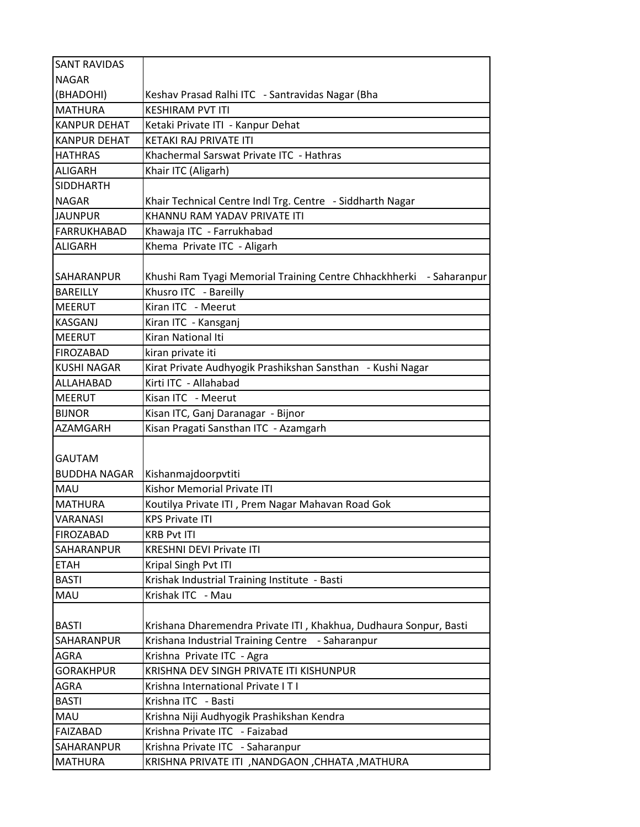| <b>SANT RAVIDAS</b> |                                                                        |
|---------------------|------------------------------------------------------------------------|
| <b>NAGAR</b>        |                                                                        |
| (BHADOHI)           | Keshav Prasad Ralhi ITC - Santravidas Nagar (Bha                       |
| <b>MATHURA</b>      | <b>KESHIRAM PVT ITI</b>                                                |
| <b>KANPUR DEHAT</b> | Ketaki Private ITI - Kanpur Dehat                                      |
| <b>KANPUR DEHAT</b> | KETAKI RAJ PRIVATE ITI                                                 |
| <b>HATHRAS</b>      | Khachermal Sarswat Private ITC - Hathras                               |
| <b>ALIGARH</b>      | Khair ITC (Aligarh)                                                    |
| <b>SIDDHARTH</b>    |                                                                        |
| <b>NAGAR</b>        | Khair Technical Centre Indl Trg. Centre - Siddharth Nagar              |
| <b>JAUNPUR</b>      | KHANNU RAM YADAV PRIVATE ITI                                           |
| FARRUKHABAD         | Khawaja ITC - Farrukhabad                                              |
| <b>ALIGARH</b>      | Khema Private ITC - Aligarh                                            |
|                     |                                                                        |
| <b>SAHARANPUR</b>   | Khushi Ram Tyagi Memorial Training Centre Chhackhherki<br>- Saharanpur |
| <b>BAREILLY</b>     | Khusro ITC - Bareilly                                                  |
| <b>MEERUT</b>       | Kiran ITC - Meerut                                                     |
| <b>KASGANJ</b>      | Kiran ITC - Kansganj                                                   |
| <b>MEERUT</b>       | Kiran National Iti                                                     |
| <b>FIROZABAD</b>    | kiran private iti                                                      |
| <b>KUSHI NAGAR</b>  | Kirat Private Audhyogik Prashikshan Sansthan - Kushi Nagar             |
| ALLAHABAD           | Kirti ITC - Allahabad                                                  |
| <b>MEERUT</b>       | Kisan ITC - Meerut                                                     |
| <b>BIJNOR</b>       | Kisan ITC, Ganj Daranagar - Bijnor                                     |
| AZAMGARH            | Kisan Pragati Sansthan ITC - Azamgarh                                  |
|                     |                                                                        |
| <b>GAUTAM</b>       |                                                                        |
| <b>BUDDHA NAGAR</b> | Kishanmajdoorpvtiti                                                    |
| <b>MAU</b>          | <b>Kishor Memorial Private ITI</b>                                     |
| <b>MATHURA</b>      | Koutilya Private ITI, Prem Nagar Mahavan Road Gok                      |
| <b>VARANASI</b>     | <b>KPS Private ITI</b>                                                 |
| <b>FIROZABAD</b>    | <b>KRB Pvt ITI</b>                                                     |
| SAHARANPUR          | <b>KRESHNI DEVI Private ITI</b>                                        |
| ETAH                | Kripal Singh Pvt ITI                                                   |
| <b>BASTI</b>        | Krishak Industrial Training Institute - Basti                          |
| MAU                 | Krishak ITC - Mau                                                      |
|                     |                                                                        |
| <b>BASTI</b>        | Krishana Dharemendra Private ITI, Khakhua, Dudhaura Sonpur, Basti      |
| SAHARANPUR          | Krishana Industrial Training Centre - Saharanpur                       |
| <b>AGRA</b>         | Krishna Private ITC - Agra                                             |
| <b>GORAKHPUR</b>    | KRISHNA DEV SINGH PRIVATE ITI KISHUNPUR                                |
| AGRA                | Krishna International Private IT I                                     |
| <b>BASTI</b>        | Krishna ITC - Basti                                                    |
| MAU                 | Krishna Niji Audhyogik Prashikshan Kendra                              |
| <b>FAIZABAD</b>     | Krishna Private ITC - Faizabad                                         |
| SAHARANPUR          | Krishna Private ITC - Saharanpur                                       |
| <b>MATHURA</b>      | KRISHNA PRIVATE ITI , NANDGAON, CHHATA, MATHURA                        |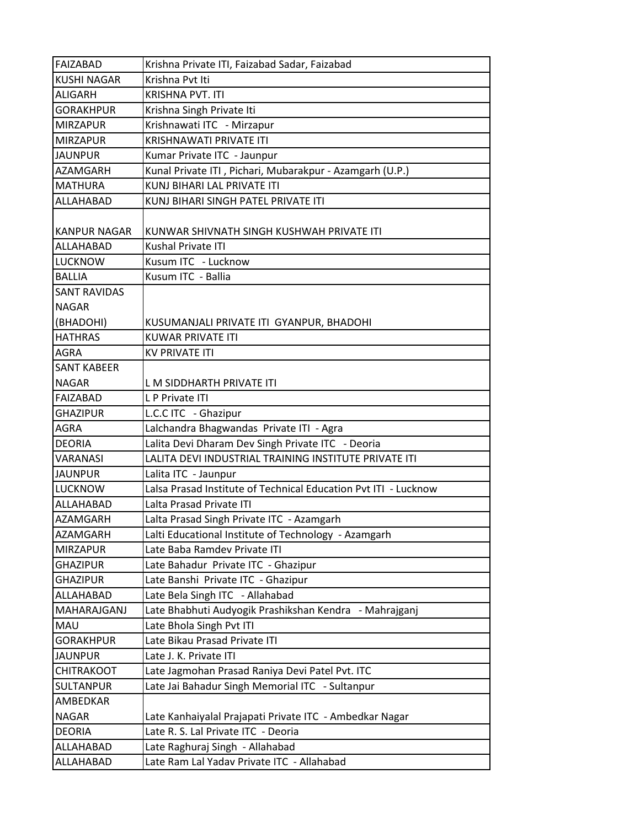| <b>FAIZABAD</b>     | Krishna Private ITI, Faizabad Sadar, Faizabad                   |
|---------------------|-----------------------------------------------------------------|
| <b>KUSHI NAGAR</b>  | Krishna Pvt Iti                                                 |
| <b>ALIGARH</b>      | <b>KRISHNA PVT. ITI</b>                                         |
| <b>GORAKHPUR</b>    | Krishna Singh Private Iti                                       |
| <b>MIRZAPUR</b>     | Krishnawati ITC - Mirzapur                                      |
| <b>MIRZAPUR</b>     | <b>KRISHNAWATI PRIVATE ITI</b>                                  |
| <b>JAUNPUR</b>      | Kumar Private ITC - Jaunpur                                     |
| AZAMGARH            | Kunal Private ITI, Pichari, Mubarakpur - Azamgarh (U.P.)        |
| <b>MATHURA</b>      | KUNJ BIHARI LAL PRIVATE ITI                                     |
| ALLAHABAD           | KUNJ BIHARI SINGH PATEL PRIVATE ITI                             |
| <b>KANPUR NAGAR</b> | KUNWAR SHIVNATH SINGH KUSHWAH PRIVATE ITI                       |
| ALLAHABAD           | Kushal Private ITI                                              |
| <b>LUCKNOW</b>      | Kusum ITC - Lucknow                                             |
| <b>BALLIA</b>       | Kusum ITC - Ballia                                              |
| <b>SANT RAVIDAS</b> |                                                                 |
| <b>NAGAR</b>        |                                                                 |
| (BHADOHI)           | KUSUMANJALI PRIVATE ITI GYANPUR, BHADOHI                        |
| <b>HATHRAS</b>      | <b>KUWAR PRIVATE ITI</b>                                        |
| <b>AGRA</b>         | <b>KV PRIVATE ITI</b>                                           |
| <b>SANT KABEER</b>  |                                                                 |
| <b>NAGAR</b>        | L M SIDDHARTH PRIVATE ITI                                       |
| <b>FAIZABAD</b>     | L P Private ITI                                                 |
| <b>GHAZIPUR</b>     | L.C.C ITC - Ghazipur                                            |
| <b>AGRA</b>         | Lalchandra Bhagwandas Private ITI - Agra                        |
| <b>DEORIA</b>       | Lalita Devi Dharam Dev Singh Private ITC - Deoria               |
| <b>VARANASI</b>     | LALITA DEVI INDUSTRIAL TRAINING INSTITUTE PRIVATE ITI           |
| <b>JAUNPUR</b>      | Lalita ITC - Jaunpur                                            |
| <b>LUCKNOW</b>      | Lalsa Prasad Institute of Technical Education Pvt ITI - Lucknow |
| ALLAHABAD           | Lalta Prasad Private ITI                                        |
| <b>AZAMGARH</b>     | Lalta Prasad Singh Private ITC - Azamgarh                       |
| AZAMGARH            | Lalti Educational Institute of Technology - Azamgarh            |
| <b>MIRZAPUR</b>     | Late Baba Ramdev Private ITI                                    |
| <b>GHAZIPUR</b>     | Late Bahadur Private ITC - Ghazipur                             |
| <b>GHAZIPUR</b>     | Late Banshi Private ITC - Ghazipur                              |
| ALLAHABAD           | Late Bela Singh ITC - Allahabad                                 |
| MAHARAJGANJ         | Late Bhabhuti Audyogik Prashikshan Kendra - Mahrajganj          |
| MAU                 | Late Bhola Singh Pvt ITI                                        |
| <b>GORAKHPUR</b>    | Late Bikau Prasad Private ITI                                   |
| <b>JAUNPUR</b>      | Late J. K. Private ITI                                          |
| <b>CHITRAKOOT</b>   | Late Jagmohan Prasad Raniya Devi Patel Pvt. ITC                 |
| <b>SULTANPUR</b>    | Late Jai Bahadur Singh Memorial ITC - Sultanpur                 |
| AMBEDKAR            |                                                                 |
| <b>NAGAR</b>        | Late Kanhaiyalal Prajapati Private ITC - Ambedkar Nagar         |
| <b>DEORIA</b>       | Late R. S. Lal Private ITC - Deoria                             |
| ALLAHABAD           | Late Raghuraj Singh - Allahabad                                 |
| ALLAHABAD           | Late Ram Lal Yadav Private ITC - Allahabad                      |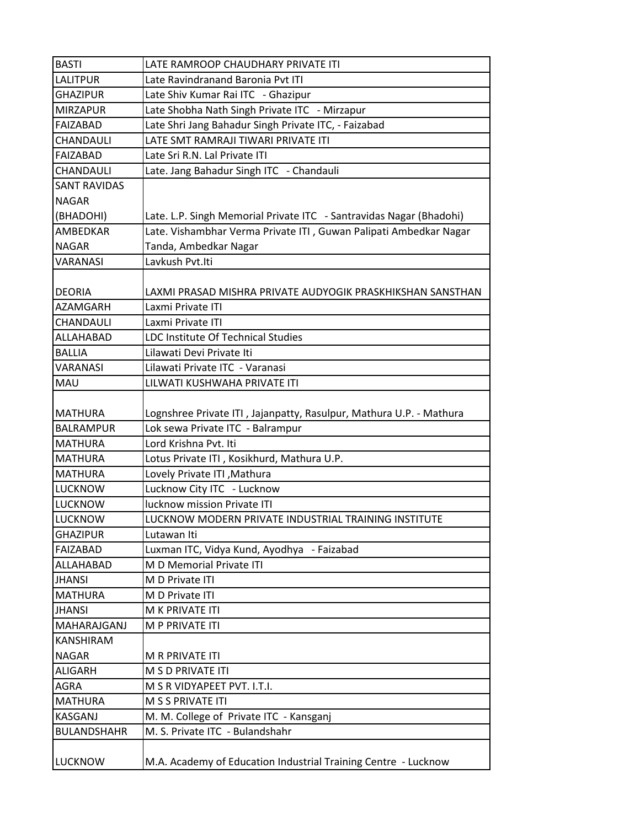| <b>BASTI</b>        | LATE RAMROOP CHAUDHARY PRIVATE ITI                                  |
|---------------------|---------------------------------------------------------------------|
| <b>LALITPUR</b>     | Late Ravindranand Baronia Pvt ITI                                   |
| <b>GHAZIPUR</b>     | Late Shiv Kumar Rai ITC - Ghazipur                                  |
| <b>MIRZAPUR</b>     | Late Shobha Nath Singh Private ITC - Mirzapur                       |
| FAIZABAD            | Late Shri Jang Bahadur Singh Private ITC, - Faizabad                |
| <b>CHANDAULI</b>    | LATE SMT RAMRAJI TIWARI PRIVATE ITI                                 |
| FAIZABAD            | Late Sri R.N. Lal Private ITI                                       |
| CHANDAULI           | Late. Jang Bahadur Singh ITC - Chandauli                            |
| <b>SANT RAVIDAS</b> |                                                                     |
| <b>NAGAR</b>        |                                                                     |
| (BHADOHI)           | Late. L.P. Singh Memorial Private ITC - Santravidas Nagar (Bhadohi) |
| <b>AMBEDKAR</b>     | Late. Vishambhar Verma Private ITI, Guwan Palipati Ambedkar Nagar   |
| <b>NAGAR</b>        | Tanda, Ambedkar Nagar                                               |
| <b>VARANASI</b>     | Lavkush Pvt.Iti                                                     |
|                     |                                                                     |
| <b>DEORIA</b>       | LAXMI PRASAD MISHRA PRIVATE AUDYOGIK PRASKHIKSHAN SANSTHAN          |
| <b>AZAMGARH</b>     | Laxmi Private ITI                                                   |
| <b>CHANDAULI</b>    | Laxmi Private ITI                                                   |
| ALLAHABAD           | LDC Institute Of Technical Studies                                  |
| <b>BALLIA</b>       | Lilawati Devi Private Iti                                           |
| <b>VARANASI</b>     | Lilawati Private ITC - Varanasi                                     |
| <b>MAU</b>          | LILWATI KUSHWAHA PRIVATE ITI                                        |
|                     |                                                                     |
| <b>MATHURA</b>      | Lognshree Private ITI, Jajanpatty, Rasulpur, Mathura U.P. - Mathura |
| <b>BALRAMPUR</b>    | Lok sewa Private ITC - Balrampur                                    |
| <b>MATHURA</b>      | Lord Krishna Pvt. Iti                                               |
| <b>MATHURA</b>      | Lotus Private ITI, Kosikhurd, Mathura U.P.                          |
| <b>MATHURA</b>      | Lovely Private ITI, Mathura                                         |
| <b>LUCKNOW</b>      | Lucknow City ITC - Lucknow                                          |
| <b>LUCKNOW</b>      | lucknow mission Private ITI                                         |
| <b>LUCKNOW</b>      | LUCKNOW MODERN PRIVATE INDUSTRIAL TRAINING INSTITUTE                |
| <b>GHAZIPUR</b>     | Lutawan Iti                                                         |
| <b>FAIZABAD</b>     | Luxman ITC, Vidya Kund, Ayodhya - Faizabad                          |
| ALLAHABAD           | M D Memorial Private ITI                                            |
| <b>JHANSI</b>       | M D Private ITI                                                     |
| <b>MATHURA</b>      | M D Private ITI                                                     |
| <b>JHANSI</b>       | M K PRIVATE ITI                                                     |
| MAHARAJGANJ         | M P PRIVATE ITI                                                     |
| <b>KANSHIRAM</b>    |                                                                     |
| <b>NAGAR</b>        | M R PRIVATE ITI                                                     |
| ALIGARH             | M S D PRIVATE ITI                                                   |
| <b>AGRA</b>         | M S R VIDYAPEET PVT. I.T.I.                                         |
| <b>MATHURA</b>      | M S S PRIVATE ITI                                                   |
| <b>KASGANJ</b>      | M. M. College of Private ITC - Kansganj                             |
| <b>BULANDSHAHR</b>  | M. S. Private ITC - Bulandshahr                                     |
|                     |                                                                     |
| <b>LUCKNOW</b>      | M.A. Academy of Education Industrial Training Centre - Lucknow      |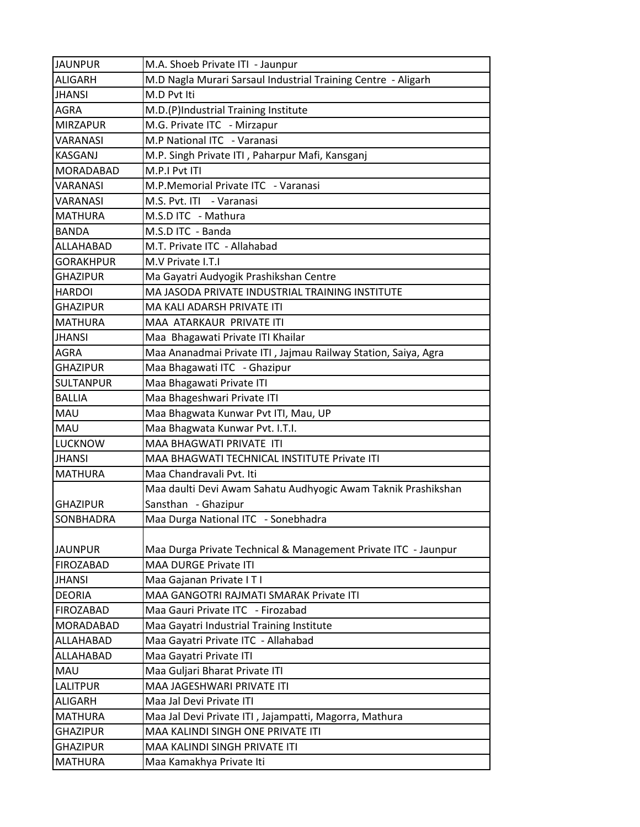| <b>JAUNPUR</b>   | M.A. Shoeb Private ITI - Jaunpur                               |
|------------------|----------------------------------------------------------------|
| <b>ALIGARH</b>   | M.D Nagla Murari Sarsaul Industrial Training Centre - Aligarh  |
| <b>JHANSI</b>    | M.D Pvt Iti                                                    |
| <b>AGRA</b>      | M.D.(P)Industrial Training Institute                           |
| <b>MIRZAPUR</b>  | M.G. Private ITC - Mirzapur                                    |
| <b>VARANASI</b>  | M.P National ITC - Varanasi                                    |
| <b>KASGANJ</b>   | M.P. Singh Private ITI, Paharpur Mafi, Kansganj                |
| <b>MORADABAD</b> | M.P.I Pvt ITI                                                  |
| <b>VARANASI</b>  | M.P.Memorial Private ITC - Varanasi                            |
| <b>VARANASI</b>  | M.S. Pvt. ITI - Varanasi                                       |
| <b>MATHURA</b>   | M.S.D ITC - Mathura                                            |
| <b>BANDA</b>     | M.S.D ITC - Banda                                              |
| ALLAHABAD        | M.T. Private ITC - Allahabad                                   |
| <b>GORAKHPUR</b> | M.V Private I.T.I                                              |
| <b>GHAZIPUR</b>  | Ma Gayatri Audyogik Prashikshan Centre                         |
| <b>HARDOI</b>    | MA JASODA PRIVATE INDUSTRIAL TRAINING INSTITUTE                |
| <b>GHAZIPUR</b>  | MA KALI ADARSH PRIVATE ITI                                     |
| <b>MATHURA</b>   | MAA ATARKAUR PRIVATE ITI                                       |
| <b>JHANSI</b>    | Maa Bhagawati Private ITI Khailar                              |
| <b>AGRA</b>      | Maa Ananadmai Private ITI, Jajmau Railway Station, Saiya, Agra |
| <b>GHAZIPUR</b>  | Maa Bhagawati ITC - Ghazipur                                   |
| <b>SULTANPUR</b> | Maa Bhagawati Private ITI                                      |
| <b>BALLIA</b>    | Maa Bhageshwari Private ITI                                    |
| MAU              | Maa Bhagwata Kunwar Pvt ITI, Mau, UP                           |
| <b>MAU</b>       | Maa Bhagwata Kunwar Pvt. I.T.I.                                |
| <b>LUCKNOW</b>   | MAA BHAGWATI PRIVATE ITI                                       |
| <b>JHANSI</b>    | MAA BHAGWATI TECHNICAL INSTITUTE Private ITI                   |
| <b>MATHURA</b>   | Maa Chandravali Pvt. Iti                                       |
|                  | Maa daulti Devi Awam Sahatu Audhyogic Awam Taknik Prashikshan  |
| <b>GHAZIPUR</b>  | Sansthan - Ghazipur                                            |
| SONBHADRA        | Maa Durga National ITC - Sonebhadra                            |
|                  |                                                                |
| <b>JAUNPUR</b>   | Maa Durga Private Technical & Management Private ITC - Jaunpur |
| <b>FIROZABAD</b> | <b>MAA DURGE Private ITI</b>                                   |
| <b>JHANSI</b>    | Maa Gajanan Private I T I                                      |
| <b>DEORIA</b>    | MAA GANGOTRI RAJMATI SMARAK Private ITI                        |
| <b>FIROZABAD</b> | Maa Gauri Private ITC - Firozabad                              |
| <b>MORADABAD</b> | Maa Gayatri Industrial Training Institute                      |
| ALLAHABAD        | Maa Gayatri Private ITC - Allahabad                            |
| ALLAHABAD        | Maa Gayatri Private ITI                                        |
| <b>MAU</b>       | Maa Guljari Bharat Private ITI                                 |
| <b>LALITPUR</b>  | MAA JAGESHWARI PRIVATE ITI                                     |
| <b>ALIGARH</b>   | Maa Jal Devi Private ITI                                       |
| <b>MATHURA</b>   | Maa Jal Devi Private ITI, Jajampatti, Magorra, Mathura         |
| <b>GHAZIPUR</b>  | MAA KALINDI SINGH ONE PRIVATE ITI                              |
| <b>GHAZIPUR</b>  | MAA KALINDI SINGH PRIVATE ITI                                  |
| <b>MATHURA</b>   | Maa Kamakhya Private Iti                                       |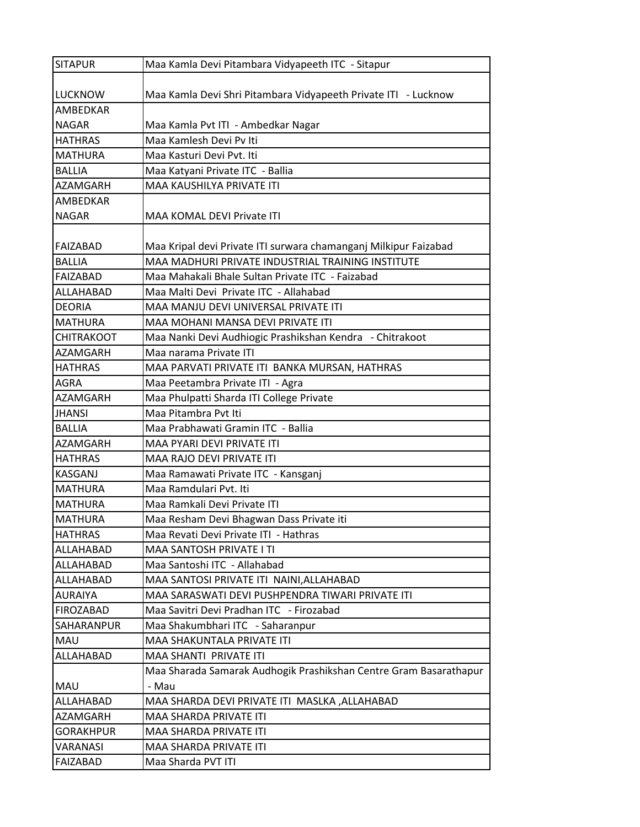| <b>SITAPUR</b>    | Maa Kamla Devi Pitambara Vidyapeeth ITC - Sitapur                 |
|-------------------|-------------------------------------------------------------------|
|                   |                                                                   |
| <b>LUCKNOW</b>    | Maa Kamla Devi Shri Pitambara Vidyapeeth Private ITI - Lucknow    |
| <b>AMBEDKAR</b>   |                                                                   |
| <b>NAGAR</b>      | Maa Kamla Pvt ITI - Ambedkar Nagar                                |
| <b>HATHRAS</b>    | Maa Kamlesh Devi Pv Iti                                           |
| <b>MATHURA</b>    | Maa Kasturi Devi Pvt. Iti                                         |
| <b>BALLIA</b>     | Maa Katyani Private ITC - Ballia                                  |
| <b>AZAMGARH</b>   | MAA KAUSHILYA PRIVATE ITI                                         |
| AMBEDKAR          |                                                                   |
| <b>NAGAR</b>      | MAA KOMAL DEVI Private ITI                                        |
|                   |                                                                   |
| FAIZABAD          | Maa Kripal devi Private ITI surwara chamanganj Milkipur Faizabad  |
| <b>BALLIA</b>     | MAA MADHURI PRIVATE INDUSTRIAL TRAINING INSTITUTE                 |
| <b>FAIZABAD</b>   | Maa Mahakali Bhale Sultan Private ITC - Faizabad                  |
| ALLAHABAD         | Maa Malti Devi Private ITC - Allahabad                            |
| <b>DEORIA</b>     | MAA MANJU DEVI UNIVERSAL PRIVATE ITI                              |
| <b>MATHURA</b>    | MAA MOHANI MANSA DEVI PRIVATE ITI                                 |
| <b>CHITRAKOOT</b> | Maa Nanki Devi Audhiogic Prashikshan Kendra - Chitrakoot          |
| <b>AZAMGARH</b>   | Maa narama Private ITI                                            |
| <b>HATHRAS</b>    | MAA PARVATI PRIVATE ITI BANKA MURSAN, HATHRAS                     |
| <b>AGRA</b>       | Maa Peetambra Private ITI - Agra                                  |
| <b>AZAMGARH</b>   | Maa Phulpatti Sharda ITI College Private                          |
| <b>JHANSI</b>     | Maa Pitambra Pvt Iti                                              |
| <b>BALLIA</b>     | Maa Prabhawati Gramin ITC - Ballia                                |
| <b>AZAMGARH</b>   | MAA PYARI DEVI PRIVATE ITI                                        |
| <b>HATHRAS</b>    | MAA RAJO DEVI PRIVATE ITI                                         |
| <b>KASGANJ</b>    | Maa Ramawati Private ITC - Kansganj                               |
| <b>MATHURA</b>    | Maa Ramdulari Pvt. Iti                                            |
| MATHURA           | Maa Ramkali Devi Private ITI                                      |
| <b>MATHURA</b>    | Maa Resham Devi Bhagwan Dass Private iti                          |
| <b>HATHRAS</b>    | Maa Revati Devi Private ITI - Hathras                             |
| ALLAHABAD         | <b>MAA SANTOSH PRIVATE I TI</b>                                   |
| ALLAHABAD         | Maa Santoshi ITC - Allahabad                                      |
| ALLAHABAD         | MAA SANTOSI PRIVATE ITI NAINI, ALLAHABAD                          |
| <b>AURAIYA</b>    | MAA SARASWATI DEVI PUSHPENDRA TIWARI PRIVATE ITI                  |
| <b>FIROZABAD</b>  | Maa Savitri Devi Pradhan ITC - Firozabad                          |
| <b>SAHARANPUR</b> | Maa Shakumbhari ITC - Saharanpur                                  |
| MAU               | MAA SHAKUNTALA PRIVATE ITI                                        |
| ALLAHABAD         | MAA SHANTI PRIVATE ITI                                            |
|                   | Maa Sharada Samarak Audhogik Prashikshan Centre Gram Basarathapur |
| <b>MAU</b>        | - Mau                                                             |
| ALLAHABAD         | MAA SHARDA DEVI PRIVATE ITI MASLKA, ALLAHABAD                     |
| <b>AZAMGARH</b>   | MAA SHARDA PRIVATE ITI                                            |
| <b>GORAKHPUR</b>  | MAA SHARDA PRIVATE ITI                                            |
| VARANASI          | MAA SHARDA PRIVATE ITI                                            |
| FAIZABAD          | Maa Sharda PVT ITI                                                |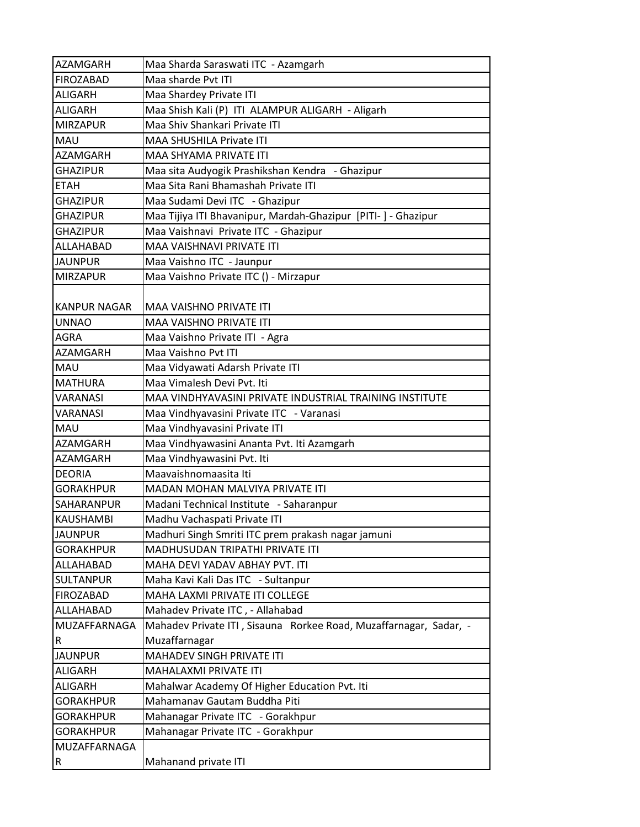| <b>AZAMGARH</b>     | Maa Sharda Saraswati ITC - Azamgarh                               |
|---------------------|-------------------------------------------------------------------|
| <b>FIROZABAD</b>    | Maa sharde Pvt ITI                                                |
| <b>ALIGARH</b>      | Maa Shardey Private ITI                                           |
| <b>ALIGARH</b>      | Maa Shish Kali (P) ITI ALAMPUR ALIGARH - Aligarh                  |
| <b>MIRZAPUR</b>     | Maa Shiv Shankari Private ITI                                     |
| <b>MAU</b>          | <b>MAA SHUSHILA Private ITI</b>                                   |
| <b>AZAMGARH</b>     | MAA SHYAMA PRIVATE ITI                                            |
| <b>GHAZIPUR</b>     | Maa sita Audyogik Prashikshan Kendra - Ghazipur                   |
| <b>ETAH</b>         | Maa Sita Rani Bhamashah Private ITI                               |
| <b>GHAZIPUR</b>     | Maa Sudami Devi ITC - Ghazipur                                    |
| <b>GHAZIPUR</b>     | Maa Tijiya ITI Bhavanipur, Mardah-Ghazipur [PITI-] - Ghazipur     |
| <b>GHAZIPUR</b>     | Maa Vaishnavi Private ITC - Ghazipur                              |
| ALLAHABAD           | MAA VAISHNAVI PRIVATE ITI                                         |
| <b>JAUNPUR</b>      | Maa Vaishno ITC - Jaunpur                                         |
| <b>IMIRZAPUR</b>    | Maa Vaishno Private ITC () - Mirzapur                             |
|                     |                                                                   |
| <b>KANPUR NAGAR</b> | <b>MAA VAISHNO PRIVATE ITI</b>                                    |
| <b>UNNAO</b>        | MAA VAISHNO PRIVATE ITI                                           |
| <b>AGRA</b>         | Maa Vaishno Private ITI - Agra                                    |
| AZAMGARH            | Maa Vaishno Pvt ITI                                               |
| MAU                 | Maa Vidyawati Adarsh Private ITI                                  |
| <b>MATHURA</b>      | Maa Vimalesh Devi Pyt. Iti                                        |
| <b>VARANASI</b>     | MAA VINDHYAVASINI PRIVATE INDUSTRIAL TRAINING INSTITUTE           |
| <b>VARANASI</b>     | Maa Vindhyavasini Private ITC - Varanasi                          |
| <b>MAU</b>          | Maa Vindhyavasini Private ITI                                     |
| <b>AZAMGARH</b>     | Maa Vindhyawasini Ananta Pvt. Iti Azamgarh                        |
| <b>AZAMGARH</b>     | Maa Vindhyawasini Pvt. Iti                                        |
| <b>DEORIA</b>       | Maavaishnomaasita Iti                                             |
| <b>GORAKHPUR</b>    | <b>MADAN MOHAN MALVIYA PRIVATE ITI</b>                            |
| <b>SAHARANPUR</b>   | Madani Technical Institute - Saharanpur                           |
| <b>KAUSHAMBI</b>    | Madhu Vachaspati Private ITI                                      |
| <b>JAUNPUR</b>      | Madhuri Singh Smriti ITC prem prakash nagar jamuni                |
| <b>GORAKHPUR</b>    | MADHUSUDAN TRIPATHI PRIVATE ITI                                   |
| ALLAHABAD           | MAHA DEVI YADAV ABHAY PVT. ITI                                    |
| <b>SULTANPUR</b>    | Maha Kavi Kali Das ITC - Sultanpur                                |
| <b>FIROZABAD</b>    | MAHA LAXMI PRIVATE ITI COLLEGE                                    |
| ALLAHABAD           | Mahadev Private ITC, - Allahabad                                  |
| MUZAFFARNAGA        | Mahadev Private ITI, Sisauna Rorkee Road, Muzaffarnagar, Sadar, - |
| $\sf R$             | Muzaffarnagar                                                     |
| <b>JAUNPUR</b>      | MAHADEV SINGH PRIVATE ITI                                         |
| ALIGARH             | MAHALAXMI PRIVATE ITI                                             |
| <b>ALIGARH</b>      | Mahalwar Academy Of Higher Education Pvt. Iti                     |
| <b>GORAKHPUR</b>    | Mahamanav Gautam Buddha Piti                                      |
| <b>GORAKHPUR</b>    | Mahanagar Private ITC - Gorakhpur                                 |
| <b>GORAKHPUR</b>    | Mahanagar Private ITC - Gorakhpur                                 |
| MUZAFFARNAGA        |                                                                   |
| $\vert R$           | Mahanand private ITI                                              |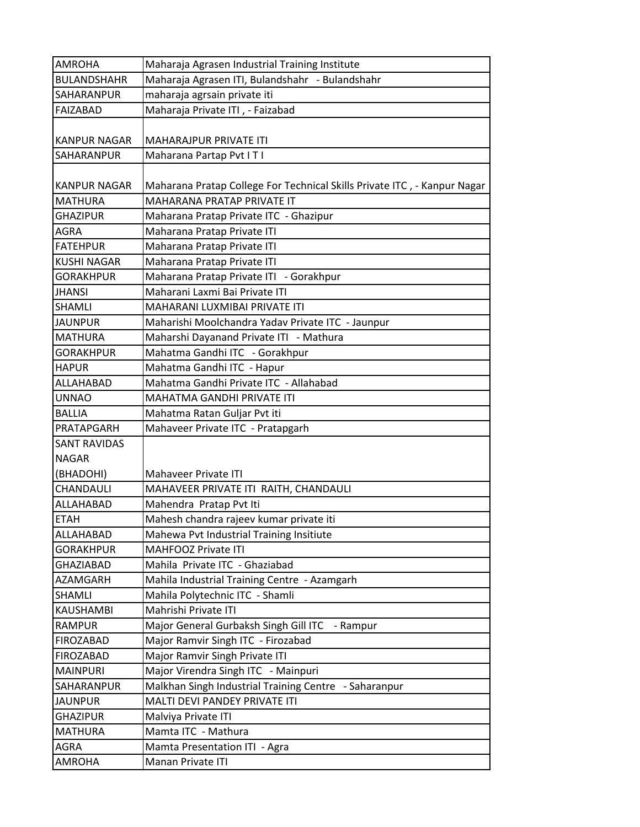| <b>AMROHA</b>       | Maharaja Agrasen Industrial Training Institute                           |
|---------------------|--------------------------------------------------------------------------|
| <b>BULANDSHAHR</b>  | Maharaja Agrasen ITI, Bulandshahr - Bulandshahr                          |
| SAHARANPUR          | maharaja agrsain private iti                                             |
| <b>FAIZABAD</b>     | Maharaja Private ITI, - Faizabad                                         |
|                     |                                                                          |
| <b>KANPUR NAGAR</b> | <b>MAHARAJPUR PRIVATE ITI</b>                                            |
| SAHARANPUR          | Maharana Partap Pvt ITI                                                  |
| <b>KANPUR NAGAR</b> | Maharana Pratap College For Technical Skills Private ITC, - Kanpur Nagar |
| <b>MATHURA</b>      | <b>MAHARANA PRATAP PRIVATE IT</b>                                        |
| <b>GHAZIPUR</b>     | Maharana Pratap Private ITC - Ghazipur                                   |
| AGRA                | Maharana Pratap Private ITI                                              |
| <b>FATEHPUR</b>     | Maharana Pratap Private ITI                                              |
| <b>KUSHI NAGAR</b>  | Maharana Pratap Private ITI                                              |
| <b>GORAKHPUR</b>    | Maharana Pratap Private ITI - Gorakhpur                                  |
| <b>JHANSI</b>       | Maharani Laxmi Bai Private ITI                                           |
| <b>SHAMLI</b>       | MAHARANI LUXMIBAI PRIVATE ITI                                            |
| <b>JAUNPUR</b>      | Maharishi Moolchandra Yadav Private ITC - Jaunpur                        |
| <b>MATHURA</b>      | Maharshi Dayanand Private ITI - Mathura                                  |
| <b>GORAKHPUR</b>    | Mahatma Gandhi ITC - Gorakhpur                                           |
| <b>HAPUR</b>        | Mahatma Gandhi ITC - Hapur                                               |
| ALLAHABAD           | Mahatma Gandhi Private ITC - Allahabad                                   |
| <b>UNNAO</b>        | MAHATMA GANDHI PRIVATE ITI                                               |
| <b>BALLIA</b>       | Mahatma Ratan Guljar Pvt iti                                             |
| PRATAPGARH          | Mahaveer Private ITC - Pratapgarh                                        |
| <b>SANT RAVIDAS</b> |                                                                          |
| <b>NAGAR</b>        |                                                                          |
| (BHADOHI)           | Mahaveer Private ITI                                                     |
| CHANDAULI           | MAHAVEER PRIVATE ITI RAITH, CHANDAULI                                    |
| ALLAHABAD           | Mahendra Pratap Pvt Iti                                                  |
| <b>ETAH</b>         | Mahesh chandra rajeev kumar private iti                                  |
| ALLAHABAD           | Mahewa Pvt Industrial Training Insitiute                                 |
| <b>GORAKHPUR</b>    | <b>MAHFOOZ Private ITI</b>                                               |
| <b>GHAZIABAD</b>    | Mahila Private ITC - Ghaziabad                                           |
| AZAMGARH            | Mahila Industrial Training Centre - Azamgarh                             |
| <b>SHAMLI</b>       | Mahila Polytechnic ITC - Shamli                                          |
| <b>KAUSHAMBI</b>    | Mahrishi Private ITI                                                     |
| <b>RAMPUR</b>       | Major General Gurbaksh Singh Gill ITC<br>- Rampur                        |
| <b>FIROZABAD</b>    | Major Ramvir Singh ITC - Firozabad                                       |
| <b>FIROZABAD</b>    | Major Ramvir Singh Private ITI                                           |
| <b>MAINPURI</b>     | Major Virendra Singh ITC - Mainpuri                                      |
| SAHARANPUR          | Malkhan Singh Industrial Training Centre - Saharanpur                    |
| <b>JAUNPUR</b>      | MALTI DEVI PANDEY PRIVATE ITI                                            |
| <b>GHAZIPUR</b>     | Malviya Private ITI                                                      |
| <b>MATHURA</b>      | Mamta ITC - Mathura                                                      |
| <b>AGRA</b>         | Mamta Presentation ITI - Agra                                            |
| <b>AMROHA</b>       | Manan Private ITI                                                        |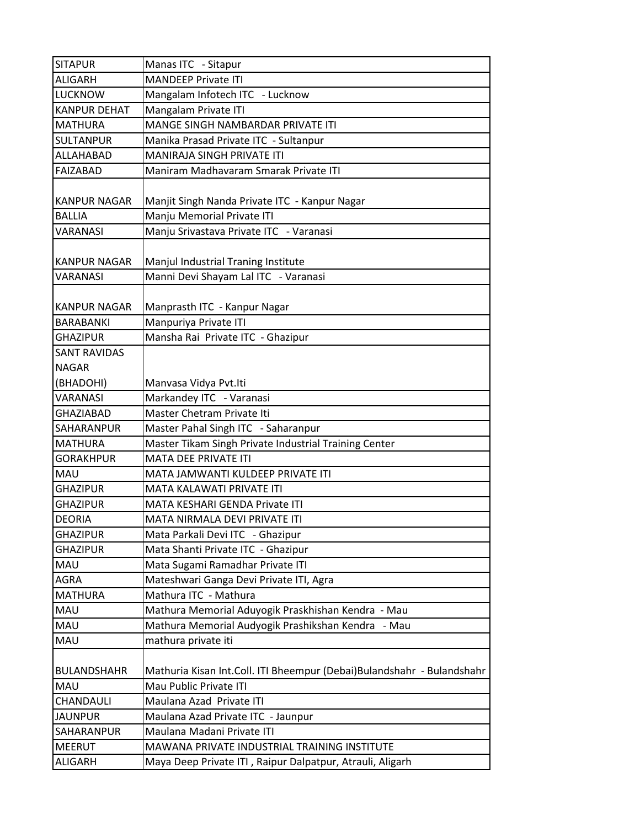| <b>SITAPUR</b>                   | Manas ITC - Sitapur                                                                              |
|----------------------------------|--------------------------------------------------------------------------------------------------|
| <b>ALIGARH</b>                   | <b>MANDEEP Private ITI</b>                                                                       |
| <b>LUCKNOW</b>                   | Mangalam Infotech ITC - Lucknow                                                                  |
| <b>KANPUR DEHAT</b>              | Mangalam Private ITI                                                                             |
| <b>MATHURA</b>                   | MANGE SINGH NAMBARDAR PRIVATE ITI                                                                |
| <b>SULTANPUR</b>                 | Manika Prasad Private ITC - Sultanpur                                                            |
| ALLAHABAD                        | <b>MANIRAJA SINGH PRIVATE ITI</b>                                                                |
| <b>FAIZABAD</b>                  | Maniram Madhavaram Smarak Private ITI                                                            |
| <b>KANPUR NAGAR</b>              | Manjit Singh Nanda Private ITC - Kanpur Nagar                                                    |
| <b>BALLIA</b>                    | Manju Memorial Private ITI                                                                       |
| <b>VARANASI</b>                  | Manju Srivastava Private ITC - Varanasi                                                          |
| <b>KANPUR NAGAR</b>              | Manjul Industrial Traning Institute                                                              |
| <b>VARANASI</b>                  | Manni Devi Shayam Lal ITC - Varanasi                                                             |
| <b>KANPUR NAGAR</b>              | Manprasth ITC - Kanpur Nagar                                                                     |
| <b>BARABANKI</b>                 | Manpuriya Private ITI                                                                            |
| <b>GHAZIPUR</b>                  | Mansha Rai Private ITC - Ghazipur                                                                |
| <b>SANT RAVIDAS</b>              |                                                                                                  |
| <b>NAGAR</b>                     |                                                                                                  |
| (BHADOHI)                        | Manvasa Vidya Pvt.Iti                                                                            |
| <b>VARANASI</b>                  | Markandey ITC - Varanasi                                                                         |
| <b>GHAZIABAD</b>                 | Master Chetram Private Iti                                                                       |
| <b>SAHARANPUR</b>                | Master Pahal Singh ITC - Saharanpur                                                              |
| <b>MATHURA</b>                   | Master Tikam Singh Private Industrial Training Center                                            |
| <b>GORAKHPUR</b>                 | <b>MATA DEE PRIVATE ITI</b>                                                                      |
| <b>MAU</b>                       | MATA JAMWANTI KULDEEP PRIVATE ITI                                                                |
| <b>GHAZIPUR</b>                  | MATA KALAWATI PRIVATE ITI                                                                        |
| <b>GHAZIPUR</b>                  | MATA KESHARI GENDA Private ITI                                                                   |
| <b>DEORIA</b>                    | MATA NIRMALA DEVI PRIVATE ITI                                                                    |
| <b>GHAZIPUR</b>                  | Mata Parkali Devi ITC - Ghazipur                                                                 |
| <b>GHAZIPUR</b>                  | Mata Shanti Private ITC - Ghazipur                                                               |
| MAU                              | Mata Sugami Ramadhar Private ITI                                                                 |
| AGRA                             | Mateshwari Ganga Devi Private ITI, Agra                                                          |
| <b>MATHURA</b>                   | Mathura ITC - Mathura                                                                            |
| MAU                              | Mathura Memorial Aduyogik Praskhishan Kendra - Mau                                               |
| MAU                              | Mathura Memorial Audyogik Prashikshan Kendra<br>- Mau                                            |
| MAU                              | mathura private iti                                                                              |
| <b>BULANDSHAHR</b><br><b>MAU</b> | Mathuria Kisan Int.Coll. ITI Bheempur (Debai)Bulandshahr - Bulandshahr<br>Mau Public Private ITI |
| CHANDAULI                        | Maulana Azad Private ITI                                                                         |
| <b>JAUNPUR</b>                   |                                                                                                  |
|                                  | Maulana Azad Private ITC - Jaunpur                                                               |
| SAHARANPUR                       | Maulana Madani Private ITI                                                                       |
| <b>MEERUT</b>                    | MAWANA PRIVATE INDUSTRIAL TRAINING INSTITUTE                                                     |
| <b>ALIGARH</b>                   | Maya Deep Private ITI, Raipur Dalpatpur, Atrauli, Aligarh                                        |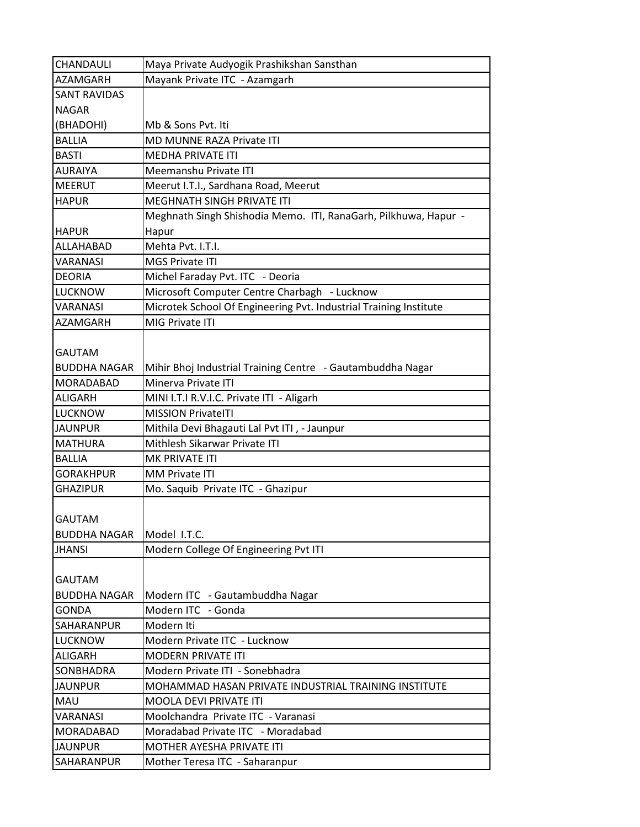| CHANDAULI           | Maya Private Audyogik Prashikshan Sansthan                        |
|---------------------|-------------------------------------------------------------------|
| <b>AZAMGARH</b>     | Mayank Private ITC - Azamgarh                                     |
| <b>SANT RAVIDAS</b> |                                                                   |
| <b>NAGAR</b>        |                                                                   |
| (BHADOHI)           | Mb & Sons Pvt. Iti                                                |
| <b>BALLIA</b>       | <b>MD MUNNE RAZA Private ITI</b>                                  |
| <b>BASTI</b>        | MEDHA PRIVATE ITI                                                 |
| AURAIYA             | Meemanshu Private ITI                                             |
| <b>MEERUT</b>       | Meerut I.T.I., Sardhana Road, Meerut                              |
| <b>HAPUR</b>        | MEGHNATH SINGH PRIVATE ITI                                        |
|                     | Meghnath Singh Shishodia Memo. ITI, RanaGarh, Pilkhuwa, Hapur -   |
| <b>HAPUR</b>        | Hapur                                                             |
| ALLAHABAD           | Mehta Pvt. I.T.I.                                                 |
| <b>VARANASI</b>     | <b>MGS Private ITI</b>                                            |
| <b>DEORIA</b>       | Michel Faraday Pvt. ITC - Deoria                                  |
| <b>LUCKNOW</b>      | Microsoft Computer Centre Charbagh - Lucknow                      |
| <b>VARANASI</b>     | Microtek School Of Engineering Pvt. Industrial Training Institute |
| <b>AZAMGARH</b>     | MIG Private ITI                                                   |
|                     |                                                                   |
| GAUTAM              |                                                                   |
| <b>BUDDHA NAGAR</b> | Mihir Bhoj Industrial Training Centre - Gautambuddha Nagar        |
| MORADABAD           | Minerva Private ITI                                               |
| <b>ALIGARH</b>      | MINI I.T.I R.V.I.C. Private ITI - Aligarh                         |
| <b>LUCKNOW</b>      | <b>MISSION PrivateITI</b>                                         |
| <b>JAUNPUR</b>      | Mithila Devi Bhagauti Lal Pvt ITI, - Jaunpur                      |
| <b>MATHURA</b>      | Mithlesh Sikarwar Private ITI                                     |
| <b>BALLIA</b>       | MK PRIVATE ITI                                                    |
| <b>GORAKHPUR</b>    | <b>MM Private ITI</b>                                             |
| <b>GHAZIPUR</b>     | Mo. Saquib Private ITC - Ghazipur                                 |
|                     |                                                                   |
| <b>GAUTAM</b>       |                                                                   |
| <b>BUDDHA NAGAR</b> | Model I.T.C.                                                      |
| <b>JHANSI</b>       | Modern College Of Engineering Pvt ITI                             |
|                     |                                                                   |
| <b>GAUTAM</b>       |                                                                   |
| <b>BUDDHA NAGAR</b> | Modern ITC - Gautambuddha Nagar                                   |
| <b>GONDA</b>        | Modern ITC - Gonda                                                |
| SAHARANPUR          | Modern Iti                                                        |
| <b>LUCKNOW</b>      | Modern Private ITC - Lucknow                                      |
| <b>ALIGARH</b>      | <b>MODERN PRIVATE ITI</b>                                         |
| SONBHADRA           | Modern Private ITI - Sonebhadra                                   |
| <b>JAUNPUR</b>      | MOHAMMAD HASAN PRIVATE INDUSTRIAL TRAINING INSTITUTE              |
| <b>MAU</b>          | MOOLA DEVI PRIVATE ITI                                            |
| VARANASI            | Moolchandra Private ITC - Varanasi                                |
| <b>MORADABAD</b>    | Moradabad Private ITC - Moradabad                                 |
| <b>JAUNPUR</b>      | <b>MOTHER AYESHA PRIVATE ITI</b>                                  |
| SAHARANPUR          | Mother Teresa ITC - Saharanpur                                    |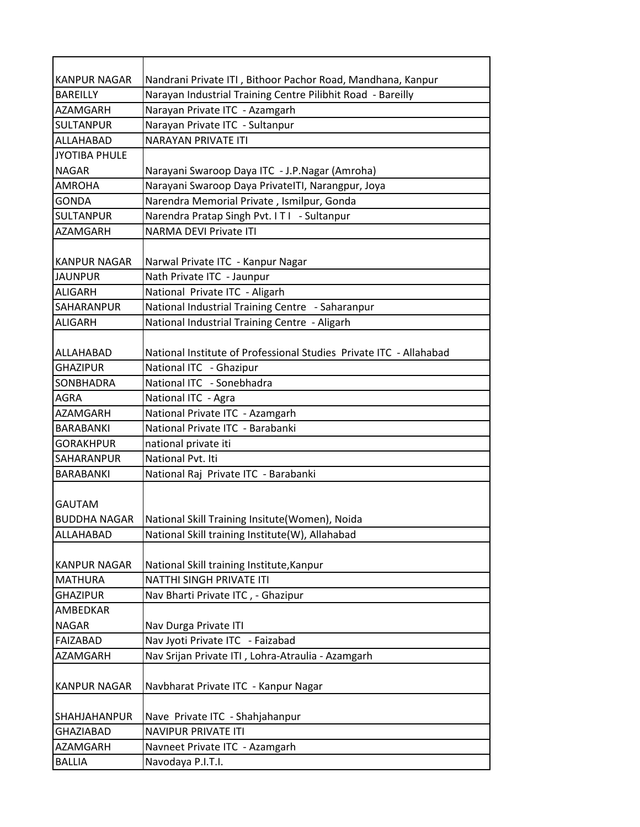| <b>KANPUR NAGAR</b>                  | Nandrani Private ITI, Bithoor Pachor Road, Mandhana, Kanpur        |
|--------------------------------------|--------------------------------------------------------------------|
| <b>BAREILLY</b>                      | Narayan Industrial Training Centre Pilibhit Road - Bareilly        |
| <b>AZAMGARH</b>                      | Narayan Private ITC - Azamgarh                                     |
| <b>SULTANPUR</b>                     | Narayan Private ITC - Sultanpur                                    |
| ALLAHABAD                            | <b>NARAYAN PRIVATE ITI</b>                                         |
| <b>JYOTIBA PHULE</b>                 |                                                                    |
| <b>NAGAR</b>                         | Narayani Swaroop Daya ITC - J.P.Nagar (Amroha)                     |
| <b>AMROHA</b>                        | Narayani Swaroop Daya PrivatelTI, Narangpur, Joya                  |
| <b>GONDA</b>                         | Narendra Memorial Private, Ismilpur, Gonda                         |
| <b>SULTANPUR</b>                     | Narendra Pratap Singh Pvt. ITI - Sultanpur                         |
| <b>AZAMGARH</b>                      | <b>NARMA DEVI Private ITI</b>                                      |
| <b>KANPUR NAGAR</b>                  | Narwal Private ITC - Kanpur Nagar                                  |
| <b>JAUNPUR</b>                       | Nath Private ITC - Jaunpur                                         |
| <b>ALIGARH</b>                       | National Private ITC - Aligarh                                     |
| <b>SAHARANPUR</b>                    | National Industrial Training Centre - Saharanpur                   |
| <b>ALIGARH</b>                       | National Industrial Training Centre - Aligarh                      |
| ALLAHABAD                            | National Institute of Professional Studies Private ITC - Allahabad |
| <b>GHAZIPUR</b>                      | National ITC - Ghazipur                                            |
| SONBHADRA                            | National ITC - Sonebhadra                                          |
| <b>AGRA</b>                          | National ITC - Agra                                                |
| <b>AZAMGARH</b>                      | National Private ITC - Azamgarh                                    |
| BARABANKI                            | National Private ITC - Barabanki                                   |
| <b>GORAKHPUR</b>                     | national private iti                                               |
| <b>SAHARANPUR</b>                    | National Pvt. Iti                                                  |
| BARABANKI                            | National Raj Private ITC - Barabanki                               |
| <b>GAUTAM</b><br><b>BUDDHA NAGAR</b> | National Skill Training Insitute(Women), Noida                     |
| ALLAHABAD                            | National Skill training Institute(W), Allahabad                    |
| <b>KANPUR NAGAR</b>                  | National Skill training Institute, Kanpur                          |
| <b>MATHURA</b>                       | NATTHI SINGH PRIVATE ITI                                           |
| <b>GHAZIPUR</b>                      | Nav Bharti Private ITC, - Ghazipur                                 |
| AMBEDKAR                             |                                                                    |
| <b>NAGAR</b>                         | Nav Durga Private ITI                                              |
| FAIZABAD                             | Nav Jyoti Private ITC - Faizabad                                   |
| AZAMGARH                             | Nav Srijan Private ITI, Lohra-Atraulia - Azamgarh                  |
| <b>KANPUR NAGAR</b>                  | Navbharat Private ITC - Kanpur Nagar                               |
| <b>SHAHJAHANPUR</b>                  | Nave Private ITC - Shahjahanpur                                    |
| <b>GHAZIABAD</b>                     | <b>NAVIPUR PRIVATE ITI</b>                                         |
| AZAMGARH                             | Navneet Private ITC - Azamgarh                                     |
| <b>BALLIA</b>                        | Navodaya P.I.T.I.                                                  |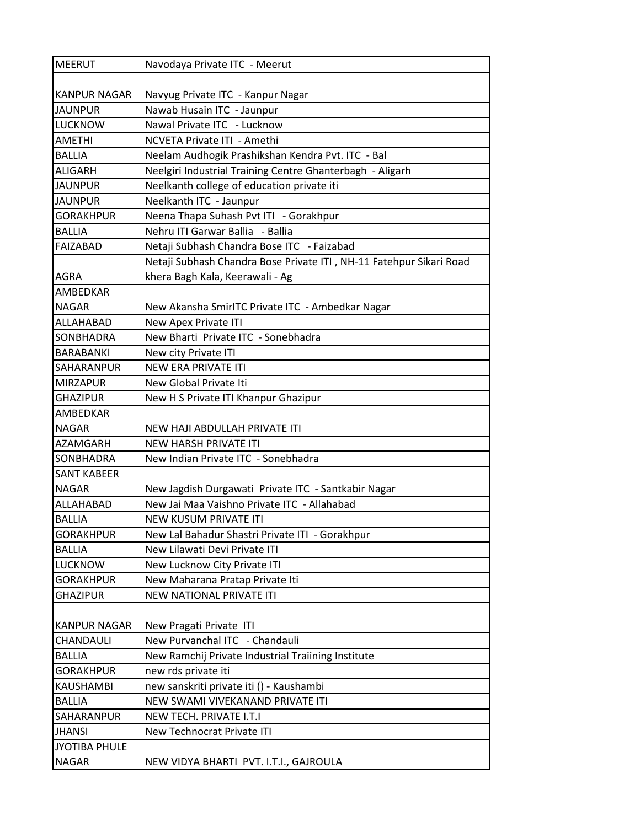| <b>MEERUT</b>       | Navodaya Private ITC - Meerut                                       |
|---------------------|---------------------------------------------------------------------|
|                     |                                                                     |
| <b>KANPUR NAGAR</b> | Navyug Private ITC - Kanpur Nagar                                   |
| <b>JAUNPUR</b>      | Nawab Husain ITC - Jaunpur                                          |
| <b>LUCKNOW</b>      | Nawal Private ITC - Lucknow                                         |
| <b>AMETHI</b>       | NCVETA Private ITI - Amethi                                         |
| <b>BALLIA</b>       | Neelam Audhogik Prashikshan Kendra Pvt. ITC - Bal                   |
| <b>ALIGARH</b>      | Neelgiri Industrial Training Centre Ghanterbagh - Aligarh           |
| <b>JAUNPUR</b>      | Neelkanth college of education private iti                          |
| <b>JAUNPUR</b>      | Neelkanth ITC - Jaunpur                                             |
| <b>GORAKHPUR</b>    | Neena Thapa Suhash Pvt ITI - Gorakhpur                              |
| <b>BALLIA</b>       | Nehru ITI Garwar Ballia - Ballia                                    |
| <b>FAIZABAD</b>     | Netaji Subhash Chandra Bose ITC - Faizabad                          |
|                     | Netaji Subhash Chandra Bose Private ITI, NH-11 Fatehpur Sikari Road |
| <b>AGRA</b>         | khera Bagh Kala, Keerawali - Ag                                     |
| AMBEDKAR            |                                                                     |
| <b>NAGAR</b>        | New Akansha SmirITC Private ITC - Ambedkar Nagar                    |
| ALLAHABAD           | New Apex Private ITI                                                |
| <b>SONBHADRA</b>    | New Bharti Private ITC - Sonebhadra                                 |
| <b>BARABANKI</b>    | New city Private ITI                                                |
| SAHARANPUR          | <b>NEW ERA PRIVATE ITI</b>                                          |
| <b>MIRZAPUR</b>     | New Global Private Iti                                              |
| <b>GHAZIPUR</b>     | New H S Private ITI Khanpur Ghazipur                                |
| AMBEDKAR            |                                                                     |
| <b>NAGAR</b>        | NEW HAJI ABDULLAH PRIVATE ITI                                       |
| <b>AZAMGARH</b>     | <b>NEW HARSH PRIVATE ITI</b>                                        |
| <b>SONBHADRA</b>    | New Indian Private ITC - Sonebhadra                                 |
| <b>SANT KABEER</b>  |                                                                     |
| <b>NAGAR</b>        | New Jagdish Durgawati Private ITC - Santkabir Nagar                 |
| ALLAHABAD           | New Jai Maa Vaishno Private ITC - Allahabad                         |
| <b>BALLIA</b>       | <b>NEW KUSUM PRIVATE ITI</b>                                        |
| <b>GORAKHPUR</b>    | New Lal Bahadur Shastri Private ITI - Gorakhpur                     |
| <b>BALLIA</b>       | New Lilawati Devi Private ITI                                       |
| <b>LUCKNOW</b>      | New Lucknow City Private ITI                                        |
| <b>GORAKHPUR</b>    | New Maharana Pratap Private Iti                                     |
| <b>GHAZIPUR</b>     | NEW NATIONAL PRIVATE ITI                                            |
|                     |                                                                     |
| <b>KANPUR NAGAR</b> | New Pragati Private ITI                                             |
| CHANDAULI           | New Purvanchal ITC - Chandauli                                      |
| <b>BALLIA</b>       | New Ramchij Private Industrial Traiining Institute                  |
| <b>GORAKHPUR</b>    | new rds private iti                                                 |
| <b>KAUSHAMBI</b>    | new sanskriti private iti () - Kaushambi                            |
| <b>BALLIA</b>       | NEW SWAMI VIVEKANAND PRIVATE ITI                                    |
| SAHARANPUR          | NEW TECH. PRIVATE I.T.I                                             |
| <b>JHANSI</b>       | New Technocrat Private ITI                                          |
| JYOTIBA PHULE       |                                                                     |
| <b>NAGAR</b>        | NEW VIDYA BHARTI PVT. I.T.I., GAJROULA                              |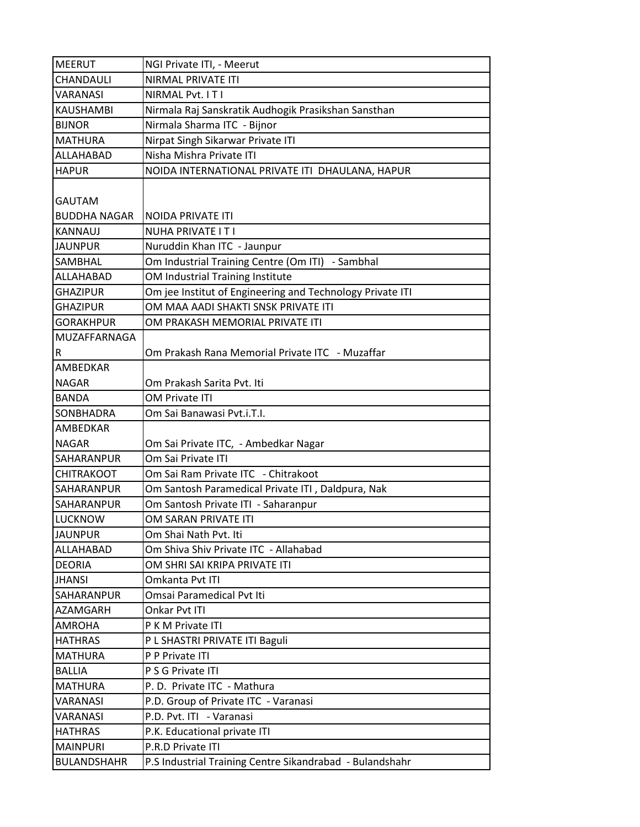| <b>MEERUT</b>       | NGI Private ITI, - Meerut                                 |
|---------------------|-----------------------------------------------------------|
| CHANDAULI           | NIRMAL PRIVATE ITI                                        |
| <b>VARANASI</b>     | NIRMAL Pvt. IT I                                          |
| <b>KAUSHAMBI</b>    | Nirmala Raj Sanskratik Audhogik Prasikshan Sansthan       |
| <b>BIJNOR</b>       | Nirmala Sharma ITC - Bijnor                               |
| <b>MATHURA</b>      | Nirpat Singh Sikarwar Private ITI                         |
| ALLAHABAD           | Nisha Mishra Private ITI                                  |
| <b>HAPUR</b>        | NOIDA INTERNATIONAL PRIVATE ITI DHAULANA, HAPUR           |
| <b>GAUTAM</b>       |                                                           |
| <b>BUDDHA NAGAR</b> | NOIDA PRIVATE ITI                                         |
| <b>KANNAUJ</b>      | <b>NUHA PRIVATE IT I</b>                                  |
| <b>JAUNPUR</b>      | Nuruddin Khan ITC - Jaunpur                               |
| <b>SAMBHAL</b>      | Om Industrial Training Centre (Om ITI) - Sambhal          |
| ALLAHABAD           | OM Industrial Training Institute                          |
| <b>GHAZIPUR</b>     | Om jee Institut of Engineering and Technology Private ITI |
| <b>GHAZIPUR</b>     | OM MAA AADI SHAKTI SNSK PRIVATE ITI                       |
| <b>GORAKHPUR</b>    | OM PRAKASH MEMORIAL PRIVATE ITI                           |
| MUZAFFARNAGA        |                                                           |
| R                   | Om Prakash Rana Memorial Private ITC - Muzaffar           |
| AMBEDKAR            |                                                           |
| <b>NAGAR</b>        | Om Prakash Sarita Pvt. Iti                                |
| <b>BANDA</b>        | OM Private ITI                                            |
| SONBHADRA           | Om Sai Banawasi Pvt.i.T.I.                                |
| <b>AMBEDKAR</b>     |                                                           |
| <b>NAGAR</b>        | Om Sai Private ITC, - Ambedkar Nagar                      |
| SAHARANPUR          | Om Sai Private ITI                                        |
| <b>CHITRAKOOT</b>   | Om Sai Ram Private ITC - Chitrakoot                       |
| <b>SAHARANPUR</b>   | Om Santosh Paramedical Private ITI, Daldpura, Nak         |
| <b>SAHARANPUR</b>   | Om Santosh Private ITI - Saharanpur                       |
| <b>LUCKNOW</b>      | OM SARAN PRIVATE ITI                                      |
| <b>JAUNPUR</b>      | Om Shai Nath Pvt. Iti                                     |
| ALLAHABAD           | Om Shiva Shiv Private ITC - Allahabad                     |
| <b>DEORIA</b>       | OM SHRI SAI KRIPA PRIVATE ITI                             |
| <b>JHANSI</b>       | Omkanta Pvt ITI                                           |
| SAHARANPUR          | Omsai Paramedical Pvt Iti                                 |
| AZAMGARH            | Onkar Pvt ITI                                             |
| <b>AMROHA</b>       | P K M Private ITI                                         |
| <b>HATHRAS</b>      | P L SHASTRI PRIVATE ITI Baguli                            |
| <b>MATHURA</b>      | P P Private ITI                                           |
| <b>BALLIA</b>       | P S G Private ITI                                         |
| <b>MATHURA</b>      | P.D. Private ITC - Mathura                                |
| VARANASI            | P.D. Group of Private ITC - Varanasi                      |
| VARANASI            | P.D. Pvt. ITI - Varanasi                                  |
| <b>HATHRAS</b>      | P.K. Educational private ITI                              |
| <b>MAINPURI</b>     | P.R.D Private ITI                                         |
| <b>BULANDSHAHR</b>  | P.S Industrial Training Centre Sikandrabad - Bulandshahr  |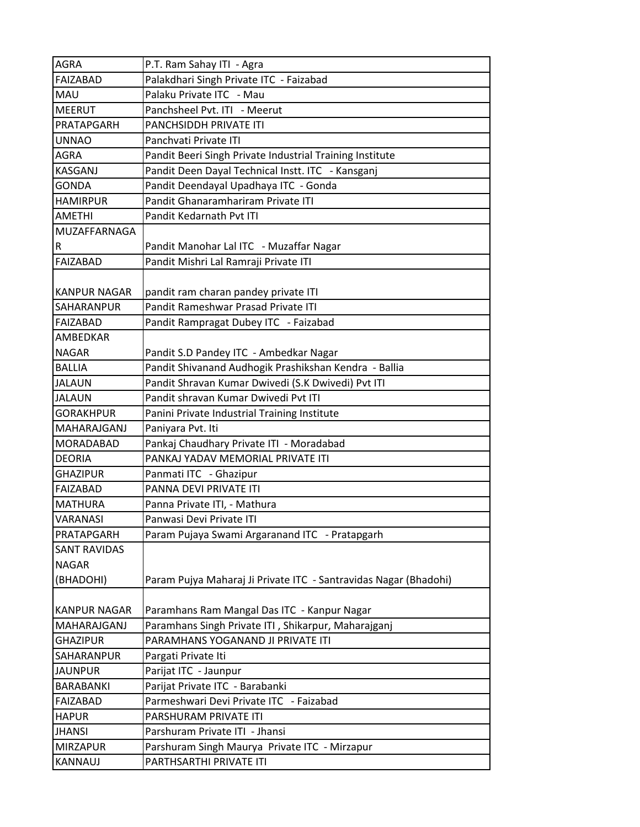| <b>AGRA</b>         | P.T. Ram Sahay ITI - Agra                                        |
|---------------------|------------------------------------------------------------------|
| <b>FAIZABAD</b>     | Palakdhari Singh Private ITC - Faizabad                          |
| <b>MAU</b>          | Palaku Private ITC - Mau                                         |
| <b>MEERUT</b>       | Panchsheel Pvt. ITI - Meerut                                     |
| PRATAPGARH          | <b>PANCHSIDDH PRIVATE ITI</b>                                    |
| <b>UNNAO</b>        | Panchvati Private ITI                                            |
| <b>AGRA</b>         | Pandit Beeri Singh Private Industrial Training Institute         |
| <b>KASGANJ</b>      | Pandit Deen Dayal Technical Instt. ITC - Kansganj                |
| <b>GONDA</b>        | Pandit Deendayal Upadhaya ITC - Gonda                            |
| <b>HAMIRPUR</b>     | Pandit Ghanaramhariram Private ITI                               |
| <b>AMETHI</b>       | Pandit Kedarnath Pvt ITI                                         |
| MUZAFFARNAGA        |                                                                  |
| R                   | Pandit Manohar Lal ITC - Muzaffar Nagar                          |
| <b>FAIZABAD</b>     | Pandit Mishri Lal Ramraji Private ITI                            |
| KANPUR NAGAR        | pandit ram charan pandey private ITI                             |
| <b>SAHARANPUR</b>   | Pandit Rameshwar Prasad Private ITI                              |
| FAIZABAD            | Pandit Rampragat Dubey ITC - Faizabad                            |
| <b>AMBEDKAR</b>     |                                                                  |
| <b>NAGAR</b>        | Pandit S.D Pandey ITC - Ambedkar Nagar                           |
| <b>BALLIA</b>       | Pandit Shivanand Audhogik Prashikshan Kendra - Ballia            |
| <b>JALAUN</b>       | Pandit Shravan Kumar Dwivedi (S.K Dwivedi) Pvt ITI               |
| <b>JALAUN</b>       | Pandit shravan Kumar Dwivedi Pvt ITI                             |
| <b>GORAKHPUR</b>    | Panini Private Industrial Training Institute                     |
| MAHARAJGANJ         | Paniyara Pvt. Iti                                                |
| MORADABAD           | Pankaj Chaudhary Private ITI - Moradabad                         |
| <b>DEORIA</b>       | PANKAJ YADAV MEMORIAL PRIVATE ITI                                |
| <b>GHAZIPUR</b>     | Panmati ITC - Ghazipur                                           |
| <b>FAIZABAD</b>     | PANNA DEVI PRIVATE ITI                                           |
| MATHURA             | Panna Private ITI, - Mathura                                     |
| <b>VARANASI</b>     | Panwasi Devi Private ITI                                         |
| PRATAPGARH          | Param Pujaya Swami Argaranand ITC - Pratapgarh                   |
| <b>SANT RAVIDAS</b> |                                                                  |
| <b>NAGAR</b>        |                                                                  |
| (BHADOHI)           | Param Pujya Maharaj Ji Private ITC - Santravidas Nagar (Bhadohi) |
|                     |                                                                  |
| <b>KANPUR NAGAR</b> | Paramhans Ram Mangal Das ITC - Kanpur Nagar                      |
| MAHARAJGANJ         | Paramhans Singh Private ITI, Shikarpur, Maharajganj              |
| <b>GHAZIPUR</b>     | PARAMHANS YOGANAND JI PRIVATE ITI                                |
| SAHARANPUR          | Pargati Private Iti                                              |
| <b>JAUNPUR</b>      | Parijat ITC - Jaunpur                                            |
| BARABANKI           | Parijat Private ITC - Barabanki                                  |
| FAIZABAD            | Parmeshwari Devi Private ITC - Faizabad                          |
| <b>HAPUR</b>        | PARSHURAM PRIVATE ITI                                            |
| <b>JHANSI</b>       | Parshuram Private ITI - Jhansi                                   |
| <b>MIRZAPUR</b>     | Parshuram Singh Maurya Private ITC - Mirzapur                    |
| <b>KANNAUJ</b>      | PARTHSARTHI PRIVATE ITI                                          |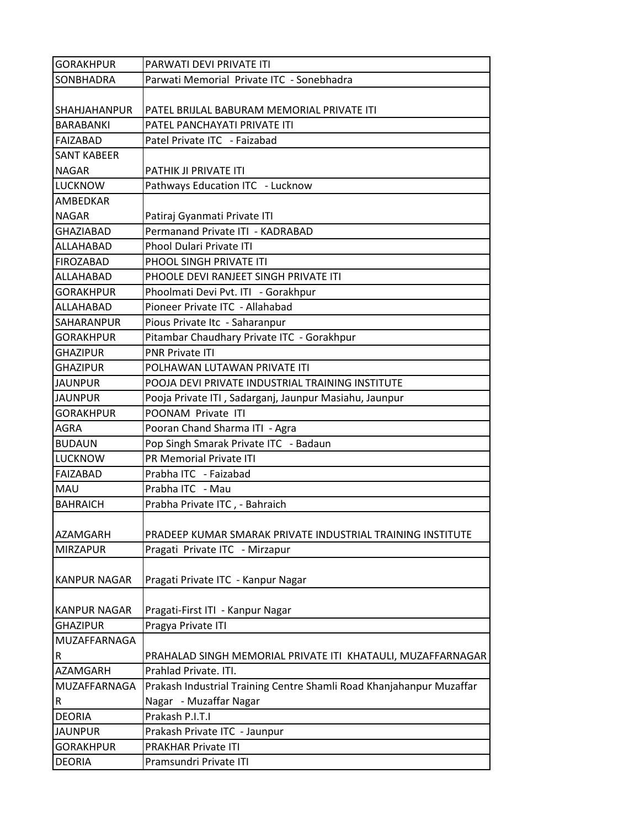| <b>GORAKHPUR</b>    | PARWATI DEVI PRIVATE ITI                                             |
|---------------------|----------------------------------------------------------------------|
| SONBHADRA           | Parwati Memorial Private ITC - Sonebhadra                            |
|                     |                                                                      |
| SHAHJAHANPUR        | PATEL BRIJLAL BABURAM MEMORIAL PRIVATE ITI                           |
| BARABANKI           | PATEL PANCHAYATI PRIVATE ITI                                         |
| <b>FAIZABAD</b>     | Patel Private ITC - Faizabad                                         |
| <b>SANT KABEER</b>  |                                                                      |
| <b>NAGAR</b>        | PATHIK JI PRIVATE ITI                                                |
| <b>LUCKNOW</b>      | Pathways Education ITC - Lucknow                                     |
| AMBEDKAR            |                                                                      |
| <b>NAGAR</b>        | Patiraj Gyanmati Private ITI                                         |
| <b>GHAZIABAD</b>    | Permanand Private ITI - KADRABAD                                     |
| ALLAHABAD           | <b>Phool Dulari Private ITI</b>                                      |
| <b>FIROZABAD</b>    | PHOOL SINGH PRIVATE ITI                                              |
| ALLAHABAD           | PHOOLE DEVI RANJEET SINGH PRIVATE ITI                                |
| <b>GORAKHPUR</b>    | Phoolmati Devi Pvt. ITI - Gorakhpur                                  |
| ALLAHABAD           | Pioneer Private ITC - Allahabad                                      |
| SAHARANPUR          | Pious Private Itc - Saharanpur                                       |
| <b>GORAKHPUR</b>    | Pitambar Chaudhary Private ITC - Gorakhpur                           |
| <b>GHAZIPUR</b>     | <b>PNR Private ITI</b>                                               |
| <b>GHAZIPUR</b>     | POLHAWAN LUTAWAN PRIVATE ITI                                         |
| <b>JAUNPUR</b>      | POOJA DEVI PRIVATE INDUSTRIAL TRAINING INSTITUTE                     |
| <b>JAUNPUR</b>      | Pooja Private ITI, Sadarganj, Jaunpur Masiahu, Jaunpur               |
| <b>GORAKHPUR</b>    | POONAM Private ITI                                                   |
| <b>AGRA</b>         | Pooran Chand Sharma ITI - Agra                                       |
| <b>BUDAUN</b>       | Pop Singh Smarak Private ITC - Badaun                                |
| <b>LUCKNOW</b>      | PR Memorial Private ITI                                              |
| <b>FAIZABAD</b>     | Prabha ITC - Faizabad                                                |
| <b>MAU</b>          | Prabha ITC - Mau                                                     |
| <b>BAHRAICH</b>     | Prabha Private ITC, - Bahraich                                       |
|                     |                                                                      |
| AZAMGARH            | PRADEEP KUMAR SMARAK PRIVATE INDUSTRIAL TRAINING INSTITUTE           |
| <b>MIRZAPUR</b>     | Pragati Private ITC - Mirzapur                                       |
|                     |                                                                      |
| <b>KANPUR NAGAR</b> | Pragati Private ITC - Kanpur Nagar                                   |
|                     |                                                                      |
| <b>KANPUR NAGAR</b> | Pragati-First ITI - Kanpur Nagar                                     |
| <b>GHAZIPUR</b>     | Pragya Private ITI                                                   |
| MUZAFFARNAGA        |                                                                      |
| R                   | PRAHALAD SINGH MEMORIAL PRIVATE ITI KHATAULI, MUZAFFARNAGAR          |
| <b>AZAMGARH</b>     | Prahlad Private. ITI.                                                |
| MUZAFFARNAGA        | Prakash Industrial Training Centre Shamli Road Khanjahanpur Muzaffar |
| R                   | Nagar - Muzaffar Nagar                                               |
| <b>DEORIA</b>       | Prakash P.I.T.I                                                      |
| <b>JAUNPUR</b>      | Prakash Private ITC - Jaunpur                                        |
| <b>GORAKHPUR</b>    | <b>PRAKHAR Private ITI</b>                                           |
| <b>DEORIA</b>       | Pramsundri Private ITI                                               |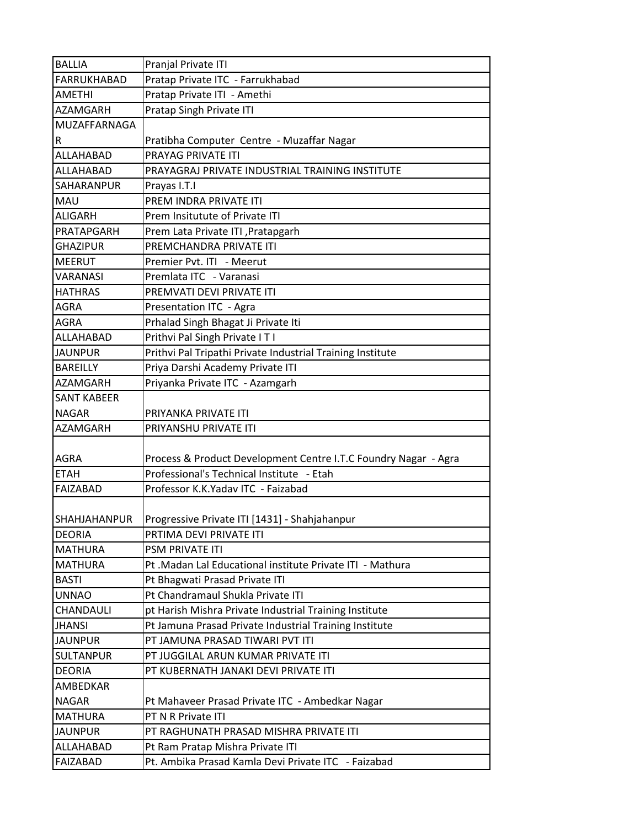| <b>BALLIA</b>       | Pranjal Private ITI                                             |
|---------------------|-----------------------------------------------------------------|
| FARRUKHABAD         | Pratap Private ITC - Farrukhabad                                |
| <b>AMETHI</b>       | Pratap Private ITI - Amethi                                     |
| <b>AZAMGARH</b>     | Pratap Singh Private ITI                                        |
| MUZAFFARNAGA        |                                                                 |
| $\mathsf R$         | Pratibha Computer Centre - Muzaffar Nagar                       |
| ALLAHABAD           | <b>PRAYAG PRIVATE ITI</b>                                       |
| ALLAHABAD           | PRAYAGRAJ PRIVATE INDUSTRIAL TRAINING INSTITUTE                 |
| <b>SAHARANPUR</b>   | Prayas I.T.I                                                    |
| <b>MAU</b>          | PREM INDRA PRIVATE ITI                                          |
| <b>ALIGARH</b>      | Prem Insitutute of Private ITI                                  |
| PRATAPGARH          | Prem Lata Private ITI, Pratapgarh                               |
| <b>GHAZIPUR</b>     | PREMCHANDRA PRIVATE ITI                                         |
| <b>MEERUT</b>       | Premier Pvt. ITI - Meerut                                       |
| <b>VARANASI</b>     | Premlata ITC - Varanasi                                         |
| <b>HATHRAS</b>      | PREMVATI DEVI PRIVATE ITI                                       |
| <b>AGRA</b>         | Presentation ITC - Agra                                         |
| <b>AGRA</b>         | Prhalad Singh Bhagat Ji Private Iti                             |
| ALLAHABAD           | Prithvi Pal Singh Private IT I                                  |
| <b>JAUNPUR</b>      | Prithvi Pal Tripathi Private Industrial Training Institute      |
| <b>BAREILLY</b>     | Priya Darshi Academy Private ITI                                |
| <b>AZAMGARH</b>     | Priyanka Private ITC - Azamgarh                                 |
| <b>SANT KABEER</b>  |                                                                 |
| <b>NAGAR</b>        | PRIYANKA PRIVATE ITI                                            |
| <b>AZAMGARH</b>     | PRIYANSHU PRIVATE ITI                                           |
|                     |                                                                 |
| <b>AGRA</b>         | Process & Product Development Centre I.T.C Foundry Nagar - Agra |
| <b>ETAH</b>         | Professional's Technical Institute - Etah                       |
| <b>FAIZABAD</b>     | Professor K.K.Yaday ITC - Faizabad                              |
|                     |                                                                 |
| <b>SHAHJAHANPUR</b> | Progressive Private ITI [1431] - Shahjahanpur                   |
| <b>DEORIA</b>       | PRTIMA DEVI PRIVATE ITI                                         |
| <b>MATHURA</b>      | PSM PRIVATE ITI                                                 |
| <b>MATHURA</b>      | Pt .Madan Lal Educational institute Private ITI - Mathura       |
| <b>BASTI</b>        | Pt Bhagwati Prasad Private ITI                                  |
| <b>UNNAO</b>        | Pt Chandramaul Shukla Private ITI                               |
| CHANDAULI           | pt Harish Mishra Private Industrial Training Institute          |
| <b>JHANSI</b>       | Pt Jamuna Prasad Private Industrial Training Institute          |
| <b>JAUNPUR</b>      | PT JAMUNA PRASAD TIWARI PVT ITI                                 |
| <b>SULTANPUR</b>    | PT JUGGILAL ARUN KUMAR PRIVATE ITI                              |
| <b>DEORIA</b>       | PT KUBERNATH JANAKI DEVI PRIVATE ITI                            |
| AMBEDKAR            |                                                                 |
| <b>NAGAR</b>        | Pt Mahaveer Prasad Private ITC - Ambedkar Nagar                 |
| <b>MATHURA</b>      | PT N R Private ITI                                              |
| <b>JAUNPUR</b>      | PT RAGHUNATH PRASAD MISHRA PRIVATE ITI                          |
| ALLAHABAD           | Pt Ram Pratap Mishra Private ITI                                |
| <b>FAIZABAD</b>     | Pt. Ambika Prasad Kamla Devi Private ITC - Faizabad             |
|                     |                                                                 |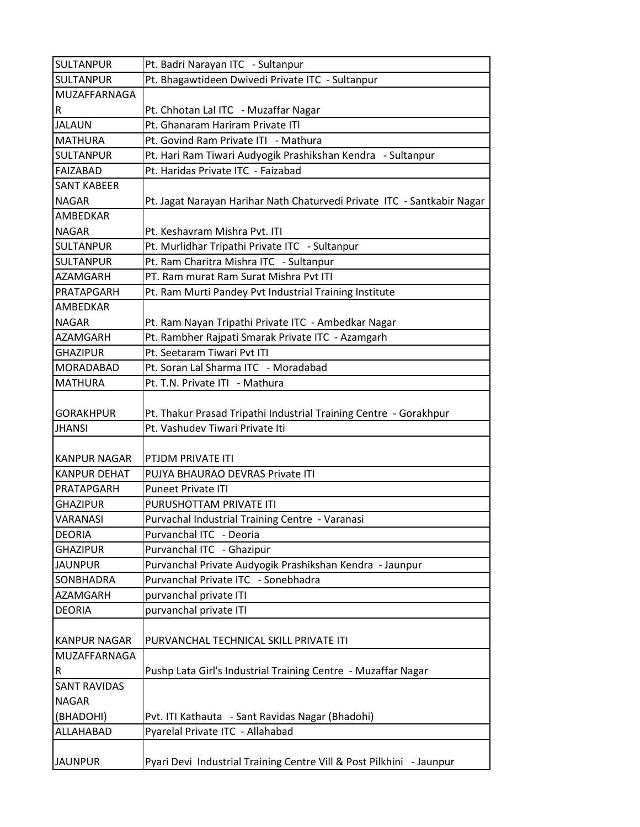| <b>SULTANPUR</b>    | Pt. Badri Narayan ITC - Sultanpur                                       |
|---------------------|-------------------------------------------------------------------------|
| <b>SULTANPUR</b>    | Pt. Bhagawtideen Dwivedi Private ITC - Sultanpur                        |
| MUZAFFARNAGA        |                                                                         |
| R                   | Pt. Chhotan Lal ITC - Muzaffar Nagar                                    |
| <b>JALAUN</b>       | Pt. Ghanaram Hariram Private ITI                                        |
| <b>MATHURA</b>      | Pt. Govind Ram Private ITI - Mathura                                    |
| <b>SULTANPUR</b>    | Pt. Hari Ram Tiwari Audyogik Prashikshan Kendra - Sultanpur             |
| <b>FAIZABAD</b>     | Pt. Haridas Private ITC - Faizabad                                      |
| <b>SANT KABEER</b>  |                                                                         |
| <b>NAGAR</b>        | Pt. Jagat Narayan Harihar Nath Chaturvedi Private ITC - Santkabir Nagar |
| AMBEDKAR            |                                                                         |
| <b>NAGAR</b>        | Pt. Keshavram Mishra Pvt. ITI                                           |
| <b>SULTANPUR</b>    | Pt. Murlidhar Tripathi Private ITC - Sultanpur                          |
| <b>SULTANPUR</b>    | Pt. Ram Charitra Mishra ITC - Sultanpur                                 |
| AZAMGARH            | PT. Ram murat Ram Surat Mishra Pvt ITI                                  |
| PRATAPGARH          | Pt. Ram Murti Pandey Pvt Industrial Training Institute                  |
| <b>AMBEDKAR</b>     |                                                                         |
| <b>NAGAR</b>        | Pt. Ram Nayan Tripathi Private ITC - Ambedkar Nagar                     |
| AZAMGARH            | Pt. Rambher Rajpati Smarak Private ITC - Azamgarh                       |
| <b>GHAZIPUR</b>     | Pt. Seetaram Tiwari Pvt ITI                                             |
| MORADABAD           | Pt. Soran Lal Sharma ITC - Moradabad                                    |
| <b>MATHURA</b>      | Pt. T.N. Private ITI - Mathura                                          |
| <b>GORAKHPUR</b>    | Pt. Thakur Prasad Tripathi Industrial Training Centre - Gorakhpur       |
| <b>JHANSI</b>       | Pt. Vashudev Tiwari Private Iti                                         |
|                     |                                                                         |
| <b>KANPUR NAGAR</b> | PTJDM PRIVATE ITI                                                       |
| <b>KANPUR DEHAT</b> | PUJYA BHAURAO DEVRAS Private ITI                                        |
| PRATAPGARH          | <b>Puneet Private ITI</b>                                               |
| <b>GHAZIPUR</b>     | PURUSHOTTAM PRIVATE ITI                                                 |
| <b>VARANASI</b>     | Purvachal Industrial Training Centre - Varanasi                         |
| <b>DEORIA</b>       | Purvanchal ITC - Deoria                                                 |
| <b>GHAZIPUR</b>     | Purvanchal ITC - Ghazipur                                               |
| <b>JAUNPUR</b>      | Purvanchal Private Audyogik Prashikshan Kendra - Jaunpur                |
| SONBHADRA           | Purvanchal Private ITC - Sonebhadra                                     |
| <b>AZAMGARH</b>     | purvanchal private ITI                                                  |
| <b>DEORIA</b>       | purvanchal private ITI                                                  |
|                     |                                                                         |
| <b>KANPUR NAGAR</b> | PURVANCHAL TECHNICAL SKILL PRIVATE ITI                                  |
| MUZAFFARNAGA        |                                                                         |
| R                   | Pushp Lata Girl's Industrial Training Centre - Muzaffar Nagar           |
| <b>SANT RAVIDAS</b> |                                                                         |
| <b>NAGAR</b>        |                                                                         |
| (BHADOHI)           | Pvt. ITI Kathauta - Sant Ravidas Nagar (Bhadohi)                        |
| ALLAHABAD           | Pyarelal Private ITC - Allahabad                                        |
|                     |                                                                         |
| <b>JAUNPUR</b>      | Pyari Devi Industrial Training Centre Vill & Post Pilkhini - Jaunpur    |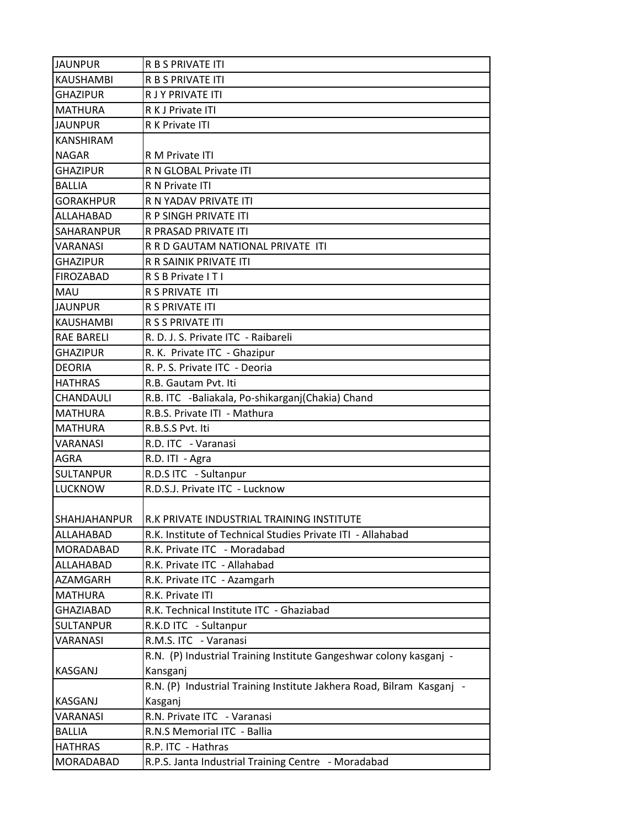| <b>JAUNPUR</b>    | <b>R B S PRIVATE ITI</b>                                              |
|-------------------|-----------------------------------------------------------------------|
| <b>KAUSHAMBI</b>  | R B S PRIVATE ITI                                                     |
| <b>GHAZIPUR</b>   | R J Y PRIVATE ITI                                                     |
| <b>MATHURA</b>    | R K J Private ITI                                                     |
| <b>JAUNPUR</b>    | R K Private ITI                                                       |
| <b>KANSHIRAM</b>  |                                                                       |
| <b>NAGAR</b>      | R M Private ITI                                                       |
| <b>GHAZIPUR</b>   | R N GLOBAL Private ITI                                                |
| <b>BALLIA</b>     | R N Private ITI                                                       |
| <b>GORAKHPUR</b>  | R N YADAV PRIVATE ITI                                                 |
| ALLAHABAD         | R P SINGH PRIVATE ITI                                                 |
| SAHARANPUR        | R PRASAD PRIVATE ITI                                                  |
| VARANASI          | R R D GAUTAM NATIONAL PRIVATE ITI                                     |
| <b>GHAZIPUR</b>   | R R SAINIK PRIVATE ITI                                                |
| <b>FIROZABAD</b>  | R S B Private I T I                                                   |
| MAU               | R S PRIVATE ITI                                                       |
| <b>JAUNPUR</b>    | R S PRIVATE ITI                                                       |
| <b>KAUSHAMBI</b>  | R S S PRIVATE ITI                                                     |
| <b>RAE BARELI</b> | R. D. J. S. Private ITC - Raibareli                                   |
| <b>GHAZIPUR</b>   | R. K. Private ITC - Ghazipur                                          |
| <b>DEORIA</b>     | R. P. S. Private ITC - Deoria                                         |
| <b>HATHRAS</b>    | R.B. Gautam Pvt. Iti                                                  |
| CHANDAULI         | R.B. ITC -Baliakala, Po-shikarganj(Chakia) Chand                      |
| <b>MATHURA</b>    | R.B.S. Private ITI - Mathura                                          |
| <b>MATHURA</b>    | R.B.S.S Pvt. Iti                                                      |
| VARANASI          | R.D. ITC - Varanasi                                                   |
| <b>AGRA</b>       | R.D. ITI - Agra                                                       |
| <b>SULTANPUR</b>  | R.D.S ITC - Sultanpur                                                 |
| <b>LUCKNOW</b>    | R.D.S.J. Private ITC - Lucknow                                        |
|                   |                                                                       |
| ISHAHJAHANPUR     | IR.K PRIVATE INDUSTRIAL TRAINING INSTITUTE                            |
| ALLAHABAD         | R.K. Institute of Technical Studies Private ITI - Allahabad           |
| MORADABAD         | R.K. Private ITC - Moradabad                                          |
| <b>ALLAHABAD</b>  | R.K. Private ITC - Allahabad                                          |
| AZAMGARH          | R.K. Private ITC - Azamgarh                                           |
| <b>MATHURA</b>    | R.K. Private ITI                                                      |
| <b>GHAZIABAD</b>  | R.K. Technical Institute ITC - Ghaziabad                              |
| <b>SULTANPUR</b>  | R.K.D ITC - Sultanpur                                                 |
| VARANASI          | R.M.S. ITC - Varanasi                                                 |
|                   | R.N. (P) Industrial Training Institute Gangeshwar colony kasganj -    |
| KASGANJ           | Kansganj                                                              |
|                   | R.N. (P) Industrial Training Institute Jakhera Road, Bilram Kasganj - |
| KASGANJ           | Kasganj                                                               |
| VARANASI          | R.N. Private ITC - Varanasi                                           |
| <b>BALLIA</b>     | R.N.S Memorial ITC - Ballia                                           |
| <b>HATHRAS</b>    | R.P. ITC - Hathras                                                    |
| MORADABAD         | R.P.S. Janta Industrial Training Centre - Moradabad                   |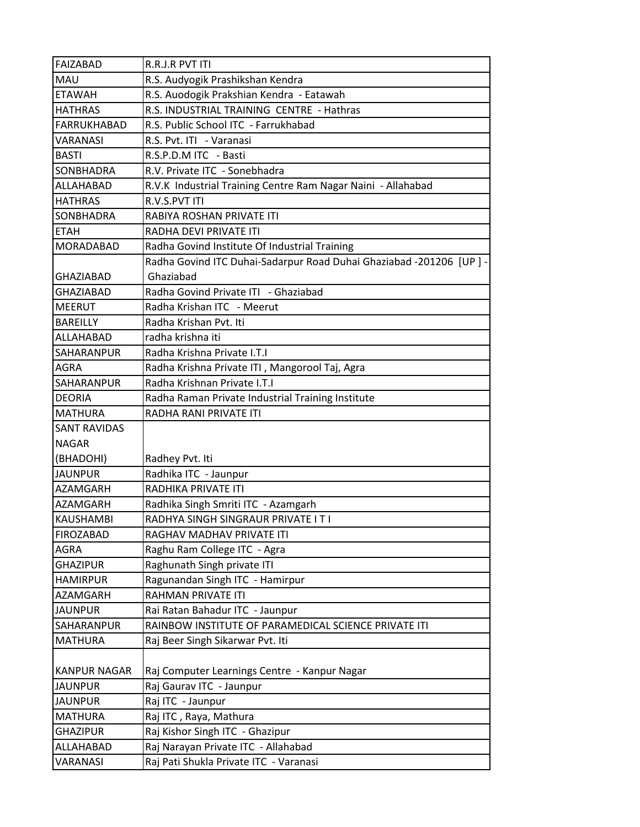| <b>FAIZABAD</b>     | R.R.J.R PVT ITI                                                     |
|---------------------|---------------------------------------------------------------------|
| MAU                 | R.S. Audyogik Prashikshan Kendra                                    |
| <b>ETAWAH</b>       | R.S. Auodogik Prakshian Kendra - Eatawah                            |
| <b>HATHRAS</b>      | R.S. INDUSTRIAL TRAINING CENTRE - Hathras                           |
| <b>FARRUKHABAD</b>  | R.S. Public School ITC - Farrukhabad                                |
| <b>VARANASI</b>     | R.S. Pvt. ITI - Varanasi                                            |
| <b>BASTI</b>        | R.S.P.D.M ITC - Basti                                               |
| SONBHADRA           | R.V. Private ITC - Sonebhadra                                       |
| <b>ALLAHABAD</b>    | R.V.K Industrial Training Centre Ram Nagar Naini - Allahabad        |
| <b>HATHRAS</b>      | R.V.S.PVT ITI                                                       |
| SONBHADRA           | RABIYA ROSHAN PRIVATE ITI                                           |
| <b>ETAH</b>         | RADHA DEVI PRIVATE ITI                                              |
| MORADABAD           | Radha Govind Institute Of Industrial Training                       |
|                     | Radha Govind ITC Duhai-Sadarpur Road Duhai Ghaziabad -201206 [UP] - |
| <b>GHAZIABAD</b>    | Ghaziabad                                                           |
| <b>GHAZIABAD</b>    | Radha Govind Private ITI - Ghaziabad                                |
| <b>MEERUT</b>       | Radha Krishan ITC - Meerut                                          |
| <b>BAREILLY</b>     | Radha Krishan Pvt. Iti                                              |
| ALLAHABAD           | radha krishna iti                                                   |
| SAHARANPUR          | Radha Krishna Private I.T.I                                         |
| <b>AGRA</b>         | Radha Krishna Private ITI, Mangorool Taj, Agra                      |
| SAHARANPUR          | Radha Krishnan Private I.T.I                                        |
| <b>DEORIA</b>       | Radha Raman Private Industrial Training Institute                   |
| <b>MATHURA</b>      | RADHA RANI PRIVATE ITI                                              |
| <b>SANT RAVIDAS</b> |                                                                     |
| <b>NAGAR</b>        |                                                                     |
| (BHADOHI)           | Radhey Pvt. Iti                                                     |
| <b>JAUNPUR</b>      | Radhika ITC - Jaunpur                                               |
| <b>AZAMGARH</b>     | RADHIKA PRIVATE ITI                                                 |
| AZAMGARH            | Radhika Singh Smriti ITC - Azamgarh                                 |
| <b>KAUSHAMBI</b>    | RADHYA SINGH SINGRAUR PRIVATE IT I                                  |
| <b>FIROZABAD</b>    | RAGHAV MADHAV PRIVATE ITI                                           |
| <b>AGRA</b>         | Raghu Ram College ITC - Agra                                        |
| <b>GHAZIPUR</b>     | Raghunath Singh private ITI                                         |
| <b>HAMIRPUR</b>     | Ragunandan Singh ITC - Hamirpur                                     |
| AZAMGARH            | RAHMAN PRIVATE ITI                                                  |
| <b>JAUNPUR</b>      | Rai Ratan Bahadur ITC - Jaunpur                                     |
| SAHARANPUR          | RAINBOW INSTITUTE OF PARAMEDICAL SCIENCE PRIVATE ITI                |
| MATHURA             | Raj Beer Singh Sikarwar Pvt. Iti                                    |
|                     |                                                                     |
| <b>KANPUR NAGAR</b> | Raj Computer Learnings Centre - Kanpur Nagar                        |
| <b>JAUNPUR</b>      | Raj Gaurav ITC - Jaunpur                                            |
| <b>JAUNPUR</b>      | Raj ITC - Jaunpur                                                   |
| <b>MATHURA</b>      | Raj ITC, Raya, Mathura                                              |
| <b>GHAZIPUR</b>     | Raj Kishor Singh ITC - Ghazipur                                     |
| ALLAHABAD           | Raj Narayan Private ITC - Allahabad                                 |
| <b>VARANASI</b>     | Raj Pati Shukla Private ITC - Varanasi                              |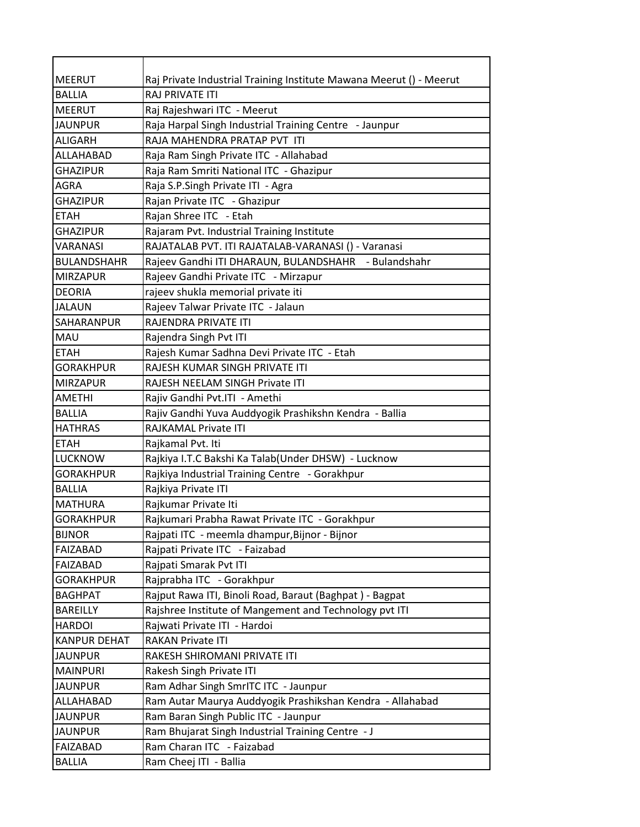| <b>MEERUT</b><br>Raj Private Industrial Training Institute Mawana Meerut () - Meerut<br><b>RAJ PRIVATE ITI</b><br><b>BALLIA</b><br>Raj Rajeshwari ITC - Meerut<br><b>MEERUT</b><br><b>JAUNPUR</b><br>Raja Harpal Singh Industrial Training Centre - Jaunpur<br>RAJA MAHENDRA PRATAP PVT ITI<br><b>ALIGARH</b><br>ALLAHABAD<br>Raja Ram Singh Private ITC - Allahabad<br>Raja Ram Smriti National ITC - Ghazipur<br><b>GHAZIPUR</b><br>Raja S.P.Singh Private ITI - Agra<br>AGRA<br>Rajan Private ITC - Ghazipur<br><b>GHAZIPUR</b><br>Rajan Shree ITC - Etah<br><b>ETAH</b><br>Rajaram Pvt. Industrial Training Institute<br>GHAZIPUR<br>RAJATALAB PVT. ITI RAJATALAB-VARANASI () - Varanasi<br>VARANASI<br>Rajeev Gandhi ITI DHARAUN, BULANDSHAHR - Bulandshahr<br><b>BULANDSHAHR</b><br>Rajeev Gandhi Private ITC - Mirzapur<br><b>MIRZAPUR</b><br>rajeev shukla memorial private iti<br><b>DEORIA</b><br>Rajeev Talwar Private ITC - Jalaun<br><b>JALAUN</b><br>RAJENDRA PRIVATE ITI<br>SAHARANPUR |
|-------------------------------------------------------------------------------------------------------------------------------------------------------------------------------------------------------------------------------------------------------------------------------------------------------------------------------------------------------------------------------------------------------------------------------------------------------------------------------------------------------------------------------------------------------------------------------------------------------------------------------------------------------------------------------------------------------------------------------------------------------------------------------------------------------------------------------------------------------------------------------------------------------------------------------------------------------------------------------------------------------|
|                                                                                                                                                                                                                                                                                                                                                                                                                                                                                                                                                                                                                                                                                                                                                                                                                                                                                                                                                                                                       |
|                                                                                                                                                                                                                                                                                                                                                                                                                                                                                                                                                                                                                                                                                                                                                                                                                                                                                                                                                                                                       |
|                                                                                                                                                                                                                                                                                                                                                                                                                                                                                                                                                                                                                                                                                                                                                                                                                                                                                                                                                                                                       |
|                                                                                                                                                                                                                                                                                                                                                                                                                                                                                                                                                                                                                                                                                                                                                                                                                                                                                                                                                                                                       |
|                                                                                                                                                                                                                                                                                                                                                                                                                                                                                                                                                                                                                                                                                                                                                                                                                                                                                                                                                                                                       |
|                                                                                                                                                                                                                                                                                                                                                                                                                                                                                                                                                                                                                                                                                                                                                                                                                                                                                                                                                                                                       |
|                                                                                                                                                                                                                                                                                                                                                                                                                                                                                                                                                                                                                                                                                                                                                                                                                                                                                                                                                                                                       |
|                                                                                                                                                                                                                                                                                                                                                                                                                                                                                                                                                                                                                                                                                                                                                                                                                                                                                                                                                                                                       |
|                                                                                                                                                                                                                                                                                                                                                                                                                                                                                                                                                                                                                                                                                                                                                                                                                                                                                                                                                                                                       |
|                                                                                                                                                                                                                                                                                                                                                                                                                                                                                                                                                                                                                                                                                                                                                                                                                                                                                                                                                                                                       |
|                                                                                                                                                                                                                                                                                                                                                                                                                                                                                                                                                                                                                                                                                                                                                                                                                                                                                                                                                                                                       |
|                                                                                                                                                                                                                                                                                                                                                                                                                                                                                                                                                                                                                                                                                                                                                                                                                                                                                                                                                                                                       |
|                                                                                                                                                                                                                                                                                                                                                                                                                                                                                                                                                                                                                                                                                                                                                                                                                                                                                                                                                                                                       |
|                                                                                                                                                                                                                                                                                                                                                                                                                                                                                                                                                                                                                                                                                                                                                                                                                                                                                                                                                                                                       |
|                                                                                                                                                                                                                                                                                                                                                                                                                                                                                                                                                                                                                                                                                                                                                                                                                                                                                                                                                                                                       |
|                                                                                                                                                                                                                                                                                                                                                                                                                                                                                                                                                                                                                                                                                                                                                                                                                                                                                                                                                                                                       |
|                                                                                                                                                                                                                                                                                                                                                                                                                                                                                                                                                                                                                                                                                                                                                                                                                                                                                                                                                                                                       |
| MAU<br>Rajendra Singh Pvt ITI                                                                                                                                                                                                                                                                                                                                                                                                                                                                                                                                                                                                                                                                                                                                                                                                                                                                                                                                                                         |
| <b>ETAH</b><br>Rajesh Kumar Sadhna Devi Private ITC - Etah                                                                                                                                                                                                                                                                                                                                                                                                                                                                                                                                                                                                                                                                                                                                                                                                                                                                                                                                            |
| RAJESH KUMAR SINGH PRIVATE ITI<br><b>GORAKHPUR</b>                                                                                                                                                                                                                                                                                                                                                                                                                                                                                                                                                                                                                                                                                                                                                                                                                                                                                                                                                    |
| <b>MIRZAPUR</b><br>RAJESH NEELAM SINGH Private ITI                                                                                                                                                                                                                                                                                                                                                                                                                                                                                                                                                                                                                                                                                                                                                                                                                                                                                                                                                    |
| Rajiv Gandhi Pvt.ITI - Amethi<br><b>AMETHI</b>                                                                                                                                                                                                                                                                                                                                                                                                                                                                                                                                                                                                                                                                                                                                                                                                                                                                                                                                                        |
| Rajiv Gandhi Yuva Auddyogik Prashikshn Kendra - Ballia<br><b>BALLIA</b>                                                                                                                                                                                                                                                                                                                                                                                                                                                                                                                                                                                                                                                                                                                                                                                                                                                                                                                               |
| <b>HATHRAS</b><br>RAJKAMAL Private ITI                                                                                                                                                                                                                                                                                                                                                                                                                                                                                                                                                                                                                                                                                                                                                                                                                                                                                                                                                                |
| <b>ETAH</b><br>Rajkamal Pvt. Iti                                                                                                                                                                                                                                                                                                                                                                                                                                                                                                                                                                                                                                                                                                                                                                                                                                                                                                                                                                      |
| <b>LUCKNOW</b><br>Rajkiya I.T.C Bakshi Ka Talab(Under DHSW) - Lucknow                                                                                                                                                                                                                                                                                                                                                                                                                                                                                                                                                                                                                                                                                                                                                                                                                                                                                                                                 |
| Rajkiya Industrial Training Centre - Gorakhpur<br><b>GORAKHPUR</b>                                                                                                                                                                                                                                                                                                                                                                                                                                                                                                                                                                                                                                                                                                                                                                                                                                                                                                                                    |
| Rajkiya Private ITI<br><b>BALLIA</b>                                                                                                                                                                                                                                                                                                                                                                                                                                                                                                                                                                                                                                                                                                                                                                                                                                                                                                                                                                  |
| Rajkumar Private Iti<br><b>MATHURA</b>                                                                                                                                                                                                                                                                                                                                                                                                                                                                                                                                                                                                                                                                                                                                                                                                                                                                                                                                                                |
| Rajkumari Prabha Rawat Private ITC - Gorakhpur<br><b>GORAKHPUR</b>                                                                                                                                                                                                                                                                                                                                                                                                                                                                                                                                                                                                                                                                                                                                                                                                                                                                                                                                    |
| Rajpati ITC - meemla dhampur, Bijnor - Bijnor<br><b>BIJNOR</b>                                                                                                                                                                                                                                                                                                                                                                                                                                                                                                                                                                                                                                                                                                                                                                                                                                                                                                                                        |
| Rajpati Private ITC - Faizabad<br>FAIZABAD                                                                                                                                                                                                                                                                                                                                                                                                                                                                                                                                                                                                                                                                                                                                                                                                                                                                                                                                                            |
| Rajpati Smarak Pvt ITI<br>FAIZABAD                                                                                                                                                                                                                                                                                                                                                                                                                                                                                                                                                                                                                                                                                                                                                                                                                                                                                                                                                                    |
| Rajprabha ITC - Gorakhpur<br><b>GORAKHPUR</b>                                                                                                                                                                                                                                                                                                                                                                                                                                                                                                                                                                                                                                                                                                                                                                                                                                                                                                                                                         |
| <b>BAGHPAT</b><br>Rajput Rawa ITI, Binoli Road, Baraut (Baghpat) - Bagpat                                                                                                                                                                                                                                                                                                                                                                                                                                                                                                                                                                                                                                                                                                                                                                                                                                                                                                                             |
| <b>BAREILLY</b><br>Rajshree Institute of Mangement and Technology pvt ITI                                                                                                                                                                                                                                                                                                                                                                                                                                                                                                                                                                                                                                                                                                                                                                                                                                                                                                                             |
| <b>HARDOI</b><br>Rajwati Private ITI - Hardoi                                                                                                                                                                                                                                                                                                                                                                                                                                                                                                                                                                                                                                                                                                                                                                                                                                                                                                                                                         |
| <b>KANPUR DEHAT</b><br><b>RAKAN Private ITI</b>                                                                                                                                                                                                                                                                                                                                                                                                                                                                                                                                                                                                                                                                                                                                                                                                                                                                                                                                                       |
| RAKESH SHIROMANI PRIVATE ITI<br><b>JAUNPUR</b>                                                                                                                                                                                                                                                                                                                                                                                                                                                                                                                                                                                                                                                                                                                                                                                                                                                                                                                                                        |
| <b>MAINPURI</b><br>Rakesh Singh Private ITI                                                                                                                                                                                                                                                                                                                                                                                                                                                                                                                                                                                                                                                                                                                                                                                                                                                                                                                                                           |
| Ram Adhar Singh SmrITC ITC - Jaunpur<br><b>JAUNPUR</b>                                                                                                                                                                                                                                                                                                                                                                                                                                                                                                                                                                                                                                                                                                                                                                                                                                                                                                                                                |
| Ram Autar Maurya Auddyogik Prashikshan Kendra - Allahabad<br>ALLAHABAD                                                                                                                                                                                                                                                                                                                                                                                                                                                                                                                                                                                                                                                                                                                                                                                                                                                                                                                                |
| <b>JAUNPUR</b><br>Ram Baran Singh Public ITC - Jaunpur                                                                                                                                                                                                                                                                                                                                                                                                                                                                                                                                                                                                                                                                                                                                                                                                                                                                                                                                                |
| <b>JAUNPUR</b><br>Ram Bhujarat Singh Industrial Training Centre - J                                                                                                                                                                                                                                                                                                                                                                                                                                                                                                                                                                                                                                                                                                                                                                                                                                                                                                                                   |
| Ram Charan ITC - Faizabad<br>FAIZABAD                                                                                                                                                                                                                                                                                                                                                                                                                                                                                                                                                                                                                                                                                                                                                                                                                                                                                                                                                                 |
| <b>BALLIA</b><br>Ram Cheej ITI - Ballia                                                                                                                                                                                                                                                                                                                                                                                                                                                                                                                                                                                                                                                                                                                                                                                                                                                                                                                                                               |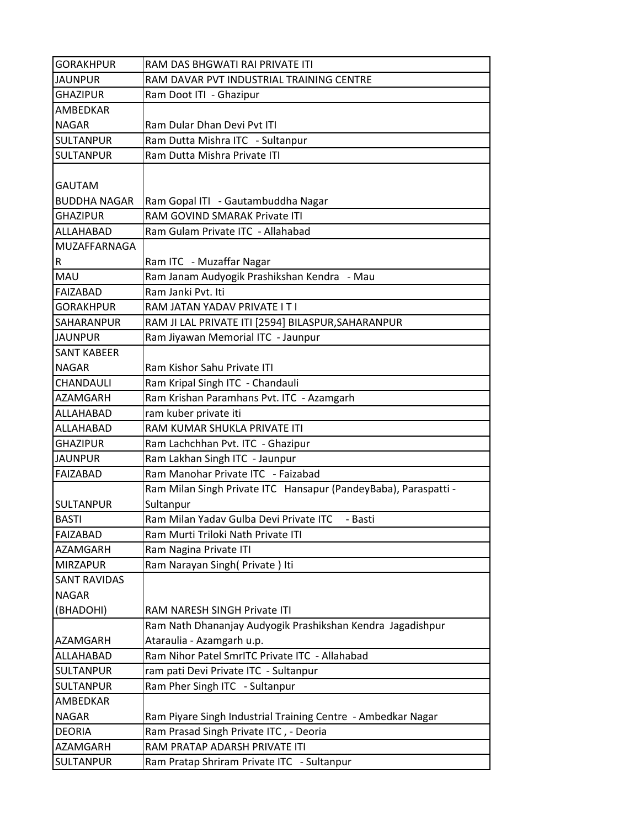| <b>GORAKHPUR</b>    | RAM DAS BHGWATI RAI PRIVATE ITI                                 |
|---------------------|-----------------------------------------------------------------|
| <b>JAUNPUR</b>      | RAM DAVAR PVT INDUSTRIAL TRAINING CENTRE                        |
| <b>GHAZIPUR</b>     | Ram Doot ITI - Ghazipur                                         |
| AMBEDKAR            |                                                                 |
| <b>NAGAR</b>        | Ram Dular Dhan Devi Pvt ITI                                     |
| <b>SULTANPUR</b>    | Ram Dutta Mishra ITC - Sultanpur                                |
| <b>SULTANPUR</b>    | Ram Dutta Mishra Private ITI                                    |
|                     |                                                                 |
| <b>GAUTAM</b>       |                                                                 |
| <b>BUDDHA NAGAR</b> | Ram Gopal ITI - Gautambuddha Nagar                              |
| <b>GHAZIPUR</b>     | RAM GOVIND SMARAK Private ITI                                   |
| ALLAHABAD           | Ram Gulam Private ITC - Allahabad                               |
| MUZAFFARNAGA        |                                                                 |
| R                   | Ram ITC - Muzaffar Nagar                                        |
| MAU                 | Ram Janam Audyogik Prashikshan Kendra - Mau                     |
| <b>FAIZABAD</b>     | Ram Janki Pvt. Iti                                              |
| <b>GORAKHPUR</b>    | RAM JATAN YADAV PRIVATE I T I                                   |
| SAHARANPUR          | RAM JI LAL PRIVATE ITI [2594] BILASPUR, SAHARANPUR              |
| <b>JAUNPUR</b>      | Ram Jiyawan Memorial ITC - Jaunpur                              |
| <b>SANT KABEER</b>  |                                                                 |
| <b>NAGAR</b>        | Ram Kishor Sahu Private ITI                                     |
| CHANDAULI           | Ram Kripal Singh ITC - Chandauli                                |
| AZAMGARH            | Ram Krishan Paramhans Pvt. ITC - Azamgarh                       |
| ALLAHABAD           | ram kuber private iti                                           |
| ALLAHABAD           | RAM KUMAR SHUKLA PRIVATE ITI                                    |
| <b>GHAZIPUR</b>     | Ram Lachchhan Pvt. ITC - Ghazipur                               |
| <b>JAUNPUR</b>      | Ram Lakhan Singh ITC - Jaunpur                                  |
| <b>FAIZABAD</b>     | Ram Manohar Private ITC - Faizabad                              |
|                     | Ram Milan Singh Private ITC Hansapur (PandeyBaba), Paraspatti - |
| <b>SULTANPUR</b>    | Sultanpur                                                       |
| <b>BASTI</b>        | Ram Milan Yadav Gulba Devi Private ITC<br>- Basti               |
| <b>FAIZABAD</b>     | Ram Murti Triloki Nath Private ITI                              |
| AZAMGARH            | Ram Nagina Private ITI                                          |
| <b>MIRZAPUR</b>     | Ram Narayan Singh (Private) Iti                                 |
| <b>SANT RAVIDAS</b> |                                                                 |
| <b>NAGAR</b>        |                                                                 |
| (BHADOHI)           | RAM NARESH SINGH Private ITI                                    |
|                     | Ram Nath Dhananjay Audyogik Prashikshan Kendra Jagadishpur      |
| AZAMGARH            | Ataraulia - Azamgarh u.p.                                       |
| ALLAHABAD           | Ram Nihor Patel SmrITC Private ITC - Allahabad                  |
| <b>SULTANPUR</b>    | ram pati Devi Private ITC - Sultanpur                           |
| <b>SULTANPUR</b>    | Ram Pher Singh ITC - Sultanpur                                  |
| AMBEDKAR            |                                                                 |
| <b>NAGAR</b>        | Ram Piyare Singh Industrial Training Centre - Ambedkar Nagar    |
| <b>DEORIA</b>       | Ram Prasad Singh Private ITC, - Deoria                          |
| AZAMGARH            | RAM PRATAP ADARSH PRIVATE ITI                                   |
| <b>SULTANPUR</b>    | Ram Pratap Shriram Private ITC - Sultanpur                      |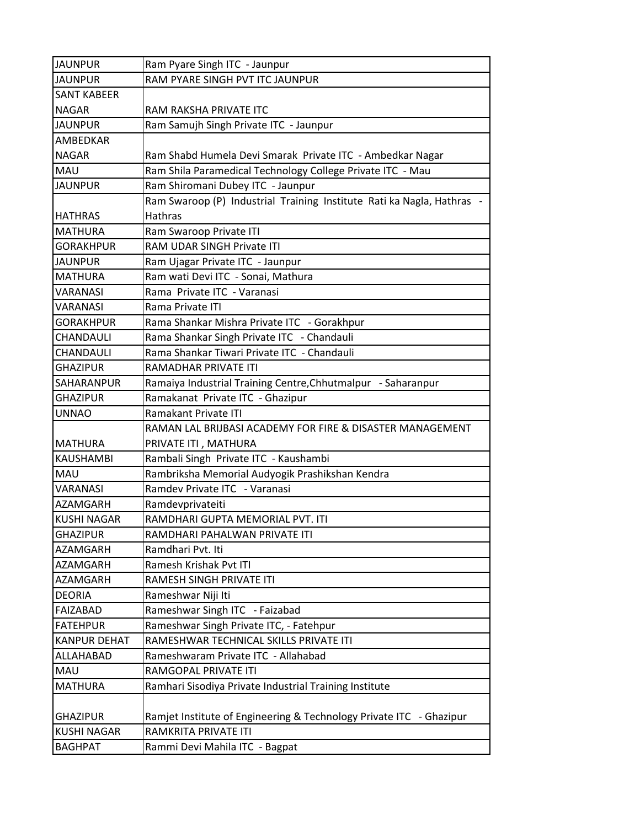| <b>JAUNPUR</b>      | Ram Pyare Singh ITC - Jaunpur                                          |
|---------------------|------------------------------------------------------------------------|
| <b>JAUNPUR</b>      | RAM PYARE SINGH PVT ITC JAUNPUR                                        |
| <b>SANT KABEER</b>  |                                                                        |
| <b>NAGAR</b>        | RAM RAKSHA PRIVATE ITC                                                 |
| <b>JAUNPUR</b>      | Ram Samujh Singh Private ITC - Jaunpur                                 |
| AMBEDKAR            |                                                                        |
| <b>NAGAR</b>        | Ram Shabd Humela Devi Smarak Private ITC - Ambedkar Nagar              |
| <b>MAU</b>          | Ram Shila Paramedical Technology College Private ITC - Mau             |
| <b>JAUNPUR</b>      | Ram Shiromani Dubey ITC - Jaunpur                                      |
|                     | Ram Swaroop (P) Industrial Training Institute Rati ka Nagla, Hathras - |
| <b>HATHRAS</b>      | <b>Hathras</b>                                                         |
| <b>MATHURA</b>      | Ram Swaroop Private ITI                                                |
| <b>GORAKHPUR</b>    | RAM UDAR SINGH Private ITI                                             |
| <b>JAUNPUR</b>      | Ram Ujagar Private ITC - Jaunpur                                       |
| <b>MATHURA</b>      | Ram wati Devi ITC - Sonai, Mathura                                     |
| <b>VARANASI</b>     | Rama Private ITC - Varanasi                                            |
| <b>VARANASI</b>     | Rama Private ITI                                                       |
| <b>GORAKHPUR</b>    | Rama Shankar Mishra Private ITC - Gorakhpur                            |
| CHANDAULI           | Rama Shankar Singh Private ITC - Chandauli                             |
| <b>CHANDAULI</b>    | Rama Shankar Tiwari Private ITC - Chandauli                            |
| <b>GHAZIPUR</b>     | RAMADHAR PRIVATE ITI                                                   |
| SAHARANPUR          | Ramaiya Industrial Training Centre, Chhutmalpur - Saharanpur           |
| <b>GHAZIPUR</b>     | Ramakanat Private ITC - Ghazipur                                       |
| <b>UNNAO</b>        | Ramakant Private ITI                                                   |
|                     | RAMAN LAL BRIJBASI ACADEMY FOR FIRE & DISASTER MANAGEMENT              |
| <b>MATHURA</b>      | PRIVATE ITI, MATHURA                                                   |
| <b>KAUSHAMBI</b>    | Rambali Singh Private ITC - Kaushambi                                  |
| <b>MAU</b>          | Rambriksha Memorial Audyogik Prashikshan Kendra                        |
| <b>VARANASI</b>     | Ramdev Private ITC - Varanasi                                          |
| <b>AZAMGARH</b>     | Ramdevprivateiti                                                       |
| <b>KUSHI NAGAR</b>  | RAMDHARI GUPTA MEMORIAL PVT. ITI                                       |
| <b>GHAZIPUR</b>     | RAMDHARI PAHALWAN PRIVATE ITI                                          |
| AZAMGARH            | Ramdhari Pvt. Iti                                                      |
| AZAMGARH            | Ramesh Krishak Pvt ITI                                                 |
| AZAMGARH            | RAMESH SINGH PRIVATE ITI                                               |
| <b>DEORIA</b>       | Rameshwar Niji Iti                                                     |
| FAIZABAD            | Rameshwar Singh ITC - Faizabad                                         |
| <b>FATEHPUR</b>     | Rameshwar Singh Private ITC, - Fatehpur                                |
| <b>KANPUR DEHAT</b> | RAMESHWAR TECHNICAL SKILLS PRIVATE ITI                                 |
| ALLAHABAD           | Rameshwaram Private ITC - Allahabad                                    |
| <b>MAU</b>          | RAMGOPAL PRIVATE ITI                                                   |
| <b>MATHURA</b>      | Ramhari Sisodiya Private Industrial Training Institute                 |
|                     |                                                                        |
| <b>GHAZIPUR</b>     | Ramjet Institute of Engineering & Technology Private ITC - Ghazipur    |
| <b>KUSHI NAGAR</b>  | RAMKRITA PRIVATE ITI                                                   |
| <b>BAGHPAT</b>      | Rammi Devi Mahila ITC - Bagpat                                         |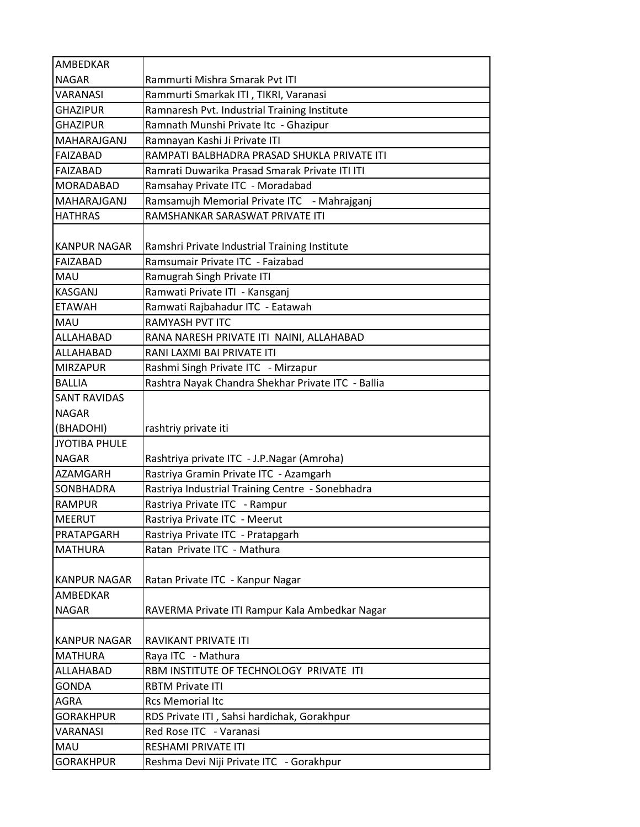| AMBEDKAR             |                                                    |
|----------------------|----------------------------------------------------|
| <b>NAGAR</b>         | Rammurti Mishra Smarak Pvt ITI                     |
| <b>VARANASI</b>      | Rammurti Smarkak ITI, TIKRI, Varanasi              |
| <b>GHAZIPUR</b>      | Ramnaresh Pvt. Industrial Training Institute       |
| <b>GHAZIPUR</b>      | Ramnath Munshi Private Itc - Ghazipur              |
| MAHARAJGANJ          | Ramnayan Kashi Ji Private ITI                      |
| <b>FAIZABAD</b>      | RAMPATI BALBHADRA PRASAD SHUKLA PRIVATE ITI        |
| FAIZABAD             | Ramrati Duwarika Prasad Smarak Private ITI ITI     |
| MORADABAD            | Ramsahay Private ITC - Moradabad                   |
| MAHARAJGANJ          | Ramsamujh Memorial Private ITC - Mahrajganj        |
| <b>HATHRAS</b>       | RAMSHANKAR SARASWAT PRIVATE ITI                    |
|                      |                                                    |
| <b>KANPUR NAGAR</b>  | Ramshri Private Industrial Training Institute      |
| FAIZABAD             | Ramsumair Private ITC - Faizabad                   |
| <b>MAU</b>           | Ramugrah Singh Private ITI                         |
| <b>KASGANJ</b>       | Ramwati Private ITI - Kansganj                     |
| <b>ETAWAH</b>        | Ramwati Rajbahadur ITC - Eatawah                   |
| <b>MAU</b>           | RAMYASH PVT ITC                                    |
| ALLAHABAD            | RANA NARESH PRIVATE ITI NAINI, ALLAHABAD           |
| ALLAHABAD            | RANI LAXMI BAI PRIVATE ITI                         |
| <b>MIRZAPUR</b>      | Rashmi Singh Private ITC - Mirzapur                |
| <b>BALLIA</b>        | Rashtra Nayak Chandra Shekhar Private ITC - Ballia |
| <b>SANT RAVIDAS</b>  |                                                    |
| <b>NAGAR</b>         |                                                    |
| (BHADOHI)            | rashtriy private iti                               |
| <b>JYOTIBA PHULE</b> |                                                    |
| <b>NAGAR</b>         | Rashtriya private ITC - J.P.Nagar (Amroha)         |
| <b>AZAMGARH</b>      | Rastriya Gramin Private ITC - Azamgarh             |
| <b>SONBHADRA</b>     | Rastriya Industrial Training Centre - Sonebhadra   |
| <b>RAMPUR</b>        | Rastriya Private ITC - Rampur                      |
| <b>MEERUT</b>        | Rastriya Private ITC - Meerut                      |
| PRATAPGARH           | Rastriya Private ITC - Pratapgarh                  |
| <b>MATHURA</b>       | Ratan Private ITC - Mathura                        |
|                      |                                                    |
| <b>KANPUR NAGAR</b>  | Ratan Private ITC - Kanpur Nagar                   |
| AMBEDKAR             |                                                    |
| <b>NAGAR</b>         | RAVERMA Private ITI Rampur Kala Ambedkar Nagar     |
|                      |                                                    |
| <b>KANPUR NAGAR</b>  | RAVIKANT PRIVATE ITI                               |
| <b>MATHURA</b>       | Raya ITC - Mathura                                 |
| ALLAHABAD            | RBM INSTITUTE OF TECHNOLOGY PRIVATE ITI            |
| <b>GONDA</b>         | <b>RBTM Private ITI</b>                            |
| AGRA                 | <b>Rcs Memorial Itc</b>                            |
| <b>GORAKHPUR</b>     | RDS Private ITI, Sahsi hardichak, Gorakhpur        |
| VARANASI             | Red Rose ITC - Varanasi                            |
| MAU                  | RESHAMI PRIVATE ITI                                |
| <b>GORAKHPUR</b>     | Reshma Devi Niji Private ITC - Gorakhpur           |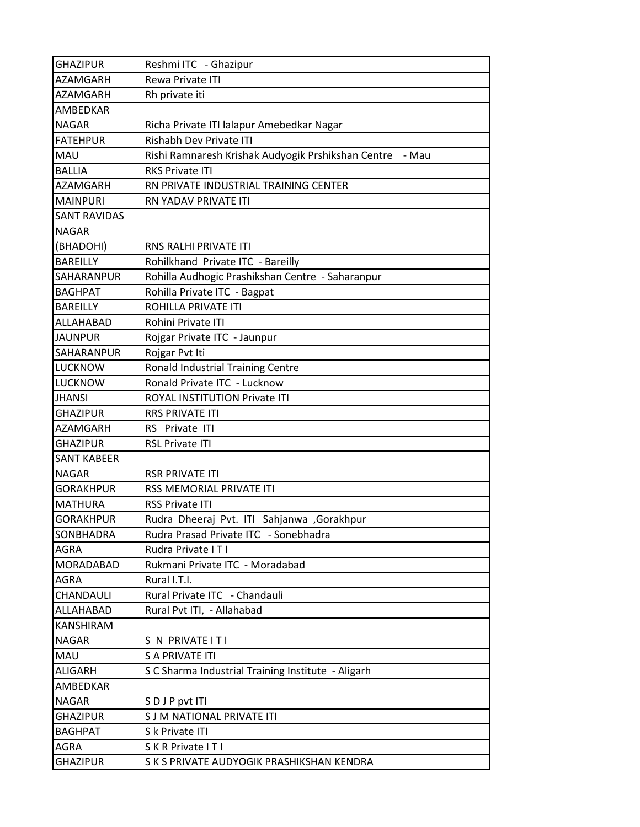| <b>GHAZIPUR</b>     | Reshmi ITC - Ghazipur                                    |
|---------------------|----------------------------------------------------------|
| AZAMGARH            | Rewa Private ITI                                         |
| AZAMGARH            | Rh private iti                                           |
| AMBEDKAR            |                                                          |
| <b>NAGAR</b>        | Richa Private ITI lalapur Amebedkar Nagar                |
| <b>FATEHPUR</b>     | Rishabh Dev Private ITI                                  |
| MAU                 | Rishi Ramnaresh Krishak Audyogik Prshikshan Centre - Mau |
| <b>BALLIA</b>       | <b>RKS Private ITI</b>                                   |
| <b>AZAMGARH</b>     | RN PRIVATE INDUSTRIAL TRAINING CENTER                    |
| <b>MAINPURI</b>     | RN YADAV PRIVATE ITI                                     |
| <b>SANT RAVIDAS</b> |                                                          |
| <b>NAGAR</b>        |                                                          |
| (BHADOHI)           | <b>RNS RALHI PRIVATE ITI</b>                             |
| <b>BAREILLY</b>     | Rohilkhand Private ITC - Bareilly                        |
| SAHARANPUR          | Rohilla Audhogic Prashikshan Centre - Saharanpur         |
| <b>BAGHPAT</b>      | Rohilla Private ITC - Bagpat                             |
| <b>BAREILLY</b>     | ROHILLA PRIVATE ITI                                      |
| ALLAHABAD           | Rohini Private ITI                                       |
| <b>JAUNPUR</b>      | Rojgar Private ITC - Jaunpur                             |
| SAHARANPUR          | Rojgar Pvt Iti                                           |
| <b>LUCKNOW</b>      | Ronald Industrial Training Centre                        |
| <b>LUCKNOW</b>      | Ronald Private ITC - Lucknow                             |
| <b>JHANSI</b>       | ROYAL INSTITUTION Private ITI                            |
| <b>GHAZIPUR</b>     | <b>RRS PRIVATE ITI</b>                                   |
| AZAMGARH            | RS Private ITI                                           |
| <b>GHAZIPUR</b>     | <b>RSL Private ITI</b>                                   |
| <b>SANT KABEER</b>  |                                                          |
| <b>NAGAR</b>        | <b>RSR PRIVATE ITI</b>                                   |
| <b>GORAKHPUR</b>    | RSS MEMORIAL PRIVATE ITI                                 |
| <b>MATHURA</b>      | <b>RSS Private ITI</b>                                   |
| <b>GORAKHPUR</b>    | Rudra Dheeraj Pvt. ITI Sahjanwa ,Gorakhpur               |
| SONBHADRA           | Rudra Prasad Private ITC - Sonebhadra                    |
| <b>AGRA</b>         | Rudra Private ITI                                        |
| <b>MORADABAD</b>    | Rukmani Private ITC - Moradabad                          |
| AGRA                | Rural I.T.I.                                             |
| CHANDAULI           | Rural Private ITC - Chandauli                            |
| ALLAHABAD           | Rural Pvt ITI, - Allahabad                               |
| <b>KANSHIRAM</b>    |                                                          |
| <b>NAGAR</b>        | S N PRIVATE IT I                                         |
| MAU                 | <b>S A PRIVATE ITI</b>                                   |
| <b>ALIGARH</b>      | S C Sharma Industrial Training Institute - Aligarh       |
| AMBEDKAR            |                                                          |
| <b>NAGAR</b>        | SDJP pvt ITI                                             |
| <b>GHAZIPUR</b>     | S J M NATIONAL PRIVATE ITI                               |
| <b>BAGHPAT</b>      | S k Private ITI                                          |
| <b>AGRA</b>         | S K R Private I T I                                      |
| <b>GHAZIPUR</b>     | S K S PRIVATE AUDYOGIK PRASHIKSHAN KENDRA                |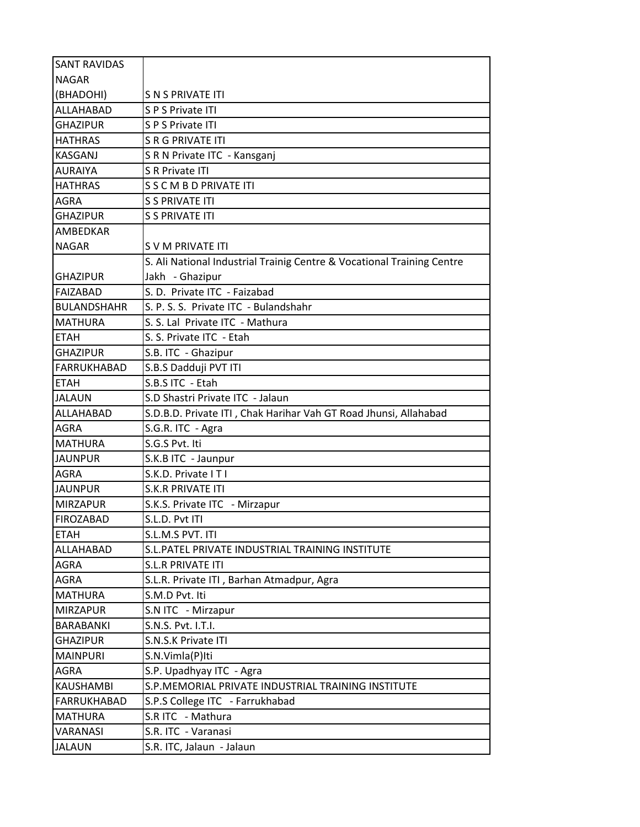| <b>SANT RAVIDAS</b> |                                                                        |
|---------------------|------------------------------------------------------------------------|
| <b>NAGAR</b>        |                                                                        |
| (BHADOHI)           | S N S PRIVATE ITI                                                      |
| ALLAHABAD           | S P S Private ITI                                                      |
| <b>GHAZIPUR</b>     | S P S Private ITI                                                      |
| <b>HATHRAS</b>      | <b>S R G PRIVATE ITI</b>                                               |
| KASGANJ             | S R N Private ITC - Kansganj                                           |
| <b>AURAIYA</b>      | S R Private ITI                                                        |
| <b>HATHRAS</b>      | S S C M B D PRIVATE ITI                                                |
| <b>AGRA</b>         | <b>S S PRIVATE ITI</b>                                                 |
| <b>GHAZIPUR</b>     | <b>S S PRIVATE ITI</b>                                                 |
| <b>AMBEDKAR</b>     |                                                                        |
| <b>NAGAR</b>        | S V M PRIVATE ITI                                                      |
|                     | S. Ali National Industrial Trainig Centre & Vocational Training Centre |
| <b>GHAZIPUR</b>     | Jakh - Ghazipur                                                        |
| FAIZABAD            | S. D. Private ITC - Faizabad                                           |
| <b>BULANDSHAHR</b>  | S. P. S. S. Private ITC - Bulandshahr                                  |
| <b>MATHURA</b>      | S. S. Lal Private ITC - Mathura                                        |
| <b>ETAH</b>         | S. S. Private ITC - Etah                                               |
| <b>GHAZIPUR</b>     | S.B. ITC - Ghazipur                                                    |
| <b>FARRUKHABAD</b>  | S.B.S Dadduji PVT ITI                                                  |
| <b>ETAH</b>         | S.B.S ITC - Etah                                                       |
| <b>JALAUN</b>       | S.D Shastri Private ITC - Jalaun                                       |
| ALLAHABAD           | S.D.B.D. Private ITI, Chak Harihar Vah GT Road Jhunsi, Allahabad       |
| <b>AGRA</b>         | S.G.R. ITC - Agra                                                      |
| <b>MATHURA</b>      | S.G.S Pvt. Iti                                                         |
| <b>JAUNPUR</b>      | S.K.B ITC - Jaunpur                                                    |
| <b>AGRA</b>         | S.K.D. Private ITI                                                     |
| <b>JAUNPUR</b>      | <b>S.K.R PRIVATE ITI</b>                                               |
| <b>MIRZAPUR</b>     | S.K.S. Private ITC - Mirzapur                                          |
| <b>FIROZABAD</b>    | S.L.D. Pvt ITI                                                         |
| <b>ETAH</b>         | S.L.M.S PVT. ITI                                                       |
| ALLAHABAD           | S.L. PATEL PRIVATE INDUSTRIAL TRAINING INSTITUTE                       |
| AGRA                | <b>S.L.R PRIVATE ITI</b>                                               |
| <b>AGRA</b>         | S.L.R. Private ITI, Barhan Atmadpur, Agra                              |
| <b>MATHURA</b>      | S.M.D Pvt. Iti                                                         |
| <b>MIRZAPUR</b>     | S.N ITC - Mirzapur                                                     |
| BARABANKI           | S.N.S. Pvt. I.T.I.                                                     |
| <b>GHAZIPUR</b>     | S.N.S.K Private ITI                                                    |
| <b>MAINPURI</b>     | S.N.Vimla(P)Iti                                                        |
| AGRA                | S.P. Upadhyay ITC - Agra                                               |
| <b>KAUSHAMBI</b>    | S.P. MEMORIAL PRIVATE INDUSTRIAL TRAINING INSTITUTE                    |
| FARRUKHABAD         | S.P.S College ITC - Farrukhabad                                        |
| <b>MATHURA</b>      | S.R ITC - Mathura                                                      |
| <b>VARANASI</b>     | S.R. ITC - Varanasi                                                    |
| <b>JALAUN</b>       | S.R. ITC, Jalaun - Jalaun                                              |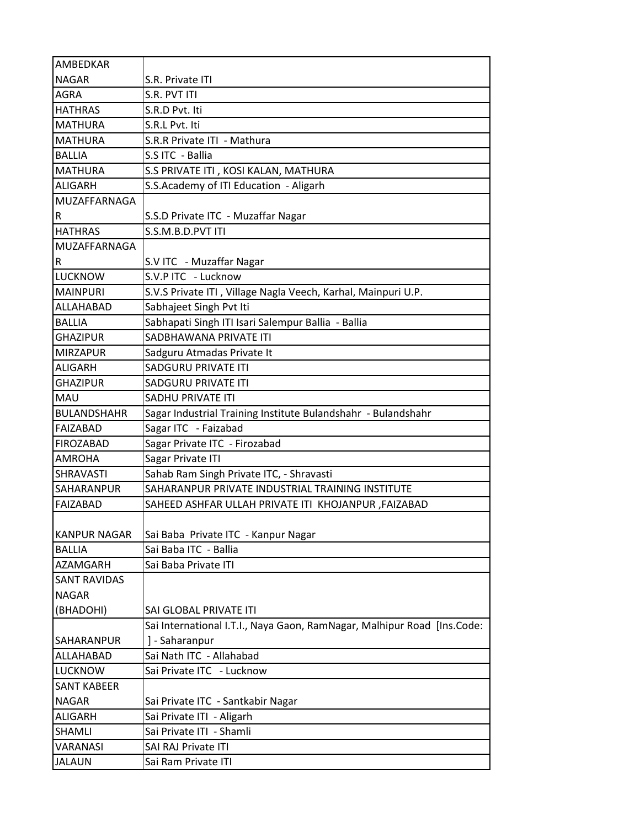| AMBEDKAR            |                                                                         |
|---------------------|-------------------------------------------------------------------------|
| <b>NAGAR</b>        | S.R. Private ITI                                                        |
| <b>AGRA</b>         | S.R. PVT ITI                                                            |
| <b>HATHRAS</b>      | S.R.D Pvt. Iti                                                          |
| <b>MATHURA</b>      | S.R.L Pyt. Iti                                                          |
| <b>MATHURA</b>      | S.R.R Private ITI - Mathura                                             |
| <b>BALLIA</b>       | S.S ITC - Ballia                                                        |
| <b>MATHURA</b>      | S.S PRIVATE ITI, KOSI KALAN, MATHURA                                    |
| <b>ALIGARH</b>      | S.S.Academy of ITI Education - Aligarh                                  |
| MUZAFFARNAGA        |                                                                         |
| R                   | S.S.D Private ITC - Muzaffar Nagar                                      |
| <b>HATHRAS</b>      | S.S.M.B.D.PVT ITI                                                       |
| MUZAFFARNAGA        |                                                                         |
| R                   | S.V ITC - Muzaffar Nagar                                                |
| <b>LUCKNOW</b>      | S.V.P ITC - Lucknow                                                     |
| <b>MAINPURI</b>     | S.V.S Private ITI, Village Nagla Veech, Karhal, Mainpuri U.P.           |
| ALLAHABAD           | Sabhajeet Singh Pvt Iti                                                 |
| <b>BALLIA</b>       | Sabhapati Singh ITI Isari Salempur Ballia - Ballia                      |
| <b>GHAZIPUR</b>     | SADBHAWANA PRIVATE ITI                                                  |
| <b>MIRZAPUR</b>     | Sadguru Atmadas Private It                                              |
| <b>ALIGARH</b>      | SADGURU PRIVATE ITI                                                     |
| <b>GHAZIPUR</b>     | SADGURU PRIVATE ITI                                                     |
| MAU                 | <b>SADHU PRIVATE ITI</b>                                                |
| <b>BULANDSHAHR</b>  | Sagar Industrial Training Institute Bulandshahr - Bulandshahr           |
| <b>FAIZABAD</b>     | Sagar ITC - Faizabad                                                    |
| <b>FIROZABAD</b>    | Sagar Private ITC - Firozabad                                           |
| <b>AMROHA</b>       | Sagar Private ITI                                                       |
| <b>SHRAVASTI</b>    | Sahab Ram Singh Private ITC, - Shravasti                                |
| SAHARANPUR          | SAHARANPUR PRIVATE INDUSTRIAL TRAINING INSTITUTE                        |
| <b>FAIZABAD</b>     | SAHEED ASHFAR ULLAH PRIVATE ITI KHOJANPUR , FAIZABAD                    |
|                     |                                                                         |
| <b>KANPUR NAGAR</b> | Sai Baba Private ITC - Kanpur Nagar                                     |
| <b>BALLIA</b>       | Sai Baba ITC - Ballia                                                   |
| <b>AZAMGARH</b>     | Sai Baba Private ITI                                                    |
| <b>SANT RAVIDAS</b> |                                                                         |
| <b>NAGAR</b>        |                                                                         |
| (BHADOHI)           | SAI GLOBAL PRIVATE ITI                                                  |
|                     | Sai International I.T.I., Naya Gaon, RamNagar, Malhipur Road [Ins.Code: |
| SAHARANPUR          | ] - Saharanpur                                                          |
| ALLAHABAD           | Sai Nath ITC - Allahabad                                                |
| <b>LUCKNOW</b>      | Sai Private ITC - Lucknow                                               |
| <b>SANT KABEER</b>  |                                                                         |
| <b>NAGAR</b>        | Sai Private ITC - Santkabir Nagar                                       |
| <b>ALIGARH</b>      | Sai Private ITI - Aligarh                                               |
| <b>SHAMLI</b>       | Sai Private ITI - Shamli                                                |
| VARANASI            | SAI RAJ Private ITI                                                     |
| <b>JALAUN</b>       | Sai Ram Private ITI                                                     |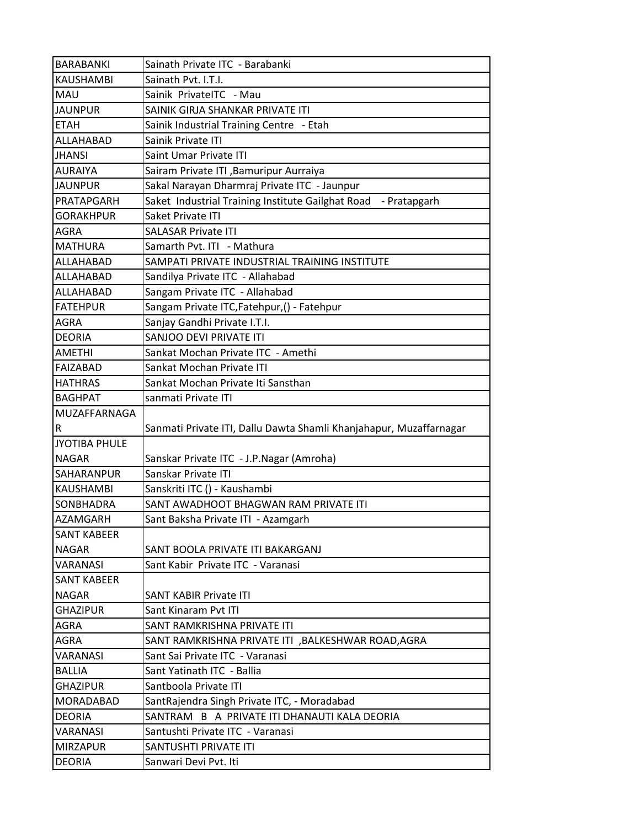| <b>BARABANKI</b>                 | Sainath Private ITC - Barabanki                                    |
|----------------------------------|--------------------------------------------------------------------|
| <b>KAUSHAMBI</b>                 | Sainath Pvt. I.T.I.                                                |
| <b>MAU</b>                       | Sainik PrivatelTC - Mau                                            |
| <b>JAUNPUR</b>                   | SAINIK GIRJA SHANKAR PRIVATE ITI                                   |
| <b>ETAH</b>                      | Sainik Industrial Training Centre - Etah                           |
| ALLAHABAD                        | Sainik Private ITI                                                 |
| <b>JHANSI</b>                    | Saint Umar Private ITI                                             |
| <b>AURAIYA</b>                   | Sairam Private ITI , Bamuripur Aurraiya                            |
| <b>JAUNPUR</b>                   | Sakal Narayan Dharmraj Private ITC - Jaunpur                       |
| PRATAPGARH                       | Saket Industrial Training Institute Gailghat Road - Pratapgarh     |
| <b>GORAKHPUR</b>                 | Saket Private ITI                                                  |
| <b>AGRA</b>                      | <b>SALASAR Private ITI</b>                                         |
| <b>MATHURA</b>                   | Samarth Pvt. ITI - Mathura                                         |
| ALLAHABAD                        | SAMPATI PRIVATE INDUSTRIAL TRAINING INSTITUTE                      |
| ALLAHABAD                        | Sandilya Private ITC - Allahabad                                   |
| <b>ALLAHABAD</b>                 | Sangam Private ITC - Allahabad                                     |
| <b>FATEHPUR</b>                  | Sangam Private ITC, Fatehpur, () - Fatehpur                        |
| <b>AGRA</b>                      | Sanjay Gandhi Private I.T.I.                                       |
| <b>DEORIA</b>                    | SANJOO DEVI PRIVATE ITI                                            |
| <b>AMETHI</b>                    | Sankat Mochan Private ITC - Amethi                                 |
| <b>FAIZABAD</b>                  | Sankat Mochan Private ITI                                          |
| <b>HATHRAS</b>                   | Sankat Mochan Private Iti Sansthan                                 |
| <b>BAGHPAT</b>                   | sanmati Private ITI                                                |
| MUZAFFARNAGA                     |                                                                    |
| R                                | Sanmati Private ITI, Dallu Dawta Shamli Khanjahapur, Muzaffarnagar |
|                                  |                                                                    |
| <b>JYOTIBA PHULE</b>             |                                                                    |
| <b>NAGAR</b>                     | Sanskar Private ITC - J.P.Nagar (Amroha)                           |
| <b>SAHARANPUR</b>                | Sanskar Private ITI                                                |
| <b>KAUSHAMBI</b>                 | Sanskriti ITC () - Kaushambi                                       |
| SONBHADRA                        | SANT AWADHOOT BHAGWAN RAM PRIVATE ITI                              |
| <b>AZAMGARH</b>                  | Sant Baksha Private ITI - Azamgarh                                 |
| <b>SANT KABEER</b>               |                                                                    |
| <b>NAGAR</b>                     | SANT BOOLA PRIVATE ITI BAKARGANJ                                   |
| VARANASI                         | Sant Kabir Private ITC - Varanasi                                  |
| <b>SANT KABEER</b>               |                                                                    |
| <b>NAGAR</b>                     | SANT KABIR Private ITI                                             |
| <b>GHAZIPUR</b>                  | Sant Kinaram Pvt ITI                                               |
| AGRA                             | SANT RAMKRISHNA PRIVATE ITI                                        |
| <b>AGRA</b>                      | SANT RAMKRISHNA PRIVATE ITI , BALKESHWAR ROAD, AGRA                |
| VARANASI                         | Sant Sai Private ITC - Varanasi                                    |
| <b>BALLIA</b>                    | Sant Yatinath ITC - Ballia                                         |
| <b>GHAZIPUR</b>                  | Santboola Private ITI                                              |
| <b>MORADABAD</b>                 | SantRajendra Singh Private ITC, - Moradabad                        |
| <b>DEORIA</b>                    | SANTRAM B A PRIVATE ITI DHANAUTI KALA DEORIA                       |
| <b>VARANASI</b>                  | Santushti Private ITC - Varanasi                                   |
| <b>MIRZAPUR</b><br><b>DEORIA</b> | SANTUSHTI PRIVATE ITI<br>Sanwari Devi Pvt. Iti                     |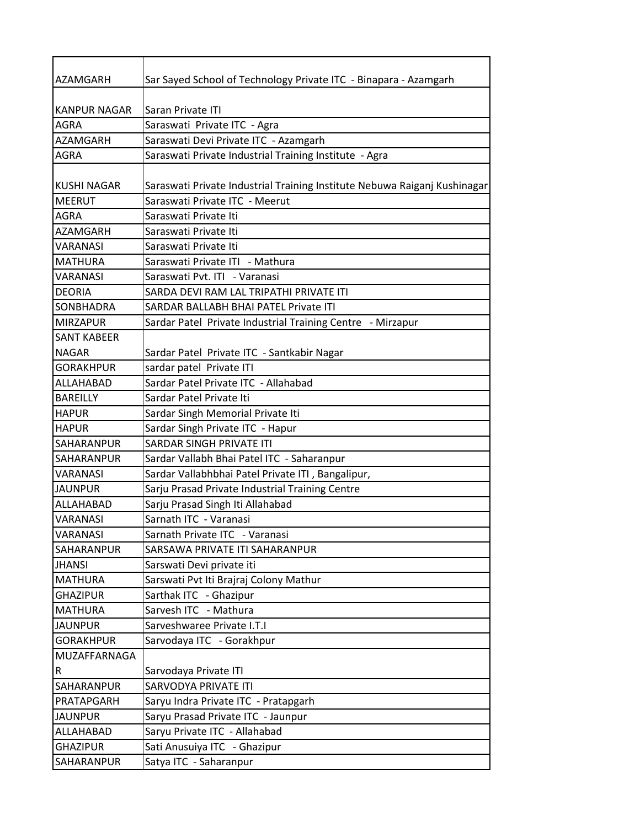| AZAMGARH            | Sar Sayed School of Technology Private ITC - Binapara - Azamgarh          |
|---------------------|---------------------------------------------------------------------------|
|                     |                                                                           |
| <b>KANPUR NAGAR</b> | Saran Private ITI                                                         |
| <b>AGRA</b>         | Saraswati Private ITC - Agra                                              |
| <b>AZAMGARH</b>     | Saraswati Devi Private ITC - Azamgarh                                     |
| <b>AGRA</b>         | Saraswati Private Industrial Training Institute - Agra                    |
|                     |                                                                           |
| <b>KUSHI NAGAR</b>  | Saraswati Private Industrial Training Institute Nebuwa Raiganj Kushinagar |
| <b>MEERUT</b>       | Saraswati Private ITC - Meerut                                            |
| AGRA                | Saraswati Private Iti                                                     |
| AZAMGARH            | Saraswati Private Iti                                                     |
| <b>VARANASI</b>     | Saraswati Private Iti                                                     |
| <b>MATHURA</b>      | Saraswati Private ITI - Mathura                                           |
| <b>VARANASI</b>     | Saraswati Pyt. ITI - Varanasi                                             |
| <b>DEORIA</b>       | SARDA DEVI RAM LAL TRIPATHI PRIVATE ITI                                   |
| <b>SONBHADRA</b>    | SARDAR BALLABH BHAI PATEL Private ITI                                     |
| <b>MIRZAPUR</b>     | Sardar Patel Private Industrial Training Centre - Mirzapur                |
| <b>SANT KABEER</b>  |                                                                           |
| <b>NAGAR</b>        | Sardar Patel Private ITC - Santkabir Nagar                                |
| <b>GORAKHPUR</b>    | sardar patel Private ITI                                                  |
| ALLAHABAD           | Sardar Patel Private ITC - Allahabad                                      |
| <b>BAREILLY</b>     | Sardar Patel Private Iti                                                  |
| <b>HAPUR</b>        | Sardar Singh Memorial Private Iti                                         |
| <b>HAPUR</b>        | Sardar Singh Private ITC - Hapur                                          |
| <b>SAHARANPUR</b>   | SARDAR SINGH PRIVATE ITI                                                  |
| SAHARANPUR          | Sardar Vallabh Bhai Patel ITC - Saharanpur                                |
| VARANASI            | Sardar Vallabhbhai Patel Private ITI, Bangalipur,                         |
| <b>JAUNPUR</b>      | Sarju Prasad Private Industrial Training Centre                           |
| ALLAHABAD           | Sarju Prasad Singh Iti Allahabad                                          |
| <b>VARANASI</b>     | Sarnath ITC - Varanasi                                                    |
| VARANASI            | Sarnath Private ITC - Varanasi                                            |
| SAHARANPUR          | SARSAWA PRIVATE ITI SAHARANPUR                                            |
| <b>JHANSI</b>       | Sarswati Devi private iti                                                 |
| <b>MATHURA</b>      | Sarswati Pvt Iti Brajraj Colony Mathur                                    |
| <b>GHAZIPUR</b>     | Sarthak ITC - Ghazipur                                                    |
| <b>MATHURA</b>      | Sarvesh ITC - Mathura                                                     |
| <b>JAUNPUR</b>      | Sarveshwaree Private I.T.I                                                |
| <b>GORAKHPUR</b>    | Sarvodaya ITC - Gorakhpur                                                 |
| MUZAFFARNAGA        |                                                                           |
| R                   | Sarvodaya Private ITI                                                     |
| SAHARANPUR          | SARVODYA PRIVATE ITI                                                      |
| PRATAPGARH          | Saryu Indra Private ITC - Pratapgarh                                      |
| <b>JAUNPUR</b>      | Saryu Prasad Private ITC - Jaunpur                                        |
| ALLAHABAD           | Saryu Private ITC - Allahabad                                             |
| <b>GHAZIPUR</b>     | Sati Anusuiya ITC - Ghazipur                                              |
| SAHARANPUR          | Satya ITC - Saharanpur                                                    |
|                     |                                                                           |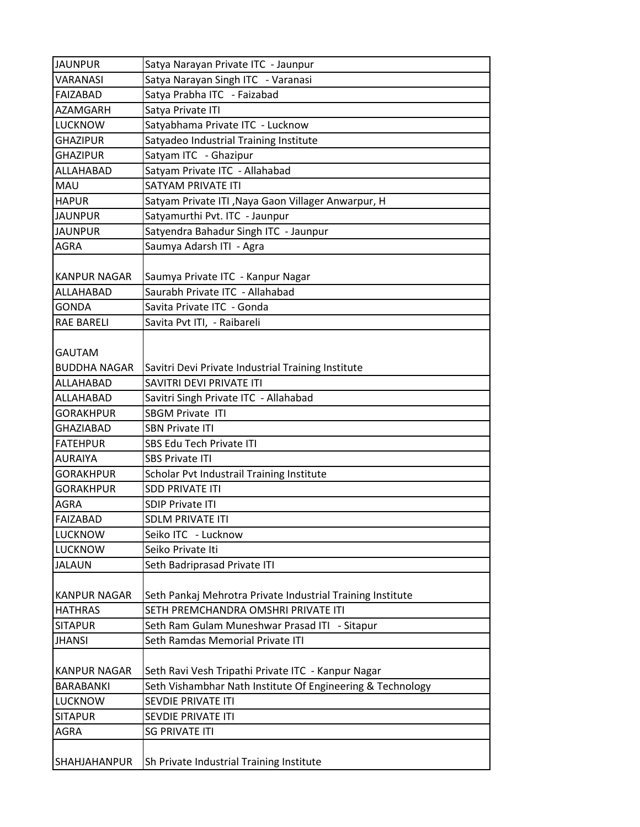| <b>JAUNPUR</b>      | Satya Narayan Private ITC - Jaunpur                        |
|---------------------|------------------------------------------------------------|
| VARANASI            | Satya Narayan Singh ITC - Varanasi                         |
| <b>FAIZABAD</b>     | Satya Prabha ITC - Faizabad                                |
| <b>AZAMGARH</b>     | Satya Private ITI                                          |
| <b>LUCKNOW</b>      | Satyabhama Private ITC - Lucknow                           |
| <b>GHAZIPUR</b>     | Satyadeo Industrial Training Institute                     |
| <b>GHAZIPUR</b>     | Satyam ITC - Ghazipur                                      |
| ALLAHABAD           | Satyam Private ITC - Allahabad                             |
| MAU                 | SATYAM PRIVATE ITI                                         |
| <b>HAPUR</b>        | Satyam Private ITI , Naya Gaon Villager Anwarpur, H        |
| <b>JAUNPUR</b>      | Satyamurthi Pvt. ITC - Jaunpur                             |
| <b>JAUNPUR</b>      | Satyendra Bahadur Singh ITC - Jaunpur                      |
| <b>AGRA</b>         | Saumya Adarsh ITI - Agra                                   |
|                     |                                                            |
| <b>KANPUR NAGAR</b> | Saumya Private ITC - Kanpur Nagar                          |
| ALLAHABAD           | Saurabh Private ITC - Allahabad                            |
| <b>GONDA</b>        | Savita Private ITC - Gonda                                 |
| <b>RAE BARELI</b>   | Savita Pvt ITI, - Raibareli                                |
|                     |                                                            |
| <b>GAUTAM</b>       |                                                            |
| <b>BUDDHA NAGAR</b> | Savitri Devi Private Industrial Training Institute         |
| ALLAHABAD           | SAVITRI DEVI PRIVATE ITI                                   |
| ALLAHABAD           | Savitri Singh Private ITC - Allahabad                      |
| <b>GORAKHPUR</b>    | <b>SBGM Private ITI</b>                                    |
| <b>GHAZIABAD</b>    | <b>SBN Private ITI</b>                                     |
| <b>FATEHPUR</b>     | SBS Edu Tech Private ITI                                   |
| <b>AURAIYA</b>      | <b>SBS Private ITI</b>                                     |
| <b>GORAKHPUR</b>    | Scholar Pvt Industrail Training Institute                  |
| <b>GORAKHPUR</b>    | <b>SDD PRIVATE ITI</b>                                     |
| <b>AGRA</b>         | <b>SDIP Private ITI</b>                                    |
| <b>FAIZABAD</b>     | <b>SDLM PRIVATE ITI</b>                                    |
| LUCKNOW             | Seiko ITC - Lucknow                                        |
| LUCKNOW             | Seiko Private Iti                                          |
| <b>JALAUN</b>       | Seth Badriprasad Private ITI                               |
|                     |                                                            |
| <b>KANPUR NAGAR</b> | Seth Pankaj Mehrotra Private Industrial Training Institute |
| <b>HATHRAS</b>      | SETH PREMCHANDRA OMSHRI PRIVATE ITI                        |
| <b>SITAPUR</b>      | Seth Ram Gulam Muneshwar Prasad ITI - Sitapur              |
| <b>JHANSI</b>       | Seth Ramdas Memorial Private ITI                           |
|                     |                                                            |
| <b>KANPUR NAGAR</b> | Seth Ravi Vesh Tripathi Private ITC - Kanpur Nagar         |
| <b>BARABANKI</b>    | Seth Vishambhar Nath Institute Of Engineering & Technology |
| <b>LUCKNOW</b>      | SEVDIE PRIVATE ITI                                         |
| <b>SITAPUR</b>      | SEVDIE PRIVATE ITI                                         |
| <b>AGRA</b>         | <b>SG PRIVATE ITI</b>                                      |
|                     |                                                            |
| SHAHJAHANPUR        | Sh Private Industrial Training Institute                   |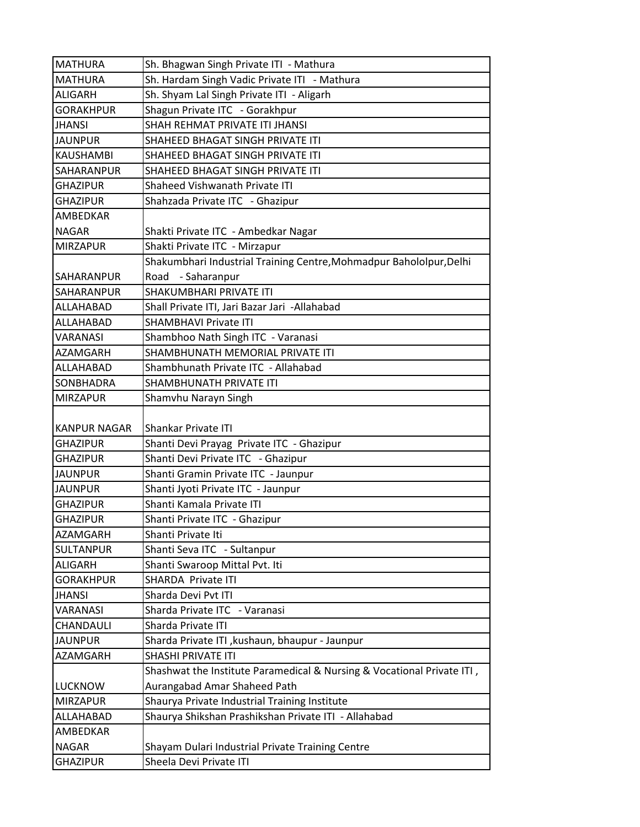| <b>MATHURA</b>      | Sh. Bhagwan Singh Private ITI - Mathura                                     |
|---------------------|-----------------------------------------------------------------------------|
| <b>MATHURA</b>      | Sh. Hardam Singh Vadic Private ITI - Mathura                                |
| <b>ALIGARH</b>      | Sh. Shyam Lal Singh Private ITI - Aligarh                                   |
| <b>GORAKHPUR</b>    | Shagun Private ITC - Gorakhpur                                              |
| <b>JHANSI</b>       | SHAH REHMAT PRIVATE ITI JHANSI                                              |
| <b>JAUNPUR</b>      | SHAHEED BHAGAT SINGH PRIVATE ITI                                            |
| <b>KAUSHAMBI</b>    | SHAHEED BHAGAT SINGH PRIVATE ITI                                            |
| SAHARANPUR          | SHAHEED BHAGAT SINGH PRIVATE ITI                                            |
| <b>GHAZIPUR</b>     | Shaheed Vishwanath Private ITI                                              |
| <b>GHAZIPUR</b>     | Shahzada Private ITC - Ghazipur                                             |
| AMBEDKAR            |                                                                             |
| <b>NAGAR</b>        | Shakti Private ITC - Ambedkar Nagar                                         |
| <b>MIRZAPUR</b>     | Shakti Private ITC - Mirzapur                                               |
|                     | Shakumbhari Industrial Training Centre, Mohmadpur Bahololpur, Delhi         |
| SAHARANPUR          | Road - Saharanpur                                                           |
| SAHARANPUR          | <b>SHAKUMBHARI PRIVATE ITI</b>                                              |
| ALLAHABAD           | Shall Private ITI, Jari Bazar Jari -Allahabad                               |
| ALLAHABAD           | <b>SHAMBHAVI Private ITI</b>                                                |
| <b>VARANASI</b>     | Shambhoo Nath Singh ITC - Varanasi                                          |
| AZAMGARH            | SHAMBHUNATH MEMORIAL PRIVATE ITI                                            |
| ALLAHABAD           | Shambhunath Private ITC - Allahabad                                         |
| SONBHADRA           | SHAMBHUNATH PRIVATE ITI                                                     |
| <b>MIRZAPUR</b>     | Shamvhu Narayn Singh                                                        |
| <b>KANPUR NAGAR</b> | Shankar Private ITI                                                         |
| <b>GHAZIPUR</b>     | Shanti Devi Prayag Private ITC - Ghazipur                                   |
| <b>GHAZIPUR</b>     | Shanti Devi Private ITC - Ghazipur                                          |
| <b>JAUNPUR</b>      | Shanti Gramin Private ITC - Jaunpur                                         |
| <b>JAUNPUR</b>      | Shanti Jyoti Private ITC - Jaunpur                                          |
| <b>GHAZIPUR</b>     | Shanti Kamala Private ITI                                                   |
| <b>GHAZIPUR</b>     | Shanti Private ITC - Ghazipur                                               |
| AZAMGARH            | Shanti Private Iti                                                          |
| <b>SULTANPUR</b>    | Shanti Seva ITC - Sultanpur                                                 |
| <b>ALIGARH</b>      | Shanti Swaroop Mittal Pvt. Iti                                              |
| <b>GORAKHPUR</b>    | SHARDA Private ITI                                                          |
| <b>JHANSI</b>       | Sharda Devi Pvt ITI                                                         |
| VARANASI            |                                                                             |
| CHANDAULI           | Sharda Private ITC - Varanasi                                               |
|                     |                                                                             |
|                     | Sharda Private ITI                                                          |
| <b>JAUNPUR</b>      | Sharda Private ITI, kushaun, bhaupur - Jaunpur                              |
| <b>AZAMGARH</b>     | SHASHI PRIVATE ITI                                                          |
| <b>LUCKNOW</b>      | Shashwat the Institute Paramedical & Nursing & Vocational Private ITI,      |
| <b>MIRZAPUR</b>     | Aurangabad Amar Shaheed Path                                                |
| ALLAHABAD           | Shaurya Private Industrial Training Institute                               |
| AMBEDKAR            | Shaurya Shikshan Prashikshan Private ITI - Allahabad                        |
| <b>NAGAR</b>        |                                                                             |
| <b>GHAZIPUR</b>     | Shayam Dulari Industrial Private Training Centre<br>Sheela Devi Private ITI |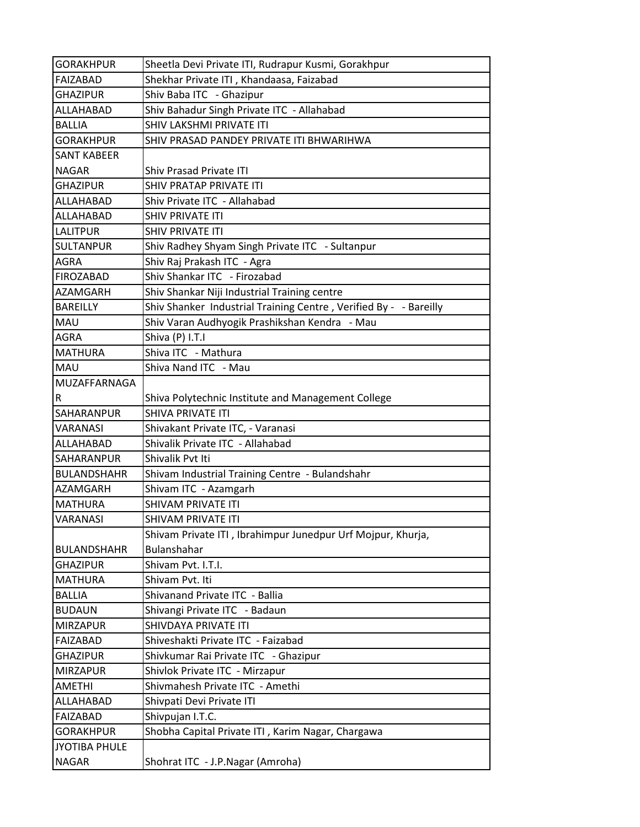| <b>GORAKHPUR</b>     | Sheetla Devi Private ITI, Rudrapur Kusmi, Gorakhpur               |
|----------------------|-------------------------------------------------------------------|
| <b>FAIZABAD</b>      | Shekhar Private ITI, Khandaasa, Faizabad                          |
| <b>GHAZIPUR</b>      | Shiv Baba ITC - Ghazipur                                          |
| ALLAHABAD            | Shiv Bahadur Singh Private ITC - Allahabad                        |
| <b>BALLIA</b>        | SHIV LAKSHMI PRIVATE ITI                                          |
| <b>GORAKHPUR</b>     | SHIV PRASAD PANDEY PRIVATE ITI BHWARIHWA                          |
| <b>SANT KABEER</b>   |                                                                   |
| <b>NAGAR</b>         | <b>Shiv Prasad Private ITI</b>                                    |
| <b>GHAZIPUR</b>      | SHIV PRATAP PRIVATE ITI                                           |
| ALLAHABAD            | Shiv Private ITC - Allahabad                                      |
| ALLAHABAD            | SHIV PRIVATE ITI                                                  |
| <b>LALITPUR</b>      | SHIV PRIVATE ITI                                                  |
| <b>SULTANPUR</b>     | Shiv Radhey Shyam Singh Private ITC - Sultanpur                   |
| <b>AGRA</b>          | Shiv Raj Prakash ITC - Agra                                       |
| <b>FIROZABAD</b>     | Shiv Shankar ITC - Firozabad                                      |
| <b>AZAMGARH</b>      | Shiv Shankar Niji Industrial Training centre                      |
| <b>BAREILLY</b>      | Shiv Shanker Industrial Training Centre, Verified By - - Bareilly |
| <b>MAU</b>           | Shiv Varan Audhyogik Prashikshan Kendra - Mau                     |
| <b>AGRA</b>          | Shiva (P) I.T.I                                                   |
| <b>MATHURA</b>       | Shiva ITC - Mathura                                               |
| MAU                  | Shiva Nand ITC - Mau                                              |
| MUZAFFARNAGA         |                                                                   |
| R                    | Shiva Polytechnic Institute and Management College                |
| SAHARANPUR           | <b>SHIVA PRIVATE ITI</b>                                          |
| <b>VARANASI</b>      | Shivakant Private ITC, - Varanasi                                 |
| ALLAHABAD            | Shivalik Private ITC - Allahabad                                  |
| SAHARANPUR           | Shivalik Pvt Iti                                                  |
| <b>BULANDSHAHR</b>   | Shivam Industrial Training Centre - Bulandshahr                   |
| AZAMGARH             | Shivam ITC - Azamgarh                                             |
| <b>MATHURA</b>       | SHIVAM PRIVATE ITI                                                |
| <b>VARANASI</b>      | SHIVAM PRIVATE ITI                                                |
|                      | Shivam Private ITI, Ibrahimpur Junedpur Urf Mojpur, Khurja,       |
| <b>BULANDSHAHR</b>   | <b>Bulanshahar</b>                                                |
| <b>GHAZIPUR</b>      | Shivam Pvt. I.T.I.                                                |
| <b>MATHURA</b>       | Shivam Pvt. Iti                                                   |
| <b>BALLIA</b>        | Shivanand Private ITC - Ballia                                    |
| <b>BUDAUN</b>        | Shivangi Private ITC - Badaun                                     |
| <b>MIRZAPUR</b>      | SHIVDAYA PRIVATE ITI                                              |
| FAIZABAD             | Shiveshakti Private ITC - Faizabad                                |
| <b>GHAZIPUR</b>      | Shivkumar Rai Private ITC - Ghazipur                              |
| <b>MIRZAPUR</b>      | Shivlok Private ITC - Mirzapur                                    |
| <b>AMETHI</b>        | Shivmahesh Private ITC - Amethi                                   |
| ALLAHABAD            | Shivpati Devi Private ITI                                         |
| FAIZABAD             | Shivpujan I.T.C.                                                  |
| <b>GORAKHPUR</b>     | Shobha Capital Private ITI, Karim Nagar, Chargawa                 |
| <b>JYOTIBA PHULE</b> |                                                                   |
| <b>NAGAR</b>         | Shohrat ITC - J.P.Nagar (Amroha)                                  |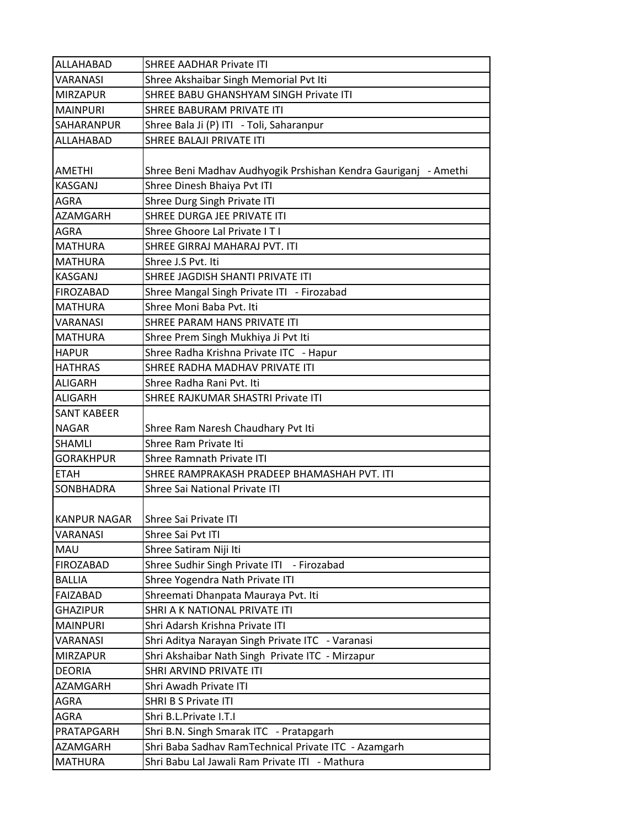| ALLAHABAD          | <b>SHREE AADHAR Private ITI</b>                                 |
|--------------------|-----------------------------------------------------------------|
| <b>VARANASI</b>    | Shree Akshaibar Singh Memorial Pvt Iti                          |
| <b>MIRZAPUR</b>    | SHREE BABU GHANSHYAM SINGH Private ITI                          |
| <b>MAINPURI</b>    | SHREE BABURAM PRIVATE ITI                                       |
| SAHARANPUR         | Shree Bala Ji (P) ITI - Toli, Saharanpur                        |
| ALLAHABAD          | SHREE BALAJI PRIVATE ITI                                        |
|                    |                                                                 |
| <b>AMETHI</b>      | Shree Beni Madhav Audhyogik Prshishan Kendra Gauriganj - Amethi |
| <b>KASGANJ</b>     | Shree Dinesh Bhaiya Pvt ITI                                     |
| AGRA               | Shree Durg Singh Private ITI                                    |
| <b>AZAMGARH</b>    | SHREE DURGA JEE PRIVATE ITI                                     |
| <b>AGRA</b>        | Shree Ghoore Lal Private IT I                                   |
| <b>MATHURA</b>     | SHREE GIRRAJ MAHARAJ PVT. ITI                                   |
| <b>MATHURA</b>     | Shree J.S Pvt. Iti                                              |
| <b>KASGANJ</b>     | SHREE JAGDISH SHANTI PRIVATE ITI                                |
| <b>FIROZABAD</b>   | Shree Mangal Singh Private ITI - Firozabad                      |
| <b>MATHURA</b>     | Shree Moni Baba Pvt. Iti                                        |
| VARANASI           | SHREE PARAM HANS PRIVATE ITI                                    |
| <b>MATHURA</b>     | Shree Prem Singh Mukhiya Ji Pvt Iti                             |
| <b>HAPUR</b>       | Shree Radha Krishna Private ITC - Hapur                         |
| <b>HATHRAS</b>     | SHREE RADHA MADHAV PRIVATE ITI                                  |
| <b>ALIGARH</b>     | Shree Radha Rani Pvt. Iti                                       |
| <b>ALIGARH</b>     | SHREE RAJKUMAR SHASTRI Private ITI                              |
| <b>SANT KABEER</b> |                                                                 |
| <b>NAGAR</b>       | Shree Ram Naresh Chaudhary Pvt Iti                              |
| <b>SHAMLI</b>      | Shree Ram Private Iti                                           |
| <b>GORAKHPUR</b>   | <b>Shree Ramnath Private ITI</b>                                |
| <b>ETAH</b>        | SHREE RAMPRAKASH PRADEEP BHAMASHAH PVT. ITI                     |
| SONBHADRA          | Shree Sai National Private ITI                                  |
|                    |                                                                 |
| KANPUR NAGAR       | Shree Sai Private ITI                                           |
| VARANASI           | Shree Sai Pvt ITI                                               |
| MAU                | Shree Satiram Niji Iti                                          |
| <b>FIROZABAD</b>   | Shree Sudhir Singh Private ITI - Firozabad                      |
| <b>BALLIA</b>      | Shree Yogendra Nath Private ITI                                 |
| FAIZABAD           | Shreemati Dhanpata Mauraya Pvt. Iti                             |
| <b>GHAZIPUR</b>    | SHRI A K NATIONAL PRIVATE ITI                                   |
| <b>MAINPURI</b>    | Shri Adarsh Krishna Private ITI                                 |
| VARANASI           | Shri Aditya Narayan Singh Private ITC - Varanasi                |
| <b>MIRZAPUR</b>    | Shri Akshaibar Nath Singh Private ITC - Mirzapur                |
| <b>DEORIA</b>      | SHRI ARVIND PRIVATE ITI                                         |
| <b>AZAMGARH</b>    | Shri Awadh Private ITI                                          |
| AGRA               | SHRI B S Private ITI                                            |
| AGRA               | Shri B.L.Private I.T.I                                          |
| PRATAPGARH         | Shri B.N. Singh Smarak ITC - Pratapgarh                         |
| AZAMGARH           | Shri Baba Sadhav RamTechnical Private ITC - Azamgarh            |
| <b>MATHURA</b>     | Shri Babu Lal Jawali Ram Private ITI - Mathura                  |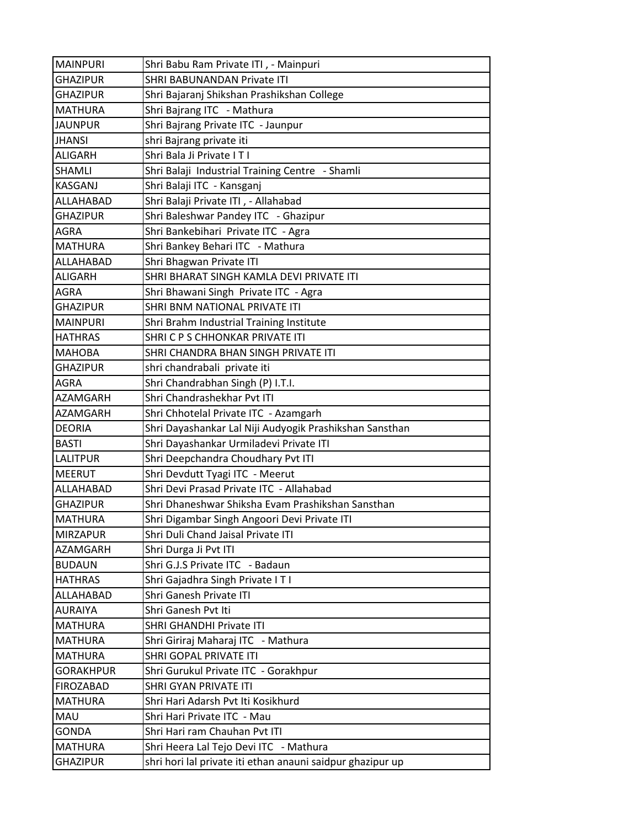| <b>MAINPURI</b>  | Shri Babu Ram Private ITI, - Mainpuri                      |
|------------------|------------------------------------------------------------|
| <b>GHAZIPUR</b>  | SHRI BABUNANDAN Private ITI                                |
| <b>GHAZIPUR</b>  | Shri Bajaranj Shikshan Prashikshan College                 |
| MATHURA          | Shri Bajrang ITC - Mathura                                 |
| <b>JAUNPUR</b>   | Shri Bajrang Private ITC - Jaunpur                         |
| <b>JHANSI</b>    | shri Bajrang private iti                                   |
| <b>ALIGARH</b>   | Shri Bala Ji Private ITI                                   |
| <b>SHAMLI</b>    | Shri Balaji Industrial Training Centre - Shamli            |
| <b>KASGANJ</b>   | Shri Balaji ITC - Kansganj                                 |
| ALLAHABAD        | Shri Balaji Private ITI, - Allahabad                       |
| <b>GHAZIPUR</b>  | Shri Baleshwar Pandey ITC - Ghazipur                       |
| <b>AGRA</b>      | Shri Bankebihari Private ITC - Agra                        |
| IMATHURA         | Shri Bankey Behari ITC - Mathura                           |
| <b>ALLAHABAD</b> | Shri Bhagwan Private ITI                                   |
| <b>ALIGARH</b>   | SHRI BHARAT SINGH KAMLA DEVI PRIVATE ITI                   |
| <b>AGRA</b>      | Shri Bhawani Singh Private ITC - Agra                      |
| <b>GHAZIPUR</b>  | SHRI BNM NATIONAL PRIVATE ITI                              |
| <b>MAINPURI</b>  | Shri Brahm Industrial Training Institute                   |
| <b>HATHRAS</b>   | SHRI C P S CHHONKAR PRIVATE ITI                            |
| <b>MAHOBA</b>    | SHRI CHANDRA BHAN SINGH PRIVATE ITI                        |
| <b>GHAZIPUR</b>  | shri chandrabali private iti                               |
| <b>AGRA</b>      | Shri Chandrabhan Singh (P) I.T.I.                          |
| <b>AZAMGARH</b>  | Shri Chandrashekhar Pvt ITI                                |
| AZAMGARH         | Shri Chhotelal Private ITC - Azamgarh                      |
| <b>DEORIA</b>    | Shri Dayashankar Lal Niji Audyogik Prashikshan Sansthan    |
| <b>BASTI</b>     | Shri Dayashankar Urmiladevi Private ITI                    |
| <b>LALITPUR</b>  | Shri Deepchandra Choudhary Pvt ITI                         |
| <b>MEERUT</b>    | Shri Devdutt Tyagi ITC - Meerut                            |
| <b>ALLAHABAD</b> | Shri Devi Prasad Private ITC - Allahabad                   |
| <b>GHAZIPUR</b>  | Shri Dhaneshwar Shiksha Evam Prashikshan Sansthan          |
| <b>MATHURA</b>   | Shri Digambar Singh Angoori Devi Private ITI               |
| <b>MIRZAPUR</b>  | Shri Duli Chand Jaisal Private ITI                         |
| AZAMGARH         | Shri Durga Ji Pvt ITI                                      |
| <b>BUDAUN</b>    | Shri G.J.S Private ITC - Badaun                            |
| <b>HATHRAS</b>   | Shri Gajadhra Singh Private ITI                            |
| ALLAHABAD        | Shri Ganesh Private ITI                                    |
| <b>AURAIYA</b>   | Shri Ganesh Pvt Iti                                        |
| <b>MATHURA</b>   | SHRI GHANDHI Private ITI                                   |
| <b>MATHURA</b>   | Shri Giriraj Maharaj ITC - Mathura                         |
| <b>MATHURA</b>   | SHRI GOPAL PRIVATE ITI                                     |
| <b>GORAKHPUR</b> | Shri Gurukul Private ITC - Gorakhpur                       |
| <b>FIROZABAD</b> | SHRI GYAN PRIVATE ITI                                      |
| <b>MATHURA</b>   | Shri Hari Adarsh Pvt Iti Kosikhurd                         |
| <b>MAU</b>       | Shri Hari Private ITC - Mau                                |
| <b>GONDA</b>     | Shri Hari ram Chauhan Pvt ITI                              |
| <b>MATHURA</b>   | Shri Heera Lal Tejo Devi ITC - Mathura                     |
| <b>GHAZIPUR</b>  | shri hori lal private iti ethan anauni saidpur ghazipur up |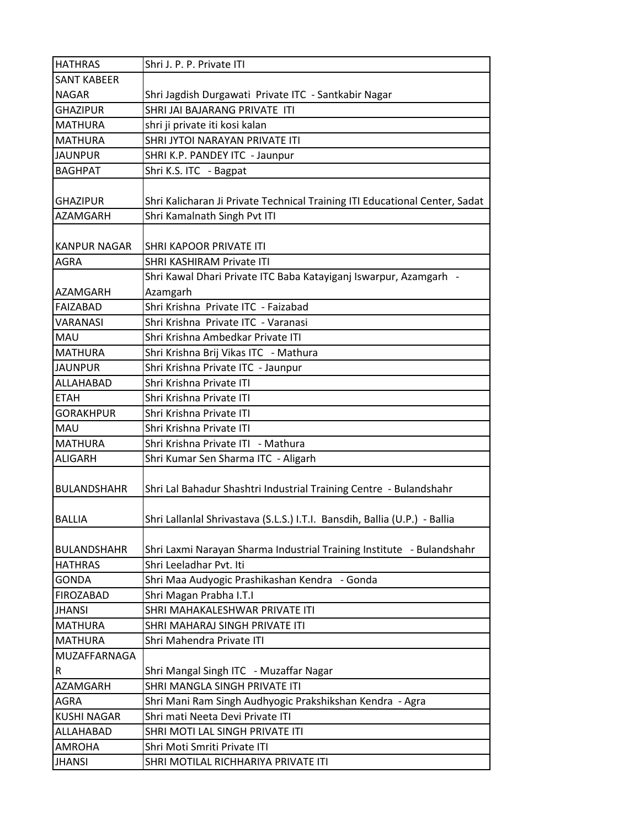| <b>SANT KABEER</b><br><b>NAGAR</b><br>Shri Jagdish Durgawati Private ITC - Santkabir Nagar<br>SHRI JAI BAJARANG PRIVATE ITI<br><b>GHAZIPUR</b><br><b>MATHURA</b><br>shri ji private iti kosi kalan<br><b>MATHURA</b><br>SHRI JYTOI NARAYAN PRIVATE ITI<br>SHRI K.P. PANDEY ITC - Jaunpur<br><b>JAUNPUR</b><br><b>BAGHPAT</b><br>Shri K.S. ITC - Bagpat |
|--------------------------------------------------------------------------------------------------------------------------------------------------------------------------------------------------------------------------------------------------------------------------------------------------------------------------------------------------------|
|                                                                                                                                                                                                                                                                                                                                                        |
|                                                                                                                                                                                                                                                                                                                                                        |
|                                                                                                                                                                                                                                                                                                                                                        |
|                                                                                                                                                                                                                                                                                                                                                        |
|                                                                                                                                                                                                                                                                                                                                                        |
|                                                                                                                                                                                                                                                                                                                                                        |
|                                                                                                                                                                                                                                                                                                                                                        |
| <b>GHAZIPUR</b><br>Shri Kalicharan Ji Private Technical Training ITI Educational Center, Sadat                                                                                                                                                                                                                                                         |
| <b>AZAMGARH</b><br>Shri Kamalnath Singh Pvt ITI                                                                                                                                                                                                                                                                                                        |
|                                                                                                                                                                                                                                                                                                                                                        |
| <b>KANPUR NAGAR</b><br>SHRI KAPOOR PRIVATE ITI                                                                                                                                                                                                                                                                                                         |
| <b>AGRA</b><br>SHRI KASHIRAM Private ITI                                                                                                                                                                                                                                                                                                               |
| Shri Kawal Dhari Private ITC Baba Katayiganj Iswarpur, Azamgarh -                                                                                                                                                                                                                                                                                      |
| AZAMGARH<br>Azamgarh                                                                                                                                                                                                                                                                                                                                   |
| <b>FAIZABAD</b><br>Shri Krishna Private ITC - Faizabad                                                                                                                                                                                                                                                                                                 |
| <b>VARANASI</b><br>Shri Krishna Private ITC - Varanasi                                                                                                                                                                                                                                                                                                 |
| Shri Krishna Ambedkar Private ITI<br><b>MAU</b>                                                                                                                                                                                                                                                                                                        |
| <b>MATHURA</b><br>Shri Krishna Brij Vikas ITC - Mathura                                                                                                                                                                                                                                                                                                |
| Shri Krishna Private ITC - Jaunpur<br><b>JAUNPUR</b>                                                                                                                                                                                                                                                                                                   |
| ALLAHABAD<br>Shri Krishna Private ITI                                                                                                                                                                                                                                                                                                                  |
| <b>ETAH</b><br>Shri Krishna Private ITI                                                                                                                                                                                                                                                                                                                |
| <b>GORAKHPUR</b><br>Shri Krishna Private ITI                                                                                                                                                                                                                                                                                                           |
| MAU<br>Shri Krishna Private ITI                                                                                                                                                                                                                                                                                                                        |
| <b>MATHURA</b><br>Shri Krishna Private ITI - Mathura                                                                                                                                                                                                                                                                                                   |
| <b>ALIGARH</b><br>Shri Kumar Sen Sharma ITC - Aligarh                                                                                                                                                                                                                                                                                                  |
| Shri Lal Bahadur Shashtri Industrial Training Centre - Bulandshahr<br><b>BULANDSHAHR</b>                                                                                                                                                                                                                                                               |
| <b>BALLIA</b><br>Shri Lallanlal Shrivastava (S.L.S.) I.T.I. Bansdih, Ballia (U.P.) - Ballia                                                                                                                                                                                                                                                            |
| Shri Laxmi Narayan Sharma Industrial Training Institute - Bulandshahr<br><b>BULANDSHAHR</b>                                                                                                                                                                                                                                                            |
| Shri Leeladhar Pvt. Iti<br><b>HATHRAS</b>                                                                                                                                                                                                                                                                                                              |
| Shri Maa Audyogic Prashikashan Kendra - Gonda<br><b>GONDA</b>                                                                                                                                                                                                                                                                                          |
| <b>FIROZABAD</b><br>Shri Magan Prabha I.T.I                                                                                                                                                                                                                                                                                                            |
| SHRI MAHAKALESHWAR PRIVATE ITI<br><b>JHANSI</b>                                                                                                                                                                                                                                                                                                        |
| <b>MATHURA</b><br>SHRI MAHARAJ SINGH PRIVATE ITI                                                                                                                                                                                                                                                                                                       |
| <b>MATHURA</b><br>Shri Mahendra Private ITI                                                                                                                                                                                                                                                                                                            |
| MUZAFFARNAGA                                                                                                                                                                                                                                                                                                                                           |
| Shri Mangal Singh ITC - Muzaffar Nagar<br>R                                                                                                                                                                                                                                                                                                            |
| SHRI MANGLA SINGH PRIVATE ITI<br><b>AZAMGARH</b>                                                                                                                                                                                                                                                                                                       |
| Shri Mani Ram Singh Audhyogic Prakshikshan Kendra - Agra<br><b>AGRA</b>                                                                                                                                                                                                                                                                                |
| <b>KUSHI NAGAR</b><br>Shri mati Neeta Devi Private ITI                                                                                                                                                                                                                                                                                                 |
| ALLAHABAD<br>SHRI MOTI LAL SINGH PRIVATE ITI                                                                                                                                                                                                                                                                                                           |
| <b>AMROHA</b><br>Shri Moti Smriti Private ITI                                                                                                                                                                                                                                                                                                          |
| <b>JHANSI</b><br>SHRI MOTILAL RICHHARIYA PRIVATE ITI                                                                                                                                                                                                                                                                                                   |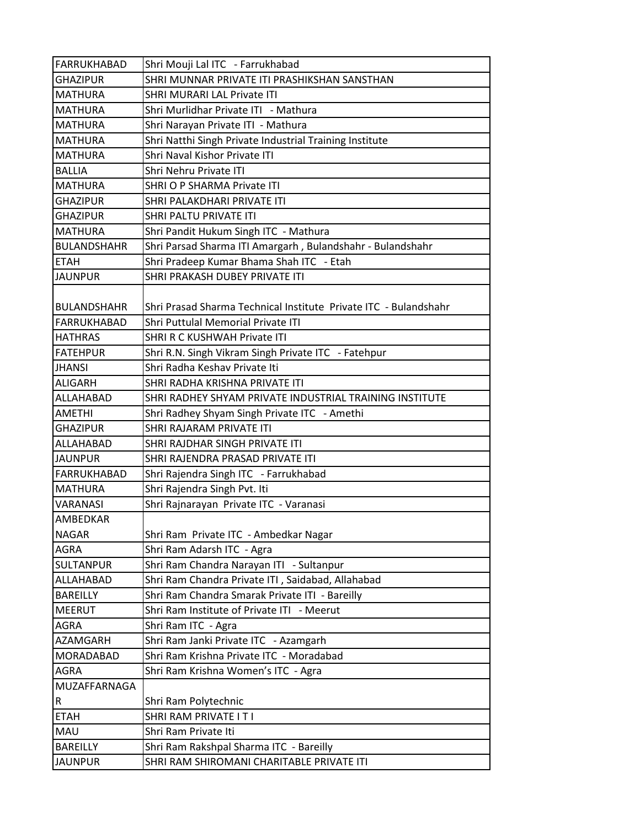| FARRUKHABAD        | Shri Mouji Lal ITC - Farrukhabad                                 |
|--------------------|------------------------------------------------------------------|
| <b>GHAZIPUR</b>    | SHRI MUNNAR PRIVATE ITI PRASHIKSHAN SANSTHAN                     |
| <b>MATHURA</b>     | <b>SHRI MURARI LAL Private ITI</b>                               |
| <b>MATHURA</b>     | Shri Murlidhar Private ITI - Mathura                             |
| <b>MATHURA</b>     | Shri Narayan Private ITI - Mathura                               |
| <b>MATHURA</b>     | Shri Natthi Singh Private Industrial Training Institute          |
| <b>MATHURA</b>     | Shri Naval Kishor Private ITI                                    |
| <b>BALLIA</b>      | Shri Nehru Private ITI                                           |
| <b>MATHURA</b>     | <b>SHRI O P SHARMA Private ITI</b>                               |
| <b>GHAZIPUR</b>    | SHRI PALAKDHARI PRIVATE ITI                                      |
| <b>GHAZIPUR</b>    | SHRI PALTU PRIVATE ITI                                           |
| <b>MATHURA</b>     | Shri Pandit Hukum Singh ITC - Mathura                            |
| <b>BULANDSHAHR</b> | Shri Parsad Sharma ITI Amargarh, Bulandshahr - Bulandshahr       |
| <b>ETAH</b>        | Shri Pradeep Kumar Bhama Shah ITC - Etah                         |
| <b>JAUNPUR</b>     | SHRI PRAKASH DUBEY PRIVATE ITI                                   |
|                    |                                                                  |
| <b>BULANDSHAHR</b> | Shri Prasad Sharma Technical Institute Private ITC - Bulandshahr |
| <b>FARRUKHABAD</b> | Shri Puttulal Memorial Private ITI                               |
| <b>HATHRAS</b>     | SHRI R C KUSHWAH Private ITI                                     |
| <b>FATEHPUR</b>    | Shri R.N. Singh Vikram Singh Private ITC - Fatehpur              |
| <b>JHANSI</b>      | Shri Radha Keshav Private Iti                                    |
| <b>ALIGARH</b>     | SHRI RADHA KRISHNA PRIVATE ITI                                   |
| ALLAHABAD          | SHRI RADHEY SHYAM PRIVATE INDUSTRIAL TRAINING INSTITUTE          |
| <b>AMETHI</b>      | Shri Radhey Shyam Singh Private ITC - Amethi                     |
| <b>GHAZIPUR</b>    | SHRI RAJARAM PRIVATE ITI                                         |
| ALLAHABAD          | SHRI RAJDHAR SINGH PRIVATE ITI                                   |
| <b>JAUNPUR</b>     | SHRI RAJENDRA PRASAD PRIVATE ITI                                 |
| FARRUKHABAD        | Shri Rajendra Singh ITC - Farrukhabad                            |
| <b>MATHURA</b>     | Shri Rajendra Singh Pvt. Iti                                     |
| VARANASI           | Shri Rajnarayan Private ITC - Varanasi                           |
| AMBEDKAR           |                                                                  |
| <b>NAGAR</b>       | Shri Ram Private ITC - Ambedkar Nagar                            |
| <b>AGRA</b>        | Shri Ram Adarsh ITC - Agra                                       |
| <b>SULTANPUR</b>   | Shri Ram Chandra Narayan ITI - Sultanpur                         |
| ALLAHABAD          | Shri Ram Chandra Private ITI, Saidabad, Allahabad                |
| BAREILLY           | Shri Ram Chandra Smarak Private ITI - Bareilly                   |
| <b>MEERUT</b>      | Shri Ram Institute of Private ITI - Meerut                       |
| <b>AGRA</b>        | Shri Ram ITC - Agra                                              |
| AZAMGARH           | Shri Ram Janki Private ITC - Azamgarh                            |
| MORADABAD          | Shri Ram Krishna Private ITC - Moradabad                         |
| <b>AGRA</b>        | Shri Ram Krishna Women's ITC - Agra                              |
| MUZAFFARNAGA       |                                                                  |
| R                  | Shri Ram Polytechnic                                             |
| <b>ETAH</b>        | SHRI RAM PRIVATE I T I                                           |
| MAU                | Shri Ram Private Iti                                             |
| <b>BAREILLY</b>    | Shri Ram Rakshpal Sharma ITC - Bareilly                          |
| <b>JAUNPUR</b>     | SHRI RAM SHIROMANI CHARITABLE PRIVATE ITI                        |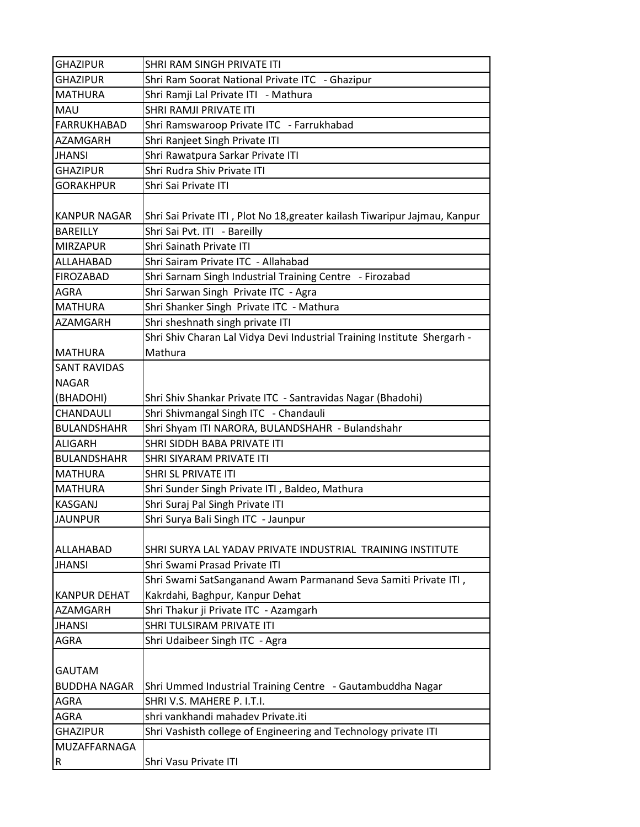| <b>GHAZIPUR</b>     | SHRI RAM SINGH PRIVATE ITI                                                 |
|---------------------|----------------------------------------------------------------------------|
| <b>GHAZIPUR</b>     | Shri Ram Soorat National Private ITC - Ghazipur                            |
| <b>MATHURA</b>      | Shri Ramji Lal Private ITI - Mathura                                       |
| MAU                 | SHRI RAMJI PRIVATE ITI                                                     |
| <b>FARRUKHABAD</b>  | Shri Ramswaroop Private ITC - Farrukhabad                                  |
| AZAMGARH            | Shri Ranjeet Singh Private ITI                                             |
| <b>JHANSI</b>       | Shri Rawatpura Sarkar Private ITI                                          |
| <b>GHAZIPUR</b>     | Shri Rudra Shiv Private ITI                                                |
| <b>GORAKHPUR</b>    | Shri Sai Private ITI                                                       |
|                     |                                                                            |
| <b>KANPUR NAGAR</b> | Shri Sai Private ITI, Plot No 18, greater kailash Tiwaripur Jajmau, Kanpur |
| <b>BAREILLY</b>     | Shri Sai Pvt. ITI - Bareilly                                               |
| <b>MIRZAPUR</b>     | Shri Sainath Private ITI                                                   |
| ALLAHABAD           | Shri Sairam Private ITC - Allahabad                                        |
| <b>FIROZABAD</b>    | Shri Sarnam Singh Industrial Training Centre - Firozabad                   |
| <b>AGRA</b>         | Shri Sarwan Singh Private ITC - Agra                                       |
| <b>MATHURA</b>      | Shri Shanker Singh Private ITC - Mathura                                   |
| AZAMGARH            | Shri sheshnath singh private ITI                                           |
|                     | Shri Shiv Charan Lal Vidya Devi Industrial Training Institute Shergarh -   |
| <b>MATHURA</b>      | Mathura                                                                    |
| <b>SANT RAVIDAS</b> |                                                                            |
| <b>NAGAR</b>        |                                                                            |
| (BHADOHI)           | Shri Shiv Shankar Private ITC - Santravidas Nagar (Bhadohi)                |
| CHANDAULI           | Shri Shivmangal Singh ITC - Chandauli                                      |
| <b>BULANDSHAHR</b>  | Shri Shyam ITI NARORA, BULANDSHAHR - Bulandshahr                           |
| ALIGARH             | SHRI SIDDH BABA PRIVATE ITI                                                |
| <b>BULANDSHAHR</b>  | SHRI SIYARAM PRIVATE ITI                                                   |
| <b>MATHURA</b>      | SHRI SL PRIVATE ITI                                                        |
| <b>MATHURA</b>      | Shri Sunder Singh Private ITI, Baldeo, Mathura                             |
| <b>KASGANJ</b>      | Shri Suraj Pal Singh Private ITI                                           |
| <b>JAUNPUR</b>      | Shri Surya Bali Singh ITC - Jaunpur                                        |
|                     |                                                                            |
| ALLAHABAD           | SHRI SURYA LAL YADAV PRIVATE INDUSTRIAL TRAINING INSTITUTE                 |
| JHANSI              | Shri Swami Prasad Private ITI                                              |
|                     | Shri Swami SatSanganand Awam Parmanand Seva Samiti Private ITI,            |
| <b>KANPUR DEHAT</b> | Kakrdahi, Baghpur, Kanpur Dehat                                            |
| AZAMGARH            | Shri Thakur ji Private ITC - Azamgarh                                      |
| JHANSI              | SHRI TULSIRAM PRIVATE ITI                                                  |
| <b>AGRA</b>         | Shri Udaibeer Singh ITC - Agra                                             |
|                     |                                                                            |
| <b>GAUTAM</b>       |                                                                            |
| <b>BUDDHA NAGAR</b> | Shri Ummed Industrial Training Centre - Gautambuddha Nagar                 |
| AGRA                | SHRI V.S. MAHERE P. I.T.I.                                                 |
| <b>AGRA</b>         | shri vankhandi mahadev Private.iti                                         |
| <b>GHAZIPUR</b>     | Shri Vashisth college of Engineering and Technology private ITI            |
| MUZAFFARNAGA        |                                                                            |
| R                   | Shri Vasu Private ITI                                                      |
|                     |                                                                            |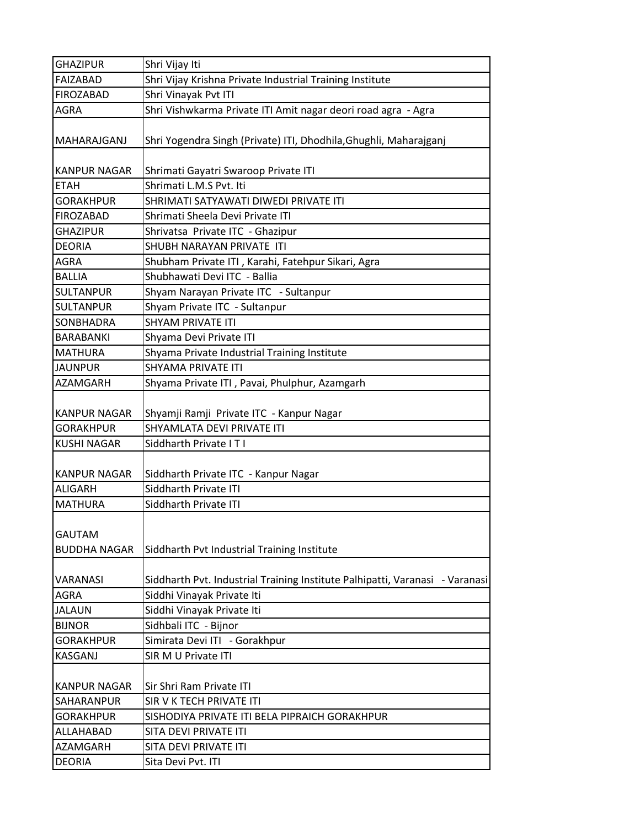| <b>GHAZIPUR</b>                      | Shri Vijay Iti                                                               |
|--------------------------------------|------------------------------------------------------------------------------|
| <b>FAIZABAD</b>                      | Shri Vijay Krishna Private Industrial Training Institute                     |
| <b>FIROZABAD</b>                     | Shri Vinayak Pvt ITI                                                         |
| AGRA                                 | Shri Vishwkarma Private ITI Amit nagar deori road agra - Agra                |
| MAHARAJGANJ                          | Shri Yogendra Singh (Private) ITI, Dhodhila, Ghughli, Maharajganj            |
| <b>KANPUR NAGAR</b>                  | Shrimati Gayatri Swaroop Private ITI                                         |
| <b>ETAH</b>                          | Shrimati L.M.S Pvt. Iti                                                      |
| <b>GORAKHPUR</b>                     | SHRIMATI SATYAWATI DIWEDI PRIVATE ITI                                        |
| <b>FIROZABAD</b>                     | Shrimati Sheela Devi Private ITI                                             |
| <b>GHAZIPUR</b>                      | Shrivatsa Private ITC - Ghazipur                                             |
| <b>DEORIA</b>                        | SHUBH NARAYAN PRIVATE ITI                                                    |
| <b>AGRA</b>                          | Shubham Private ITI, Karahi, Fatehpur Sikari, Agra                           |
| <b>BALLIA</b>                        | Shubhawati Devi ITC - Ballia                                                 |
| <b>SULTANPUR</b>                     | Shyam Narayan Private ITC - Sultanpur                                        |
| <b>SULTANPUR</b>                     | Shyam Private ITC - Sultanpur                                                |
| SONBHADRA                            | <b>SHYAM PRIVATE ITI</b>                                                     |
| <b>BARABANKI</b>                     | Shyama Devi Private ITI                                                      |
| <b>MATHURA</b>                       | Shyama Private Industrial Training Institute                                 |
| <b>JAUNPUR</b>                       | SHYAMA PRIVATE ITI                                                           |
| <b>AZAMGARH</b>                      | Shyama Private ITI, Pavai, Phulphur, Azamgarh                                |
| <b>KANPUR NAGAR</b>                  | Shyamji Ramji Private ITC - Kanpur Nagar<br>SHYAMLATA DEVI PRIVATE ITI       |
| <b>GORAKHPUR</b>                     |                                                                              |
| <b>KUSHI NAGAR</b>                   | Siddharth Private IT I                                                       |
| <b>KANPUR NAGAR</b>                  | Siddharth Private ITC - Kanpur Nagar                                         |
| <b>ALIGARH</b>                       | Siddharth Private ITI                                                        |
| <b>MATHURA</b>                       | Siddharth Private ITI                                                        |
| <b>GAUTAM</b><br><b>BUDDHA NAGAR</b> | Siddharth Pvt Industrial Training Institute                                  |
| VARANASI                             | Siddharth Pvt. Industrial Training Institute Palhipatti, Varanasi - Varanasi |
| <b>AGRA</b>                          | Siddhi Vinayak Private Iti                                                   |
| <b>JALAUN</b>                        | Siddhi Vinayak Private Iti                                                   |
| <b>BIJNOR</b>                        | Sidhbali ITC - Bijnor                                                        |
| <b>GORAKHPUR</b>                     | Simirata Devi ITI - Gorakhpur                                                |
| <b>KASGANJ</b>                       | SIR M U Private ITI                                                          |
| <b>KANPUR NAGAR</b>                  | Sir Shri Ram Private ITI                                                     |
| SAHARANPUR                           | SIR V K TECH PRIVATE ITI                                                     |
| <b>GORAKHPUR</b>                     | SISHODIYA PRIVATE ITI BELA PIPRAICH GORAKHPUR                                |
| ALLAHABAD                            | SITA DEVI PRIVATE ITI                                                        |
| <b>AZAMGARH</b>                      | SITA DEVI PRIVATE ITI                                                        |
| <b>DEORIA</b>                        | Sita Devi Pvt. ITI                                                           |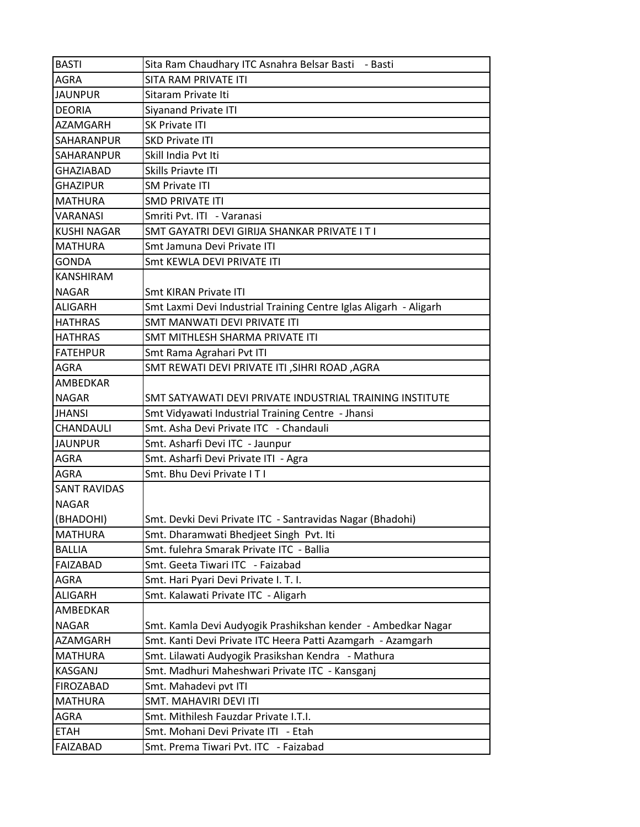| <b>BASTI</b>        | Sita Ram Chaudhary ITC Asnahra Belsar Basti - Basti               |
|---------------------|-------------------------------------------------------------------|
| <b>AGRA</b>         | SITA RAM PRIVATE ITI                                              |
| <b>JAUNPUR</b>      | Sitaram Private Iti                                               |
| <b>DEORIA</b>       | <b>Siyanand Private ITI</b>                                       |
| <b>AZAMGARH</b>     | <b>SK Private ITI</b>                                             |
| SAHARANPUR          | <b>SKD Private ITI</b>                                            |
| SAHARANPUR          | Skill India Pvt Iti                                               |
| <b>GHAZIABAD</b>    | Skills Priavte ITI                                                |
| <b>GHAZIPUR</b>     | <b>SM Private ITI</b>                                             |
| <b>MATHURA</b>      | <b>SMD PRIVATE ITI</b>                                            |
| VARANASI            | Smriti Pvt. ITI - Varanasi                                        |
| <b>KUSHI NAGAR</b>  | SMT GAYATRI DEVI GIRIJA SHANKAR PRIVATE I T I                     |
| <b>MATHURA</b>      | Smt Jamuna Devi Private ITI                                       |
| <b>GONDA</b>        | Smt KEWLA DEVI PRIVATE ITI                                        |
| KANSHIRAM           |                                                                   |
| <b>NAGAR</b>        | Smt KIRAN Private ITI                                             |
| <b>ALIGARH</b>      | Smt Laxmi Devi Industrial Training Centre Iglas Aligarh - Aligarh |
| <b>HATHRAS</b>      | SMT MANWATI DEVI PRIVATE ITI                                      |
| <b>HATHRAS</b>      | SMT MITHLESH SHARMA PRIVATE ITI                                   |
| <b>FATEHPUR</b>     | Smt Rama Agrahari Pvt ITI                                         |
| <b>AGRA</b>         | SMT REWATI DEVI PRIVATE ITI , SIHRI ROAD, AGRA                    |
| AMBEDKAR            |                                                                   |
| <b>NAGAR</b>        | SMT SATYAWATI DEVI PRIVATE INDUSTRIAL TRAINING INSTITUTE          |
| <b>JHANSI</b>       | Smt Vidyawati Industrial Training Centre - Jhansi                 |
| CHANDAULI           | Smt. Asha Devi Private ITC - Chandauli                            |
| <b>JAUNPUR</b>      | Smt. Asharfi Devi ITC - Jaunpur                                   |
| <b>AGRA</b>         | Smt. Asharfi Devi Private ITI - Agra                              |
| <b>AGRA</b>         | Smt. Bhu Devi Private IT I                                        |
| <b>SANT RAVIDAS</b> |                                                                   |
| <b>NAGAR</b>        |                                                                   |
| (BHADOHI)           | Smt. Devki Devi Private ITC - Santravidas Nagar (Bhadohi)         |
| <b>MATHURA</b>      | Smt. Dharamwati Bhedjeet Singh Pvt. Iti                           |
| <b>BALLIA</b>       | Smt. fulehra Smarak Private ITC - Ballia                          |
| <b>FAIZABAD</b>     | Smt. Geeta Tiwari ITC - Faizabad                                  |
| <b>AGRA</b>         | Smt. Hari Pyari Devi Private I. T. I.                             |
| <b>ALIGARH</b>      | Smt. Kalawati Private ITC - Aligarh                               |
| AMBEDKAR            |                                                                   |
| <b>NAGAR</b>        | Smt. Kamla Devi Audyogik Prashikshan kender - Ambedkar Nagar      |
| AZAMGARH            | Smt. Kanti Devi Private ITC Heera Patti Azamgarh - Azamgarh       |
| <b>MATHURA</b>      | Smt. Lilawati Audyogik Prasikshan Kendra - Mathura                |
| <b>KASGANJ</b>      | Smt. Madhuri Maheshwari Private ITC - Kansganj                    |
| <b>FIROZABAD</b>    | Smt. Mahadevi pvt ITI                                             |
| <b>MATHURA</b>      | SMT. MAHAVIRI DEVI ITI                                            |
| AGRA                | Smt. Mithilesh Fauzdar Private I.T.I.                             |
| <b>ETAH</b>         | Smt. Mohani Devi Private ITI - Etah                               |
| FAIZABAD            | Smt. Prema Tiwari Pvt. ITC - Faizabad                             |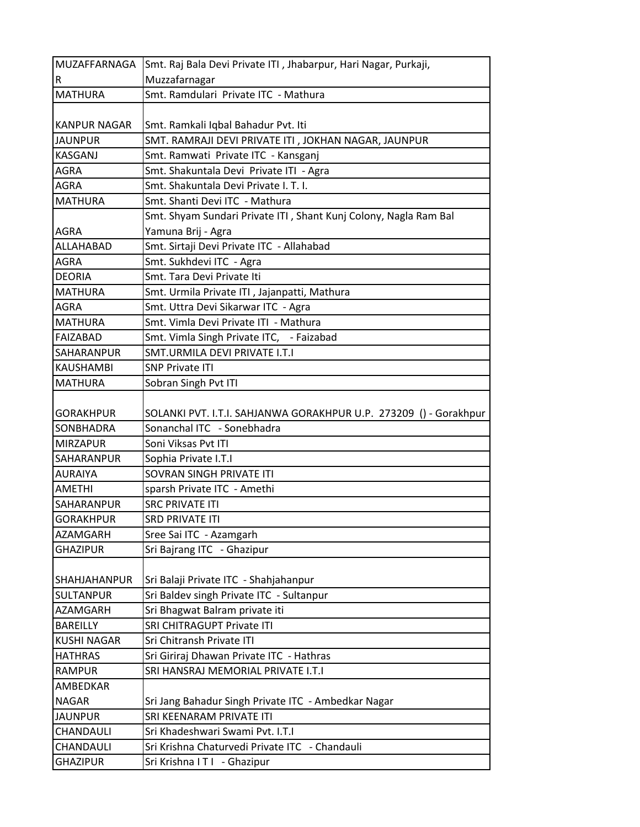| MUZAFFARNAGA                 | Smt. Raj Bala Devi Private ITI, Jhabarpur, Hari Nagar, Purkaji,   |
|------------------------------|-------------------------------------------------------------------|
| $\overline{\mathsf{R}}$      | Muzzafarnagar                                                     |
| <b>MATHURA</b>               | Smt. Ramdulari Private ITC - Mathura                              |
|                              |                                                                   |
| KANPUR NAGAR                 | Smt. Ramkali Iqbal Bahadur Pvt. Iti                               |
| <b>JAUNPUR</b>               | SMT. RAMRAJI DEVI PRIVATE ITI , JOKHAN NAGAR, JAUNPUR             |
| <b>KASGANJ</b>               | Smt. Ramwati Private ITC - Kansganj                               |
| <b>AGRA</b>                  | Smt. Shakuntala Devi Private ITI - Agra                           |
| <b>AGRA</b>                  | Smt. Shakuntala Devi Private I. T. I.                             |
| <b>MATHURA</b>               | Smt. Shanti Devi ITC - Mathura                                    |
|                              | Smt. Shyam Sundari Private ITI, Shant Kunj Colony, Nagla Ram Bal  |
| <b>AGRA</b>                  | Yamuna Brij - Agra                                                |
| ALLAHABAD                    | Smt. Sirtaji Devi Private ITC - Allahabad                         |
| <b>AGRA</b>                  | Smt. Sukhdevi ITC - Agra                                          |
| <b>DEORIA</b>                | Smt. Tara Devi Private Iti                                        |
| <b>MATHURA</b>               | Smt. Urmila Private ITI, Jajanpatti, Mathura                      |
| <b>AGRA</b>                  | Smt. Uttra Devi Sikarwar ITC - Agra                               |
| <b>MATHURA</b>               | Smt. Vimla Devi Private ITI - Mathura                             |
| <b>FAIZABAD</b>              | Smt. Vimla Singh Private ITC, - Faizabad                          |
| ISAHARANPUR                  | SMT.URMILA DEVI PRIVATE I.T.I                                     |
| <b>KAUSHAMBI</b>             | <b>SNP Private ITI</b>                                            |
| <b>MATHURA</b>               | Sobran Singh Pvt ITI                                              |
|                              |                                                                   |
| <b>GORAKHPUR</b>             | SOLANKI PVT. I.T.I. SAHJANWA GORAKHPUR U.P. 273209 () - Gorakhpur |
| SONBHADRA                    | Sonanchal ITC - Sonebhadra                                        |
| <b>MIRZAPUR</b>              | Soni Viksas Pvt ITI                                               |
| <b>SAHARANPUR</b>            | Sophia Private I.T.I                                              |
| <b>AURAIYA</b>               | SOVRAN SINGH PRIVATE ITI                                          |
| <b>AMETHI</b>                | sparsh Private ITC - Amethi                                       |
| <b>SAHARANPUR</b>            | <b>SRC PRIVATE ITI</b>                                            |
| <b>GORAKHPUR</b><br>AZAMGARH | <b>SRD PRIVATE ITI</b>                                            |
| <b>GHAZIPUR</b>              | Sree Sai ITC - Azamgarh<br>Sri Bajrang ITC - Ghazipur             |
|                              |                                                                   |
| <b>SHAHJAHANPUR</b>          | Sri Balaji Private ITC - Shahjahanpur                             |
| <b>SULTANPUR</b>             | Sri Baldev singh Private ITC - Sultanpur                          |
| <b>AZAMGARH</b>              | Sri Bhagwat Balram private iti                                    |
| <b>BAREILLY</b>              | SRI CHITRAGUPT Private ITI                                        |
| <b>KUSHI NAGAR</b>           | Sri Chitransh Private ITI                                         |
| <b>HATHRAS</b>               | Sri Giriraj Dhawan Private ITC - Hathras                          |
| <b>RAMPUR</b>                | SRI HANSRAJ MEMORIAL PRIVATE I.T.I                                |
| AMBEDKAR                     |                                                                   |
| <b>NAGAR</b>                 | Sri Jang Bahadur Singh Private ITC - Ambedkar Nagar               |
| <b>JAUNPUR</b>               | SRI KEENARAM PRIVATE ITI                                          |
| CHANDAULI                    | Sri Khadeshwari Swami Pvt. I.T.I                                  |
| CHANDAULI                    | Sri Krishna Chaturvedi Private ITC - Chandauli                    |
| <b>GHAZIPUR</b>              | Sri Krishna I T I - Ghazipur                                      |
|                              |                                                                   |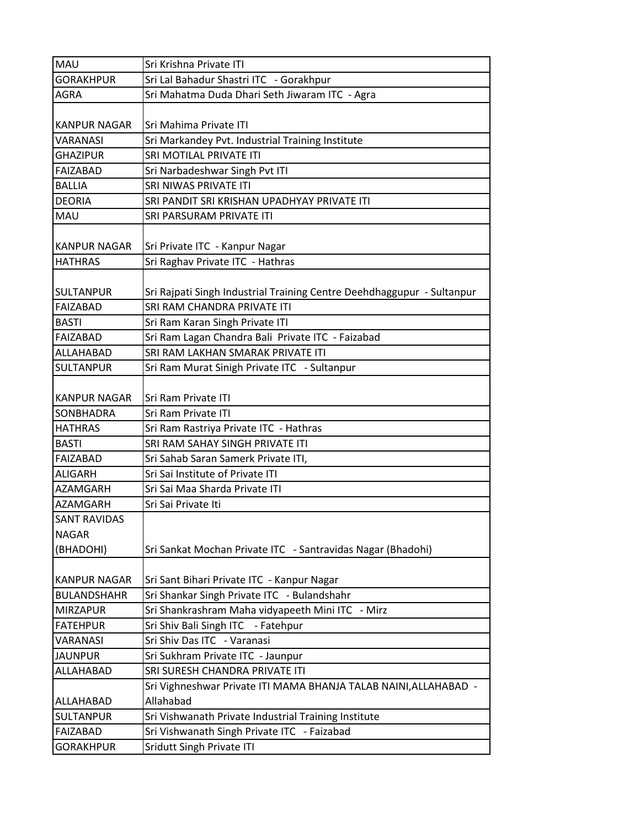| <b>MAU</b>          | Sri Krishna Private ITI                                                |
|---------------------|------------------------------------------------------------------------|
| <b>GORAKHPUR</b>    | Sri Lal Bahadur Shastri ITC - Gorakhpur                                |
| <b>AGRA</b>         | Sri Mahatma Duda Dhari Seth Jiwaram ITC - Agra                         |
|                     |                                                                        |
| <b>KANPUR NAGAR</b> | Sri Mahima Private ITI                                                 |
| <b>VARANASI</b>     | Sri Markandey Pvt. Industrial Training Institute                       |
| <b>GHAZIPUR</b>     | SRI MOTILAL PRIVATE ITI                                                |
| FAIZABAD            | Sri Narbadeshwar Singh Pvt ITI                                         |
| <b>BALLIA</b>       | SRI NIWAS PRIVATE ITI                                                  |
| <b>DEORIA</b>       | SRI PANDIT SRI KRISHAN UPADHYAY PRIVATE ITI                            |
| <b>MAU</b>          | SRI PARSURAM PRIVATE ITI                                               |
|                     |                                                                        |
| <b>KANPUR NAGAR</b> | Sri Private ITC - Kanpur Nagar                                         |
| <b>HATHRAS</b>      | Sri Raghav Private ITC - Hathras                                       |
|                     |                                                                        |
| <b>SULTANPUR</b>    | Sri Rajpati Singh Industrial Training Centre Deehdhaggupur - Sultanpur |
| FAIZABAD            | SRI RAM CHANDRA PRIVATE ITI                                            |
| <b>BASTI</b>        | Sri Ram Karan Singh Private ITI                                        |
| <b>FAIZABAD</b>     | Sri Ram Lagan Chandra Bali Private ITC - Faizabad                      |
| ALLAHABAD           | SRI RAM LAKHAN SMARAK PRIVATE ITI                                      |
| <b>SULTANPUR</b>    | Sri Ram Murat Sinigh Private ITC - Sultanpur                           |
|                     |                                                                        |
| <b>KANPUR NAGAR</b> | Sri Ram Private ITI                                                    |
| <b>SONBHADRA</b>    | Sri Ram Private ITI                                                    |
| <b>HATHRAS</b>      | Sri Ram Rastriya Private ITC - Hathras                                 |
| <b>BASTI</b>        | SRI RAM SAHAY SINGH PRIVATE ITI                                        |
| FAIZABAD            | Sri Sahab Saran Samerk Private ITI,                                    |
| <b>ALIGARH</b>      | Sri Sai Institute of Private ITI                                       |
| <b>AZAMGARH</b>     | Sri Sai Maa Sharda Private ITI                                         |
| <b>AZAMGARH</b>     | Sri Sai Private Iti                                                    |
| <b>SANT RAVIDAS</b> |                                                                        |
| <b>NAGAR</b>        |                                                                        |
| (BHADOHI)           | Sri Sankat Mochan Private ITC - Santravidas Nagar (Bhadohi)            |
|                     |                                                                        |
| <b>KANPUR NAGAR</b> | Sri Sant Bihari Private ITC - Kanpur Nagar                             |
| <b>BULANDSHAHR</b>  | Sri Shankar Singh Private ITC - Bulandshahr                            |
| <b>MIRZAPUR</b>     | Sri Shankrashram Maha vidyapeeth Mini ITC - Mirz                       |
| <b>FATEHPUR</b>     | Sri Shiv Bali Singh ITC - Fatehpur                                     |
| <b>VARANASI</b>     | Sri Shiv Das ITC - Varanasi                                            |
| <b>JAUNPUR</b>      | Sri Sukhram Private ITC - Jaunpur                                      |
| ALLAHABAD           | SRI SURESH CHANDRA PRIVATE ITI                                         |
|                     | Sri Vighneshwar Private ITI MAMA BHANJA TALAB NAINI, ALLAHABAD -       |
| ALLAHABAD           | Allahabad                                                              |
|                     |                                                                        |
| <b>SULTANPUR</b>    | Sri Vishwanath Private Industrial Training Institute                   |
| <b>FAIZABAD</b>     | Sri Vishwanath Singh Private ITC - Faizabad                            |
| <b>GORAKHPUR</b>    | Sridutt Singh Private ITI                                              |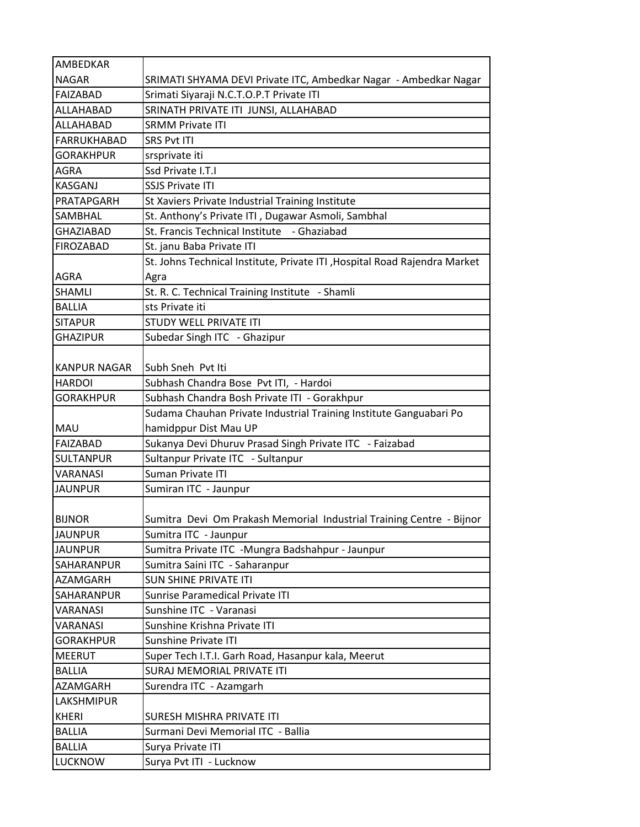| AMBEDKAR            |                                                                           |
|---------------------|---------------------------------------------------------------------------|
| <b>NAGAR</b>        | SRIMATI SHYAMA DEVI Private ITC, Ambedkar Nagar - Ambedkar Nagar          |
| <b>FAIZABAD</b>     | Srimati Siyaraji N.C.T.O.P.T Private ITI                                  |
| ALLAHABAD           | SRINATH PRIVATE ITI JUNSI, ALLAHABAD                                      |
| ALLAHABAD           | <b>SRMM Private ITI</b>                                                   |
| <b>FARRUKHABAD</b>  | <b>SRS Pvt ITI</b>                                                        |
| <b>GORAKHPUR</b>    | srsprivate iti                                                            |
| <b>AGRA</b>         | Ssd Private I.T.I                                                         |
| <b>KASGANJ</b>      | <b>SSJS Private ITI</b>                                                   |
| PRATAPGARH          | St Xaviers Private Industrial Training Institute                          |
| SAMBHAL             | St. Anthony's Private ITI, Dugawar Asmoli, Sambhal                        |
| <b>GHAZIABAD</b>    | St. Francis Technical Institute - Ghaziabad                               |
| <b>FIROZABAD</b>    | St. janu Baba Private ITI                                                 |
|                     | St. Johns Technical Institute, Private ITI, Hospital Road Rajendra Market |
| <b>AGRA</b>         | Agra                                                                      |
| <b>SHAMLI</b>       | St. R. C. Technical Training Institute - Shamli                           |
| <b>BALLIA</b>       | sts Private iti                                                           |
| <b>SITAPUR</b>      | STUDY WELL PRIVATE ITI                                                    |
| <b>GHAZIPUR</b>     | Subedar Singh ITC - Ghazipur                                              |
|                     |                                                                           |
| <b>KANPUR NAGAR</b> | Subh Sneh Pvt Iti                                                         |
| <b>HARDOI</b>       | Subhash Chandra Bose Pvt ITI, - Hardoi                                    |
| <b>GORAKHPUR</b>    | Subhash Chandra Bosh Private ITI - Gorakhpur                              |
|                     | Sudama Chauhan Private Industrial Training Institute Ganguabari Po        |
| <b>MAU</b>          | hamidppur Dist Mau UP                                                     |
| <b>FAIZABAD</b>     | Sukanya Devi Dhuruv Prasad Singh Private ITC - Faizabad                   |
| <b>SULTANPUR</b>    | Sultanpur Private ITC - Sultanpur                                         |
| <b>VARANASI</b>     | Suman Private ITI                                                         |
| <b>JAUNPUR</b>      | Sumiran ITC - Jaunpur                                                     |
|                     |                                                                           |
| <b>BIJNOR</b>       | Sumitra Devi Om Prakash Memorial Industrial Training Centre - Bijnor      |
| <b>JAUNPUR</b>      | Sumitra ITC - Jaunpur                                                     |
| <b>JAUNPUR</b>      | Sumitra Private ITC -Mungra Badshahpur - Jaunpur                          |
| SAHARANPUR          | Sumitra Saini ITC - Saharanpur                                            |
| <b>AZAMGARH</b>     | <b>SUN SHINE PRIVATE ITI</b>                                              |
| SAHARANPUR          | Sunrise Paramedical Private ITI                                           |
| VARANASI            | Sunshine ITC - Varanasi                                                   |
| VARANASI            | Sunshine Krishna Private ITI                                              |
| <b>GORAKHPUR</b>    | Sunshine Private ITI                                                      |
| <b>MEERUT</b>       | Super Tech I.T.I. Garh Road, Hasanpur kala, Meerut                        |
| <b>BALLIA</b>       | SURAJ MEMORIAL PRIVATE ITI                                                |
| AZAMGARH            | Surendra ITC - Azamgarh                                                   |
| LAKSHMIPUR          |                                                                           |
| <b>KHERI</b>        | SURESH MISHRA PRIVATE ITI                                                 |
| <b>BALLIA</b>       | Surmani Devi Memorial ITC - Ballia                                        |
| <b>BALLIA</b>       | Surya Private ITI                                                         |
| <b>LUCKNOW</b>      | Surya Pvt ITI - Lucknow                                                   |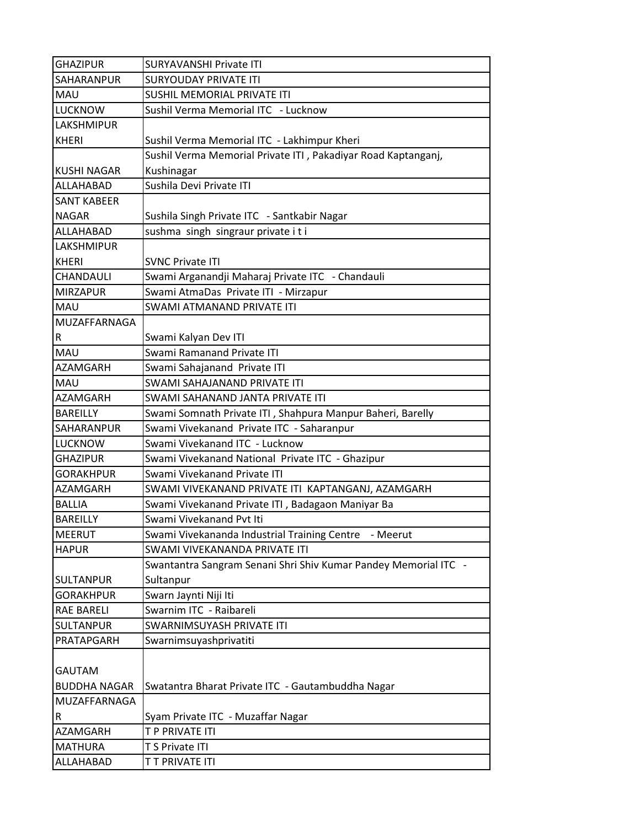| <b>GHAZIPUR</b>         | <b>SURYAVANSHI Private ITI</b>                                  |
|-------------------------|-----------------------------------------------------------------|
| <b>SAHARANPUR</b>       | <b>SURYOUDAY PRIVATE ITI</b>                                    |
| <b>MAU</b>              | <b>SUSHIL MEMORIAL PRIVATE ITI</b>                              |
| <b>LUCKNOW</b>          | Sushil Verma Memorial ITC - Lucknow                             |
| <b>LAKSHMIPUR</b>       |                                                                 |
| <b>KHERI</b>            | Sushil Verma Memorial ITC - Lakhimpur Kheri                     |
|                         | Sushil Verma Memorial Private ITI, Pakadiyar Road Kaptanganj,   |
| <b>KUSHI NAGAR</b>      | Kushinagar                                                      |
| <b>ALLAHABAD</b>        | Sushila Devi Private ITI                                        |
| <b>SANT KABEER</b>      |                                                                 |
| <b>NAGAR</b>            | Sushila Singh Private ITC - Santkabir Nagar                     |
| ALLAHABAD               | sushma singh singraur private iti                               |
| <b>LAKSHMIPUR</b>       |                                                                 |
| <b>KHERI</b>            | <b>SVNC Private ITI</b>                                         |
| <b>CHANDAULI</b>        | Swami Arganandji Maharaj Private ITC - Chandauli                |
| <b>MIRZAPUR</b>         | Swami AtmaDas Private ITI - Mirzapur                            |
| <b>MAU</b>              | SWAMI ATMANAND PRIVATE ITI                                      |
| MUZAFFARNAGA            |                                                                 |
| $\overline{\mathsf{R}}$ | Swami Kalyan Dev ITI                                            |
| <b>MAU</b>              | Swami Ramanand Private ITI                                      |
| <b>AZAMGARH</b>         | Swami Sahajanand Private ITI                                    |
| <b>MAU</b>              | SWAMI SAHAJANAND PRIVATE ITI                                    |
| <b>AZAMGARH</b>         | SWAMI SAHANAND JANTA PRIVATE ITI                                |
| <b>BAREILLY</b>         | Swami Somnath Private ITI, Shahpura Manpur Baheri, Barelly      |
| <b>SAHARANPUR</b>       | Swami Vivekanand Private ITC - Saharanpur                       |
| <b>LUCKNOW</b>          | Swami Vivekanand ITC - Lucknow                                  |
| <b>GHAZIPUR</b>         | Swami Vivekanand National Private ITC - Ghazipur                |
| <b>GORAKHPUR</b>        | Swami Vivekanand Private ITI                                    |
| AZAMGARH                | SWAMI VIVEKANAND PRIVATE ITI KAPTANGANJ, AZAMGARH               |
| <b>BALLIA</b>           | Swami Vivekanand Private ITI, Badagaon Maniyar Ba               |
| <b>BAREILLY</b>         | Swami Vivekanand Pvt Iti                                        |
| <b>MEERUT</b>           | Swami Vivekananda Industrial Training Centre - Meerut           |
| <b>HAPUR</b>            | SWAMI VIVEKANANDA PRIVATE ITI                                   |
|                         | Swantantra Sangram Senani Shri Shiv Kumar Pandey Memorial ITC - |
| <b>SULTANPUR</b>        | Sultanpur                                                       |
| <b>GORAKHPUR</b>        | Swarn Jaynti Niji Iti                                           |
| <b>RAE BARELI</b>       | Swarnim ITC - Raibareli                                         |
| <b>SULTANPUR</b>        | SWARNIMSUYASH PRIVATE ITI                                       |
| PRATAPGARH              | Swarnimsuyashprivatiti                                          |
|                         |                                                                 |
| <b>GAUTAM</b>           |                                                                 |
| <b>BUDDHA NAGAR</b>     | Swatantra Bharat Private ITC - Gautambuddha Nagar               |
| MUZAFFARNAGA            |                                                                 |
| $\mathsf R$             | Syam Private ITC - Muzaffar Nagar                               |
| AZAMGARH                | T P PRIVATE ITI                                                 |
| <b>MATHURA</b>          | T S Private ITI                                                 |
| ALLAHABAD               | T T PRIVATE ITI                                                 |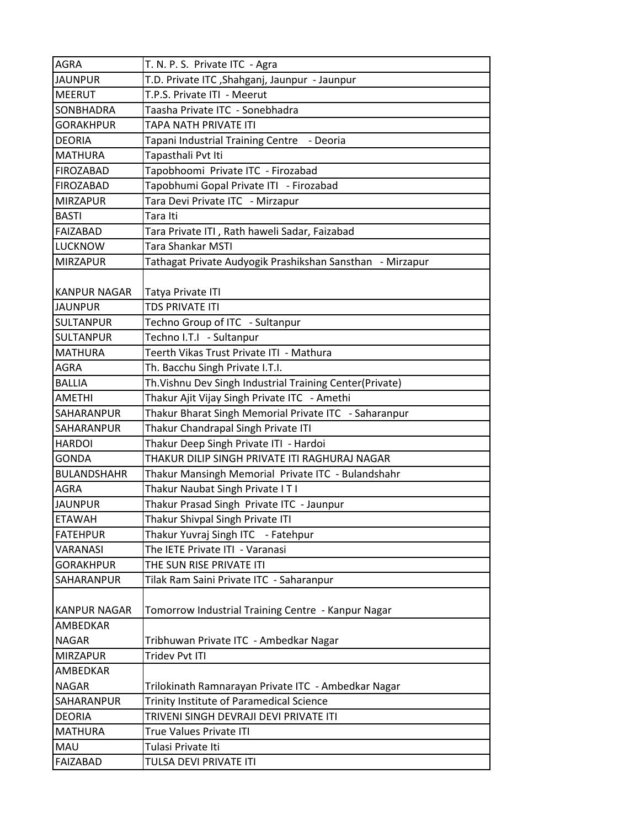| <b>AGRA</b>                        | T. N. P. S. Private ITC - Agra                              |
|------------------------------------|-------------------------------------------------------------|
| <b>JAUNPUR</b>                     | T.D. Private ITC , Shahganj, Jaunpur - Jaunpur              |
| <b>MEERUT</b>                      | T.P.S. Private ITI - Meerut                                 |
| <b>SONBHADRA</b>                   | Taasha Private ITC - Sonebhadra                             |
| <b>GORAKHPUR</b>                   | TAPA NATH PRIVATE ITI                                       |
| <b>DEORIA</b>                      | Tapani Industrial Training Centre - Deoria                  |
| <b>MATHURA</b>                     | Tapasthali Pvt Iti                                          |
| <b>FIROZABAD</b>                   | Tapobhoomi Private ITC - Firozabad                          |
| FIROZABAD                          | Tapobhumi Gopal Private ITI - Firozabad                     |
| <b>MIRZAPUR</b>                    | Tara Devi Private ITC - Mirzapur                            |
| <b>BASTI</b>                       | Tara Iti                                                    |
| FAIZABAD                           | Tara Private ITI, Rath haweli Sadar, Faizabad               |
| <b>LUCKNOW</b>                     | <b>Tara Shankar MSTI</b>                                    |
| <b>MIRZAPUR</b>                    | Tathagat Private Audyogik Prashikshan Sansthan - Mirzapur   |
| KANPUR NAGAR                       | Tatya Private ITI<br><b>TDS PRIVATE ITI</b>                 |
| <b>JAUNPUR</b><br><b>SULTANPUR</b> |                                                             |
| <b>SULTANPUR</b>                   | Techno Group of ITC - Sultanpur<br>Techno I.T.I - Sultanpur |
| <b>MATHURA</b>                     | Teerth Vikas Trust Private ITI - Mathura                    |
| <b>AGRA</b>                        | Th. Bacchu Singh Private I.T.I.                             |
| <b>BALLIA</b>                      | Th. Vishnu Dev Singh Industrial Training Center(Private)    |
| <b>AMETHI</b>                      | Thakur Ajit Vijay Singh Private ITC - Amethi                |
| <b>SAHARANPUR</b>                  | Thakur Bharat Singh Memorial Private ITC - Saharanpur       |
| <b>SAHARANPUR</b>                  | Thakur Chandrapal Singh Private ITI                         |
| <b>HARDOI</b>                      | Thakur Deep Singh Private ITI - Hardoi                      |
| <b>GONDA</b>                       | THAKUR DILIP SINGH PRIVATE ITI RAGHURAJ NAGAR               |
| <b>BULANDSHAHR</b>                 | Thakur Mansingh Memorial Private ITC - Bulandshahr          |
| <b>AGRA</b>                        | Thakur Naubat Singh Private IT I                            |
| <b>JAUNPUR</b>                     | Thakur Prasad Singh Private ITC - Jaunpur                   |
| <b>ETAWAH</b>                      | Thakur Shivpal Singh Private ITI                            |
| <b>FATEHPUR</b>                    | Thakur Yuvraj Singh ITC - Fatehpur                          |
| <b>VARANASI</b>                    | The IETE Private ITI - Varanasi                             |
| <b>GORAKHPUR</b>                   | THE SUN RISE PRIVATE ITI                                    |
| <b>SAHARANPUR</b>                  | Tilak Ram Saini Private ITC - Saharanpur                    |
|                                    |                                                             |
| <b>KANPUR NAGAR</b>                | Tomorrow Industrial Training Centre - Kanpur Nagar          |
| <b>AMBEDKAR</b>                    |                                                             |
| <b>NAGAR</b>                       | Tribhuwan Private ITC - Ambedkar Nagar                      |
| <b>MIRZAPUR</b>                    | <b>Tridev Pvt ITI</b>                                       |
| <b>AMBEDKAR</b>                    |                                                             |
| <b>NAGAR</b>                       | Trilokinath Ramnarayan Private ITC - Ambedkar Nagar         |
| SAHARANPUR                         | Trinity Institute of Paramedical Science                    |
| <b>DEORIA</b>                      | TRIVENI SINGH DEVRAJI DEVI PRIVATE ITI                      |
| <b>MATHURA</b>                     | True Values Private ITI                                     |
| <b>MAU</b>                         | Tulasi Private Iti                                          |
| <b>FAIZABAD</b>                    | TULSA DEVI PRIVATE ITI                                      |
|                                    |                                                             |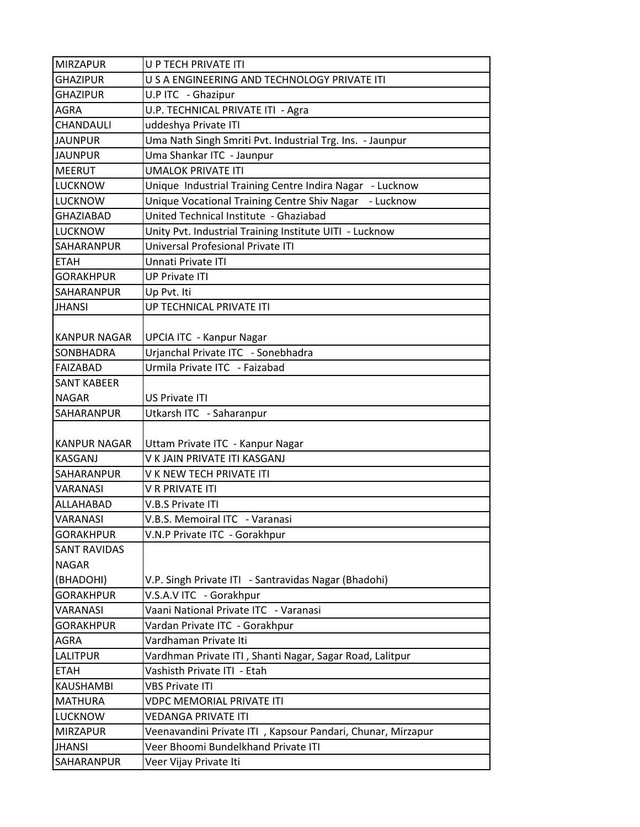| <b>MIRZAPUR</b>     | U P TECH PRIVATE ITI                                        |
|---------------------|-------------------------------------------------------------|
| <b>GHAZIPUR</b>     | U S A ENGINEERING AND TECHNOLOGY PRIVATE ITI                |
| <b>GHAZIPUR</b>     | U.P ITC - Ghazipur                                          |
| <b>AGRA</b>         | U.P. TECHNICAL PRIVATE ITI - Agra                           |
| CHANDAULI           | uddeshya Private ITI                                        |
| <b>JAUNPUR</b>      | Uma Nath Singh Smriti Pvt. Industrial Trg. Ins. - Jaunpur   |
| <b>JAUNPUR</b>      | Uma Shankar ITC - Jaunpur                                   |
| <b>MEERUT</b>       | <b>UMALOK PRIVATE ITI</b>                                   |
| <b>LUCKNOW</b>      | Unique Industrial Training Centre Indira Nagar - Lucknow    |
| <b>LUCKNOW</b>      | Unique Vocational Training Centre Shiv Nagar - Lucknow      |
| <b>GHAZIABAD</b>    | United Technical Institute - Ghaziabad                      |
| <b>LUCKNOW</b>      | Unity Pvt. Industrial Training Institute UITI - Lucknow     |
| SAHARANPUR          | Universal Profesional Private ITI                           |
| <b>ETAH</b>         | Unnati Private ITI                                          |
| <b>GORAKHPUR</b>    | <b>UP Private ITI</b>                                       |
| <b>SAHARANPUR</b>   | Up Pvt. Iti                                                 |
| <b>JHANSI</b>       | UP TECHNICAL PRIVATE ITI                                    |
|                     |                                                             |
| <b>KANPUR NAGAR</b> | <b>UPCIA ITC - Kanpur Nagar</b>                             |
| <b>SONBHADRA</b>    | Urjanchal Private ITC - Sonebhadra                          |
| FAIZABAD            | Urmila Private ITC - Faizabad                               |
| <b>SANT KABEER</b>  |                                                             |
| <b>NAGAR</b>        | US Private ITI                                              |
| SAHARANPUR          | Utkarsh ITC - Saharanpur                                    |
|                     |                                                             |
| <b>KANPUR NAGAR</b> | Uttam Private ITC - Kanpur Nagar                            |
| <b>KASGANJ</b>      | V K JAIN PRIVATE ITI KASGANJ                                |
| <b>SAHARANPUR</b>   | V K NEW TECH PRIVATE ITI                                    |
| <b>VARANASI</b>     | V R PRIVATE ITI                                             |
| ALLAHABAD           | <b>V.B.S Private ITI</b>                                    |
| <b>VARANASI</b>     | V.B.S. Memoiral ITC - Varanasi                              |
| <b>GORAKHPUR</b>    | V.N.P Private ITC - Gorakhpur                               |
| <b>SANT RAVIDAS</b> |                                                             |
| <b>NAGAR</b>        |                                                             |
| (BHADOHI)           | V.P. Singh Private ITI - Santravidas Nagar (Bhadohi)        |
| <b>GORAKHPUR</b>    | V.S.A.V ITC - Gorakhpur                                     |
| VARANASI            | Vaani National Private ITC - Varanasi                       |
| <b>GORAKHPUR</b>    | Vardan Private ITC - Gorakhpur                              |
| AGRA                | Vardhaman Private Iti                                       |
| <b>LALITPUR</b>     | Vardhman Private ITI, Shanti Nagar, Sagar Road, Lalitpur    |
| <b>ETAH</b>         | Vashisth Private ITI - Etah                                 |
| KAUSHAMBI           | <b>VBS Private ITI</b>                                      |
| <b>MATHURA</b>      | <b>VDPC MEMORIAL PRIVATE ITI</b>                            |
| <b>LUCKNOW</b>      | <b>VEDANGA PRIVATE ITI</b>                                  |
| <b>MIRZAPUR</b>     | Veenavandini Private ITI, Kapsour Pandari, Chunar, Mirzapur |
| <b>JHANSI</b>       | Veer Bhoomi Bundelkhand Private ITI                         |
| SAHARANPUR          | Veer Vijay Private Iti                                      |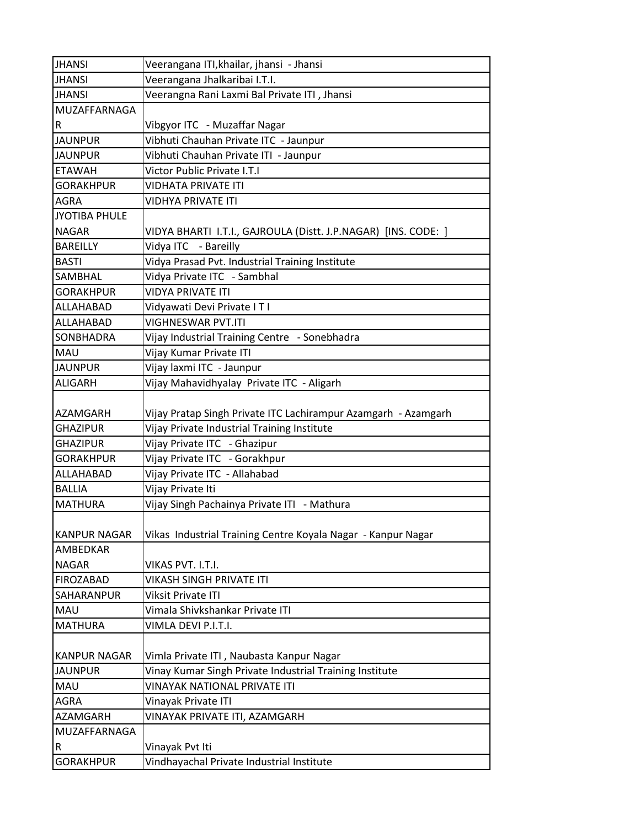| <b>JHANSI</b>        | Veerangana ITI, khailar, jhansi - Jhansi                       |
|----------------------|----------------------------------------------------------------|
| <b>JHANSI</b>        | Veerangana Jhalkaribai I.T.I.                                  |
| <b>JHANSI</b>        | Veerangna Rani Laxmi Bal Private ITI, Jhansi                   |
| MUZAFFARNAGA         |                                                                |
| R                    | Vibgyor ITC - Muzaffar Nagar                                   |
| <b>JAUNPUR</b>       | Vibhuti Chauhan Private ITC - Jaunpur                          |
| <b>JAUNPUR</b>       | Vibhuti Chauhan Private ITI - Jaunpur                          |
| <b>ETAWAH</b>        | Victor Public Private I.T.I                                    |
| <b>GORAKHPUR</b>     | <b>VIDHATA PRIVATE ITI</b>                                     |
| <b>AGRA</b>          | VIDHYA PRIVATE ITI                                             |
| <b>JYOTIBA PHULE</b> |                                                                |
| <b>NAGAR</b>         | VIDYA BHARTI I.T.I., GAJROULA (Distt. J.P.NAGAR) [INS. CODE: ] |
| <b>BAREILLY</b>      | Vidya ITC - Bareilly                                           |
| <b>BASTI</b>         | Vidya Prasad Pvt. Industrial Training Institute                |
| SAMBHAL              | Vidya Private ITC - Sambhal                                    |
| <b>GORAKHPUR</b>     | <b>VIDYA PRIVATE ITI</b>                                       |
| ALLAHABAD            | Vidyawati Devi Private I T I                                   |
| ALLAHABAD            | <b>VIGHNESWAR PVT.ITI</b>                                      |
| SONBHADRA            | Vijay Industrial Training Centre - Sonebhadra                  |
| <b>MAU</b>           | Vijay Kumar Private ITI                                        |
| <b>JAUNPUR</b>       | Vijay laxmi ITC - Jaunpur                                      |
| <b>ALIGARH</b>       | Vijay Mahavidhyalay Private ITC - Aligarh                      |
|                      |                                                                |
| AZAMGARH             | Vijay Pratap Singh Private ITC Lachirampur Azamgarh - Azamgarh |
| <b>GHAZIPUR</b>      | Vijay Private Industrial Training Institute                    |
| <b>GHAZIPUR</b>      | Vijay Private ITC - Ghazipur                                   |
| <b>GORAKHPUR</b>     | Vijay Private ITC - Gorakhpur                                  |
| ALLAHABAD            | Vijay Private ITC - Allahabad                                  |
| <b>BALLIA</b>        | Vijay Private Iti                                              |
| <b>MATHURA</b>       | Vijay Singh Pachainya Private ITI - Mathura                    |
|                      |                                                                |
| <b>KANPUR NAGAR</b>  | Vikas Industrial Training Centre Koyala Nagar - Kanpur Nagar   |
| AMBEDKAR             |                                                                |
| <b>NAGAR</b>         | VIKAS PVT. I.T.I.                                              |
| <b>FIROZABAD</b>     | <b>VIKASH SINGH PRIVATE ITI</b>                                |
| SAHARANPUR           | <b>Viksit Private ITI</b>                                      |
| MAU                  | Vimala Shivkshankar Private ITI                                |
| <b>MATHURA</b>       | VIMLA DEVI P.I.T.I.                                            |
|                      |                                                                |
| <b>KANPUR NAGAR</b>  | Vimla Private ITI, Naubasta Kanpur Nagar                       |
| <b>JAUNPUR</b>       | Vinay Kumar Singh Private Industrial Training Institute        |
| MAU                  | VINAYAK NATIONAL PRIVATE ITI                                   |
| AGRA                 | Vinayak Private ITI                                            |
| AZAMGARH             | VINAYAK PRIVATE ITI, AZAMGARH                                  |
| MUZAFFARNAGA         |                                                                |
| R                    | Vinayak Pvt Iti                                                |
| <b>GORAKHPUR</b>     | Vindhayachal Private Industrial Institute                      |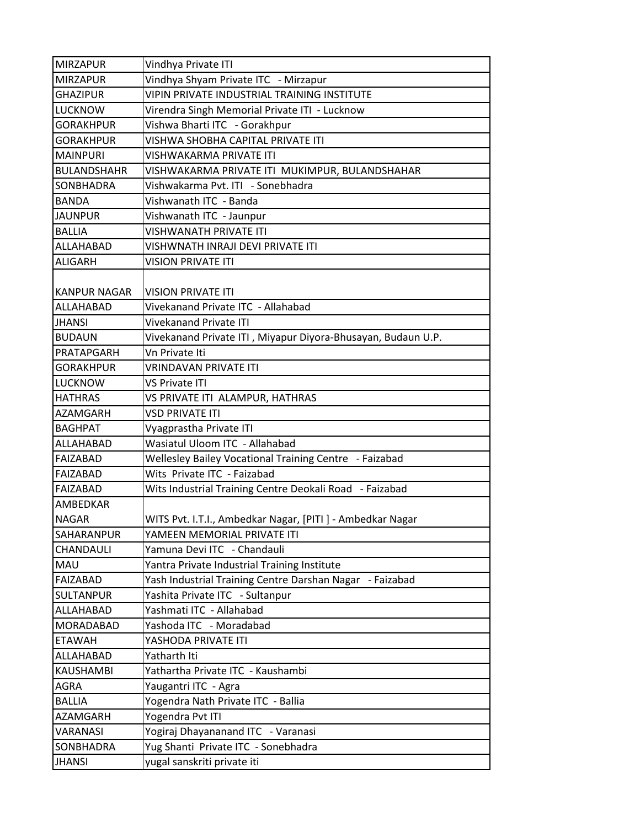| <b>MIRZAPUR</b>     | Vindhya Private ITI                                          |
|---------------------|--------------------------------------------------------------|
| <b>MIRZAPUR</b>     | Vindhya Shyam Private ITC - Mirzapur                         |
| <b>GHAZIPUR</b>     | VIPIN PRIVATE INDUSTRIAL TRAINING INSTITUTE                  |
| <b>LUCKNOW</b>      | Virendra Singh Memorial Private ITI - Lucknow                |
| <b>GORAKHPUR</b>    | Vishwa Bharti ITC - Gorakhpur                                |
| <b>GORAKHPUR</b>    | VISHWA SHOBHA CAPITAL PRIVATE ITI                            |
| <b>MAINPURI</b>     | VISHWAKARMA PRIVATE ITI                                      |
| <b>BULANDSHAHR</b>  | VISHWAKARMA PRIVATE ITI MUKIMPUR, BULANDSHAHAR               |
| <b>SONBHADRA</b>    | Vishwakarma Pvt. ITI - Sonebhadra                            |
| <b>BANDA</b>        | Vishwanath ITC - Banda                                       |
| <b>JAUNPUR</b>      | Vishwanath ITC - Jaunpur                                     |
| <b>BALLIA</b>       | VISHWANATH PRIVATE ITI                                       |
| ALLAHABAD           | VISHWNATH INRAJI DEVI PRIVATE ITI                            |
| ALIGARH             | <b>VISION PRIVATE ITI</b>                                    |
| <b>KANPUR NAGAR</b> | <b>VISION PRIVATE ITI</b>                                    |
| <b>ALLAHABAD</b>    | Vivekanand Private ITC - Allahabad                           |
| <b>JHANSI</b>       | <b>Vivekanand Private ITI</b>                                |
| <b>BUDAUN</b>       | Vivekanand Private ITI, Miyapur Diyora-Bhusayan, Budaun U.P. |
| PRATAPGARH          | Vn Private Iti                                               |
| <b>GORAKHPUR</b>    | <b>VRINDAVAN PRIVATE ITI</b>                                 |
| <b>LUCKNOW</b>      | VS Private ITI                                               |
| <b>HATHRAS</b>      | VS PRIVATE ITI ALAMPUR, HATHRAS                              |
| <b>AZAMGARH</b>     | <b>VSD PRIVATE ITI</b>                                       |
| <b>BAGHPAT</b>      | Vyagprastha Private ITI                                      |
| <b>ALLAHABAD</b>    | Wasiatul Uloom ITC - Allahabad                               |
| FAIZABAD            | Wellesley Bailey Vocational Training Centre - Faizabad       |
| FAIZABAD            | Wits Private ITC - Faizabad                                  |
| FAIZABAD            | Wits Industrial Training Centre Deokali Road - Faizabad      |
| <b>AMBEDKAR</b>     |                                                              |
| <b>NAGAR</b>        | WITS Pvt. I.T.I., Ambedkar Nagar, [PITI ] - Ambedkar Nagar   |
| SAHARANPUR          | YAMEEN MEMORIAL PRIVATE ITI                                  |
| CHANDAULI           | Yamuna Devi ITC - Chandauli                                  |
| <b>MAU</b>          | Yantra Private Industrial Training Institute                 |
| FAIZABAD            | Yash Industrial Training Centre Darshan Nagar - Faizabad     |
| <b>SULTANPUR</b>    | Yashita Private ITC - Sultanpur                              |
| ALLAHABAD           | Yashmati ITC - Allahabad                                     |
| <b>MORADABAD</b>    | Yashoda ITC - Moradabad                                      |
| <b>ETAWAH</b>       | YASHODA PRIVATE ITI                                          |
| ALLAHABAD           | Yatharth Iti                                                 |
| <b>KAUSHAMBI</b>    | Yathartha Private ITC - Kaushambi                            |
| <b>AGRA</b>         | Yaugantri ITC - Agra                                         |
| <b>BALLIA</b>       | Yogendra Nath Private ITC - Ballia                           |
| AZAMGARH            | Yogendra Pvt ITI                                             |
| VARANASI            | Yogiraj Dhayananand ITC - Varanasi                           |
| <b>SONBHADRA</b>    | Yug Shanti Private ITC - Sonebhadra                          |
| <b>JHANSI</b>       | yugal sanskriti private iti                                  |